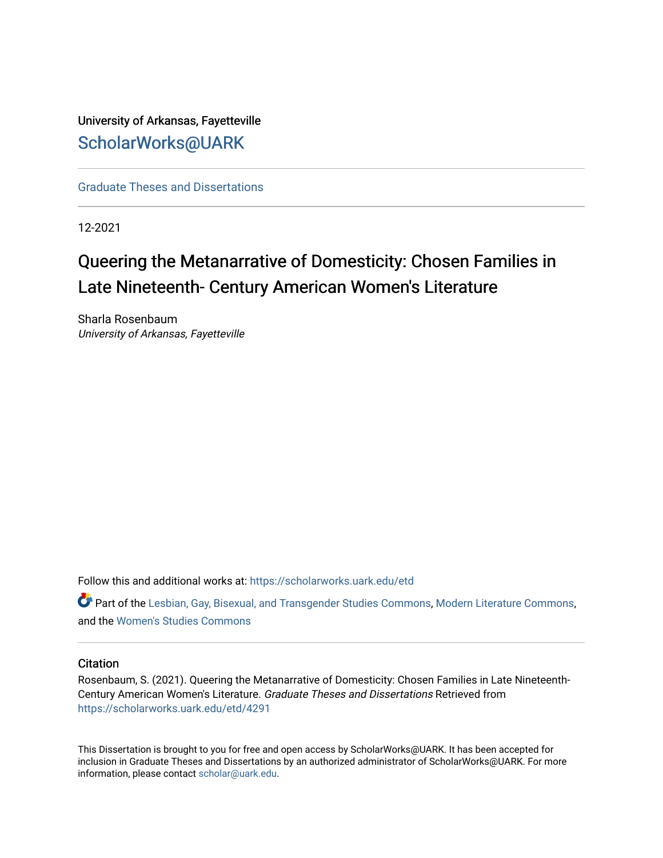# University of Arkansas, Fayetteville [ScholarWorks@UARK](https://scholarworks.uark.edu/)

[Graduate Theses and Dissertations](https://scholarworks.uark.edu/etd) 

12-2021

# Queering the Metanarrative of Domesticity: Chosen Families in Late Nineteenth- Century American Women's Literature

Sharla Rosenbaum University of Arkansas, Fayetteville

Follow this and additional works at: [https://scholarworks.uark.edu/etd](https://scholarworks.uark.edu/etd?utm_source=scholarworks.uark.edu%2Fetd%2F4291&utm_medium=PDF&utm_campaign=PDFCoverPages)

Part of the [Lesbian, Gay, Bisexual, and Transgender Studies Commons](http://network.bepress.com/hgg/discipline/560?utm_source=scholarworks.uark.edu%2Fetd%2F4291&utm_medium=PDF&utm_campaign=PDFCoverPages), [Modern Literature Commons](http://network.bepress.com/hgg/discipline/1050?utm_source=scholarworks.uark.edu%2Fetd%2F4291&utm_medium=PDF&utm_campaign=PDFCoverPages), and the [Women's Studies Commons](http://network.bepress.com/hgg/discipline/561?utm_source=scholarworks.uark.edu%2Fetd%2F4291&utm_medium=PDF&utm_campaign=PDFCoverPages) 

#### **Citation**

Rosenbaum, S. (2021). Queering the Metanarrative of Domesticity: Chosen Families in Late Nineteenth-Century American Women's Literature. Graduate Theses and Dissertations Retrieved from [https://scholarworks.uark.edu/etd/4291](https://scholarworks.uark.edu/etd/4291?utm_source=scholarworks.uark.edu%2Fetd%2F4291&utm_medium=PDF&utm_campaign=PDFCoverPages)

This Dissertation is brought to you for free and open access by ScholarWorks@UARK. It has been accepted for inclusion in Graduate Theses and Dissertations by an authorized administrator of ScholarWorks@UARK. For more information, please contact [scholar@uark.edu.](mailto:scholar@uark.edu)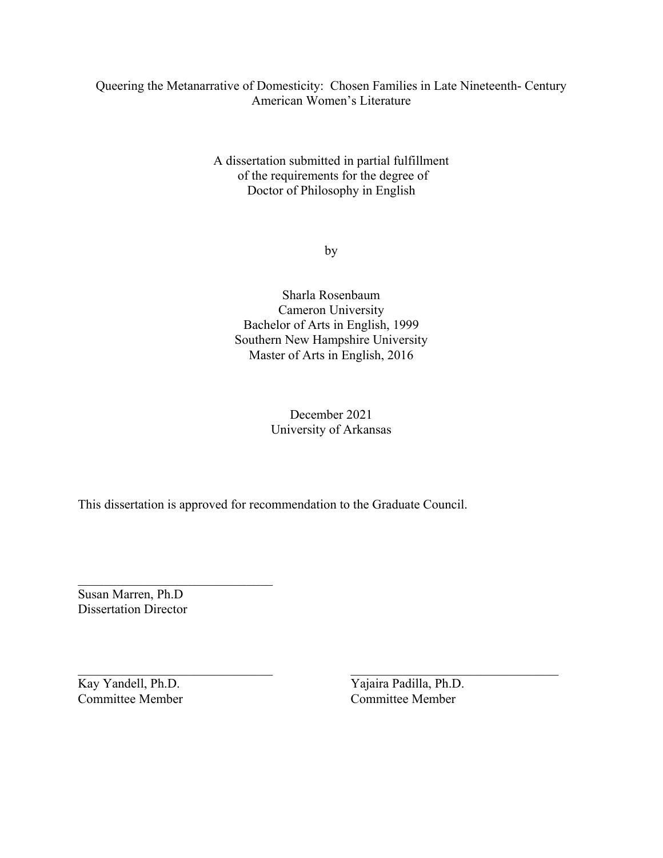### Queering the Metanarrative of Domesticity: Chosen Families in Late Nineteenth- Century American Women's Literature

A dissertation submitted in partial fulfillment of the requirements for the degree of Doctor of Philosophy in English

by

Sharla Rosenbaum Cameron University Bachelor of Arts in English, 1999 Southern New Hampshire University Master of Arts in English, 2016

## December 2021 University of Arkansas

 $\mathcal{L}_\text{max}$  , and the contribution of the contribution of the contribution of the contribution of the contribution of the contribution of the contribution of the contribution of the contribution of the contribution of t

This dissertation is approved for recommendation to the Graduate Council.

\_\_\_\_\_\_\_\_\_\_\_\_\_\_\_\_\_\_\_\_\_\_\_\_\_\_\_\_\_\_ Susan Marren, Ph.D Dissertation Director

Committee Member

Kay Yandell, Ph.D.<br>
Committee Member<br>
Committee Member<br>
Committee Member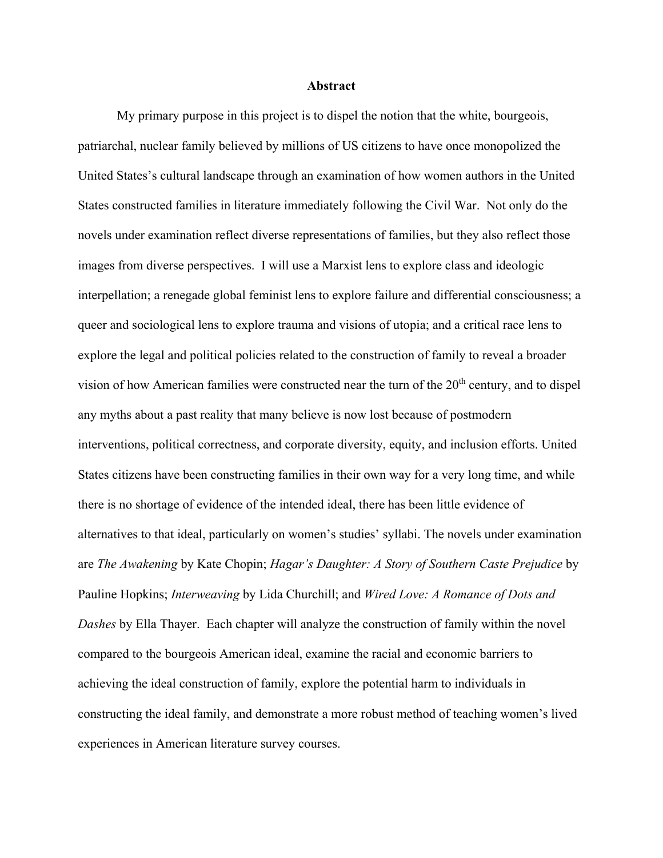#### **Abstract**

My primary purpose in this project is to dispel the notion that the white, bourgeois, patriarchal, nuclear family believed by millions of US citizens to have once monopolized the United States's cultural landscape through an examination of how women authors in the United States constructed families in literature immediately following the Civil War. Not only do the novels under examination reflect diverse representations of families, but they also reflect those images from diverse perspectives. I will use a Marxist lens to explore class and ideologic interpellation; a renegade global feminist lens to explore failure and differential consciousness; a queer and sociological lens to explore trauma and visions of utopia; and a critical race lens to explore the legal and political policies related to the construction of family to reveal a broader vision of how American families were constructed near the turn of the  $20<sup>th</sup>$  century, and to dispel any myths about a past reality that many believe is now lost because of postmodern interventions, political correctness, and corporate diversity, equity, and inclusion efforts. United States citizens have been constructing families in their own way for a very long time, and while there is no shortage of evidence of the intended ideal, there has been little evidence of alternatives to that ideal, particularly on women's studies' syllabi. The novels under examination are *The Awakening* by Kate Chopin; *Hagar's Daughter: A Story of Southern Caste Prejudice* by Pauline Hopkins; *Interweaving* by Lida Churchill; and *Wired Love: A Romance of Dots and Dashes* by Ella Thayer. Each chapter will analyze the construction of family within the novel compared to the bourgeois American ideal, examine the racial and economic barriers to achieving the ideal construction of family, explore the potential harm to individuals in constructing the ideal family, and demonstrate a more robust method of teaching women's lived experiences in American literature survey courses.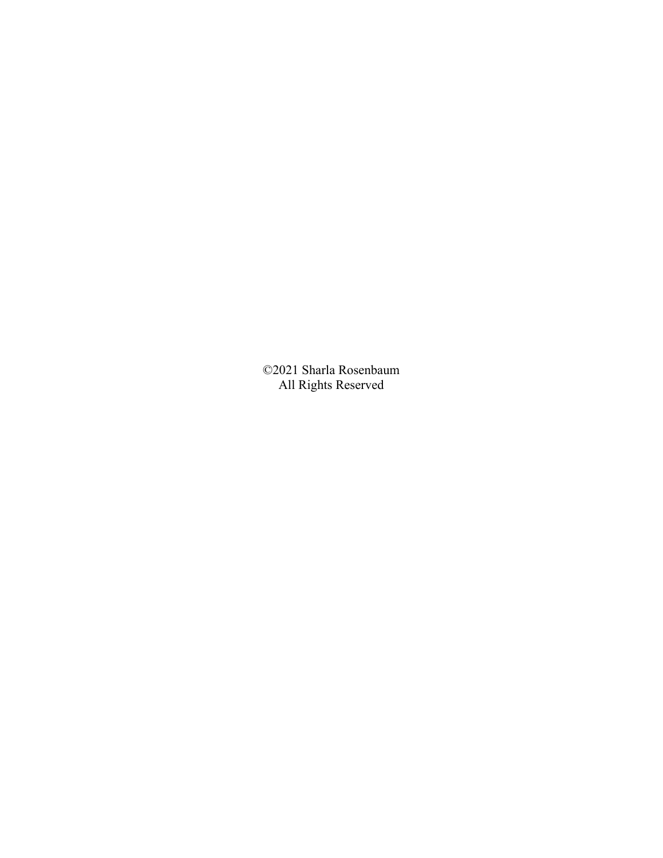©2021 Sharla Rosenbaum All Rights Reserved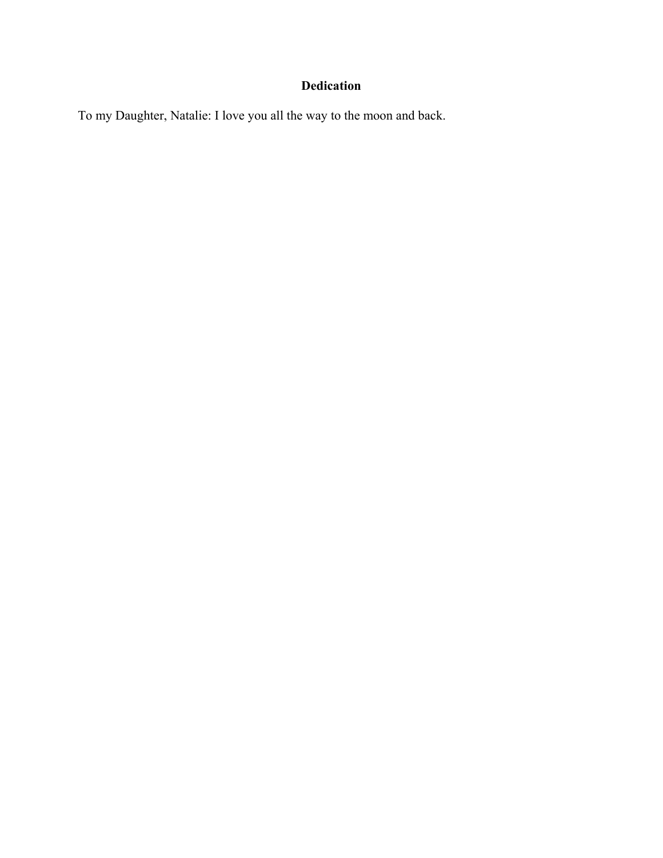## **Dedication**

To my Daughter, Natalie: I love you all the way to the moon and back.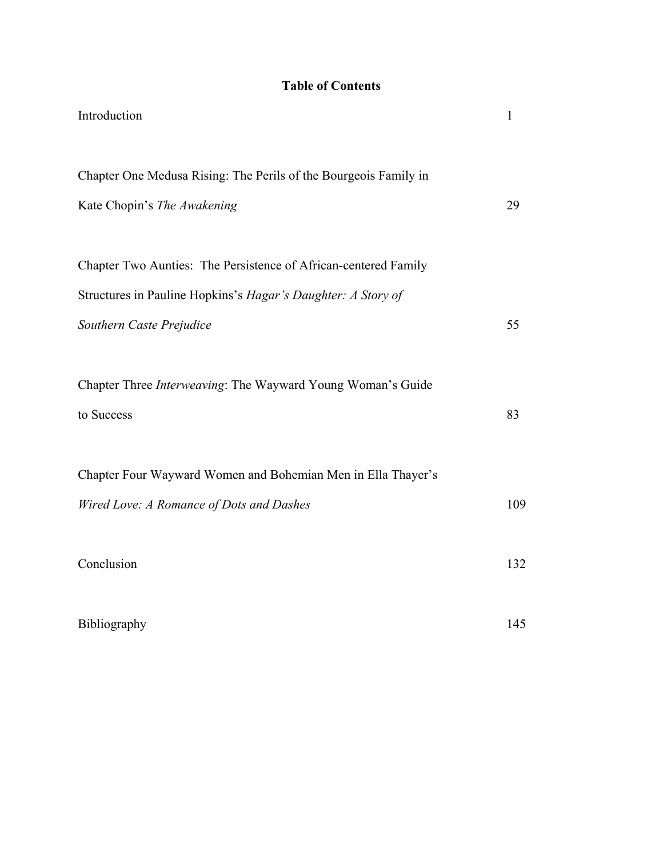## **Table of Contents**

| Introduction                                                     | 1   |
|------------------------------------------------------------------|-----|
| Chapter One Medusa Rising: The Perils of the Bourgeois Family in |     |
| Kate Chopin's The Awakening                                      | 29  |
| Chapter Two Aunties: The Persistence of African-centered Family  |     |
| Structures in Pauline Hopkins's Hagar's Daughter: A Story of     |     |
| Southern Caste Prejudice                                         | 55  |
| Chapter Three Interweaving: The Wayward Young Woman's Guide      |     |
| to Success                                                       | 83  |
| Chapter Four Wayward Women and Bohemian Men in Ella Thayer's     |     |
| Wired Love: A Romance of Dots and Dashes                         | 109 |
| Conclusion                                                       | 132 |
| Bibliography                                                     | 145 |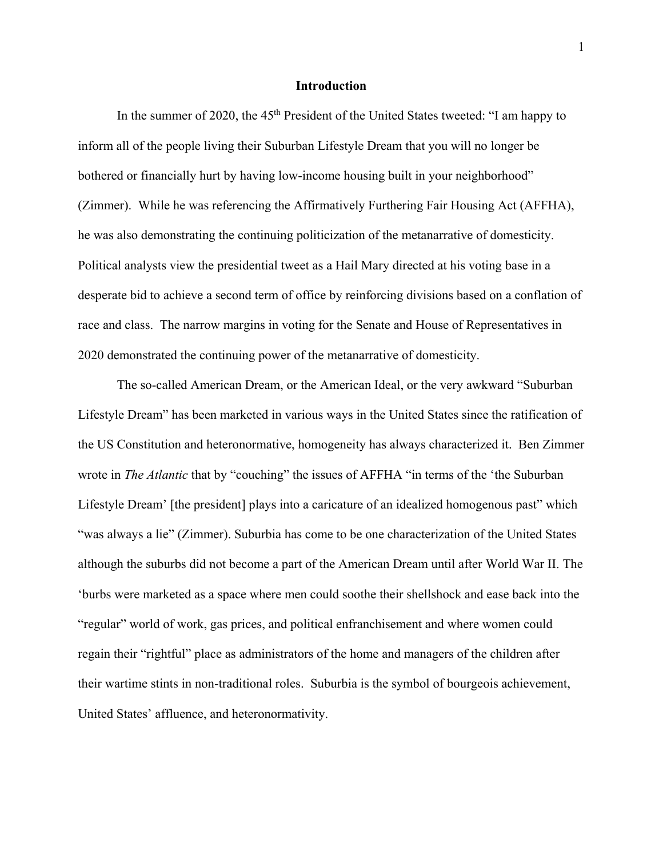#### **Introduction**

In the summer of 2020, the 45<sup>th</sup> President of the United States tweeted: "I am happy to inform all of the people living their Suburban Lifestyle Dream that you will no longer be bothered or financially hurt by having low-income housing built in your neighborhood" (Zimmer). While he was referencing the Affirmatively Furthering Fair Housing Act (AFFHA), he was also demonstrating the continuing politicization of the metanarrative of domesticity. Political analysts view the presidential tweet as a Hail Mary directed at his voting base in a desperate bid to achieve a second term of office by reinforcing divisions based on a conflation of race and class. The narrow margins in voting for the Senate and House of Representatives in 2020 demonstrated the continuing power of the metanarrative of domesticity.

The so-called American Dream, or the American Ideal, or the very awkward "Suburban Lifestyle Dream" has been marketed in various ways in the United States since the ratification of the US Constitution and heteronormative, homogeneity has always characterized it. Ben Zimmer wrote in *The Atlantic* that by "couching" the issues of AFFHA "in terms of the 'the Suburban Lifestyle Dream' [the president] plays into a caricature of an idealized homogenous past" which "was always a lie" (Zimmer). Suburbia has come to be one characterization of the United States although the suburbs did not become a part of the American Dream until after World War II. The 'burbs were marketed as a space where men could soothe their shellshock and ease back into the "regular" world of work, gas prices, and political enfranchisement and where women could regain their "rightful" place as administrators of the home and managers of the children after their wartime stints in non-traditional roles. Suburbia is the symbol of bourgeois achievement, United States' affluence, and heteronormativity.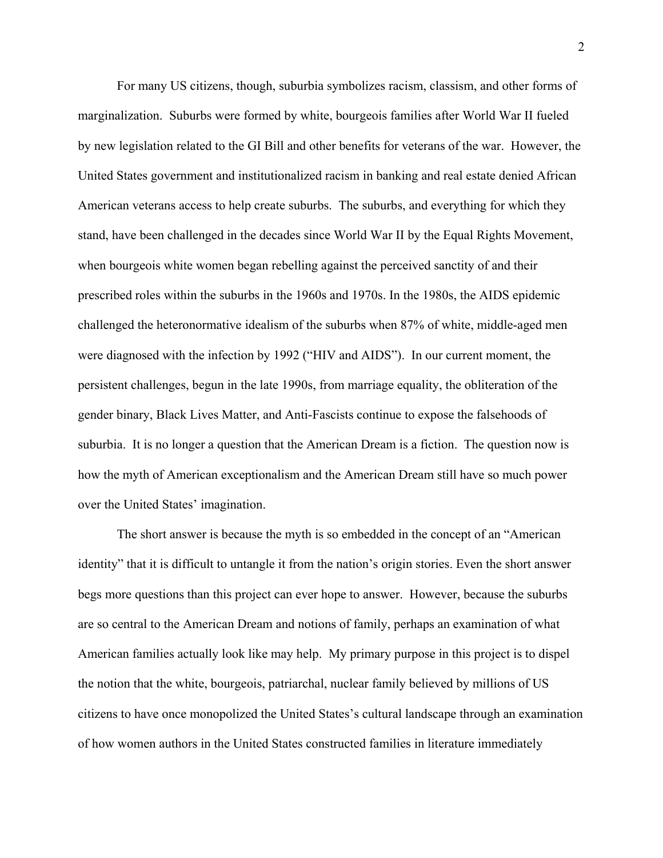For many US citizens, though, suburbia symbolizes racism, classism, and other forms of marginalization. Suburbs were formed by white, bourgeois families after World War II fueled by new legislation related to the GI Bill and other benefits for veterans of the war. However, the United States government and institutionalized racism in banking and real estate denied African American veterans access to help create suburbs. The suburbs, and everything for which they stand, have been challenged in the decades since World War II by the Equal Rights Movement, when bourgeois white women began rebelling against the perceived sanctity of and their prescribed roles within the suburbs in the 1960s and 1970s. In the 1980s, the AIDS epidemic challenged the heteronormative idealism of the suburbs when 87% of white, middle-aged men were diagnosed with the infection by 1992 ("HIV and AIDS"). In our current moment, the persistent challenges, begun in the late 1990s, from marriage equality, the obliteration of the gender binary, Black Lives Matter, and Anti-Fascists continue to expose the falsehoods of suburbia. It is no longer a question that the American Dream is a fiction. The question now is how the myth of American exceptionalism and the American Dream still have so much power over the United States' imagination.

The short answer is because the myth is so embedded in the concept of an "American identity" that it is difficult to untangle it from the nation's origin stories. Even the short answer begs more questions than this project can ever hope to answer. However, because the suburbs are so central to the American Dream and notions of family, perhaps an examination of what American families actually look like may help. My primary purpose in this project is to dispel the notion that the white, bourgeois, patriarchal, nuclear family believed by millions of US citizens to have once monopolized the United States's cultural landscape through an examination of how women authors in the United States constructed families in literature immediately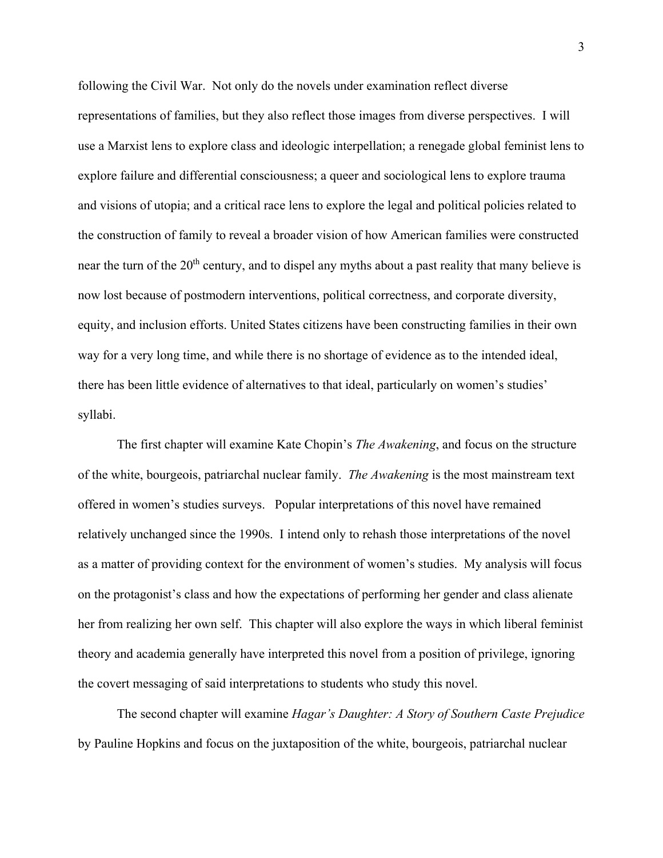following the Civil War. Not only do the novels under examination reflect diverse representations of families, but they also reflect those images from diverse perspectives. I will use a Marxist lens to explore class and ideologic interpellation; a renegade global feminist lens to explore failure and differential consciousness; a queer and sociological lens to explore trauma and visions of utopia; and a critical race lens to explore the legal and political policies related to the construction of family to reveal a broader vision of how American families were constructed near the turn of the 20<sup>th</sup> century, and to dispel any myths about a past reality that many believe is now lost because of postmodern interventions, political correctness, and corporate diversity, equity, and inclusion efforts. United States citizens have been constructing families in their own way for a very long time, and while there is no shortage of evidence as to the intended ideal, there has been little evidence of alternatives to that ideal, particularly on women's studies' syllabi.

The first chapter will examine Kate Chopin's *The Awakening*, and focus on the structure of the white, bourgeois, patriarchal nuclear family. *The Awakening* is the most mainstream text offered in women's studies surveys. Popular interpretations of this novel have remained relatively unchanged since the 1990s. I intend only to rehash those interpretations of the novel as a matter of providing context for the environment of women's studies. My analysis will focus on the protagonist's class and how the expectations of performing her gender and class alienate her from realizing her own self. This chapter will also explore the ways in which liberal feminist theory and academia generally have interpreted this novel from a position of privilege, ignoring the covert messaging of said interpretations to students who study this novel.

The second chapter will examine *Hagar's Daughter: A Story of Southern Caste Prejudice*  by Pauline Hopkins and focus on the juxtaposition of the white, bourgeois, patriarchal nuclear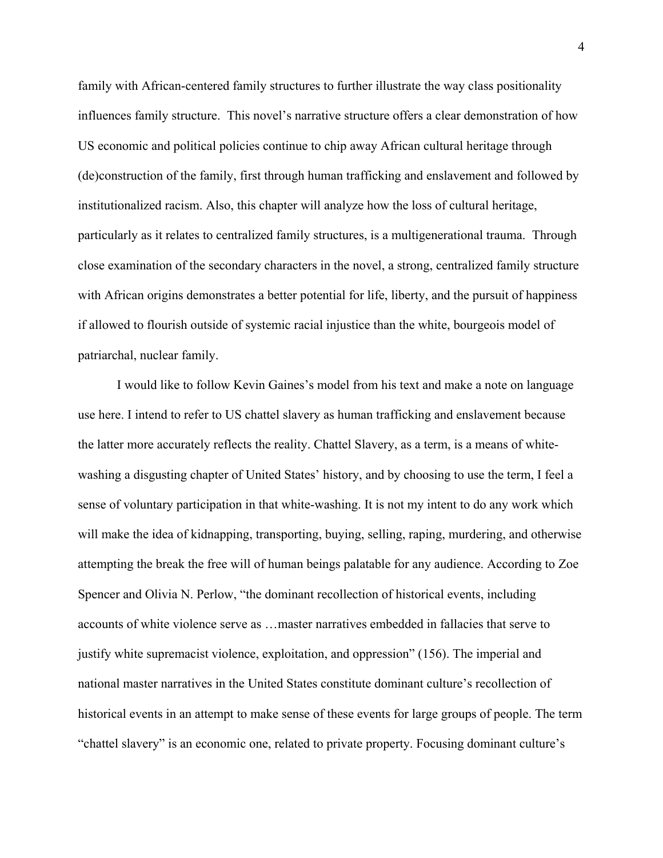family with African-centered family structures to further illustrate the way class positionality influences family structure. This novel's narrative structure offers a clear demonstration of how US economic and political policies continue to chip away African cultural heritage through (de)construction of the family, first through human trafficking and enslavement and followed by institutionalized racism. Also, this chapter will analyze how the loss of cultural heritage, particularly as it relates to centralized family structures, is a multigenerational trauma. Through close examination of the secondary characters in the novel, a strong, centralized family structure with African origins demonstrates a better potential for life, liberty, and the pursuit of happiness if allowed to flourish outside of systemic racial injustice than the white, bourgeois model of patriarchal, nuclear family.

I would like to follow Kevin Gaines's model from his text and make a note on language use here. I intend to refer to US chattel slavery as human trafficking and enslavement because the latter more accurately reflects the reality. Chattel Slavery, as a term, is a means of whitewashing a disgusting chapter of United States' history, and by choosing to use the term, I feel a sense of voluntary participation in that white-washing. It is not my intent to do any work which will make the idea of kidnapping, transporting, buying, selling, raping, murdering, and otherwise attempting the break the free will of human beings palatable for any audience. According to Zoe Spencer and Olivia N. Perlow, "the dominant recollection of historical events, including accounts of white violence serve as …master narratives embedded in fallacies that serve to justify white supremacist violence, exploitation, and oppression" (156). The imperial and national master narratives in the United States constitute dominant culture's recollection of historical events in an attempt to make sense of these events for large groups of people. The term "chattel slavery" is an economic one, related to private property. Focusing dominant culture's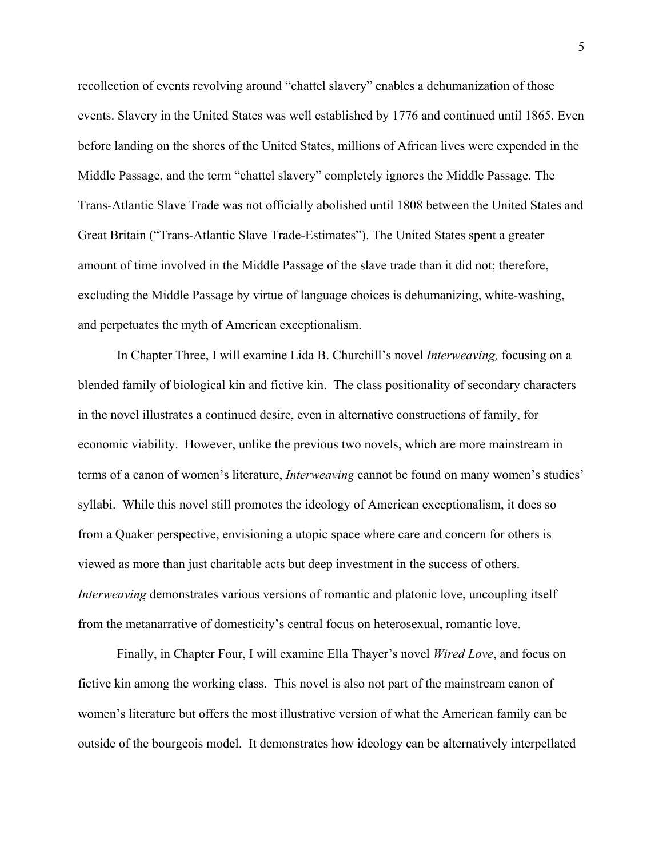recollection of events revolving around "chattel slavery" enables a dehumanization of those events. Slavery in the United States was well established by 1776 and continued until 1865. Even before landing on the shores of the United States, millions of African lives were expended in the Middle Passage, and the term "chattel slavery" completely ignores the Middle Passage. The Trans-Atlantic Slave Trade was not officially abolished until 1808 between the United States and Great Britain ("Trans-Atlantic Slave Trade-Estimates"). The United States spent a greater amount of time involved in the Middle Passage of the slave trade than it did not; therefore, excluding the Middle Passage by virtue of language choices is dehumanizing, white-washing, and perpetuates the myth of American exceptionalism.

In Chapter Three, I will examine Lida B. Churchill's novel *Interweaving,* focusing on a blended family of biological kin and fictive kin. The class positionality of secondary characters in the novel illustrates a continued desire, even in alternative constructions of family, for economic viability. However, unlike the previous two novels, which are more mainstream in terms of a canon of women's literature, *Interweaving* cannot be found on many women's studies' syllabi. While this novel still promotes the ideology of American exceptionalism, it does so from a Quaker perspective, envisioning a utopic space where care and concern for others is viewed as more than just charitable acts but deep investment in the success of others. *Interweaving* demonstrates various versions of romantic and platonic love, uncoupling itself from the metanarrative of domesticity's central focus on heterosexual, romantic love.

Finally, in Chapter Four, I will examine Ella Thayer's novel *Wired Love*, and focus on fictive kin among the working class. This novel is also not part of the mainstream canon of women's literature but offers the most illustrative version of what the American family can be outside of the bourgeois model. It demonstrates how ideology can be alternatively interpellated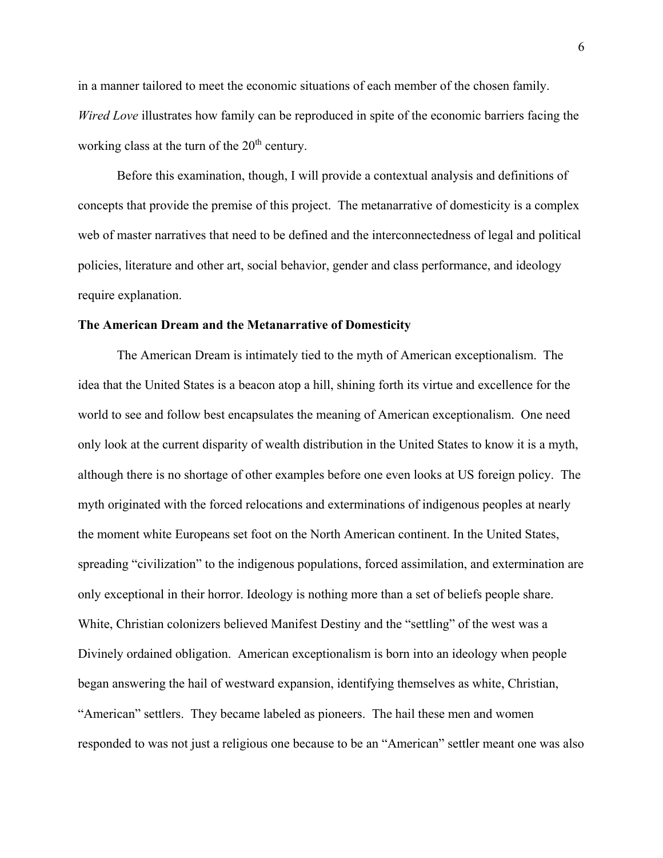in a manner tailored to meet the economic situations of each member of the chosen family. *Wired Love* illustrates how family can be reproduced in spite of the economic barriers facing the working class at the turn of the  $20<sup>th</sup>$  century.

Before this examination, though, I will provide a contextual analysis and definitions of concepts that provide the premise of this project. The metanarrative of domesticity is a complex web of master narratives that need to be defined and the interconnectedness of legal and political policies, literature and other art, social behavior, gender and class performance, and ideology require explanation.

#### **The American Dream and the Metanarrative of Domesticity**

The American Dream is intimately tied to the myth of American exceptionalism. The idea that the United States is a beacon atop a hill, shining forth its virtue and excellence for the world to see and follow best encapsulates the meaning of American exceptionalism. One need only look at the current disparity of wealth distribution in the United States to know it is a myth, although there is no shortage of other examples before one even looks at US foreign policy. The myth originated with the forced relocations and exterminations of indigenous peoples at nearly the moment white Europeans set foot on the North American continent. In the United States, spreading "civilization" to the indigenous populations, forced assimilation, and extermination are only exceptional in their horror. Ideology is nothing more than a set of beliefs people share. White, Christian colonizers believed Manifest Destiny and the "settling" of the west was a Divinely ordained obligation. American exceptionalism is born into an ideology when people began answering the hail of westward expansion, identifying themselves as white, Christian, "American" settlers. They became labeled as pioneers. The hail these men and women responded to was not just a religious one because to be an "American" settler meant one was also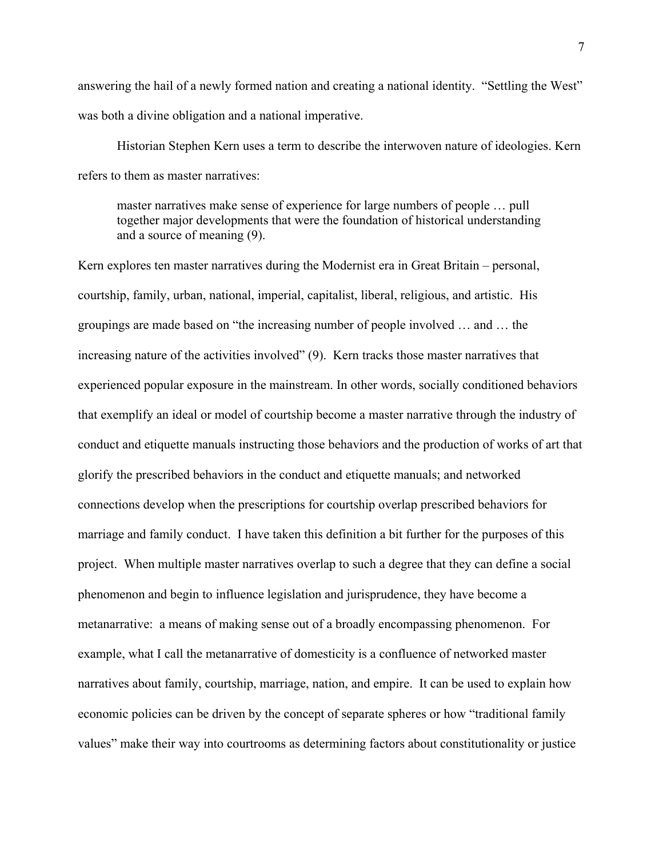answering the hail of a newly formed nation and creating a national identity. "Settling the West" was both a divine obligation and a national imperative.

Historian Stephen Kern uses a term to describe the interwoven nature of ideologies. Kern refers to them as master narratives:

master narratives make sense of experience for large numbers of people … pull together major developments that were the foundation of historical understanding and a source of meaning (9).

Kern explores ten master narratives during the Modernist era in Great Britain – personal, courtship, family, urban, national, imperial, capitalist, liberal, religious, and artistic. His groupings are made based on "the increasing number of people involved … and … the increasing nature of the activities involved" (9). Kern tracks those master narratives that experienced popular exposure in the mainstream. In other words, socially conditioned behaviors that exemplify an ideal or model of courtship become a master narrative through the industry of conduct and etiquette manuals instructing those behaviors and the production of works of art that glorify the prescribed behaviors in the conduct and etiquette manuals; and networked connections develop when the prescriptions for courtship overlap prescribed behaviors for marriage and family conduct. I have taken this definition a bit further for the purposes of this project. When multiple master narratives overlap to such a degree that they can define a social phenomenon and begin to influence legislation and jurisprudence, they have become a metanarrative: a means of making sense out of a broadly encompassing phenomenon. For example, what I call the metanarrative of domesticity is a confluence of networked master narratives about family, courtship, marriage, nation, and empire. It can be used to explain how economic policies can be driven by the concept of separate spheres or how "traditional family values" make their way into courtrooms as determining factors about constitutionality or justice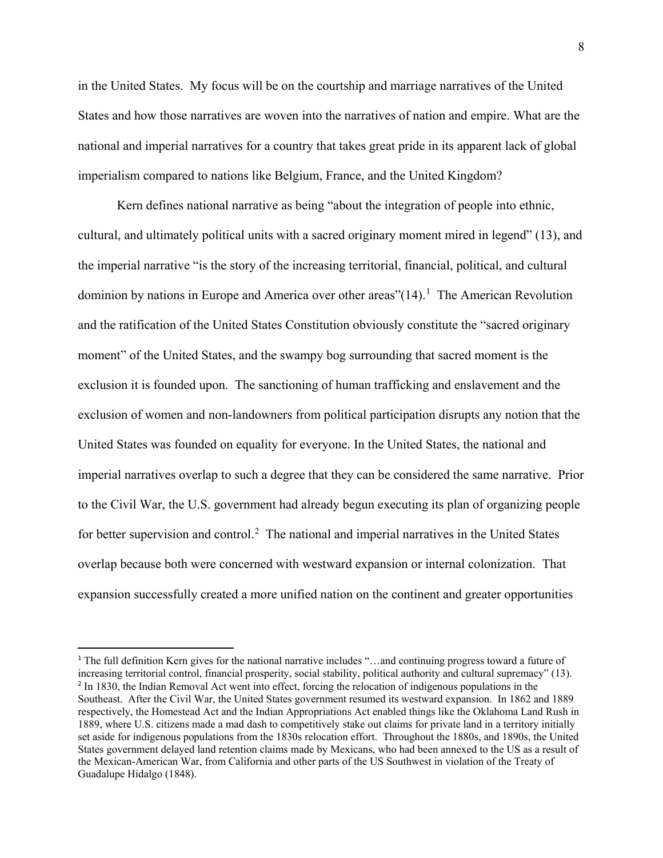in the United States. My focus will be on the courtship and marriage narratives of the United States and how those narratives are woven into the narratives of nation and empire. What are the national and imperial narratives for a country that takes great pride in its apparent lack of global imperialism compared to nations like Belgium, France, and the United Kingdom?

Kern defines national narrative as being "about the integration of people into ethnic, cultural, and ultimately political units with a sacred originary moment mired in legend" (13), and the imperial narrative "is the story of the increasing territorial, financial, political, and cultural dominion by nations in Europe and America over other areas" $(14)$  $(14)$  $(14)$ .<sup>1</sup> The American Revolution and the ratification of the United States Constitution obviously constitute the "sacred originary moment" of the United States, and the swampy bog surrounding that sacred moment is the exclusion it is founded upon. The sanctioning of human trafficking and enslavement and the exclusion of women and non-landowners from political participation disrupts any notion that the United States was founded on equality for everyone. In the United States, the national and imperial narratives overlap to such a degree that they can be considered the same narrative. Prior to the Civil War, the U.S. government had already begun executing its plan of organizing people for better supervision and control.<sup>[2](#page-13-1)</sup> The national and imperial narratives in the United States overlap because both were concerned with westward expansion or internal colonization. That expansion successfully created a more unified nation on the continent and greater opportunities

 $\overline{\phantom{a}}$ 

<span id="page-13-1"></span><span id="page-13-0"></span><sup>1</sup> The full definition Kern gives for the national narrative includes "…and continuing progress toward a future of increasing territorial control, financial prosperity, social stability, political authority and cultural supremacy" (13). <sup>2</sup> In 1830, the Indian Removal Act went into effect, forcing the relocation of indigenous populations in the Southeast. After the Civil War, the United States government resumed its westward expansion. In 1862 and 1889 respectively, the Homestead Act and the Indian Appropriations Act enabled things like the Oklahoma Land Rush in 1889, where U.S. citizens made a mad dash to competitively stake out claims for private land in a territory initially set aside for indigenous populations from the 1830s relocation effort. Throughout the 1880s, and 1890s, the United States government delayed land retention claims made by Mexicans, who had been annexed to the US as a result of the Mexican-American War, from California and other parts of the US Southwest in violation of the Treaty of Guadalupe Hidalgo (1848).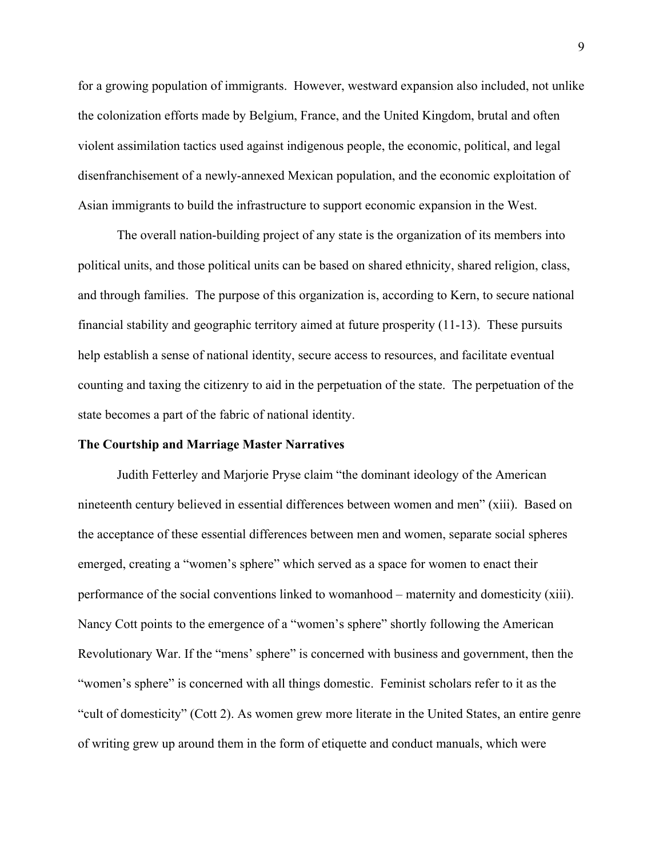for a growing population of immigrants. However, westward expansion also included, not unlike the colonization efforts made by Belgium, France, and the United Kingdom, brutal and often violent assimilation tactics used against indigenous people, the economic, political, and legal disenfranchisement of a newly-annexed Mexican population, and the economic exploitation of Asian immigrants to build the infrastructure to support economic expansion in the West.

The overall nation-building project of any state is the organization of its members into political units, and those political units can be based on shared ethnicity, shared religion, class, and through families. The purpose of this organization is, according to Kern, to secure national financial stability and geographic territory aimed at future prosperity (11-13). These pursuits help establish a sense of national identity, secure access to resources, and facilitate eventual counting and taxing the citizenry to aid in the perpetuation of the state. The perpetuation of the state becomes a part of the fabric of national identity.

#### **The Courtship and Marriage Master Narratives**

Judith Fetterley and Marjorie Pryse claim "the dominant ideology of the American nineteenth century believed in essential differences between women and men" (xiii). Based on the acceptance of these essential differences between men and women, separate social spheres emerged, creating a "women's sphere" which served as a space for women to enact their performance of the social conventions linked to womanhood – maternity and domesticity (xiii). Nancy Cott points to the emergence of a "women's sphere" shortly following the American Revolutionary War. If the "mens' sphere" is concerned with business and government, then the "women's sphere" is concerned with all things domestic. Feminist scholars refer to it as the "cult of domesticity" (Cott 2). As women grew more literate in the United States, an entire genre of writing grew up around them in the form of etiquette and conduct manuals, which were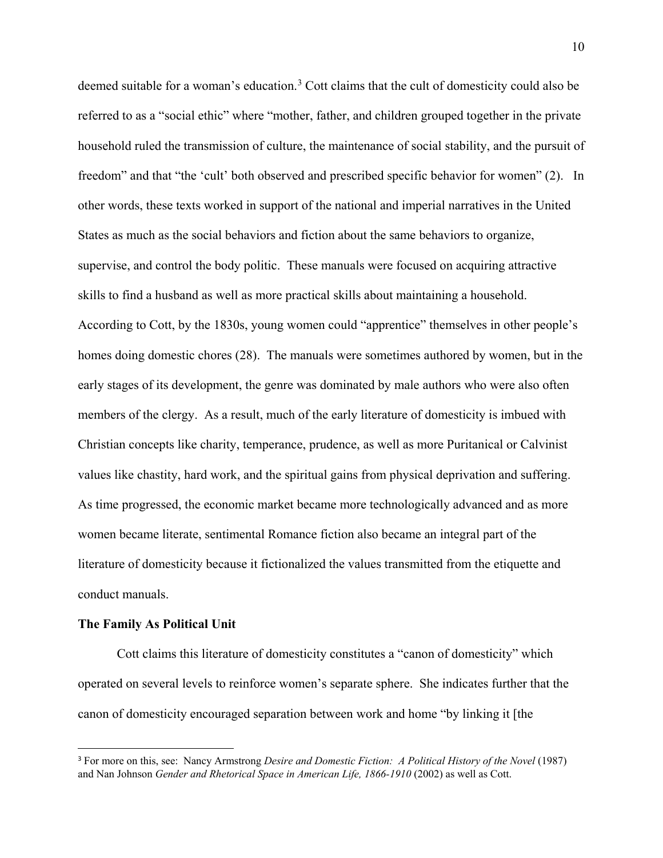deemed suitable for a woman's education.<sup>[3](#page-15-0)</sup> Cott claims that the cult of domesticity could also be referred to as a "social ethic" where "mother, father, and children grouped together in the private household ruled the transmission of culture, the maintenance of social stability, and the pursuit of freedom" and that "the 'cult' both observed and prescribed specific behavior for women" (2). In other words, these texts worked in support of the national and imperial narratives in the United States as much as the social behaviors and fiction about the same behaviors to organize, supervise, and control the body politic. These manuals were focused on acquiring attractive skills to find a husband as well as more practical skills about maintaining a household. According to Cott, by the 1830s, young women could "apprentice" themselves in other people's homes doing domestic chores (28). The manuals were sometimes authored by women, but in the early stages of its development, the genre was dominated by male authors who were also often members of the clergy. As a result, much of the early literature of domesticity is imbued with Christian concepts like charity, temperance, prudence, as well as more Puritanical or Calvinist values like chastity, hard work, and the spiritual gains from physical deprivation and suffering. As time progressed, the economic market became more technologically advanced and as more women became literate, sentimental Romance fiction also became an integral part of the literature of domesticity because it fictionalized the values transmitted from the etiquette and conduct manuals.

#### **The Family As Political Unit**

 $\overline{a}$ 

Cott claims this literature of domesticity constitutes a "canon of domesticity" which operated on several levels to reinforce women's separate sphere. She indicates further that the canon of domesticity encouraged separation between work and home "by linking it [the

<span id="page-15-0"></span><sup>&</sup>lt;sup>3</sup> For more on this, see: Nancy Armstrong *Desire and Domestic Fiction: A Political History of the Novel (1987)* and Nan Johnson *Gender and Rhetorical Space in American Life, 1866-1910* (2002) as well as Cott.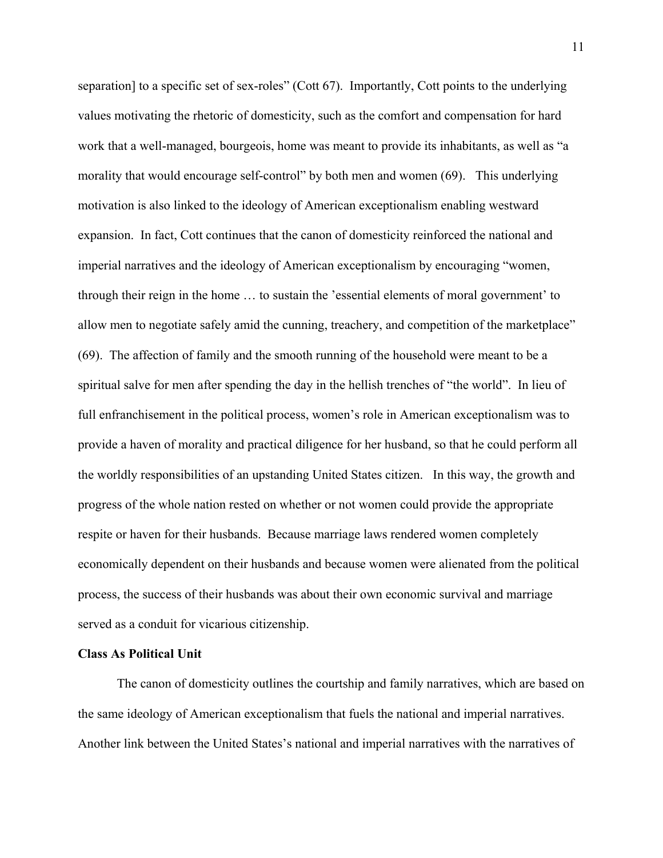separation] to a specific set of sex-roles" (Cott 67). Importantly, Cott points to the underlying values motivating the rhetoric of domesticity, such as the comfort and compensation for hard work that a well-managed, bourgeois, home was meant to provide its inhabitants, as well as "a morality that would encourage self-control" by both men and women (69). This underlying motivation is also linked to the ideology of American exceptionalism enabling westward expansion. In fact, Cott continues that the canon of domesticity reinforced the national and imperial narratives and the ideology of American exceptionalism by encouraging "women, through their reign in the home … to sustain the 'essential elements of moral government' to allow men to negotiate safely amid the cunning, treachery, and competition of the marketplace" (69). The affection of family and the smooth running of the household were meant to be a spiritual salve for men after spending the day in the hellish trenches of "the world". In lieu of full enfranchisement in the political process, women's role in American exceptionalism was to provide a haven of morality and practical diligence for her husband, so that he could perform all the worldly responsibilities of an upstanding United States citizen. In this way, the growth and progress of the whole nation rested on whether or not women could provide the appropriate respite or haven for their husbands. Because marriage laws rendered women completely economically dependent on their husbands and because women were alienated from the political process, the success of their husbands was about their own economic survival and marriage served as a conduit for vicarious citizenship.

#### **Class As Political Unit**

The canon of domesticity outlines the courtship and family narratives, which are based on the same ideology of American exceptionalism that fuels the national and imperial narratives. Another link between the United States's national and imperial narratives with the narratives of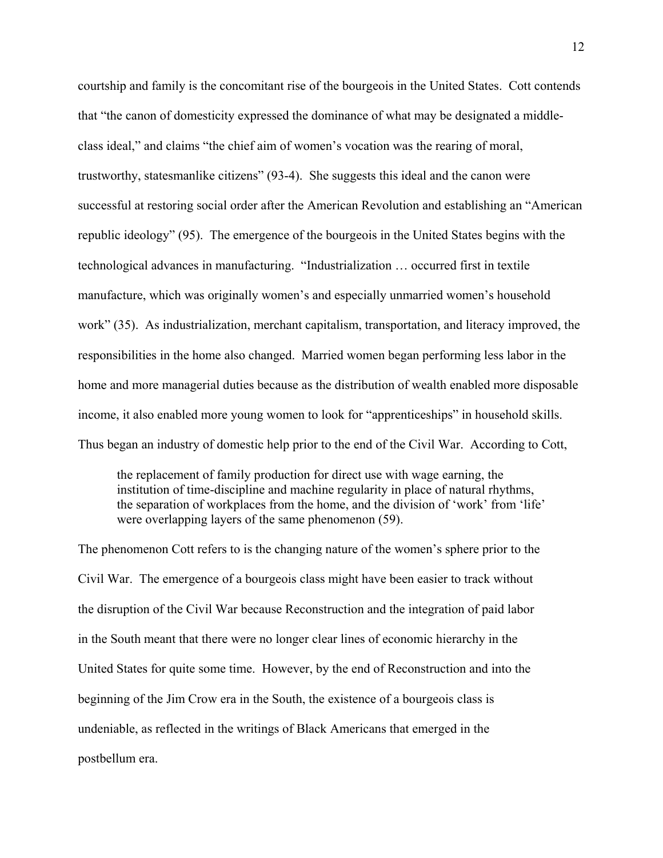courtship and family is the concomitant rise of the bourgeois in the United States. Cott contends that "the canon of domesticity expressed the dominance of what may be designated a middleclass ideal," and claims "the chief aim of women's vocation was the rearing of moral, trustworthy, statesmanlike citizens" (93-4). She suggests this ideal and the canon were successful at restoring social order after the American Revolution and establishing an "American republic ideology" (95). The emergence of the bourgeois in the United States begins with the technological advances in manufacturing. "Industrialization … occurred first in textile manufacture, which was originally women's and especially unmarried women's household work" (35). As industrialization, merchant capitalism, transportation, and literacy improved, the responsibilities in the home also changed. Married women began performing less labor in the home and more managerial duties because as the distribution of wealth enabled more disposable income, it also enabled more young women to look for "apprenticeships" in household skills. Thus began an industry of domestic help prior to the end of the Civil War. According to Cott,

the replacement of family production for direct use with wage earning, the institution of time-discipline and machine regularity in place of natural rhythms, the separation of workplaces from the home, and the division of 'work' from 'life' were overlapping layers of the same phenomenon (59).

The phenomenon Cott refers to is the changing nature of the women's sphere prior to the Civil War. The emergence of a bourgeois class might have been easier to track without the disruption of the Civil War because Reconstruction and the integration of paid labor in the South meant that there were no longer clear lines of economic hierarchy in the United States for quite some time. However, by the end of Reconstruction and into the beginning of the Jim Crow era in the South, the existence of a bourgeois class is undeniable, as reflected in the writings of Black Americans that emerged in the postbellum era.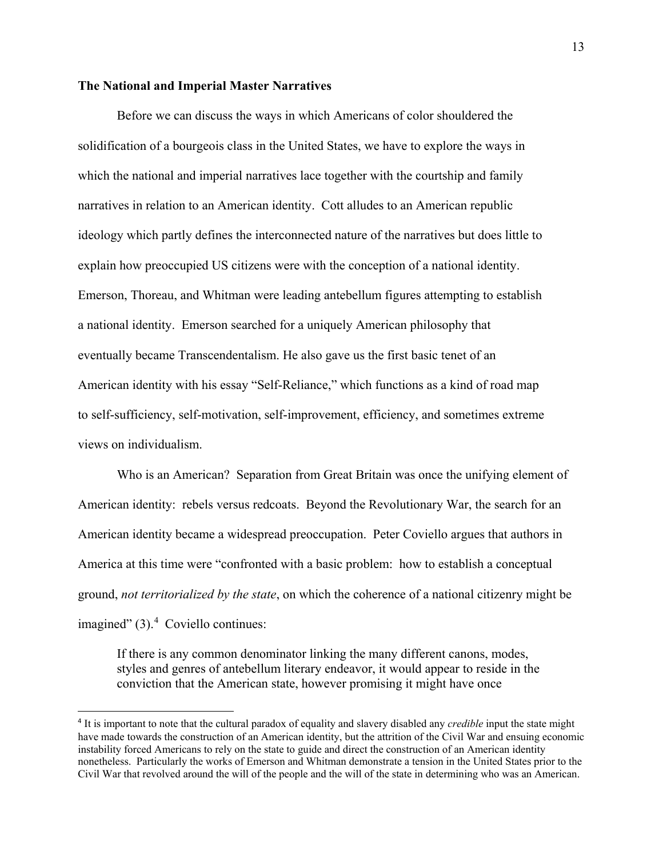#### **The National and Imperial Master Narratives**

 $\overline{a}$ 

Before we can discuss the ways in which Americans of color shouldered the solidification of a bourgeois class in the United States, we have to explore the ways in which the national and imperial narratives lace together with the courtship and family narratives in relation to an American identity. Cott alludes to an American republic ideology which partly defines the interconnected nature of the narratives but does little to explain how preoccupied US citizens were with the conception of a national identity. Emerson, Thoreau, and Whitman were leading antebellum figures attempting to establish a national identity. Emerson searched for a uniquely American philosophy that eventually became Transcendentalism. He also gave us the first basic tenet of an American identity with his essay "Self-Reliance," which functions as a kind of road map to self-sufficiency, self-motivation, self-improvement, efficiency, and sometimes extreme views on individualism.

Who is an American? Separation from Great Britain was once the unifying element of American identity: rebels versus redcoats. Beyond the Revolutionary War, the search for an American identity became a widespread preoccupation. Peter Coviello argues that authors in America at this time were "confronted with a basic problem: how to establish a conceptual ground, *not territorialized by the state*, on which the coherence of a national citizenry might be imagined"  $(3)$ .<sup>[4](#page-18-0)</sup> Coviello continues:

If there is any common denominator linking the many different canons, modes, styles and genres of antebellum literary endeavor, it would appear to reside in the conviction that the American state, however promising it might have once

<span id="page-18-0"></span><sup>4</sup> It is important to note that the cultural paradox of equality and slavery disabled any *credible* input the state might have made towards the construction of an American identity, but the attrition of the Civil War and ensuing economic instability forced Americans to rely on the state to guide and direct the construction of an American identity nonetheless. Particularly the works of Emerson and Whitman demonstrate a tension in the United States prior to the Civil War that revolved around the will of the people and the will of the state in determining who was an American.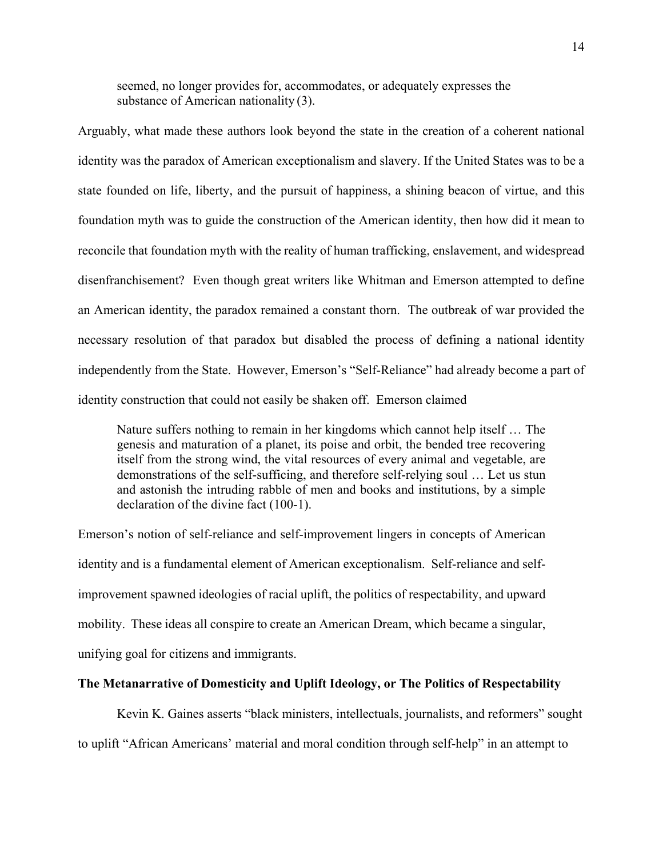seemed, no longer provides for, accommodates, or adequately expresses the substance of American nationality (3).

Arguably, what made these authors look beyond the state in the creation of a coherent national identity was the paradox of American exceptionalism and slavery. If the United States was to be a state founded on life, liberty, and the pursuit of happiness, a shining beacon of virtue, and this foundation myth was to guide the construction of the American identity, then how did it mean to reconcile that foundation myth with the reality of human trafficking, enslavement, and widespread disenfranchisement? Even though great writers like Whitman and Emerson attempted to define an American identity, the paradox remained a constant thorn. The outbreak of war provided the necessary resolution of that paradox but disabled the process of defining a national identity independently from the State. However, Emerson's "Self-Reliance" had already become a part of identity construction that could not easily be shaken off. Emerson claimed

Nature suffers nothing to remain in her kingdoms which cannot help itself … The genesis and maturation of a planet, its poise and orbit, the bended tree recovering itself from the strong wind, the vital resources of every animal and vegetable, are demonstrations of the self-sufficing, and therefore self-relying soul … Let us stun and astonish the intruding rabble of men and books and institutions, by a simple declaration of the divine fact (100-1).

Emerson's notion of self-reliance and self-improvement lingers in concepts of American identity and is a fundamental element of American exceptionalism. Self-reliance and selfimprovement spawned ideologies of racial uplift, the politics of respectability, and upward mobility. These ideas all conspire to create an American Dream, which became a singular, unifying goal for citizens and immigrants.

#### **The Metanarrative of Domesticity and Uplift Ideology, or The Politics of Respectability**

Kevin K. Gaines asserts "black ministers, intellectuals, journalists, and reformers" sought to uplift "African Americans' material and moral condition through self-help" in an attempt to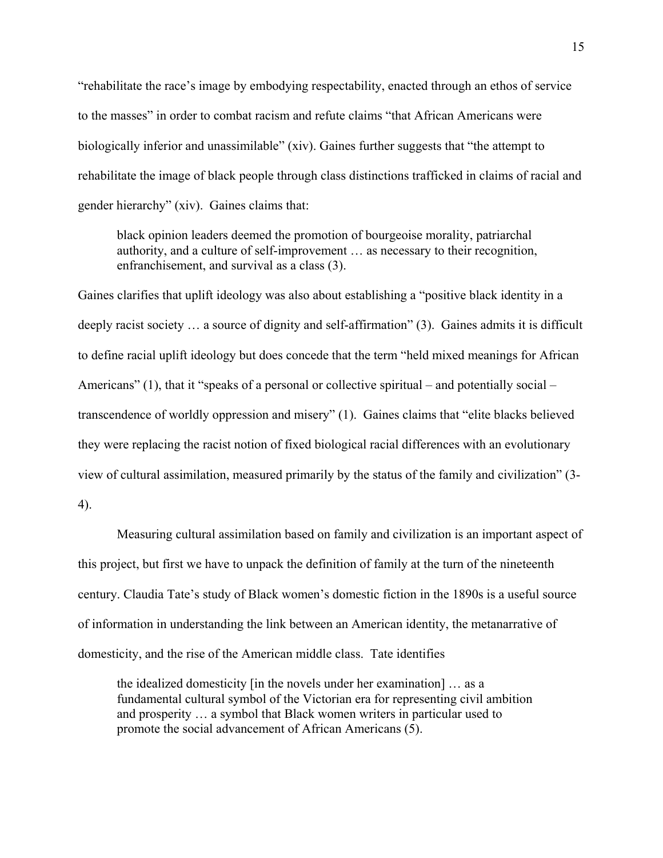"rehabilitate the race's image by embodying respectability, enacted through an ethos of service to the masses" in order to combat racism and refute claims "that African Americans were biologically inferior and unassimilable" (xiv). Gaines further suggests that "the attempt to rehabilitate the image of black people through class distinctions trafficked in claims of racial and gender hierarchy" (xiv). Gaines claims that:

black opinion leaders deemed the promotion of bourgeoise morality, patriarchal authority, and a culture of self-improvement … as necessary to their recognition, enfranchisement, and survival as a class (3).

Gaines clarifies that uplift ideology was also about establishing a "positive black identity in a deeply racist society … a source of dignity and self-affirmation" (3). Gaines admits it is difficult to define racial uplift ideology but does concede that the term "held mixed meanings for African Americans" (1), that it "speaks of a personal or collective spiritual – and potentially social – transcendence of worldly oppression and misery" (1). Gaines claims that "elite blacks believed they were replacing the racist notion of fixed biological racial differences with an evolutionary view of cultural assimilation, measured primarily by the status of the family and civilization" (3- 4).

Measuring cultural assimilation based on family and civilization is an important aspect of this project, but first we have to unpack the definition of family at the turn of the nineteenth century. Claudia Tate's study of Black women's domestic fiction in the 1890s is a useful source of information in understanding the link between an American identity, the metanarrative of domesticity, and the rise of the American middle class. Tate identifies

the idealized domesticity [in the novels under her examination] … as a fundamental cultural symbol of the Victorian era for representing civil ambition and prosperity … a symbol that Black women writers in particular used to promote the social advancement of African Americans (5).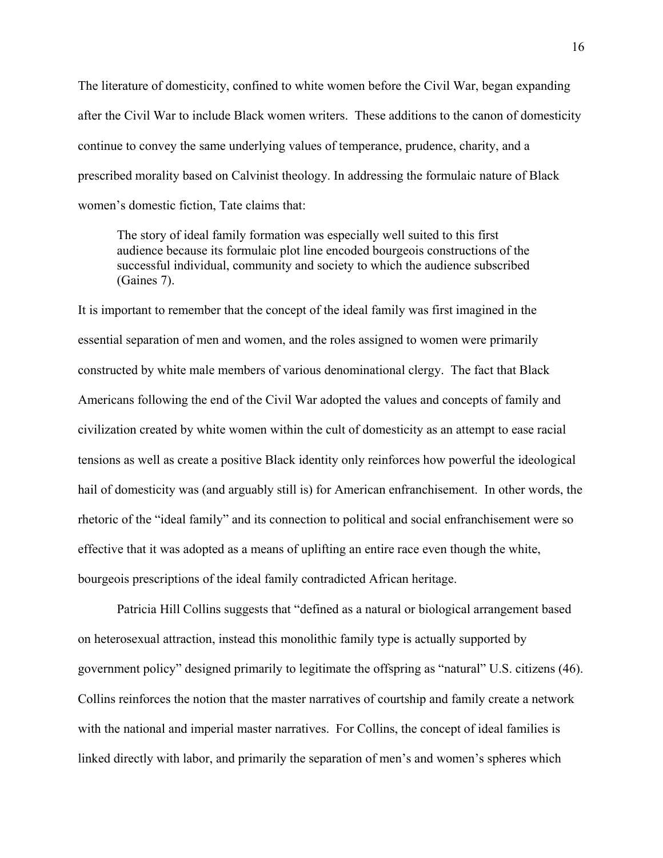The literature of domesticity, confined to white women before the Civil War, began expanding after the Civil War to include Black women writers. These additions to the canon of domesticity continue to convey the same underlying values of temperance, prudence, charity, and a prescribed morality based on Calvinist theology. In addressing the formulaic nature of Black women's domestic fiction, Tate claims that:

The story of ideal family formation was especially well suited to this first audience because its formulaic plot line encoded bourgeois constructions of the successful individual, community and society to which the audience subscribed (Gaines 7).

It is important to remember that the concept of the ideal family was first imagined in the essential separation of men and women, and the roles assigned to women were primarily constructed by white male members of various denominational clergy. The fact that Black Americans following the end of the Civil War adopted the values and concepts of family and civilization created by white women within the cult of domesticity as an attempt to ease racial tensions as well as create a positive Black identity only reinforces how powerful the ideological hail of domesticity was (and arguably still is) for American enfranchisement. In other words, the rhetoric of the "ideal family" and its connection to political and social enfranchisement were so effective that it was adopted as a means of uplifting an entire race even though the white, bourgeois prescriptions of the ideal family contradicted African heritage.

Patricia Hill Collins suggests that "defined as a natural or biological arrangement based on heterosexual attraction, instead this monolithic family type is actually supported by government policy" designed primarily to legitimate the offspring as "natural" U.S. citizens (46). Collins reinforces the notion that the master narratives of courtship and family create a network with the national and imperial master narratives. For Collins, the concept of ideal families is linked directly with labor, and primarily the separation of men's and women's spheres which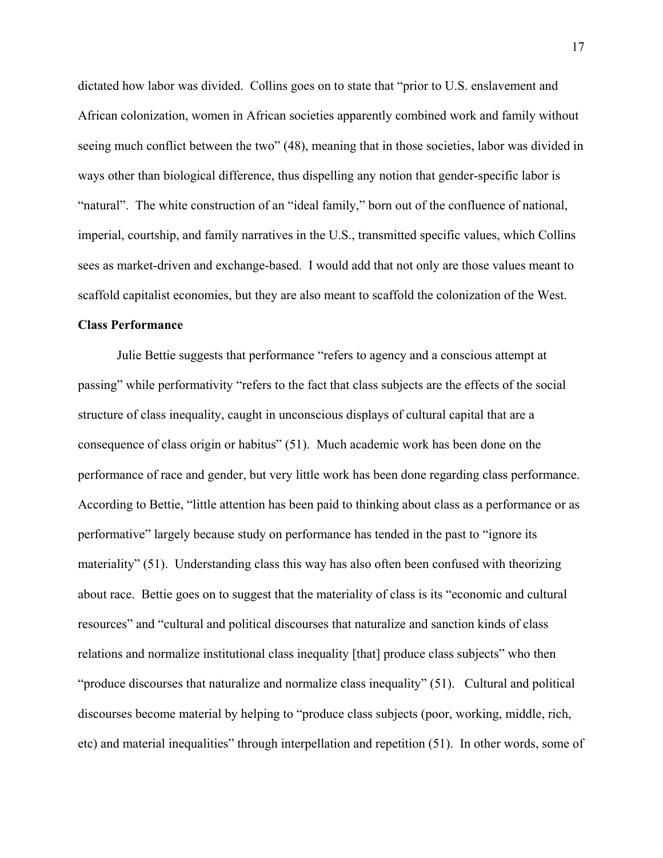dictated how labor was divided. Collins goes on to state that "prior to U.S. enslavement and African colonization, women in African societies apparently combined work and family without seeing much conflict between the two" (48), meaning that in those societies, labor was divided in ways other than biological difference, thus dispelling any notion that gender-specific labor is "natural". The white construction of an "ideal family," born out of the confluence of national, imperial, courtship, and family narratives in the U.S., transmitted specific values, which Collins sees as market-driven and exchange-based. I would add that not only are those values meant to scaffold capitalist economies, but they are also meant to scaffold the colonization of the West.

#### **Class Performance**

Julie Bettie suggests that performance "refers to agency and a conscious attempt at passing" while performativity "refers to the fact that class subjects are the effects of the social structure of class inequality, caught in unconscious displays of cultural capital that are a consequence of class origin or habitus" (51). Much academic work has been done on the performance of race and gender, but very little work has been done regarding class performance. According to Bettie, "little attention has been paid to thinking about class as a performance or as performative" largely because study on performance has tended in the past to "ignore its materiality" (51). Understanding class this way has also often been confused with theorizing about race. Bettie goes on to suggest that the materiality of class is its "economic and cultural resources" and "cultural and political discourses that naturalize and sanction kinds of class relations and normalize institutional class inequality [that] produce class subjects" who then "produce discourses that naturalize and normalize class inequality" (51). Cultural and political discourses become material by helping to "produce class subjects (poor, working, middle, rich, etc) and material inequalities" through interpellation and repetition (51). In other words, some of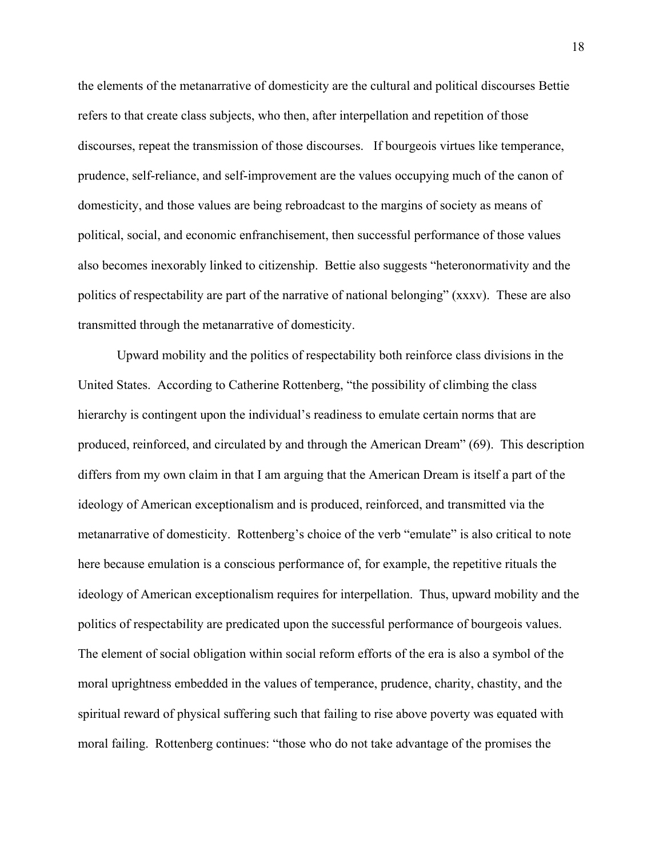the elements of the metanarrative of domesticity are the cultural and political discourses Bettie refers to that create class subjects, who then, after interpellation and repetition of those discourses, repeat the transmission of those discourses. If bourgeois virtues like temperance, prudence, self-reliance, and self-improvement are the values occupying much of the canon of domesticity, and those values are being rebroadcast to the margins of society as means of political, social, and economic enfranchisement, then successful performance of those values also becomes inexorably linked to citizenship. Bettie also suggests "heteronormativity and the politics of respectability are part of the narrative of national belonging" (xxxv). These are also transmitted through the metanarrative of domesticity.

 Upward mobility and the politics of respectability both reinforce class divisions in the United States. According to Catherine Rottenberg, "the possibility of climbing the class hierarchy is contingent upon the individual's readiness to emulate certain norms that are produced, reinforced, and circulated by and through the American Dream" (69). This description differs from my own claim in that I am arguing that the American Dream is itself a part of the ideology of American exceptionalism and is produced, reinforced, and transmitted via the metanarrative of domesticity. Rottenberg's choice of the verb "emulate" is also critical to note here because emulation is a conscious performance of, for example, the repetitive rituals the ideology of American exceptionalism requires for interpellation. Thus, upward mobility and the politics of respectability are predicated upon the successful performance of bourgeois values. The element of social obligation within social reform efforts of the era is also a symbol of the moral uprightness embedded in the values of temperance, prudence, charity, chastity, and the spiritual reward of physical suffering such that failing to rise above poverty was equated with moral failing. Rottenberg continues: "those who do not take advantage of the promises the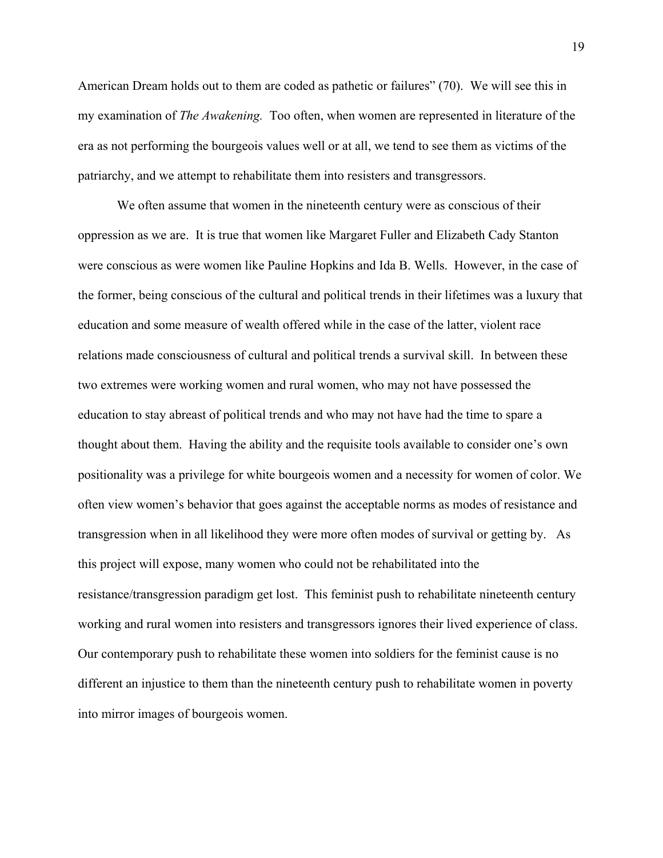American Dream holds out to them are coded as pathetic or failures" (70). We will see this in my examination of *The Awakening.* Too often, when women are represented in literature of the era as not performing the bourgeois values well or at all, we tend to see them as victims of the patriarchy, and we attempt to rehabilitate them into resisters and transgressors.

We often assume that women in the nineteenth century were as conscious of their oppression as we are. It is true that women like Margaret Fuller and Elizabeth Cady Stanton were conscious as were women like Pauline Hopkins and Ida B. Wells. However, in the case of the former, being conscious of the cultural and political trends in their lifetimes was a luxury that education and some measure of wealth offered while in the case of the latter, violent race relations made consciousness of cultural and political trends a survival skill. In between these two extremes were working women and rural women, who may not have possessed the education to stay abreast of political trends and who may not have had the time to spare a thought about them. Having the ability and the requisite tools available to consider one's own positionality was a privilege for white bourgeois women and a necessity for women of color. We often view women's behavior that goes against the acceptable norms as modes of resistance and transgression when in all likelihood they were more often modes of survival or getting by. As this project will expose, many women who could not be rehabilitated into the resistance/transgression paradigm get lost. This feminist push to rehabilitate nineteenth century working and rural women into resisters and transgressors ignores their lived experience of class. Our contemporary push to rehabilitate these women into soldiers for the feminist cause is no different an injustice to them than the nineteenth century push to rehabilitate women in poverty into mirror images of bourgeois women.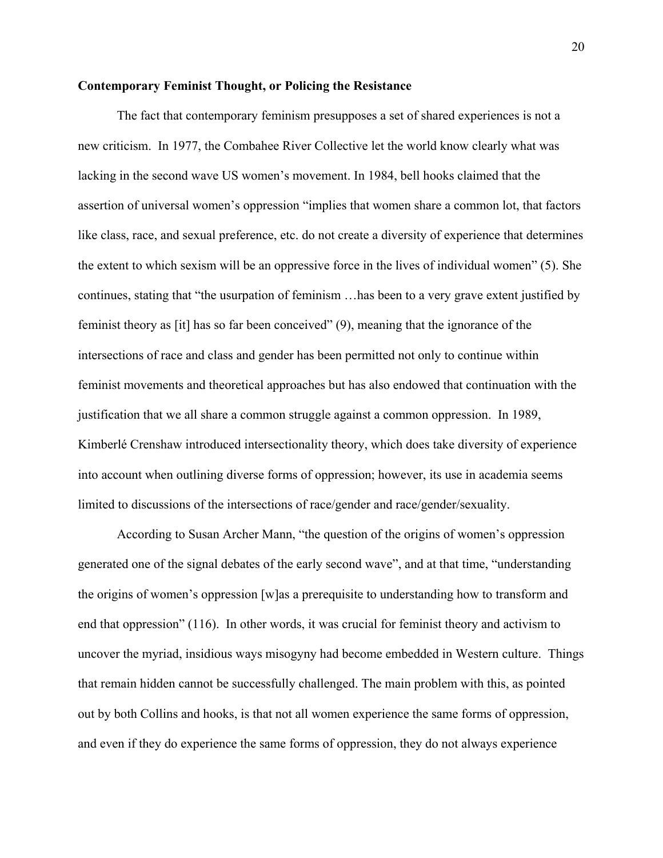#### **Contemporary Feminist Thought, or Policing the Resistance**

The fact that contemporary feminism presupposes a set of shared experiences is not a new criticism. In 1977, the Combahee River Collective let the world know clearly what was lacking in the second wave US women's movement. In 1984, bell hooks claimed that the assertion of universal women's oppression "implies that women share a common lot, that factors like class, race, and sexual preference, etc. do not create a diversity of experience that determines the extent to which sexism will be an oppressive force in the lives of individual women" (5). She continues, stating that "the usurpation of feminism …has been to a very grave extent justified by feminist theory as [it] has so far been conceived" (9), meaning that the ignorance of the intersections of race and class and gender has been permitted not only to continue within feminist movements and theoretical approaches but has also endowed that continuation with the justification that we all share a common struggle against a common oppression. In 1989, Kimberlé Crenshaw introduced intersectionality theory, which does take diversity of experience into account when outlining diverse forms of oppression; however, its use in academia seems limited to discussions of the intersections of race/gender and race/gender/sexuality.

According to Susan Archer Mann, "the question of the origins of women's oppression generated one of the signal debates of the early second wave", and at that time, "understanding the origins of women's oppression [w]as a prerequisite to understanding how to transform and end that oppression" (116). In other words, it was crucial for feminist theory and activism to uncover the myriad, insidious ways misogyny had become embedded in Western culture. Things that remain hidden cannot be successfully challenged. The main problem with this, as pointed out by both Collins and hooks, is that not all women experience the same forms of oppression, and even if they do experience the same forms of oppression, they do not always experience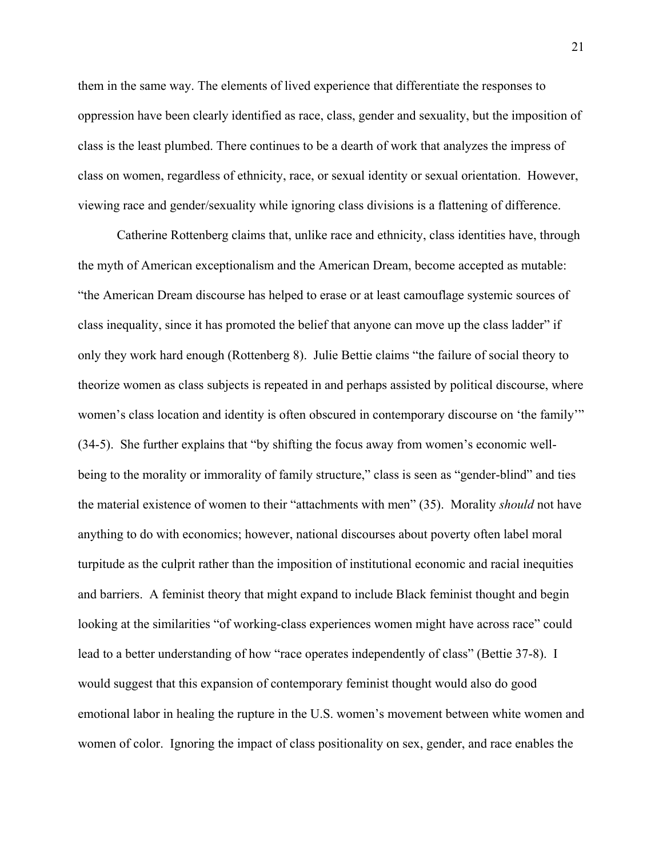them in the same way. The elements of lived experience that differentiate the responses to oppression have been clearly identified as race, class, gender and sexuality, but the imposition of class is the least plumbed. There continues to be a dearth of work that analyzes the impress of class on women, regardless of ethnicity, race, or sexual identity or sexual orientation. However, viewing race and gender/sexuality while ignoring class divisions is a flattening of difference.

Catherine Rottenberg claims that, unlike race and ethnicity, class identities have, through the myth of American exceptionalism and the American Dream, become accepted as mutable: "the American Dream discourse has helped to erase or at least camouflage systemic sources of class inequality, since it has promoted the belief that anyone can move up the class ladder" if only they work hard enough (Rottenberg 8). Julie Bettie claims "the failure of social theory to theorize women as class subjects is repeated in and perhaps assisted by political discourse, where women's class location and identity is often obscured in contemporary discourse on 'the family'" (34-5). She further explains that "by shifting the focus away from women's economic wellbeing to the morality or immorality of family structure," class is seen as "gender-blind" and ties the material existence of women to their "attachments with men" (35). Morality *should* not have anything to do with economics; however, national discourses about poverty often label moral turpitude as the culprit rather than the imposition of institutional economic and racial inequities and barriers. A feminist theory that might expand to include Black feminist thought and begin looking at the similarities "of working-class experiences women might have across race" could lead to a better understanding of how "race operates independently of class" (Bettie 37-8). I would suggest that this expansion of contemporary feminist thought would also do good emotional labor in healing the rupture in the U.S. women's movement between white women and women of color. Ignoring the impact of class positionality on sex, gender, and race enables the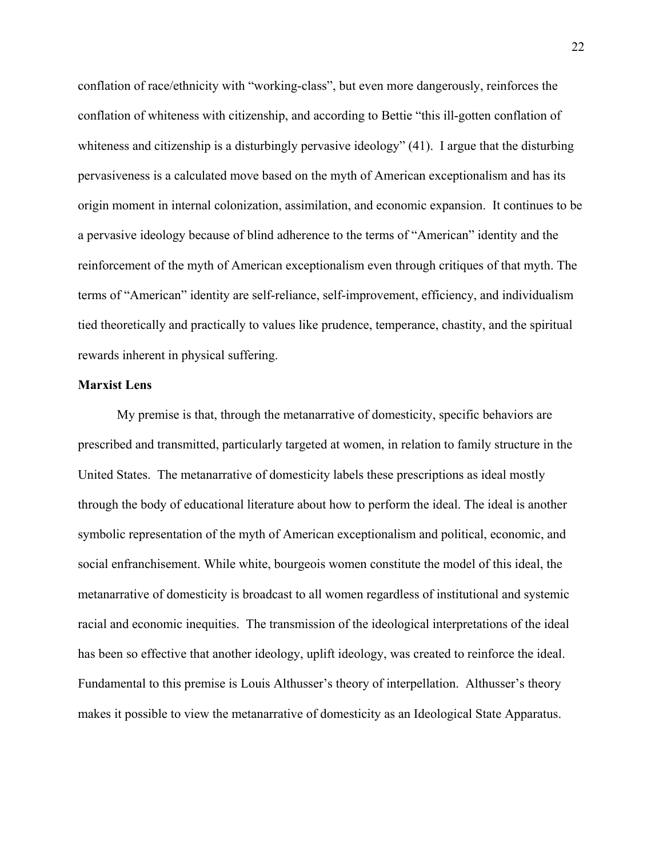conflation of race/ethnicity with "working-class", but even more dangerously, reinforces the conflation of whiteness with citizenship, and according to Bettie "this ill-gotten conflation of whiteness and citizenship is a disturbingly pervasive ideology" (41). I argue that the disturbing pervasiveness is a calculated move based on the myth of American exceptionalism and has its origin moment in internal colonization, assimilation, and economic expansion. It continues to be a pervasive ideology because of blind adherence to the terms of "American" identity and the reinforcement of the myth of American exceptionalism even through critiques of that myth. The terms of "American" identity are self-reliance, self-improvement, efficiency, and individualism tied theoretically and practically to values like prudence, temperance, chastity, and the spiritual rewards inherent in physical suffering.

#### **Marxist Lens**

My premise is that, through the metanarrative of domesticity, specific behaviors are prescribed and transmitted, particularly targeted at women, in relation to family structure in the United States. The metanarrative of domesticity labels these prescriptions as ideal mostly through the body of educational literature about how to perform the ideal. The ideal is another symbolic representation of the myth of American exceptionalism and political, economic, and social enfranchisement. While white, bourgeois women constitute the model of this ideal, the metanarrative of domesticity is broadcast to all women regardless of institutional and systemic racial and economic inequities. The transmission of the ideological interpretations of the ideal has been so effective that another ideology, uplift ideology, was created to reinforce the ideal. Fundamental to this premise is Louis Althusser's theory of interpellation. Althusser's theory makes it possible to view the metanarrative of domesticity as an Ideological State Apparatus.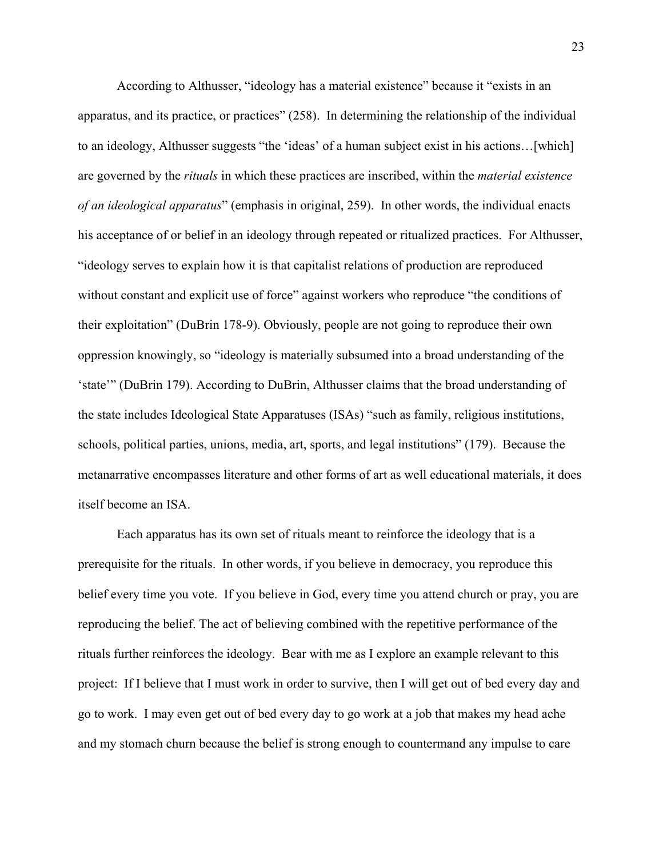According to Althusser, "ideology has a material existence" because it "exists in an apparatus, and its practice, or practices" (258). In determining the relationship of the individual to an ideology, Althusser suggests "the 'ideas' of a human subject exist in his actions…[which] are governed by the *rituals* in which these practices are inscribed, within the *material existence of an ideological apparatus*" (emphasis in original, 259). In other words, the individual enacts his acceptance of or belief in an ideology through repeated or ritualized practices. For Althusser, "ideology serves to explain how it is that capitalist relations of production are reproduced without constant and explicit use of force" against workers who reproduce "the conditions of their exploitation" (DuBrin 178-9). Obviously, people are not going to reproduce their own oppression knowingly, so "ideology is materially subsumed into a broad understanding of the 'state'" (DuBrin 179). According to DuBrin, Althusser claims that the broad understanding of the state includes Ideological State Apparatuses (ISAs) "such as family, religious institutions, schools, political parties, unions, media, art, sports, and legal institutions" (179). Because the metanarrative encompasses literature and other forms of art as well educational materials, it does itself become an ISA.

Each apparatus has its own set of rituals meant to reinforce the ideology that is a prerequisite for the rituals. In other words, if you believe in democracy, you reproduce this belief every time you vote. If you believe in God, every time you attend church or pray, you are reproducing the belief. The act of believing combined with the repetitive performance of the rituals further reinforces the ideology. Bear with me as I explore an example relevant to this project: If I believe that I must work in order to survive, then I will get out of bed every day and go to work. I may even get out of bed every day to go work at a job that makes my head ache and my stomach churn because the belief is strong enough to countermand any impulse to care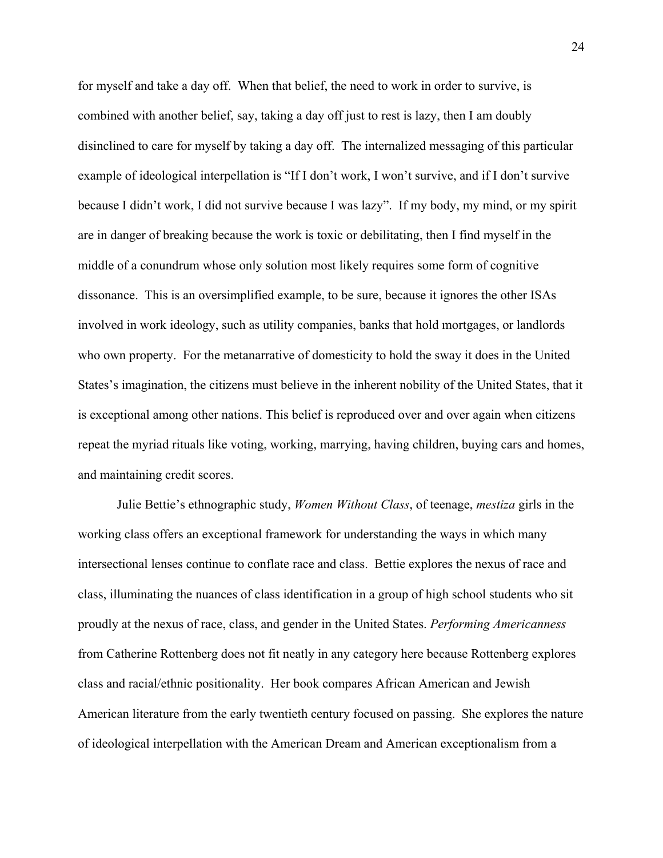for myself and take a day off. When that belief, the need to work in order to survive, is combined with another belief, say, taking a day off just to rest is lazy, then I am doubly disinclined to care for myself by taking a day off. The internalized messaging of this particular example of ideological interpellation is "If I don't work, I won't survive, and if I don't survive because I didn't work, I did not survive because I was lazy". If my body, my mind, or my spirit are in danger of breaking because the work is toxic or debilitating, then I find myself in the middle of a conundrum whose only solution most likely requires some form of cognitive dissonance. This is an oversimplified example, to be sure, because it ignores the other ISAs involved in work ideology, such as utility companies, banks that hold mortgages, or landlords who own property. For the metanarrative of domesticity to hold the sway it does in the United States's imagination, the citizens must believe in the inherent nobility of the United States, that it is exceptional among other nations. This belief is reproduced over and over again when citizens repeat the myriad rituals like voting, working, marrying, having children, buying cars and homes, and maintaining credit scores.

Julie Bettie's ethnographic study, *Women Without Class*, of teenage, *mestiza* girls in the working class offers an exceptional framework for understanding the ways in which many intersectional lenses continue to conflate race and class. Bettie explores the nexus of race and class, illuminating the nuances of class identification in a group of high school students who sit proudly at the nexus of race, class, and gender in the United States. *Performing Americanness*  from Catherine Rottenberg does not fit neatly in any category here because Rottenberg explores class and racial/ethnic positionality. Her book compares African American and Jewish American literature from the early twentieth century focused on passing. She explores the nature of ideological interpellation with the American Dream and American exceptionalism from a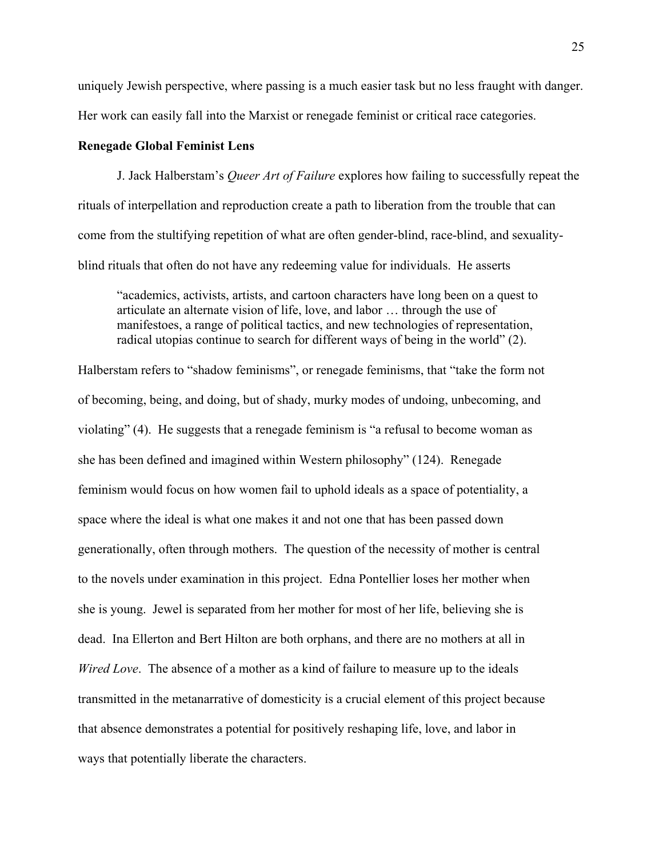uniquely Jewish perspective, where passing is a much easier task but no less fraught with danger. Her work can easily fall into the Marxist or renegade feminist or critical race categories.

#### **Renegade Global Feminist Lens**

J. Jack Halberstam's *Queer Art of Failure* explores how failing to successfully repeat the rituals of interpellation and reproduction create a path to liberation from the trouble that can come from the stultifying repetition of what are often gender-blind, race-blind, and sexualityblind rituals that often do not have any redeeming value for individuals. He asserts

"academics, activists, artists, and cartoon characters have long been on a quest to articulate an alternate vision of life, love, and labor … through the use of manifestoes, a range of political tactics, and new technologies of representation, radical utopias continue to search for different ways of being in the world" (2).

Halberstam refers to "shadow feminisms", or renegade feminisms, that "take the form not of becoming, being, and doing, but of shady, murky modes of undoing, unbecoming, and violating" (4). He suggests that a renegade feminism is "a refusal to become woman as she has been defined and imagined within Western philosophy" (124). Renegade feminism would focus on how women fail to uphold ideals as a space of potentiality, a space where the ideal is what one makes it and not one that has been passed down generationally, often through mothers. The question of the necessity of mother is central to the novels under examination in this project. Edna Pontellier loses her mother when she is young. Jewel is separated from her mother for most of her life, believing she is dead. Ina Ellerton and Bert Hilton are both orphans, and there are no mothers at all in *Wired Love*. The absence of a mother as a kind of failure to measure up to the ideals transmitted in the metanarrative of domesticity is a crucial element of this project because that absence demonstrates a potential for positively reshaping life, love, and labor in ways that potentially liberate the characters.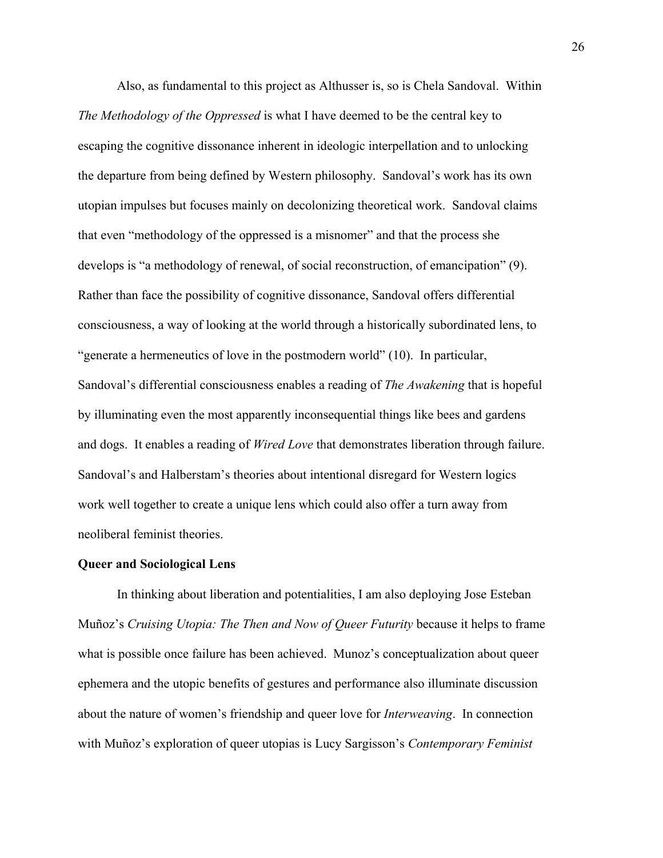Also, as fundamental to this project as Althusser is, so is Chela Sandoval. Within *The Methodology of the Oppressed* is what I have deemed to be the central key to escaping the cognitive dissonance inherent in ideologic interpellation and to unlocking the departure from being defined by Western philosophy. Sandoval's work has its own utopian impulses but focuses mainly on decolonizing theoretical work. Sandoval claims that even "methodology of the oppressed is a misnomer" and that the process she develops is "a methodology of renewal, of social reconstruction, of emancipation" (9). Rather than face the possibility of cognitive dissonance, Sandoval offers differential consciousness, a way of looking at the world through a historically subordinated lens, to "generate a hermeneutics of love in the postmodern world" (10). In particular, Sandoval's differential consciousness enables a reading of *The Awakening* that is hopeful by illuminating even the most apparently inconsequential things like bees and gardens and dogs. It enables a reading of *Wired Love* that demonstrates liberation through failure. Sandoval's and Halberstam's theories about intentional disregard for Western logics work well together to create a unique lens which could also offer a turn away from neoliberal feminist theories.

#### **Queer and Sociological Lens**

 In thinking about liberation and potentialities, I am also deploying Jose Esteban Muñoz's *Cruising Utopia: The Then and Now of Queer Futurity* because it helps to frame what is possible once failure has been achieved. Munoz's conceptualization about queer ephemera and the utopic benefits of gestures and performance also illuminate discussion about the nature of women's friendship and queer love for *Interweaving*. In connection with Muñoz's exploration of queer utopias is Lucy Sargisson's *Contemporary Feminist*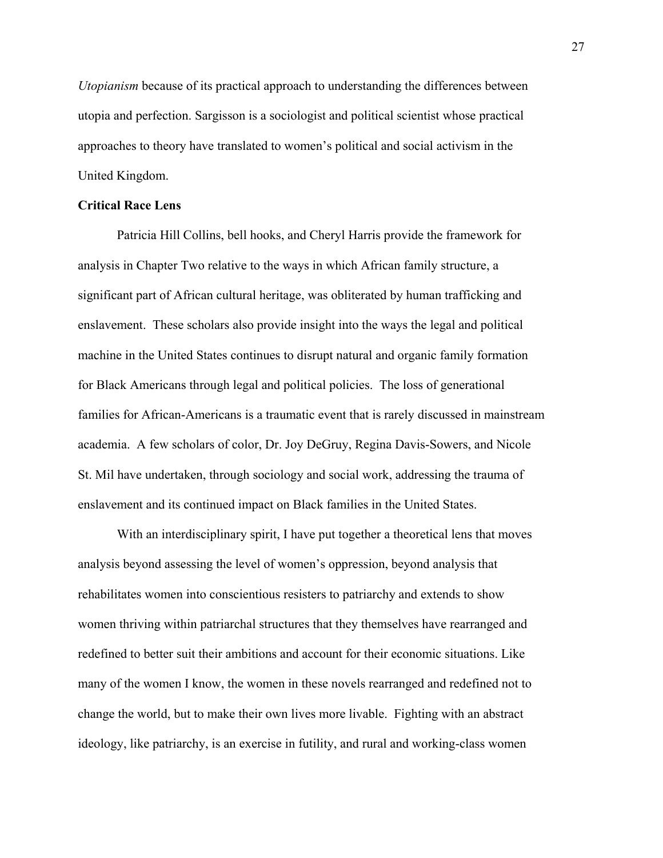*Utopianism* because of its practical approach to understanding the differences between utopia and perfection. Sargisson is a sociologist and political scientist whose practical approaches to theory have translated to women's political and social activism in the United Kingdom.

#### **Critical Race Lens**

Patricia Hill Collins, bell hooks, and Cheryl Harris provide the framework for analysis in Chapter Two relative to the ways in which African family structure, a significant part of African cultural heritage, was obliterated by human trafficking and enslavement. These scholars also provide insight into the ways the legal and political machine in the United States continues to disrupt natural and organic family formation for Black Americans through legal and political policies. The loss of generational families for African-Americans is a traumatic event that is rarely discussed in mainstream academia. A few scholars of color, Dr. Joy DeGruy, Regina Davis-Sowers, and Nicole St. Mil have undertaken, through sociology and social work, addressing the trauma of enslavement and its continued impact on Black families in the United States.

With an interdisciplinary spirit, I have put together a theoretical lens that moves analysis beyond assessing the level of women's oppression, beyond analysis that rehabilitates women into conscientious resisters to patriarchy and extends to show women thriving within patriarchal structures that they themselves have rearranged and redefined to better suit their ambitions and account for their economic situations. Like many of the women I know, the women in these novels rearranged and redefined not to change the world, but to make their own lives more livable. Fighting with an abstract ideology, like patriarchy, is an exercise in futility, and rural and working-class women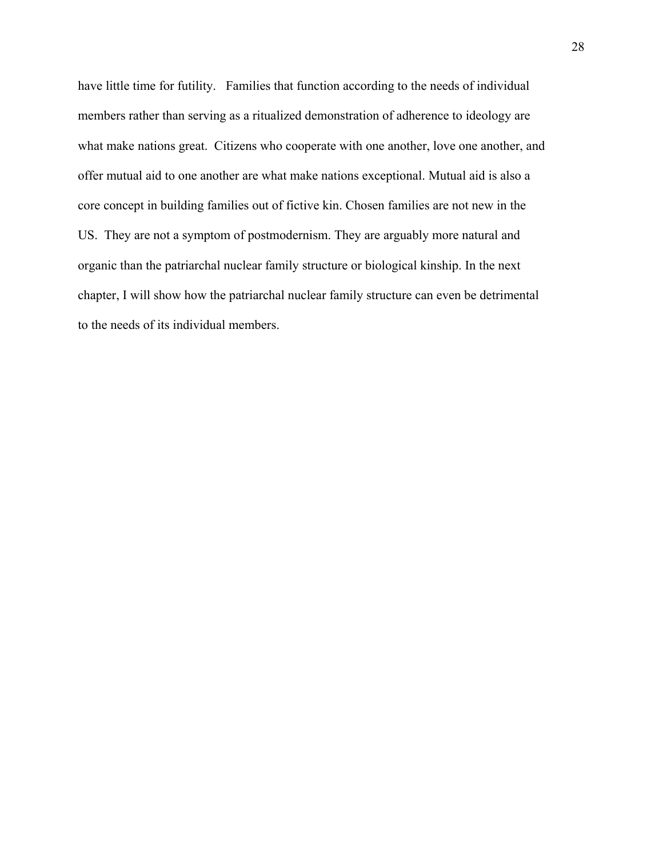have little time for futility. Families that function according to the needs of individual members rather than serving as a ritualized demonstration of adherence to ideology are what make nations great. Citizens who cooperate with one another, love one another, and offer mutual aid to one another are what make nations exceptional. Mutual aid is also a core concept in building families out of fictive kin. Chosen families are not new in the US. They are not a symptom of postmodernism. They are arguably more natural and organic than the patriarchal nuclear family structure or biological kinship. In the next chapter, I will show how the patriarchal nuclear family structure can even be detrimental to the needs of its individual members.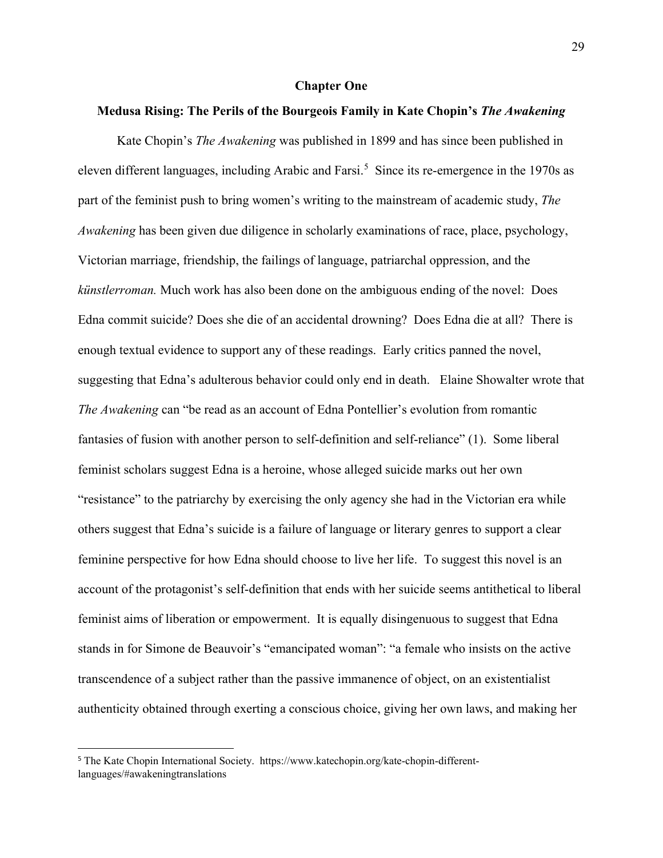#### **Chapter One**

#### **Medusa Rising: The Perils of the Bourgeois Family in Kate Chopin's** *The Awakening*

Kate Chopin's *The Awakening* was published in 1899 and has since been published in eleven different languages, including Arabic and Farsi.<sup>[5](#page-34-0)</sup> Since its re-emergence in the 1970s as part of the feminist push to bring women's writing to the mainstream of academic study, *The Awakening* has been given due diligence in scholarly examinations of race, place, psychology, Victorian marriage, friendship, the failings of language, patriarchal oppression, and the *künstlerroman.* Much work has also been done on the ambiguous ending of the novel: Does Edna commit suicide? Does she die of an accidental drowning? Does Edna die at all? There is enough textual evidence to support any of these readings. Early critics panned the novel, suggesting that Edna's adulterous behavior could only end in death. Elaine Showalter wrote that *The Awakening* can "be read as an account of Edna Pontellier's evolution from romantic fantasies of fusion with another person to self-definition and self-reliance" (1). Some liberal feminist scholars suggest Edna is a heroine, whose alleged suicide marks out her own "resistance" to the patriarchy by exercising the only agency she had in the Victorian era while others suggest that Edna's suicide is a failure of language or literary genres to support a clear feminine perspective for how Edna should choose to live her life. To suggest this novel is an account of the protagonist's self-definition that ends with her suicide seems antithetical to liberal feminist aims of liberation or empowerment. It is equally disingenuous to suggest that Edna stands in for Simone de Beauvoir's "emancipated woman": "a female who insists on the active transcendence of a subject rather than the passive immanence of object, on an existentialist authenticity obtained through exerting a conscious choice, giving her own laws, and making her

 $\overline{a}$ 

<span id="page-34-0"></span><sup>5</sup> The Kate Chopin International Society. https://www.katechopin.org/kate-chopin-differentlanguages/#awakeningtranslations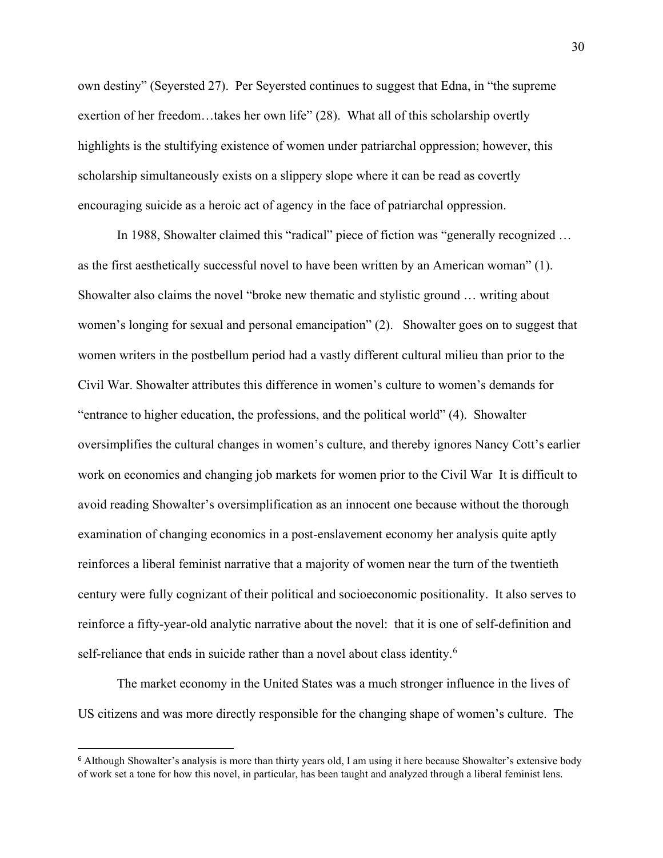own destiny" (Seyersted 27). Per Seyersted continues to suggest that Edna, in "the supreme exertion of her freedom…takes her own life" (28). What all of this scholarship overtly highlights is the stultifying existence of women under patriarchal oppression; however, this scholarship simultaneously exists on a slippery slope where it can be read as covertly encouraging suicide as a heroic act of agency in the face of patriarchal oppression.

In 1988, Showalter claimed this "radical" piece of fiction was "generally recognized … as the first aesthetically successful novel to have been written by an American woman" (1). Showalter also claims the novel "broke new thematic and stylistic ground … writing about women's longing for sexual and personal emancipation" (2). Showalter goes on to suggest that women writers in the postbellum period had a vastly different cultural milieu than prior to the Civil War. Showalter attributes this difference in women's culture to women's demands for "entrance to higher education, the professions, and the political world" (4). Showalter oversimplifies the cultural changes in women's culture, and thereby ignores Nancy Cott's earlier work on economics and changing job markets for women prior to the Civil War It is difficult to avoid reading Showalter's oversimplification as an innocent one because without the thorough examination of changing economics in a post-enslavement economy her analysis quite aptly reinforces a liberal feminist narrative that a majority of women near the turn of the twentieth century were fully cognizant of their political and socioeconomic positionality. It also serves to reinforce a fifty-year-old analytic narrative about the novel: that it is one of self-definition and self-reliance that ends in suicide rather than a novel about class identity.<sup>[6](#page-35-0)</sup>

The market economy in the United States was a much stronger influence in the lives of US citizens and was more directly responsible for the changing shape of women's culture. The

 $\overline{a}$ 

<span id="page-35-0"></span><sup>6</sup> Although Showalter's analysis is more than thirty years old, I am using it here because Showalter's extensive body of work set a tone for how this novel, in particular, has been taught and analyzed through a liberal feminist lens.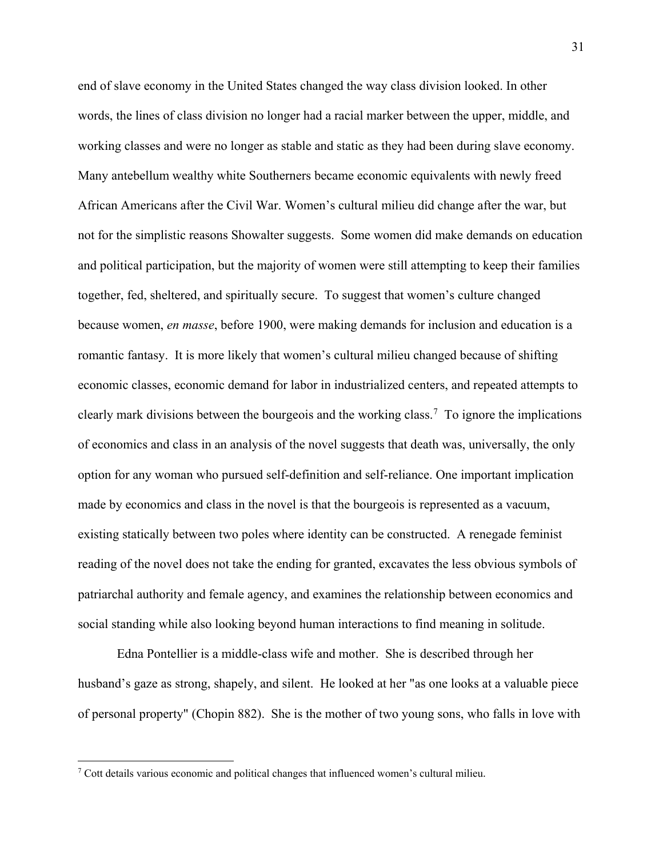end of slave economy in the United States changed the way class division looked. In other words, the lines of class division no longer had a racial marker between the upper, middle, and working classes and were no longer as stable and static as they had been during slave economy. Many antebellum wealthy white Southerners became economic equivalents with newly freed African Americans after the Civil War. Women's cultural milieu did change after the war, but not for the simplistic reasons Showalter suggests. Some women did make demands on education and political participation, but the majority of women were still attempting to keep their families together, fed, sheltered, and spiritually secure. To suggest that women's culture changed because women, *en masse*, before 1900, were making demands for inclusion and education is a romantic fantasy. It is more likely that women's cultural milieu changed because of shifting economic classes, economic demand for labor in industrialized centers, and repeated attempts to clearly mark divisions between the bourgeois and the working class.<sup>[7](#page-36-0)</sup> To ignore the implications of economics and class in an analysis of the novel suggests that death was, universally, the only option for any woman who pursued self-definition and self-reliance. One important implication made by economics and class in the novel is that the bourgeois is represented as a vacuum, existing statically between two poles where identity can be constructed. A renegade feminist reading of the novel does not take the ending for granted, excavates the less obvious symbols of patriarchal authority and female agency, and examines the relationship between economics and social standing while also looking beyond human interactions to find meaning in solitude.

Edna Pontellier is a middle-class wife and mother. She is described through her husband's gaze as strong, shapely, and silent. He looked at her "as one looks at a valuable piece of personal property" (Chopin 882). She is the mother of two young sons, who falls in love with

 $\overline{\phantom{a}}$ 

<span id="page-36-0"></span> $7$  Cott details various economic and political changes that influenced women's cultural milieu.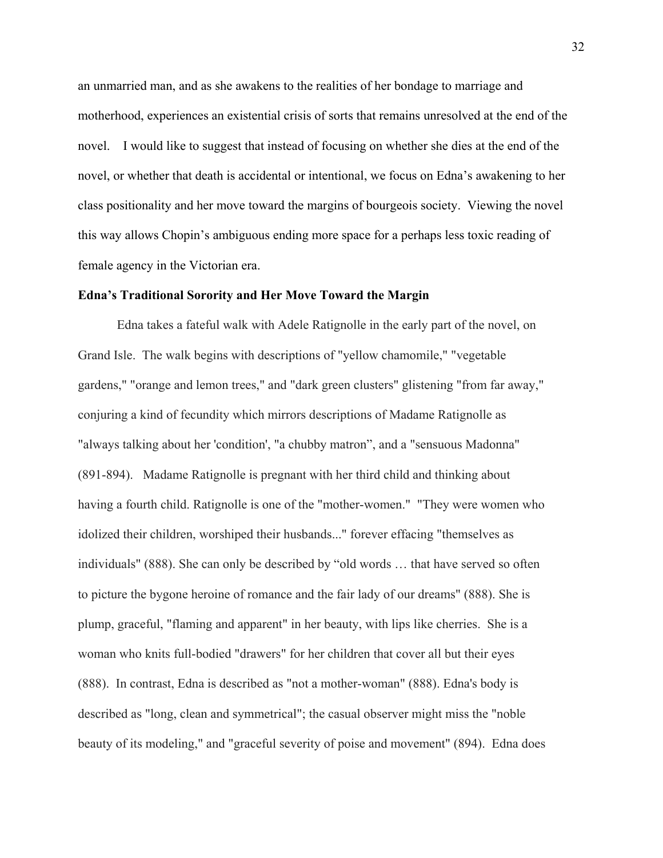an unmarried man, and as she awakens to the realities of her bondage to marriage and motherhood, experiences an existential crisis of sorts that remains unresolved at the end of the novel. I would like to suggest that instead of focusing on whether she dies at the end of the novel, or whether that death is accidental or intentional, we focus on Edna's awakening to her class positionality and her move toward the margins of bourgeois society. Viewing the novel this way allows Chopin's ambiguous ending more space for a perhaps less toxic reading of female agency in the Victorian era.

### **Edna's Traditional Sorority and Her Move Toward the Margin**

Edna takes a fateful walk with Adele Ratignolle in the early part of the novel, on Grand Isle. The walk begins with descriptions of "yellow chamomile," "vegetable gardens," "orange and lemon trees," and "dark green clusters" glistening "from far away," conjuring a kind of fecundity which mirrors descriptions of Madame Ratignolle as "always talking about her 'condition', "a chubby matron", and a "sensuous Madonna" (891-894). Madame Ratignolle is pregnant with her third child and thinking about having a fourth child. Ratignolle is one of the "mother-women." "They were women who idolized their children, worshiped their husbands..." forever effacing "themselves as individuals" (888). She can only be described by "old words … that have served so often to picture the bygone heroine of romance and the fair lady of our dreams" (888). She is plump, graceful, "flaming and apparent" in her beauty, with lips like cherries. She is a woman who knits full-bodied "drawers" for her children that cover all but their eyes (888). In contrast, Edna is described as "not a mother-woman" (888). Edna's body is described as "long, clean and symmetrical"; the casual observer might miss the "noble beauty of its modeling," and "graceful severity of poise and movement" (894). Edna does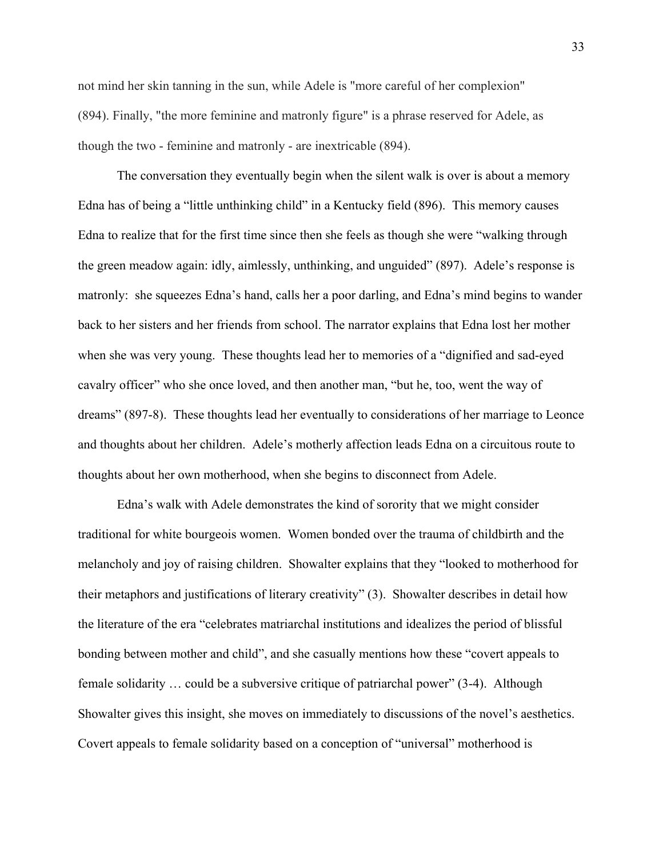not mind her skin tanning in the sun, while Adele is "more careful of her complexion" (894). Finally, "the more feminine and matronly figure" is a phrase reserved for Adele, as though the two - feminine and matronly - are inextricable (894).

The conversation they eventually begin when the silent walk is over is about a memory Edna has of being a "little unthinking child" in a Kentucky field (896). This memory causes Edna to realize that for the first time since then she feels as though she were "walking through the green meadow again: idly, aimlessly, unthinking, and unguided" (897). Adele's response is matronly: she squeezes Edna's hand, calls her a poor darling, and Edna's mind begins to wander back to her sisters and her friends from school. The narrator explains that Edna lost her mother when she was very young. These thoughts lead her to memories of a "dignified and sad-eyed cavalry officer" who she once loved, and then another man, "but he, too, went the way of dreams" (897-8). These thoughts lead her eventually to considerations of her marriage to Leonce and thoughts about her children. Adele's motherly affection leads Edna on a circuitous route to thoughts about her own motherhood, when she begins to disconnect from Adele.

Edna's walk with Adele demonstrates the kind of sorority that we might consider traditional for white bourgeois women. Women bonded over the trauma of childbirth and the melancholy and joy of raising children. Showalter explains that they "looked to motherhood for their metaphors and justifications of literary creativity" (3). Showalter describes in detail how the literature of the era "celebrates matriarchal institutions and idealizes the period of blissful bonding between mother and child", and she casually mentions how these "covert appeals to female solidarity … could be a subversive critique of patriarchal power" (3-4). Although Showalter gives this insight, she moves on immediately to discussions of the novel's aesthetics. Covert appeals to female solidarity based on a conception of "universal" motherhood is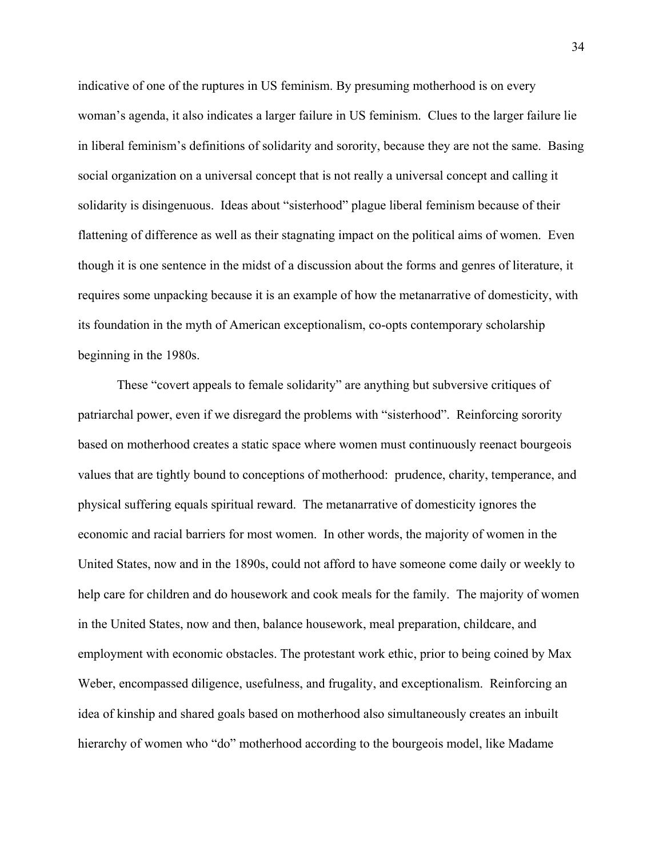indicative of one of the ruptures in US feminism. By presuming motherhood is on every woman's agenda, it also indicates a larger failure in US feminism. Clues to the larger failure lie in liberal feminism's definitions of solidarity and sorority, because they are not the same. Basing social organization on a universal concept that is not really a universal concept and calling it solidarity is disingenuous. Ideas about "sisterhood" plague liberal feminism because of their flattening of difference as well as their stagnating impact on the political aims of women. Even though it is one sentence in the midst of a discussion about the forms and genres of literature, it requires some unpacking because it is an example of how the metanarrative of domesticity, with its foundation in the myth of American exceptionalism, co-opts contemporary scholarship beginning in the 1980s.

These "covert appeals to female solidarity" are anything but subversive critiques of patriarchal power, even if we disregard the problems with "sisterhood". Reinforcing sorority based on motherhood creates a static space where women must continuously reenact bourgeois values that are tightly bound to conceptions of motherhood: prudence, charity, temperance, and physical suffering equals spiritual reward. The metanarrative of domesticity ignores the economic and racial barriers for most women. In other words, the majority of women in the United States, now and in the 1890s, could not afford to have someone come daily or weekly to help care for children and do housework and cook meals for the family. The majority of women in the United States, now and then, balance housework, meal preparation, childcare, and employment with economic obstacles. The protestant work ethic, prior to being coined by Max Weber, encompassed diligence, usefulness, and frugality, and exceptionalism. Reinforcing an idea of kinship and shared goals based on motherhood also simultaneously creates an inbuilt hierarchy of women who "do" motherhood according to the bourgeois model, like Madame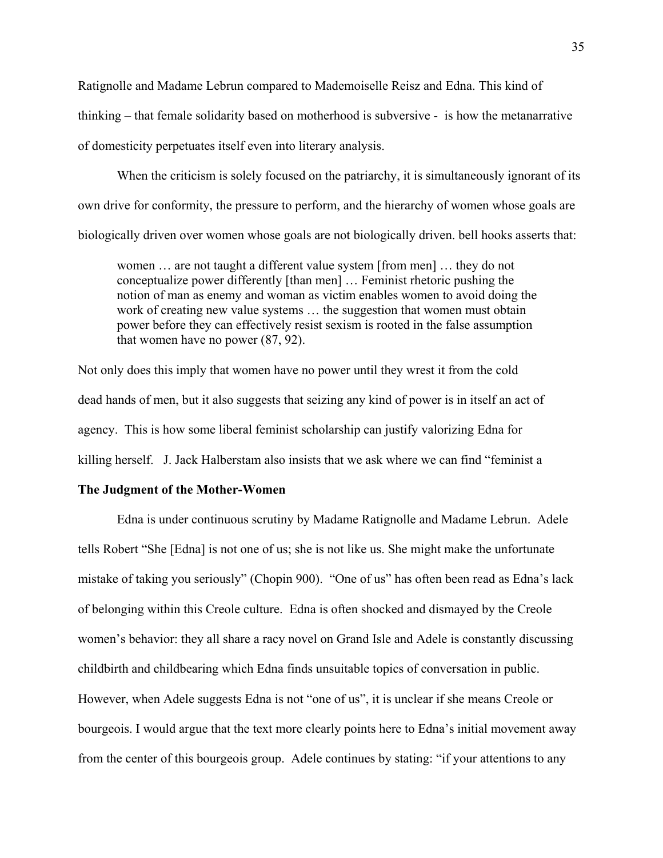Ratignolle and Madame Lebrun compared to Mademoiselle Reisz and Edna. This kind of thinking – that female solidarity based on motherhood is subversive - is how the metanarrative of domesticity perpetuates itself even into literary analysis.

When the criticism is solely focused on the patriarchy, it is simultaneously ignorant of its own drive for conformity, the pressure to perform, and the hierarchy of women whose goals are biologically driven over women whose goals are not biologically driven. bell hooks asserts that:

women … are not taught a different value system [from men] … they do not conceptualize power differently [than men] … Feminist rhetoric pushing the notion of man as enemy and woman as victim enables women to avoid doing the work of creating new value systems … the suggestion that women must obtain power before they can effectively resist sexism is rooted in the false assumption that women have no power (87, 92).

Not only does this imply that women have no power until they wrest it from the cold dead hands of men, but it also suggests that seizing any kind of power is in itself an act of agency. This is how some liberal feminist scholarship can justify valorizing Edna for killing herself. J. Jack Halberstam also insists that we ask where we can find "feminist a

# **The Judgment of the Mother-Women**

Edna is under continuous scrutiny by Madame Ratignolle and Madame Lebrun. Adele tells Robert "She [Edna] is not one of us; she is not like us. She might make the unfortunate mistake of taking you seriously" (Chopin 900). "One of us" has often been read as Edna's lack of belonging within this Creole culture. Edna is often shocked and dismayed by the Creole women's behavior: they all share a racy novel on Grand Isle and Adele is constantly discussing childbirth and childbearing which Edna finds unsuitable topics of conversation in public. However, when Adele suggests Edna is not "one of us", it is unclear if she means Creole or bourgeois. I would argue that the text more clearly points here to Edna's initial movement away from the center of this bourgeois group. Adele continues by stating: "if your attentions to any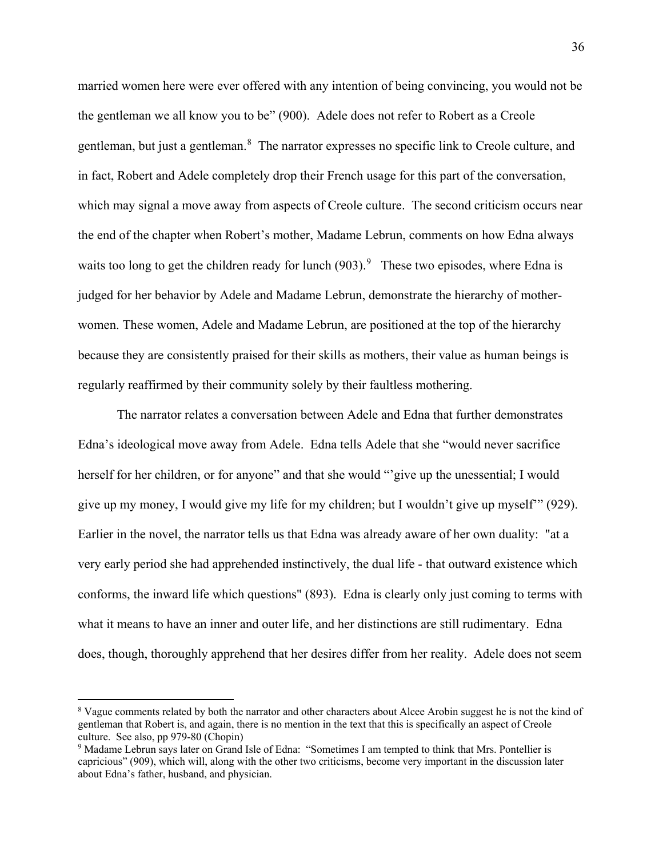married women here were ever offered with any intention of being convincing, you would not be the gentleman we all know you to be" (900). Adele does not refer to Robert as a Creole gentleman, but just a gentleman.<sup>[8](#page-41-0)</sup> The narrator expresses no specific link to Creole culture, and in fact, Robert and Adele completely drop their French usage for this part of the conversation, which may signal a move away from aspects of Creole culture. The second criticism occurs near the end of the chapter when Robert's mother, Madame Lebrun, comments on how Edna always waits too long to get the children ready for lunch  $(903)$  $(903)$  $(903)$ .<sup>9</sup> These two episodes, where Edna is judged for her behavior by Adele and Madame Lebrun, demonstrate the hierarchy of motherwomen. These women, Adele and Madame Lebrun, are positioned at the top of the hierarchy because they are consistently praised for their skills as mothers, their value as human beings is regularly reaffirmed by their community solely by their faultless mothering.

The narrator relates a conversation between Adele and Edna that further demonstrates Edna's ideological move away from Adele. Edna tells Adele that she "would never sacrifice herself for her children, or for anyone" and that she would "'give up the unessential; I would give up my money, I would give my life for my children; but I wouldn't give up myself'" (929). Earlier in the novel, the narrator tells us that Edna was already aware of her own duality: "at a very early period she had apprehended instinctively, the dual life - that outward existence which conforms, the inward life which questions" (893). Edna is clearly only just coming to terms with what it means to have an inner and outer life, and her distinctions are still rudimentary. Edna does, though, thoroughly apprehend that her desires differ from her reality. Adele does not seem

 $\overline{a}$ 

<span id="page-41-0"></span><sup>8</sup> Vague comments related by both the narrator and other characters about Alcee Arobin suggest he is not the kind of gentleman that Robert is, and again, there is no mention in the text that this is specifically an aspect of Creole culture. See also, pp 979-80 (Chopin)

<span id="page-41-1"></span><sup>&</sup>lt;sup>9</sup> Madame Lebrun says later on Grand Isle of Edna: "Sometimes I am tempted to think that Mrs. Pontellier is capricious" (909), which will, along with the other two criticisms, become very important in the discussion later about Edna's father, husband, and physician.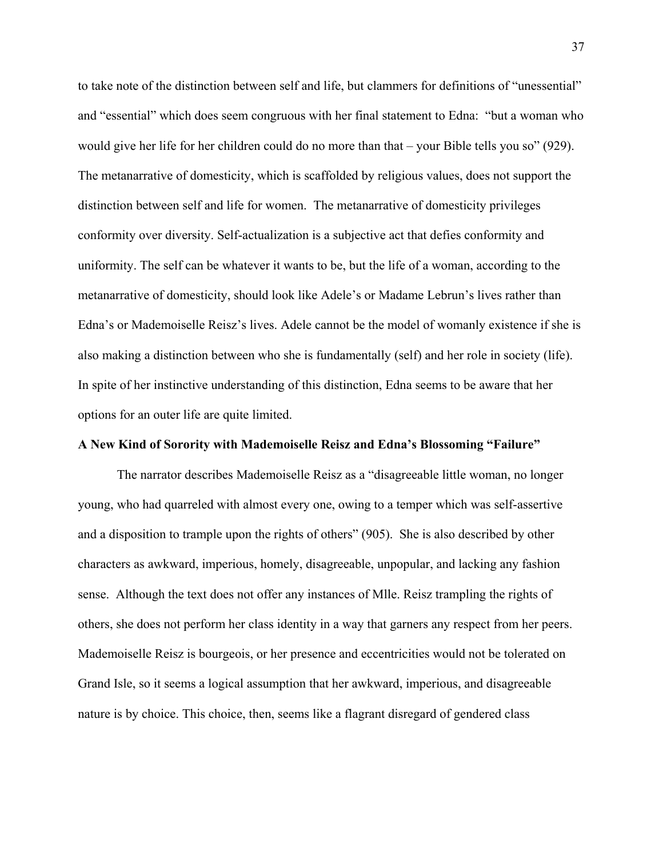to take note of the distinction between self and life, but clammers for definitions of "unessential" and "essential" which does seem congruous with her final statement to Edna: "but a woman who would give her life for her children could do no more than that – your Bible tells you so" (929). The metanarrative of domesticity, which is scaffolded by religious values, does not support the distinction between self and life for women. The metanarrative of domesticity privileges conformity over diversity. Self-actualization is a subjective act that defies conformity and uniformity. The self can be whatever it wants to be, but the life of a woman, according to the metanarrative of domesticity, should look like Adele's or Madame Lebrun's lives rather than Edna's or Mademoiselle Reisz's lives. Adele cannot be the model of womanly existence if she is also making a distinction between who she is fundamentally (self) and her role in society (life). In spite of her instinctive understanding of this distinction, Edna seems to be aware that her options for an outer life are quite limited.

## **A New Kind of Sorority with Mademoiselle Reisz and Edna's Blossoming "Failure"**

The narrator describes Mademoiselle Reisz as a "disagreeable little woman, no longer young, who had quarreled with almost every one, owing to a temper which was self-assertive and a disposition to trample upon the rights of others" (905). She is also described by other characters as awkward, imperious, homely, disagreeable, unpopular, and lacking any fashion sense. Although the text does not offer any instances of Mlle. Reisz trampling the rights of others, she does not perform her class identity in a way that garners any respect from her peers. Mademoiselle Reisz is bourgeois, or her presence and eccentricities would not be tolerated on Grand Isle, so it seems a logical assumption that her awkward, imperious, and disagreeable nature is by choice. This choice, then, seems like a flagrant disregard of gendered class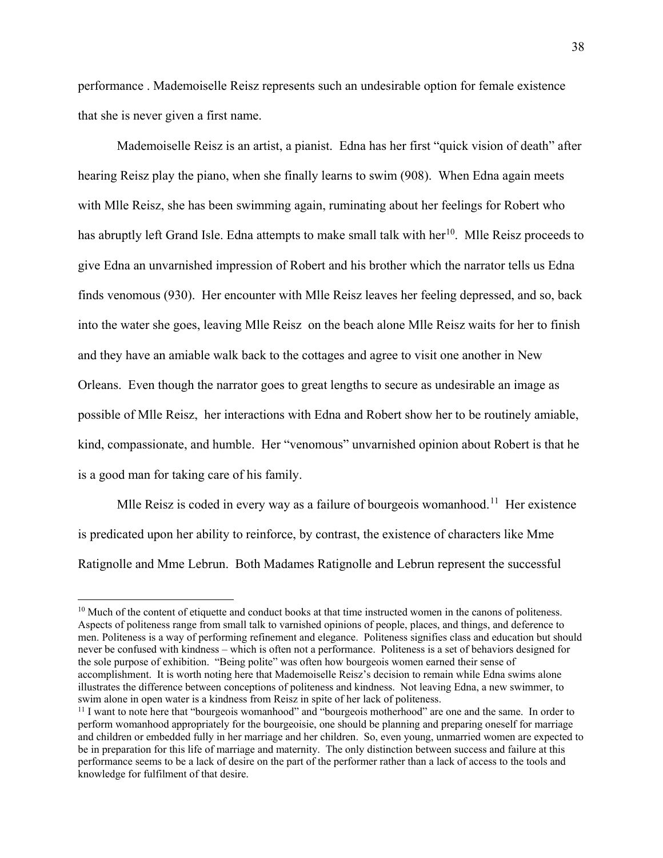performance . Mademoiselle Reisz represents such an undesirable option for female existence that she is never given a first name.

Mademoiselle Reisz is an artist, a pianist. Edna has her first "quick vision of death" after hearing Reisz play the piano, when she finally learns to swim (908). When Edna again meets with Mlle Reisz, she has been swimming again, ruminating about her feelings for Robert who has abruptly left Grand Isle. Edna attempts to make small talk with her $^{10}$  $^{10}$  $^{10}$ . Mlle Reisz proceeds to give Edna an unvarnished impression of Robert and his brother which the narrator tells us Edna finds venomous (930). Her encounter with Mlle Reisz leaves her feeling depressed, and so, back into the water she goes, leaving Mlle Reisz on the beach alone Mlle Reisz waits for her to finish and they have an amiable walk back to the cottages and agree to visit one another in New Orleans. Even though the narrator goes to great lengths to secure as undesirable an image as possible of Mlle Reisz, her interactions with Edna and Robert show her to be routinely amiable, kind, compassionate, and humble. Her "venomous" unvarnished opinion about Robert is that he is a good man for taking care of his family.

Mlle Reisz is coded in every way as a failure of bourgeois womanhood.<sup>11</sup> Her existence is predicated upon her ability to reinforce, by contrast, the existence of characters like Mme Ratignolle and Mme Lebrun. Both Madames Ratignolle and Lebrun represent the successful

 $\overline{\phantom{a}}$ 

<span id="page-43-0"></span><sup>&</sup>lt;sup>10</sup> Much of the content of etiquette and conduct books at that time instructed women in the canons of politeness. Aspects of politeness range from small talk to varnished opinions of people, places, and things, and deference to men. Politeness is a way of performing refinement and elegance. Politeness signifies class and education but should never be confused with kindness – which is often not a performance. Politeness is a set of behaviors designed for the sole purpose of exhibition. "Being polite" was often how bourgeois women earned their sense of accomplishment. It is worth noting here that Mademoiselle Reisz's decision to remain while Edna swims alone illustrates the difference between conceptions of politeness and kindness. Not leaving Edna, a new swimmer, to swim alone in open water is a kindness from Reisz in spite of her lack of politeness.

<span id="page-43-1"></span><sup>&</sup>lt;sup>11</sup> I want to note here that "bourgeois womanhood" and "bourgeois motherhood" are one and the same. In order to perform womanhood appropriately for the bourgeoisie, one should be planning and preparing oneself for marriage and children or embedded fully in her marriage and her children. So, even young, unmarried women are expected to be in preparation for this life of marriage and maternity. The only distinction between success and failure at this performance seems to be a lack of desire on the part of the performer rather than a lack of access to the tools and knowledge for fulfilment of that desire.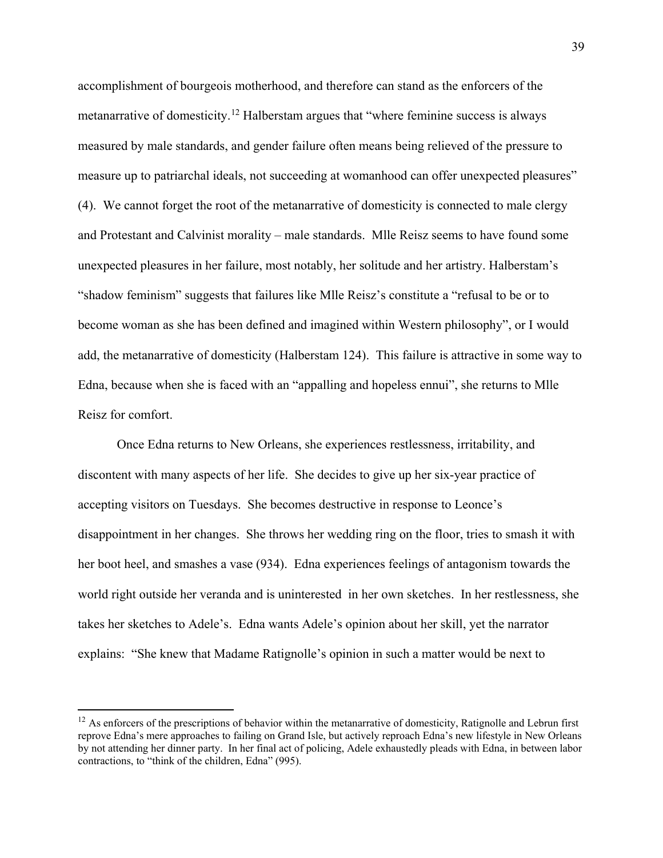accomplishment of bourgeois motherhood, and therefore can stand as the enforcers of the metanarrative of domesticity.<sup>[12](#page-44-0)</sup> Halberstam argues that "where feminine success is always" measured by male standards, and gender failure often means being relieved of the pressure to measure up to patriarchal ideals, not succeeding at womanhood can offer unexpected pleasures" (4). We cannot forget the root of the metanarrative of domesticity is connected to male clergy and Protestant and Calvinist morality – male standards. Mlle Reisz seems to have found some unexpected pleasures in her failure, most notably, her solitude and her artistry. Halberstam's "shadow feminism" suggests that failures like Mlle Reisz's constitute a "refusal to be or to become woman as she has been defined and imagined within Western philosophy", or I would add, the metanarrative of domesticity (Halberstam 124). This failure is attractive in some way to Edna, because when she is faced with an "appalling and hopeless ennui", she returns to Mlle Reisz for comfort.

Once Edna returns to New Orleans, she experiences restlessness, irritability, and discontent with many aspects of her life. She decides to give up her six-year practice of accepting visitors on Tuesdays. She becomes destructive in response to Leonce's disappointment in her changes. She throws her wedding ring on the floor, tries to smash it with her boot heel, and smashes a vase (934). Edna experiences feelings of antagonism towards the world right outside her veranda and is uninterested in her own sketches. In her restlessness, she takes her sketches to Adele's. Edna wants Adele's opinion about her skill, yet the narrator explains: "She knew that Madame Ratignolle's opinion in such a matter would be next to

 $\overline{a}$ 

<span id="page-44-0"></span> $12$  As enforcers of the prescriptions of behavior within the metanarrative of domesticity, Ratignolle and Lebrun first reprove Edna's mere approaches to failing on Grand Isle, but actively reproach Edna's new lifestyle in New Orleans by not attending her dinner party. In her final act of policing, Adele exhaustedly pleads with Edna, in between labor contractions, to "think of the children, Edna" (995).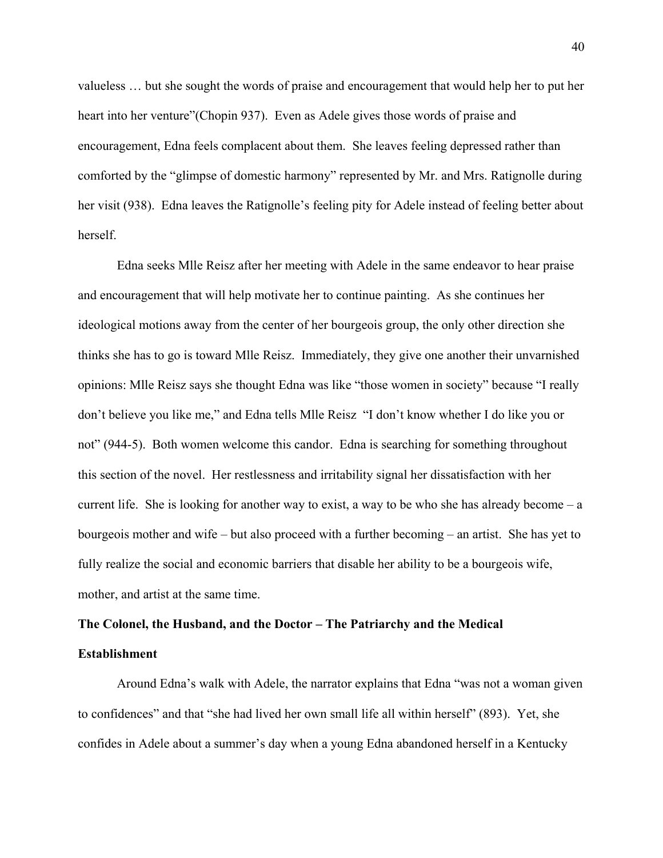valueless … but she sought the words of praise and encouragement that would help her to put her heart into her venture"(Chopin 937). Even as Adele gives those words of praise and encouragement, Edna feels complacent about them. She leaves feeling depressed rather than comforted by the "glimpse of domestic harmony" represented by Mr. and Mrs. Ratignolle during her visit (938). Edna leaves the Ratignolle's feeling pity for Adele instead of feeling better about herself.

Edna seeks Mlle Reisz after her meeting with Adele in the same endeavor to hear praise and encouragement that will help motivate her to continue painting. As she continues her ideological motions away from the center of her bourgeois group, the only other direction she thinks she has to go is toward Mlle Reisz. Immediately, they give one another their unvarnished opinions: Mlle Reisz says she thought Edna was like "those women in society" because "I really don't believe you like me," and Edna tells Mlle Reisz "I don't know whether I do like you or not" (944-5). Both women welcome this candor. Edna is searching for something throughout this section of the novel. Her restlessness and irritability signal her dissatisfaction with her current life. She is looking for another way to exist, a way to be who she has already become  $-a$ bourgeois mother and wife – but also proceed with a further becoming – an artist. She has yet to fully realize the social and economic barriers that disable her ability to be a bourgeois wife, mother, and artist at the same time.

# **The Colonel, the Husband, and the Doctor – The Patriarchy and the Medical**

# **Establishment**

Around Edna's walk with Adele, the narrator explains that Edna "was not a woman given to confidences" and that "she had lived her own small life all within herself" (893). Yet, she confides in Adele about a summer's day when a young Edna abandoned herself in a Kentucky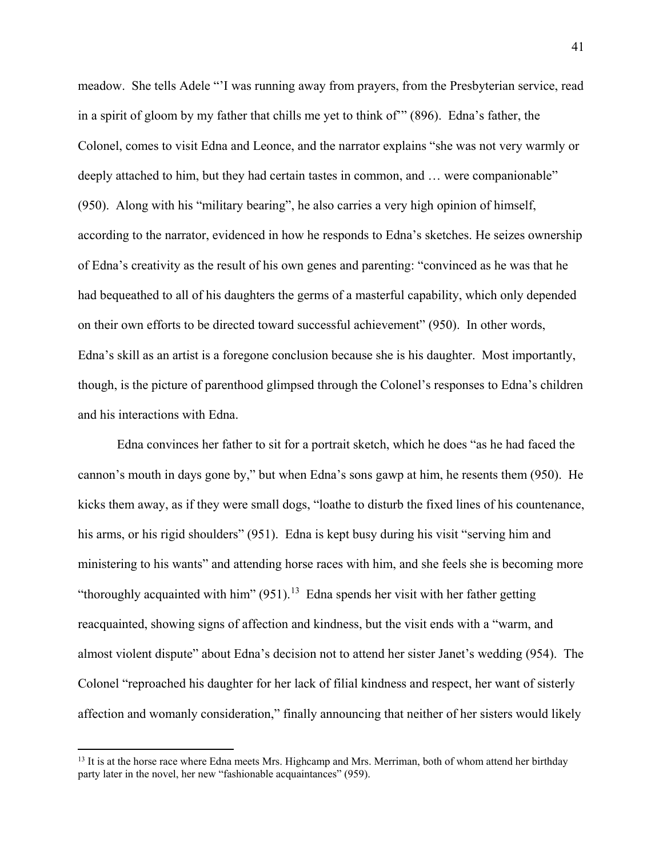meadow. She tells Adele "'I was running away from prayers, from the Presbyterian service, read in a spirit of gloom by my father that chills me yet to think of'" (896). Edna's father, the Colonel, comes to visit Edna and Leonce, and the narrator explains "she was not very warmly or deeply attached to him, but they had certain tastes in common, and ... were companionable" (950). Along with his "military bearing", he also carries a very high opinion of himself, according to the narrator, evidenced in how he responds to Edna's sketches. He seizes ownership of Edna's creativity as the result of his own genes and parenting: "convinced as he was that he had bequeathed to all of his daughters the germs of a masterful capability, which only depended on their own efforts to be directed toward successful achievement" (950). In other words, Edna's skill as an artist is a foregone conclusion because she is his daughter. Most importantly, though, is the picture of parenthood glimpsed through the Colonel's responses to Edna's children and his interactions with Edna.

Edna convinces her father to sit for a portrait sketch, which he does "as he had faced the cannon's mouth in days gone by," but when Edna's sons gawp at him, he resents them (950). He kicks them away, as if they were small dogs, "loathe to disturb the fixed lines of his countenance, his arms, or his rigid shoulders" (951). Edna is kept busy during his visit "serving him and ministering to his wants" and attending horse races with him, and she feels she is becoming more "thoroughly acquainted with him"  $(951)$ .<sup>13</sup> Edna spends her visit with her father getting reacquainted, showing signs of affection and kindness, but the visit ends with a "warm, and almost violent dispute" about Edna's decision not to attend her sister Janet's wedding (954). The Colonel "reproached his daughter for her lack of filial kindness and respect, her want of sisterly affection and womanly consideration," finally announcing that neither of her sisters would likely

 $\overline{\phantom{a}}$ 

<span id="page-46-0"></span><sup>&</sup>lt;sup>13</sup> It is at the horse race where Edna meets Mrs. Highcamp and Mrs. Merriman, both of whom attend her birthday party later in the novel, her new "fashionable acquaintances" (959).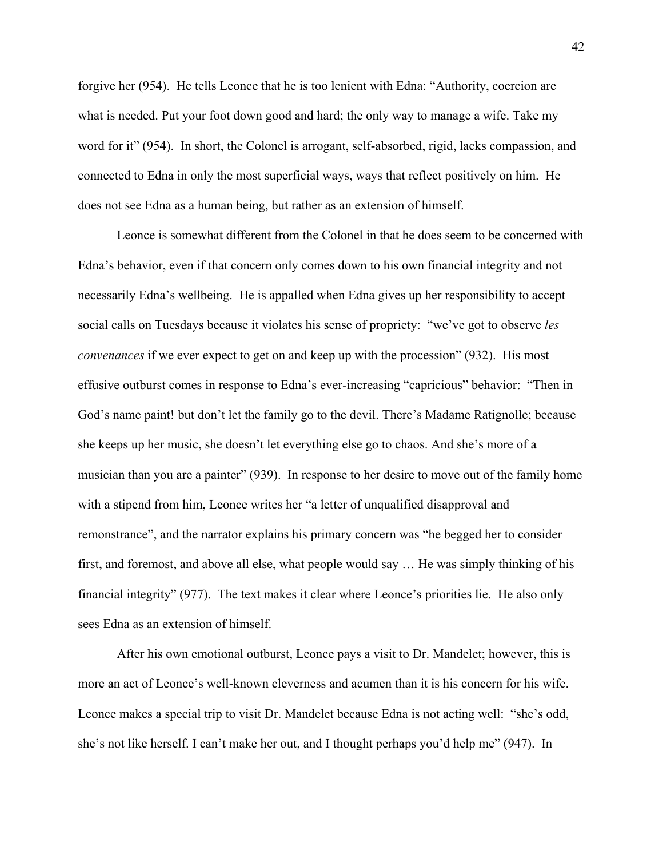forgive her (954). He tells Leonce that he is too lenient with Edna: "Authority, coercion are what is needed. Put your foot down good and hard; the only way to manage a wife. Take my word for it" (954). In short, the Colonel is arrogant, self-absorbed, rigid, lacks compassion, and connected to Edna in only the most superficial ways, ways that reflect positively on him. He does not see Edna as a human being, but rather as an extension of himself.

Leonce is somewhat different from the Colonel in that he does seem to be concerned with Edna's behavior, even if that concern only comes down to his own financial integrity and not necessarily Edna's wellbeing. He is appalled when Edna gives up her responsibility to accept social calls on Tuesdays because it violates his sense of propriety: "we've got to observe *les convenances* if we ever expect to get on and keep up with the procession" (932). His most effusive outburst comes in response to Edna's ever-increasing "capricious" behavior: "Then in God's name paint! but don't let the family go to the devil. There's Madame Ratignolle; because she keeps up her music, she doesn't let everything else go to chaos. And she's more of a musician than you are a painter" (939). In response to her desire to move out of the family home with a stipend from him, Leonce writes her "a letter of unqualified disapproval and remonstrance", and the narrator explains his primary concern was "he begged her to consider first, and foremost, and above all else, what people would say … He was simply thinking of his financial integrity" (977). The text makes it clear where Leonce's priorities lie. He also only sees Edna as an extension of himself.

After his own emotional outburst, Leonce pays a visit to Dr. Mandelet; however, this is more an act of Leonce's well-known cleverness and acumen than it is his concern for his wife. Leonce makes a special trip to visit Dr. Mandelet because Edna is not acting well: "she's odd, she's not like herself. I can't make her out, and I thought perhaps you'd help me" (947). In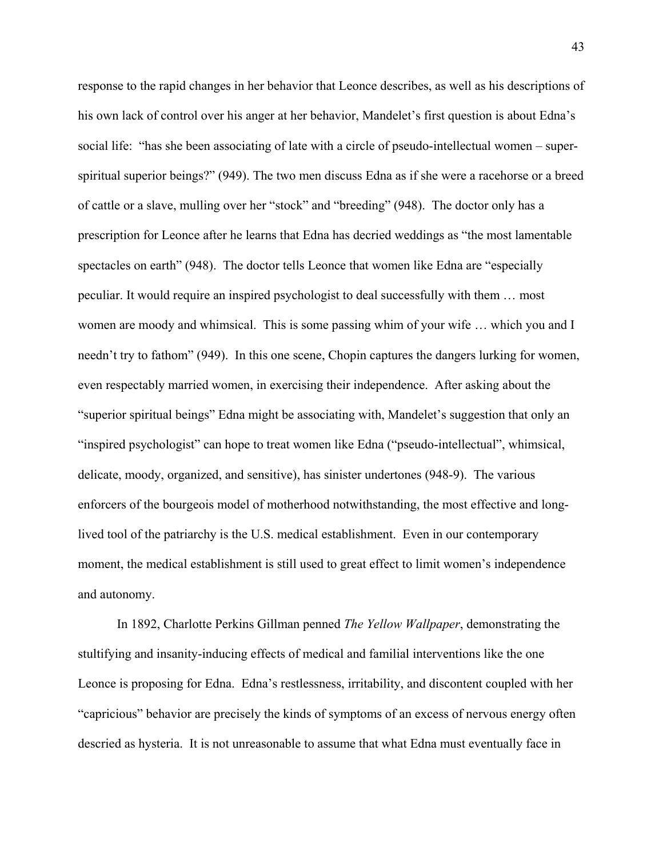response to the rapid changes in her behavior that Leonce describes, as well as his descriptions of his own lack of control over his anger at her behavior, Mandelet's first question is about Edna's social life: "has she been associating of late with a circle of pseudo-intellectual women – superspiritual superior beings?" (949). The two men discuss Edna as if she were a racehorse or a breed of cattle or a slave, mulling over her "stock" and "breeding" (948). The doctor only has a prescription for Leonce after he learns that Edna has decried weddings as "the most lamentable spectacles on earth" (948). The doctor tells Leonce that women like Edna are "especially peculiar. It would require an inspired psychologist to deal successfully with them … most women are moody and whimsical. This is some passing whim of your wife … which you and I needn't try to fathom" (949). In this one scene, Chopin captures the dangers lurking for women, even respectably married women, in exercising their independence. After asking about the "superior spiritual beings" Edna might be associating with, Mandelet's suggestion that only an "inspired psychologist" can hope to treat women like Edna ("pseudo-intellectual", whimsical, delicate, moody, organized, and sensitive), has sinister undertones (948-9). The various enforcers of the bourgeois model of motherhood notwithstanding, the most effective and longlived tool of the patriarchy is the U.S. medical establishment. Even in our contemporary moment, the medical establishment is still used to great effect to limit women's independence and autonomy.

In 1892, Charlotte Perkins Gillman penned *The Yellow Wallpaper*, demonstrating the stultifying and insanity-inducing effects of medical and familial interventions like the one Leonce is proposing for Edna. Edna's restlessness, irritability, and discontent coupled with her "capricious" behavior are precisely the kinds of symptoms of an excess of nervous energy often descried as hysteria. It is not unreasonable to assume that what Edna must eventually face in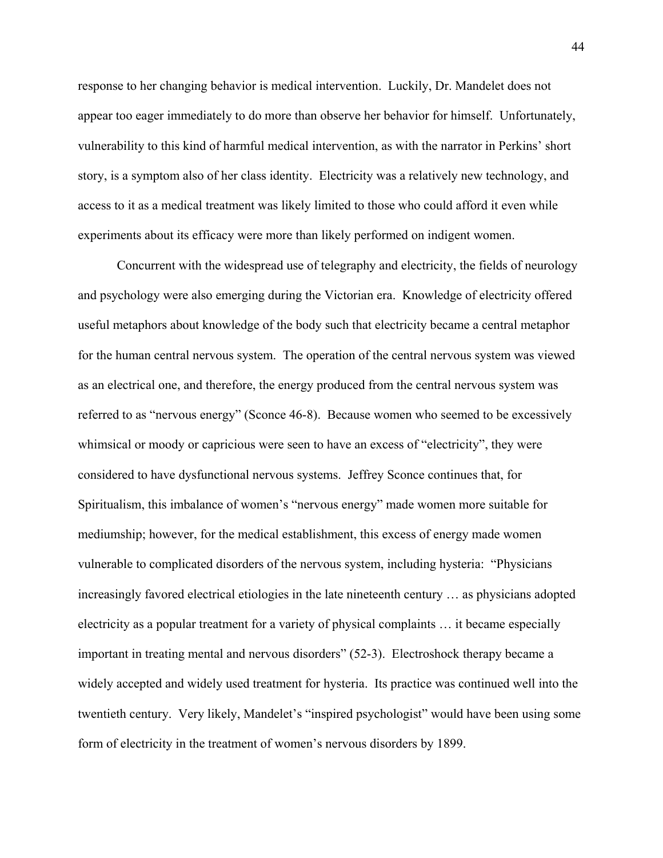response to her changing behavior is medical intervention. Luckily, Dr. Mandelet does not appear too eager immediately to do more than observe her behavior for himself. Unfortunately, vulnerability to this kind of harmful medical intervention, as with the narrator in Perkins' short story, is a symptom also of her class identity. Electricity was a relatively new technology, and access to it as a medical treatment was likely limited to those who could afford it even while experiments about its efficacy were more than likely performed on indigent women.

Concurrent with the widespread use of telegraphy and electricity, the fields of neurology and psychology were also emerging during the Victorian era. Knowledge of electricity offered useful metaphors about knowledge of the body such that electricity became a central metaphor for the human central nervous system. The operation of the central nervous system was viewed as an electrical one, and therefore, the energy produced from the central nervous system was referred to as "nervous energy" (Sconce 46-8). Because women who seemed to be excessively whimsical or moody or capricious were seen to have an excess of "electricity", they were considered to have dysfunctional nervous systems. Jeffrey Sconce continues that, for Spiritualism, this imbalance of women's "nervous energy" made women more suitable for mediumship; however, for the medical establishment, this excess of energy made women vulnerable to complicated disorders of the nervous system, including hysteria: "Physicians increasingly favored electrical etiologies in the late nineteenth century … as physicians adopted electricity as a popular treatment for a variety of physical complaints … it became especially important in treating mental and nervous disorders" (52-3). Electroshock therapy became a widely accepted and widely used treatment for hysteria. Its practice was continued well into the twentieth century. Very likely, Mandelet's "inspired psychologist" would have been using some form of electricity in the treatment of women's nervous disorders by 1899.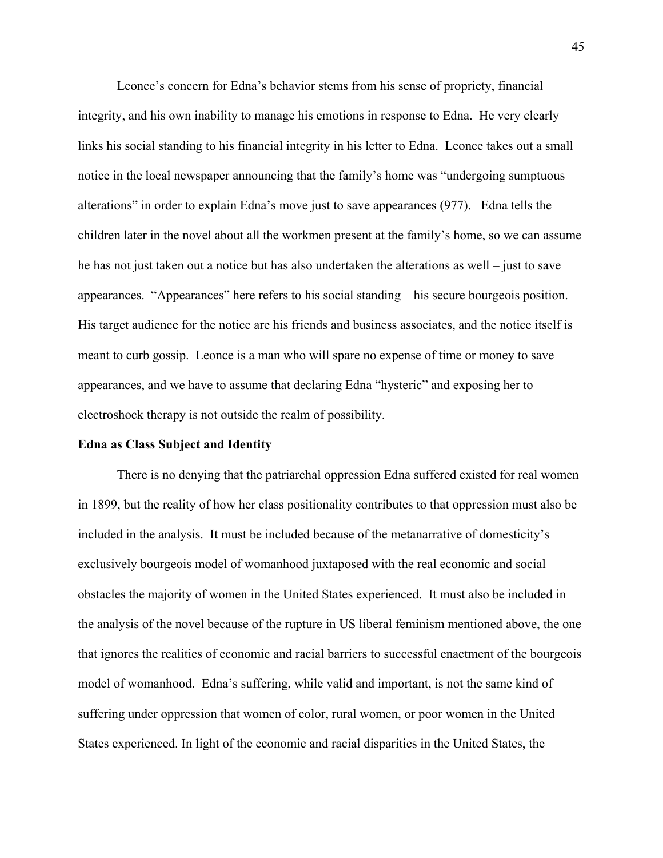Leonce's concern for Edna's behavior stems from his sense of propriety, financial integrity, and his own inability to manage his emotions in response to Edna. He very clearly links his social standing to his financial integrity in his letter to Edna. Leonce takes out a small notice in the local newspaper announcing that the family's home was "undergoing sumptuous alterations" in order to explain Edna's move just to save appearances (977). Edna tells the children later in the novel about all the workmen present at the family's home, so we can assume he has not just taken out a notice but has also undertaken the alterations as well – just to save appearances. "Appearances" here refers to his social standing – his secure bourgeois position. His target audience for the notice are his friends and business associates, and the notice itself is meant to curb gossip. Leonce is a man who will spare no expense of time or money to save appearances, and we have to assume that declaring Edna "hysteric" and exposing her to electroshock therapy is not outside the realm of possibility.

## **Edna as Class Subject and Identity**

There is no denying that the patriarchal oppression Edna suffered existed for real women in 1899, but the reality of how her class positionality contributes to that oppression must also be included in the analysis. It must be included because of the metanarrative of domesticity's exclusively bourgeois model of womanhood juxtaposed with the real economic and social obstacles the majority of women in the United States experienced. It must also be included in the analysis of the novel because of the rupture in US liberal feminism mentioned above, the one that ignores the realities of economic and racial barriers to successful enactment of the bourgeois model of womanhood. Edna's suffering, while valid and important, is not the same kind of suffering under oppression that women of color, rural women, or poor women in the United States experienced. In light of the economic and racial disparities in the United States, the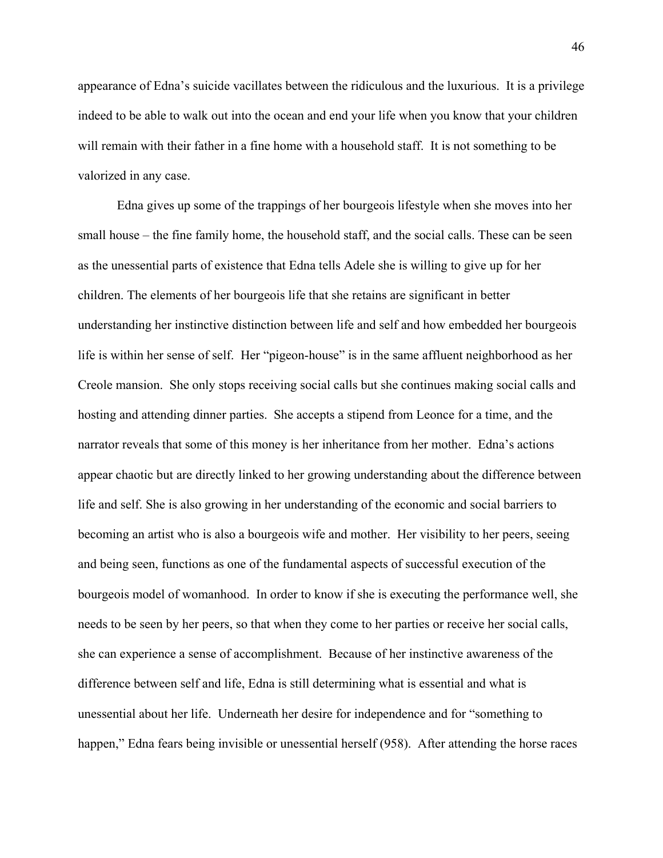appearance of Edna's suicide vacillates between the ridiculous and the luxurious. It is a privilege indeed to be able to walk out into the ocean and end your life when you know that your children will remain with their father in a fine home with a household staff. It is not something to be valorized in any case.

 Edna gives up some of the trappings of her bourgeois lifestyle when she moves into her small house – the fine family home, the household staff, and the social calls. These can be seen as the unessential parts of existence that Edna tells Adele she is willing to give up for her children. The elements of her bourgeois life that she retains are significant in better understanding her instinctive distinction between life and self and how embedded her bourgeois life is within her sense of self. Her "pigeon-house" is in the same affluent neighborhood as her Creole mansion. She only stops receiving social calls but she continues making social calls and hosting and attending dinner parties. She accepts a stipend from Leonce for a time, and the narrator reveals that some of this money is her inheritance from her mother. Edna's actions appear chaotic but are directly linked to her growing understanding about the difference between life and self. She is also growing in her understanding of the economic and social barriers to becoming an artist who is also a bourgeois wife and mother. Her visibility to her peers, seeing and being seen, functions as one of the fundamental aspects of successful execution of the bourgeois model of womanhood. In order to know if she is executing the performance well, she needs to be seen by her peers, so that when they come to her parties or receive her social calls, she can experience a sense of accomplishment. Because of her instinctive awareness of the difference between self and life, Edna is still determining what is essential and what is unessential about her life. Underneath her desire for independence and for "something to happen," Edna fears being invisible or unessential herself (958). After attending the horse races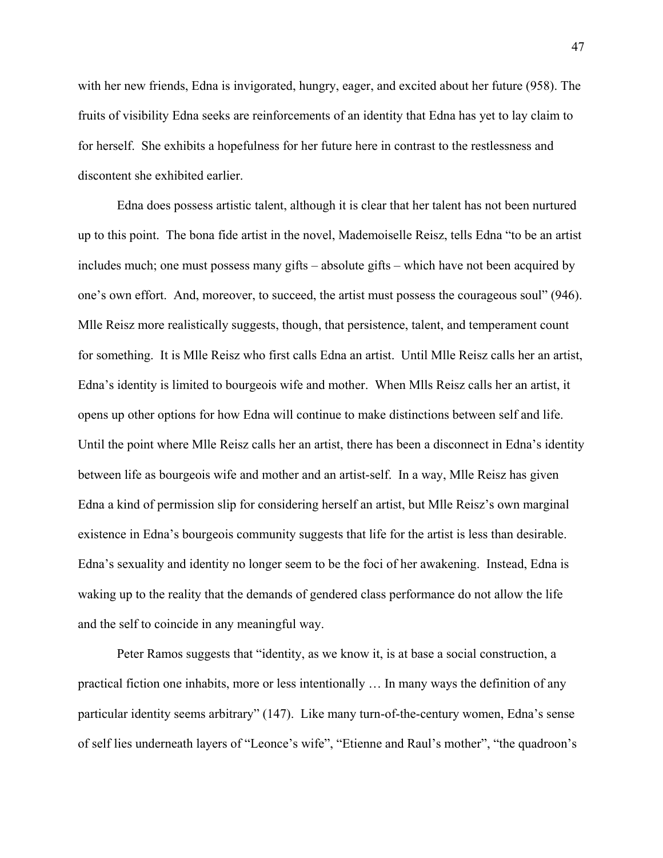with her new friends, Edna is invigorated, hungry, eager, and excited about her future (958). The fruits of visibility Edna seeks are reinforcements of an identity that Edna has yet to lay claim to for herself. She exhibits a hopefulness for her future here in contrast to the restlessness and discontent she exhibited earlier.

Edna does possess artistic talent, although it is clear that her talent has not been nurtured up to this point. The bona fide artist in the novel, Mademoiselle Reisz, tells Edna "to be an artist includes much; one must possess many gifts – absolute gifts – which have not been acquired by one's own effort. And, moreover, to succeed, the artist must possess the courageous soul" (946). Mlle Reisz more realistically suggests, though, that persistence, talent, and temperament count for something. It is Mlle Reisz who first calls Edna an artist. Until Mlle Reisz calls her an artist, Edna's identity is limited to bourgeois wife and mother. When Mlls Reisz calls her an artist, it opens up other options for how Edna will continue to make distinctions between self and life. Until the point where Mlle Reisz calls her an artist, there has been a disconnect in Edna's identity between life as bourgeois wife and mother and an artist-self. In a way, Mlle Reisz has given Edna a kind of permission slip for considering herself an artist, but Mlle Reisz's own marginal existence in Edna's bourgeois community suggests that life for the artist is less than desirable. Edna's sexuality and identity no longer seem to be the foci of her awakening. Instead, Edna is waking up to the reality that the demands of gendered class performance do not allow the life and the self to coincide in any meaningful way.

Peter Ramos suggests that "identity, as we know it, is at base a social construction, a practical fiction one inhabits, more or less intentionally … In many ways the definition of any particular identity seems arbitrary" (147). Like many turn-of-the-century women, Edna's sense of self lies underneath layers of "Leonce's wife", "Etienne and Raul's mother", "the quadroon's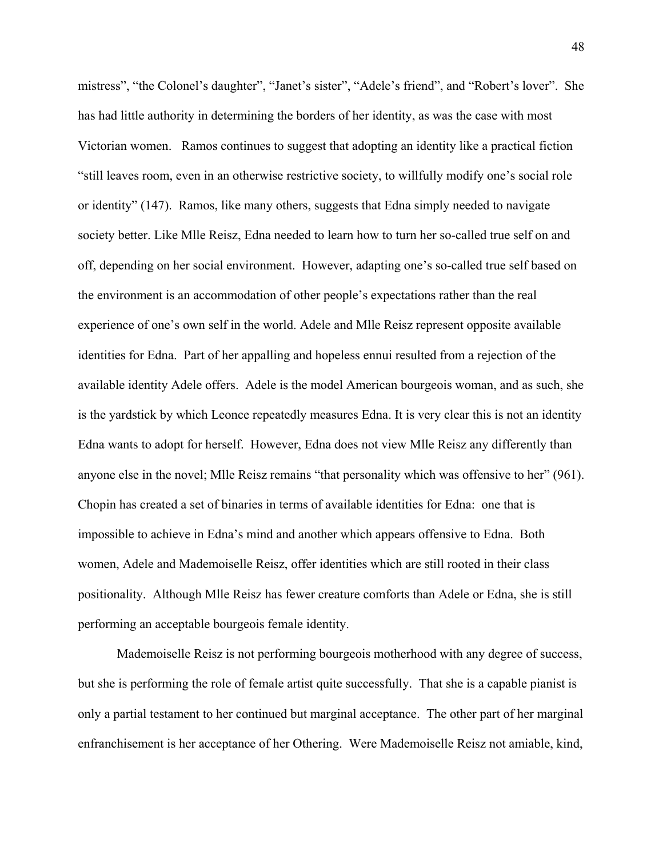mistress", "the Colonel's daughter", "Janet's sister", "Adele's friend", and "Robert's lover". She has had little authority in determining the borders of her identity, as was the case with most Victorian women. Ramos continues to suggest that adopting an identity like a practical fiction "still leaves room, even in an otherwise restrictive society, to willfully modify one's social role or identity" (147). Ramos, like many others, suggests that Edna simply needed to navigate society better. Like Mlle Reisz, Edna needed to learn how to turn her so-called true self on and off, depending on her social environment. However, adapting one's so-called true self based on the environment is an accommodation of other people's expectations rather than the real experience of one's own self in the world. Adele and Mlle Reisz represent opposite available identities for Edna. Part of her appalling and hopeless ennui resulted from a rejection of the available identity Adele offers. Adele is the model American bourgeois woman, and as such, she is the yardstick by which Leonce repeatedly measures Edna. It is very clear this is not an identity Edna wants to adopt for herself. However, Edna does not view Mlle Reisz any differently than anyone else in the novel; Mlle Reisz remains "that personality which was offensive to her" (961). Chopin has created a set of binaries in terms of available identities for Edna: one that is impossible to achieve in Edna's mind and another which appears offensive to Edna. Both women, Adele and Mademoiselle Reisz, offer identities which are still rooted in their class positionality. Although Mlle Reisz has fewer creature comforts than Adele or Edna, she is still performing an acceptable bourgeois female identity.

Mademoiselle Reisz is not performing bourgeois motherhood with any degree of success, but she is performing the role of female artist quite successfully. That she is a capable pianist is only a partial testament to her continued but marginal acceptance. The other part of her marginal enfranchisement is her acceptance of her Othering. Were Mademoiselle Reisz not amiable, kind,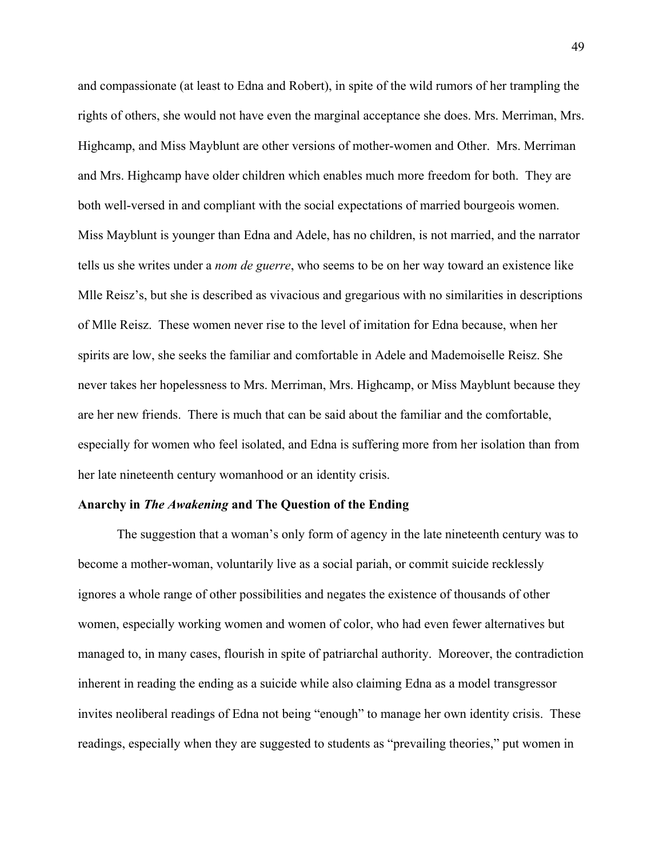and compassionate (at least to Edna and Robert), in spite of the wild rumors of her trampling the rights of others, she would not have even the marginal acceptance she does. Mrs. Merriman, Mrs. Highcamp, and Miss Mayblunt are other versions of mother-women and Other. Mrs. Merriman and Mrs. Highcamp have older children which enables much more freedom for both. They are both well-versed in and compliant with the social expectations of married bourgeois women. Miss Mayblunt is younger than Edna and Adele, has no children, is not married, and the narrator tells us she writes under a *nom de guerre*, who seems to be on her way toward an existence like Mlle Reisz's, but she is described as vivacious and gregarious with no similarities in descriptions of Mlle Reisz. These women never rise to the level of imitation for Edna because, when her spirits are low, she seeks the familiar and comfortable in Adele and Mademoiselle Reisz. She never takes her hopelessness to Mrs. Merriman, Mrs. Highcamp, or Miss Mayblunt because they are her new friends. There is much that can be said about the familiar and the comfortable, especially for women who feel isolated, and Edna is suffering more from her isolation than from her late nineteenth century womanhood or an identity crisis.

#### **Anarchy in** *The Awakening* **and The Question of the Ending**

 The suggestion that a woman's only form of agency in the late nineteenth century was to become a mother-woman, voluntarily live as a social pariah, or commit suicide recklessly ignores a whole range of other possibilities and negates the existence of thousands of other women, especially working women and women of color, who had even fewer alternatives but managed to, in many cases, flourish in spite of patriarchal authority. Moreover, the contradiction inherent in reading the ending as a suicide while also claiming Edna as a model transgressor invites neoliberal readings of Edna not being "enough" to manage her own identity crisis. These readings, especially when they are suggested to students as "prevailing theories," put women in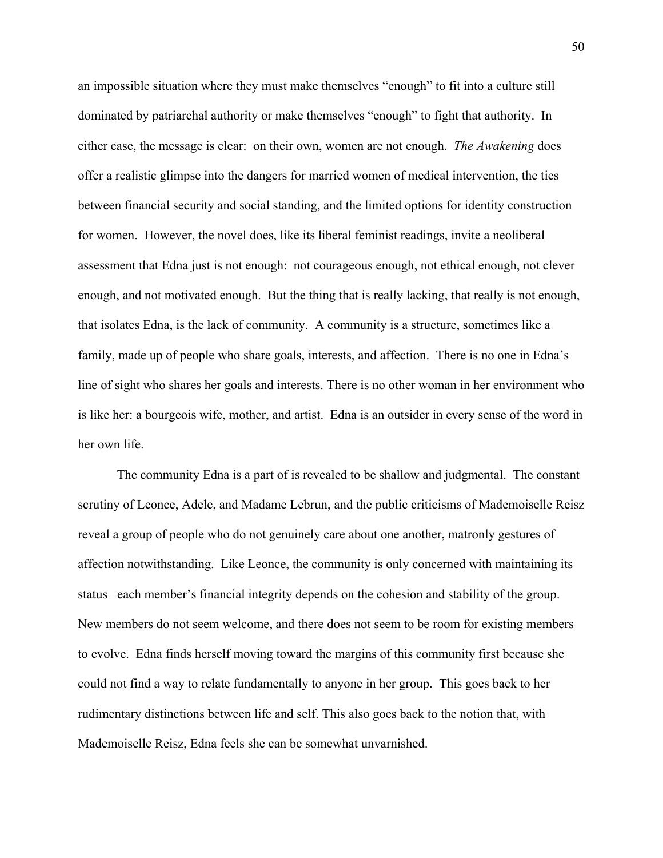an impossible situation where they must make themselves "enough" to fit into a culture still dominated by patriarchal authority or make themselves "enough" to fight that authority. In either case, the message is clear: on their own, women are not enough. *The Awakening* does offer a realistic glimpse into the dangers for married women of medical intervention, the ties between financial security and social standing, and the limited options for identity construction for women. However, the novel does, like its liberal feminist readings, invite a neoliberal assessment that Edna just is not enough: not courageous enough, not ethical enough, not clever enough, and not motivated enough. But the thing that is really lacking, that really is not enough, that isolates Edna, is the lack of community. A community is a structure, sometimes like a family, made up of people who share goals, interests, and affection. There is no one in Edna's line of sight who shares her goals and interests. There is no other woman in her environment who is like her: a bourgeois wife, mother, and artist. Edna is an outsider in every sense of the word in her own life.

 The community Edna is a part of is revealed to be shallow and judgmental. The constant scrutiny of Leonce, Adele, and Madame Lebrun, and the public criticisms of Mademoiselle Reisz reveal a group of people who do not genuinely care about one another, matronly gestures of affection notwithstanding. Like Leonce, the community is only concerned with maintaining its status– each member's financial integrity depends on the cohesion and stability of the group. New members do not seem welcome, and there does not seem to be room for existing members to evolve. Edna finds herself moving toward the margins of this community first because she could not find a way to relate fundamentally to anyone in her group. This goes back to her rudimentary distinctions between life and self. This also goes back to the notion that, with Mademoiselle Reisz, Edna feels she can be somewhat unvarnished.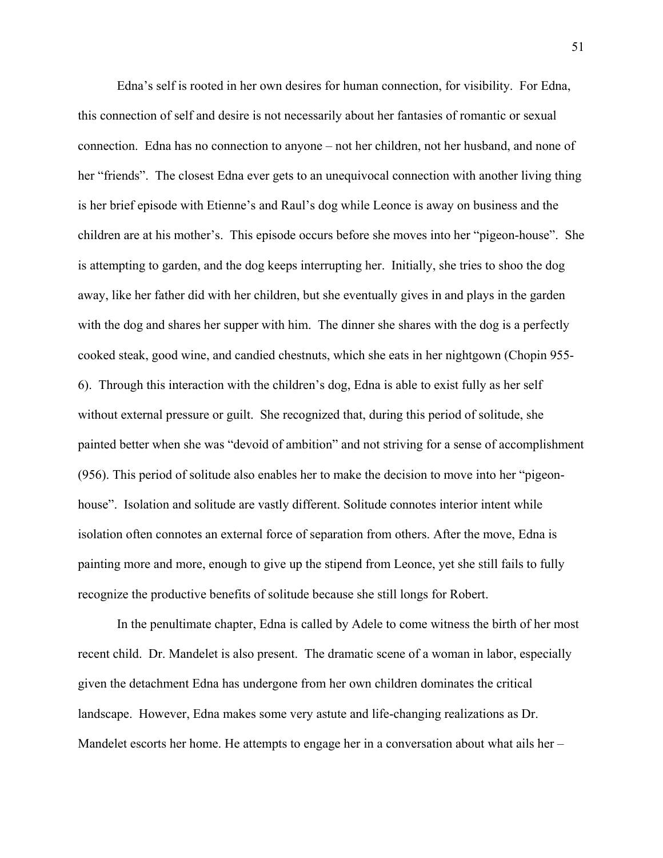Edna's self is rooted in her own desires for human connection, for visibility. For Edna, this connection of self and desire is not necessarily about her fantasies of romantic or sexual connection. Edna has no connection to anyone – not her children, not her husband, and none of her "friends". The closest Edna ever gets to an unequivocal connection with another living thing is her brief episode with Etienne's and Raul's dog while Leonce is away on business and the children are at his mother's. This episode occurs before she moves into her "pigeon-house". She is attempting to garden, and the dog keeps interrupting her. Initially, she tries to shoo the dog away, like her father did with her children, but she eventually gives in and plays in the garden with the dog and shares her supper with him. The dinner she shares with the dog is a perfectly cooked steak, good wine, and candied chestnuts, which she eats in her nightgown (Chopin 955- 6). Through this interaction with the children's dog, Edna is able to exist fully as her self without external pressure or guilt. She recognized that, during this period of solitude, she painted better when she was "devoid of ambition" and not striving for a sense of accomplishment (956). This period of solitude also enables her to make the decision to move into her "pigeonhouse". Isolation and solitude are vastly different. Solitude connotes interior intent while isolation often connotes an external force of separation from others. After the move, Edna is painting more and more, enough to give up the stipend from Leonce, yet she still fails to fully recognize the productive benefits of solitude because she still longs for Robert.

 In the penultimate chapter, Edna is called by Adele to come witness the birth of her most recent child. Dr. Mandelet is also present. The dramatic scene of a woman in labor, especially given the detachment Edna has undergone from her own children dominates the critical landscape. However, Edna makes some very astute and life-changing realizations as Dr. Mandelet escorts her home. He attempts to engage her in a conversation about what ails her –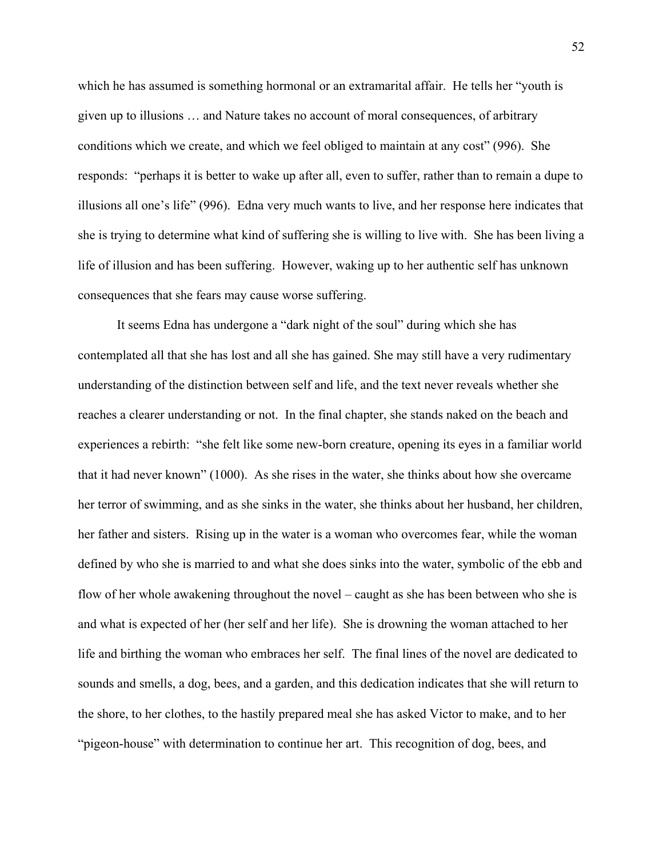which he has assumed is something hormonal or an extramarital affair. He tells her "youth is given up to illusions … and Nature takes no account of moral consequences, of arbitrary conditions which we create, and which we feel obliged to maintain at any cost" (996). She responds: "perhaps it is better to wake up after all, even to suffer, rather than to remain a dupe to illusions all one's life" (996). Edna very much wants to live, and her response here indicates that she is trying to determine what kind of suffering she is willing to live with. She has been living a life of illusion and has been suffering. However, waking up to her authentic self has unknown consequences that she fears may cause worse suffering.

 It seems Edna has undergone a "dark night of the soul" during which she has contemplated all that she has lost and all she has gained. She may still have a very rudimentary understanding of the distinction between self and life, and the text never reveals whether she reaches a clearer understanding or not. In the final chapter, she stands naked on the beach and experiences a rebirth: "she felt like some new-born creature, opening its eyes in a familiar world that it had never known" (1000). As she rises in the water, she thinks about how she overcame her terror of swimming, and as she sinks in the water, she thinks about her husband, her children, her father and sisters. Rising up in the water is a woman who overcomes fear, while the woman defined by who she is married to and what she does sinks into the water, symbolic of the ebb and flow of her whole awakening throughout the novel – caught as she has been between who she is and what is expected of her (her self and her life). She is drowning the woman attached to her life and birthing the woman who embraces her self. The final lines of the novel are dedicated to sounds and smells, a dog, bees, and a garden, and this dedication indicates that she will return to the shore, to her clothes, to the hastily prepared meal she has asked Victor to make, and to her "pigeon-house" with determination to continue her art. This recognition of dog, bees, and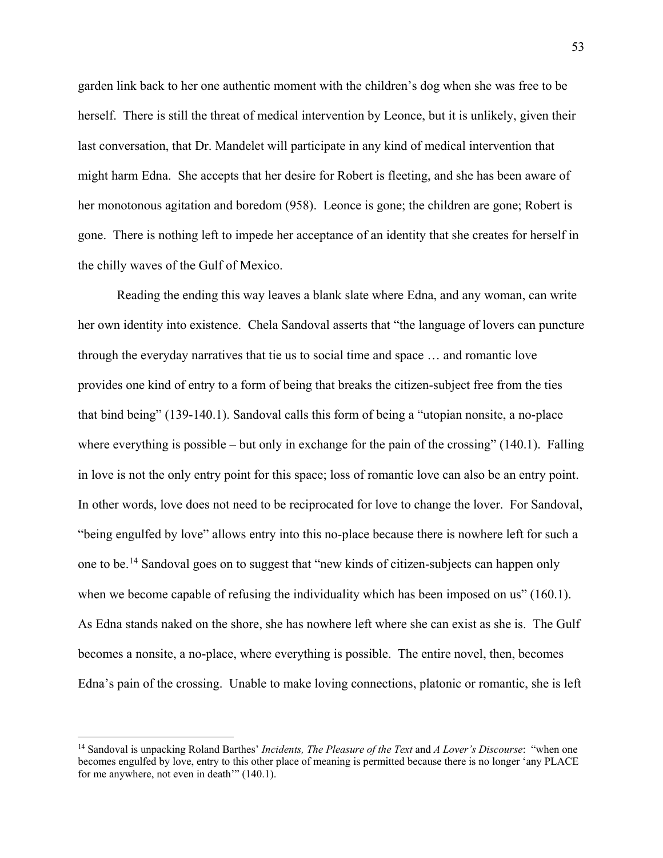garden link back to her one authentic moment with the children's dog when she was free to be herself. There is still the threat of medical intervention by Leonce, but it is unlikely, given their last conversation, that Dr. Mandelet will participate in any kind of medical intervention that might harm Edna. She accepts that her desire for Robert is fleeting, and she has been aware of her monotonous agitation and boredom (958). Leonce is gone; the children are gone; Robert is gone. There is nothing left to impede her acceptance of an identity that she creates for herself in the chilly waves of the Gulf of Mexico.

Reading the ending this way leaves a blank slate where Edna, and any woman, can write her own identity into existence. Chela Sandoval asserts that "the language of lovers can puncture through the everyday narratives that tie us to social time and space … and romantic love provides one kind of entry to a form of being that breaks the citizen-subject free from the ties that bind being" (139-140.1). Sandoval calls this form of being a "utopian nonsite, a no-place where everything is possible – but only in exchange for the pain of the crossing" (140.1). Falling in love is not the only entry point for this space; loss of romantic love can also be an entry point. In other words, love does not need to be reciprocated for love to change the lover. For Sandoval, "being engulfed by love" allows entry into this no-place because there is nowhere left for such a one to be.[14](#page-58-0) Sandoval goes on to suggest that "new kinds of citizen-subjects can happen only when we become capable of refusing the individuality which has been imposed on us" (160.1). As Edna stands naked on the shore, she has nowhere left where she can exist as she is. The Gulf becomes a nonsite, a no-place, where everything is possible. The entire novel, then, becomes Edna's pain of the crossing. Unable to make loving connections, platonic or romantic, she is left

 $\overline{a}$ 

<span id="page-58-0"></span><sup>14</sup> Sandoval is unpacking Roland Barthes' *Incidents, The Pleasure of the Text* and *A Lover's Discourse*: "when one becomes engulfed by love, entry to this other place of meaning is permitted because there is no longer 'any PLACE for me anywhere, not even in death'" (140.1).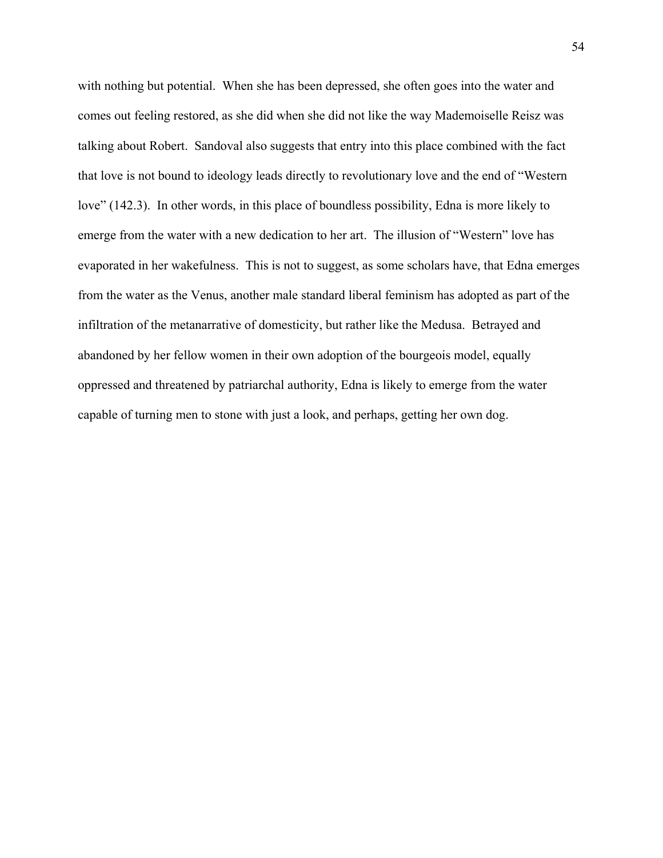with nothing but potential. When she has been depressed, she often goes into the water and comes out feeling restored, as she did when she did not like the way Mademoiselle Reisz was talking about Robert. Sandoval also suggests that entry into this place combined with the fact that love is not bound to ideology leads directly to revolutionary love and the end of "Western love" (142.3). In other words, in this place of boundless possibility, Edna is more likely to emerge from the water with a new dedication to her art. The illusion of "Western" love has evaporated in her wakefulness. This is not to suggest, as some scholars have, that Edna emerges from the water as the Venus, another male standard liberal feminism has adopted as part of the infiltration of the metanarrative of domesticity, but rather like the Medusa. Betrayed and abandoned by her fellow women in their own adoption of the bourgeois model, equally oppressed and threatened by patriarchal authority, Edna is likely to emerge from the water capable of turning men to stone with just a look, and perhaps, getting her own dog.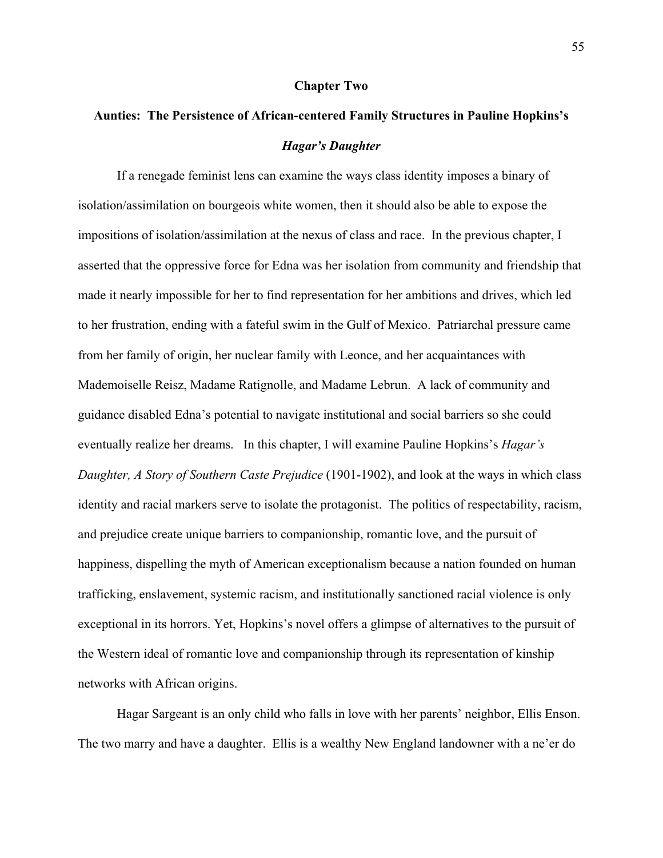#### **Chapter Two**

# **Aunties: The Persistence of African-centered Family Structures in Pauline Hopkins's**  *Hagar's Daughter*

If a renegade feminist lens can examine the ways class identity imposes a binary of isolation/assimilation on bourgeois white women, then it should also be able to expose the impositions of isolation/assimilation at the nexus of class and race. In the previous chapter, I asserted that the oppressive force for Edna was her isolation from community and friendship that made it nearly impossible for her to find representation for her ambitions and drives, which led to her frustration, ending with a fateful swim in the Gulf of Mexico. Patriarchal pressure came from her family of origin, her nuclear family with Leonce, and her acquaintances with Mademoiselle Reisz, Madame Ratignolle, and Madame Lebrun. A lack of community and guidance disabled Edna's potential to navigate institutional and social barriers so she could eventually realize her dreams. In this chapter, I will examine Pauline Hopkins's *Hagar's Daughter, A Story of Southern Caste Prejudice* (1901-1902), and look at the ways in which class identity and racial markers serve to isolate the protagonist. The politics of respectability, racism, and prejudice create unique barriers to companionship, romantic love, and the pursuit of happiness, dispelling the myth of American exceptionalism because a nation founded on human trafficking, enslavement, systemic racism, and institutionally sanctioned racial violence is only exceptional in its horrors. Yet, Hopkins's novel offers a glimpse of alternatives to the pursuit of the Western ideal of romantic love and companionship through its representation of kinship networks with African origins.

Hagar Sargeant is an only child who falls in love with her parents' neighbor, Ellis Enson. The two marry and have a daughter. Ellis is a wealthy New England landowner with a ne'er do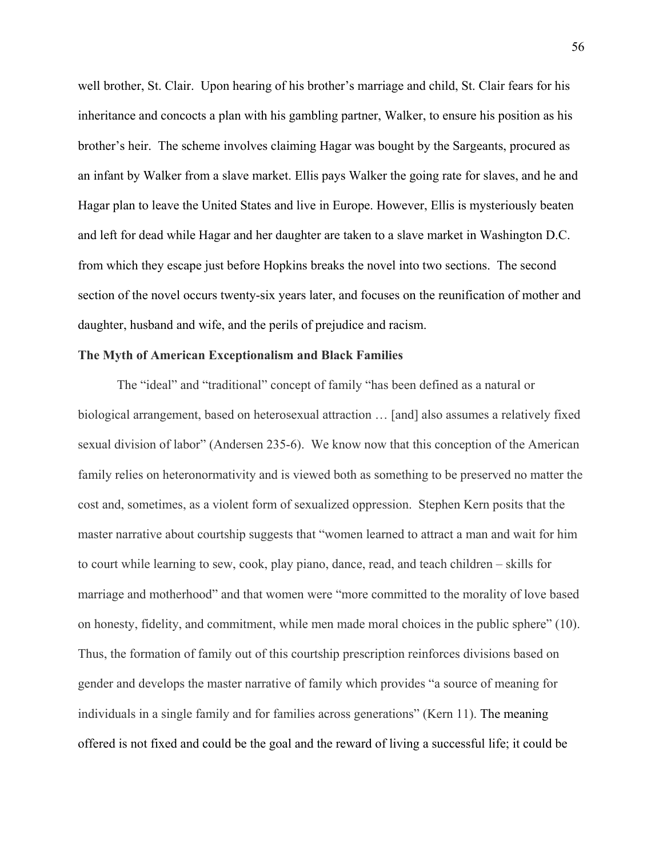well brother, St. Clair. Upon hearing of his brother's marriage and child, St. Clair fears for his inheritance and concocts a plan with his gambling partner, Walker, to ensure his position as his brother's heir. The scheme involves claiming Hagar was bought by the Sargeants, procured as an infant by Walker from a slave market. Ellis pays Walker the going rate for slaves, and he and Hagar plan to leave the United States and live in Europe. However, Ellis is mysteriously beaten and left for dead while Hagar and her daughter are taken to a slave market in Washington D.C. from which they escape just before Hopkins breaks the novel into two sections. The second section of the novel occurs twenty-six years later, and focuses on the reunification of mother and daughter, husband and wife, and the perils of prejudice and racism.

### **The Myth of American Exceptionalism and Black Families**

The "ideal" and "traditional" concept of family "has been defined as a natural or biological arrangement, based on heterosexual attraction … [and] also assumes a relatively fixed sexual division of labor" (Andersen 235-6). We know now that this conception of the American family relies on heteronormativity and is viewed both as something to be preserved no matter the cost and, sometimes, as a violent form of sexualized oppression. Stephen Kern posits that the master narrative about courtship suggests that "women learned to attract a man and wait for him to court while learning to sew, cook, play piano, dance, read, and teach children – skills for marriage and motherhood" and that women were "more committed to the morality of love based on honesty, fidelity, and commitment, while men made moral choices in the public sphere" (10). Thus, the formation of family out of this courtship prescription reinforces divisions based on gender and develops the master narrative of family which provides "a source of meaning for individuals in a single family and for families across generations" (Kern 11). The meaning offered is not fixed and could be the goal and the reward of living a successful life; it could be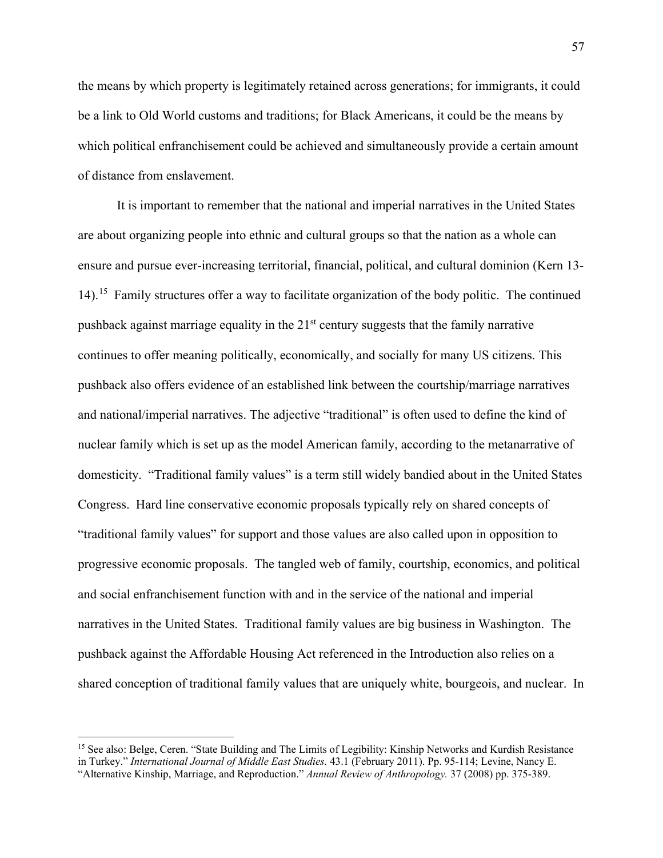the means by which property is legitimately retained across generations; for immigrants, it could be a link to Old World customs and traditions; for Black Americans, it could be the means by which political enfranchisement could be achieved and simultaneously provide a certain amount of distance from enslavement.

It is important to remember that the national and imperial narratives in the United States are about organizing people into ethnic and cultural groups so that the nation as a whole can ensure and pursue ever-increasing territorial, financial, political, and cultural dominion (Kern 13- 14).<sup>15</sup> Family structures offer a way to facilitate organization of the body politic. The continued pushback against marriage equality in the  $21<sup>st</sup>$  century suggests that the family narrative continues to offer meaning politically, economically, and socially for many US citizens. This pushback also offers evidence of an established link between the courtship/marriage narratives and national/imperial narratives. The adjective "traditional" is often used to define the kind of nuclear family which is set up as the model American family, according to the metanarrative of domesticity. "Traditional family values" is a term still widely bandied about in the United States Congress. Hard line conservative economic proposals typically rely on shared concepts of "traditional family values" for support and those values are also called upon in opposition to progressive economic proposals. The tangled web of family, courtship, economics, and political and social enfranchisement function with and in the service of the national and imperial narratives in the United States. Traditional family values are big business in Washington. The pushback against the Affordable Housing Act referenced in the Introduction also relies on a shared conception of traditional family values that are uniquely white, bourgeois, and nuclear. In

 $\overline{a}$ 

<span id="page-62-0"></span><sup>&</sup>lt;sup>15</sup> See also: Belge, Ceren. "State Building and The Limits of Legibility: Kinship Networks and Kurdish Resistance in Turkey." *International Journal of Middle East Studies.* 43.1 (February 2011). Pp. 95-114; Levine, Nancy E. "Alternative Kinship, Marriage, and Reproduction." *Annual Review of Anthropology.* 37 (2008) pp. 375-389.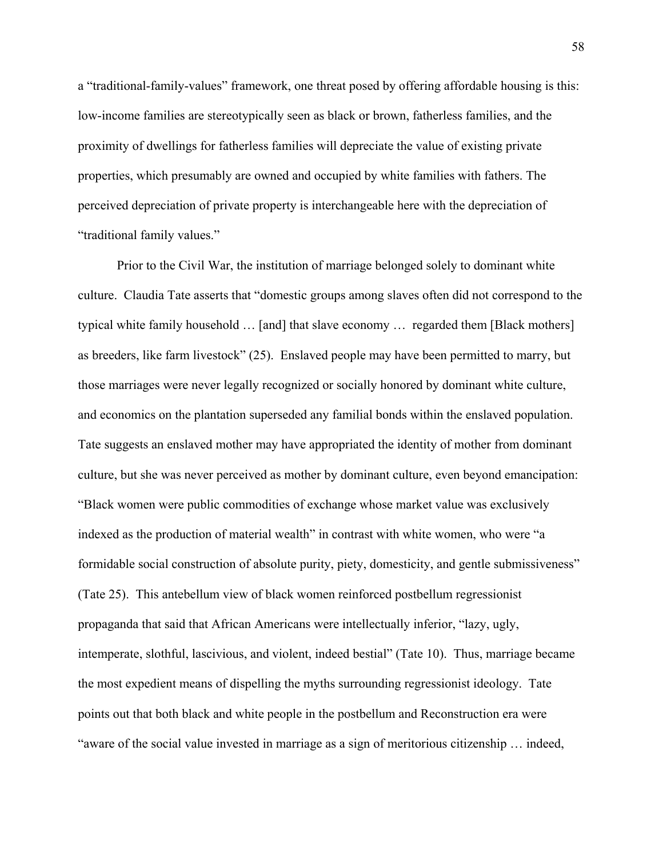a "traditional-family-values" framework, one threat posed by offering affordable housing is this: low-income families are stereotypically seen as black or brown, fatherless families, and the proximity of dwellings for fatherless families will depreciate the value of existing private properties, which presumably are owned and occupied by white families with fathers. The perceived depreciation of private property is interchangeable here with the depreciation of "traditional family values."

Prior to the Civil War, the institution of marriage belonged solely to dominant white culture. Claudia Tate asserts that "domestic groups among slaves often did not correspond to the typical white family household … [and] that slave economy … regarded them [Black mothers] as breeders, like farm livestock" (25). Enslaved people may have been permitted to marry, but those marriages were never legally recognized or socially honored by dominant white culture, and economics on the plantation superseded any familial bonds within the enslaved population. Tate suggests an enslaved mother may have appropriated the identity of mother from dominant culture, but she was never perceived as mother by dominant culture, even beyond emancipation: "Black women were public commodities of exchange whose market value was exclusively indexed as the production of material wealth" in contrast with white women, who were "a formidable social construction of absolute purity, piety, domesticity, and gentle submissiveness" (Tate 25). This antebellum view of black women reinforced postbellum regressionist propaganda that said that African Americans were intellectually inferior, "lazy, ugly, intemperate, slothful, lascivious, and violent, indeed bestial" (Tate 10). Thus, marriage became the most expedient means of dispelling the myths surrounding regressionist ideology. Tate points out that both black and white people in the postbellum and Reconstruction era were "aware of the social value invested in marriage as a sign of meritorious citizenship … indeed,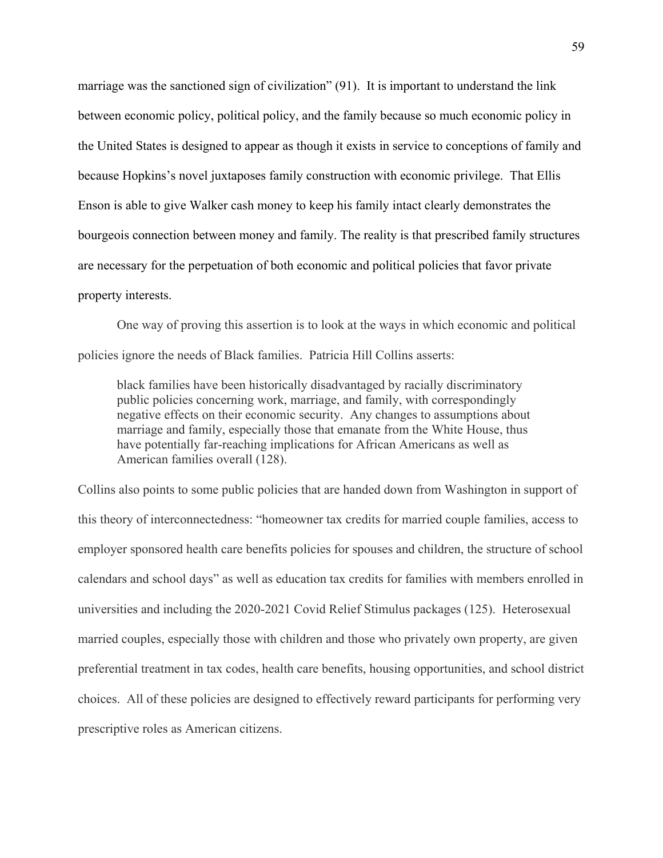marriage was the sanctioned sign of civilization" (91). It is important to understand the link between economic policy, political policy, and the family because so much economic policy in the United States is designed to appear as though it exists in service to conceptions of family and because Hopkins's novel juxtaposes family construction with economic privilege. That Ellis Enson is able to give Walker cash money to keep his family intact clearly demonstrates the bourgeois connection between money and family. The reality is that prescribed family structures are necessary for the perpetuation of both economic and political policies that favor private property interests.

One way of proving this assertion is to look at the ways in which economic and political policies ignore the needs of Black families. Patricia Hill Collins asserts:

black families have been historically disadvantaged by racially discriminatory public policies concerning work, marriage, and family, with correspondingly negative effects on their economic security. Any changes to assumptions about marriage and family, especially those that emanate from the White House, thus have potentially far-reaching implications for African Americans as well as American families overall (128).

Collins also points to some public policies that are handed down from Washington in support of this theory of interconnectedness: "homeowner tax credits for married couple families, access to employer sponsored health care benefits policies for spouses and children, the structure of school calendars and school days" as well as education tax credits for families with members enrolled in universities and including the 2020-2021 Covid Relief Stimulus packages (125). Heterosexual married couples, especially those with children and those who privately own property, are given preferential treatment in tax codes, health care benefits, housing opportunities, and school district choices. All of these policies are designed to effectively reward participants for performing very prescriptive roles as American citizens.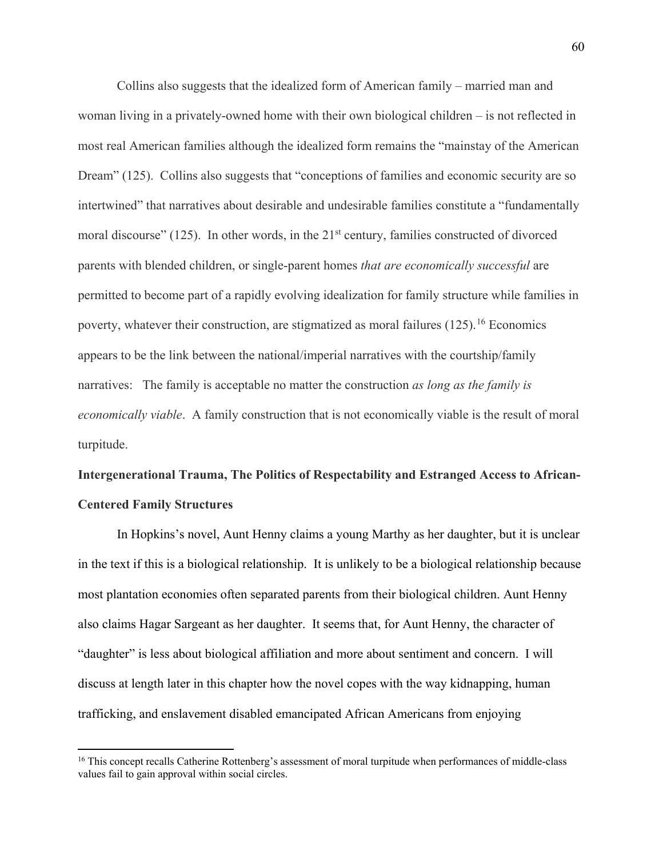Collins also suggests that the idealized form of American family – married man and woman living in a privately-owned home with their own biological children – is not reflected in most real American families although the idealized form remains the "mainstay of the American Dream" (125). Collins also suggests that "conceptions of families and economic security are so intertwined" that narratives about desirable and undesirable families constitute a "fundamentally moral discourse" (125). In other words, in the  $21<sup>st</sup>$  century, families constructed of divorced parents with blended children, or single-parent homes *that are economically successful* are permitted to become part of a rapidly evolving idealization for family structure while families in poverty, whatever their construction, are stigmatized as moral failures  $(125)$ <sup>[16](#page-65-0)</sup> Economics appears to be the link between the national/imperial narratives with the courtship/family narratives: The family is acceptable no matter the construction *as long as the family is economically viable*. A family construction that is not economically viable is the result of moral turpitude.

# **Intergenerational Trauma, The Politics of Respectability and Estranged Access to African-Centered Family Structures**

In Hopkins's novel, Aunt Henny claims a young Marthy as her daughter, but it is unclear in the text if this is a biological relationship. It is unlikely to be a biological relationship because most plantation economies often separated parents from their biological children. Aunt Henny also claims Hagar Sargeant as her daughter. It seems that, for Aunt Henny, the character of "daughter" is less about biological affiliation and more about sentiment and concern. I will discuss at length later in this chapter how the novel copes with the way kidnapping, human trafficking, and enslavement disabled emancipated African Americans from enjoying

 $\overline{\phantom{a}}$ 

<span id="page-65-0"></span><sup>&</sup>lt;sup>16</sup> This concept recalls Catherine Rottenberg's assessment of moral turpitude when performances of middle-class values fail to gain approval within social circles.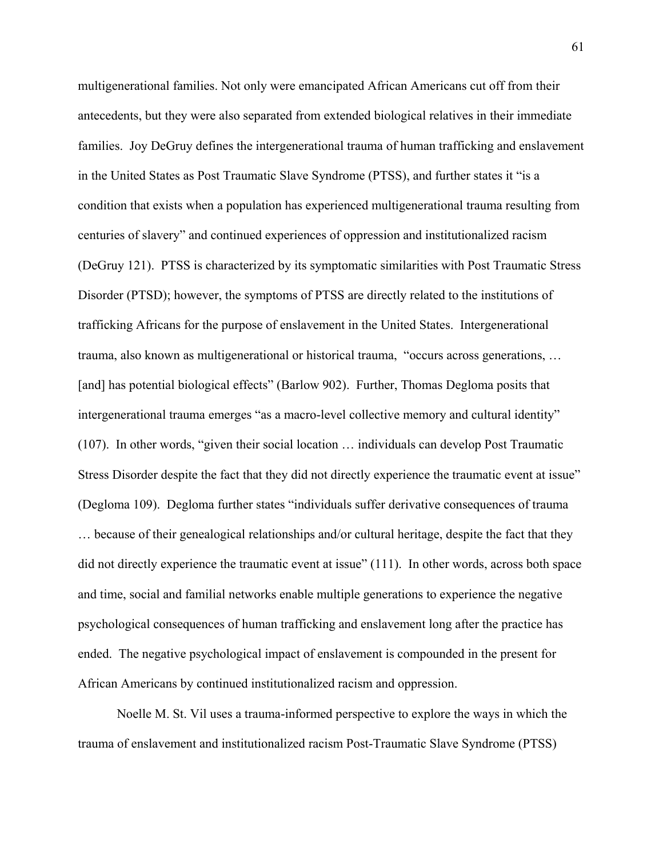multigenerational families. Not only were emancipated African Americans cut off from their antecedents, but they were also separated from extended biological relatives in their immediate families. Joy DeGruy defines the intergenerational trauma of human trafficking and enslavement in the United States as Post Traumatic Slave Syndrome (PTSS), and further states it "is a condition that exists when a population has experienced multigenerational trauma resulting from centuries of slavery" and continued experiences of oppression and institutionalized racism (DeGruy 121). PTSS is characterized by its symptomatic similarities with Post Traumatic Stress Disorder (PTSD); however, the symptoms of PTSS are directly related to the institutions of trafficking Africans for the purpose of enslavement in the United States. Intergenerational trauma, also known as multigenerational or historical trauma, "occurs across generations, … [and] has potential biological effects" (Barlow 902). Further, Thomas Degloma posits that intergenerational trauma emerges "as a macro-level collective memory and cultural identity" (107). In other words, "given their social location … individuals can develop Post Traumatic Stress Disorder despite the fact that they did not directly experience the traumatic event at issue" (Degloma 109). Degloma further states "individuals suffer derivative consequences of trauma … because of their genealogical relationships and/or cultural heritage, despite the fact that they did not directly experience the traumatic event at issue" (111). In other words, across both space and time, social and familial networks enable multiple generations to experience the negative psychological consequences of human trafficking and enslavement long after the practice has ended. The negative psychological impact of enslavement is compounded in the present for African Americans by continued institutionalized racism and oppression.

Noelle M. St. Vil uses a trauma-informed perspective to explore the ways in which the trauma of enslavement and institutionalized racism Post-Traumatic Slave Syndrome (PTSS)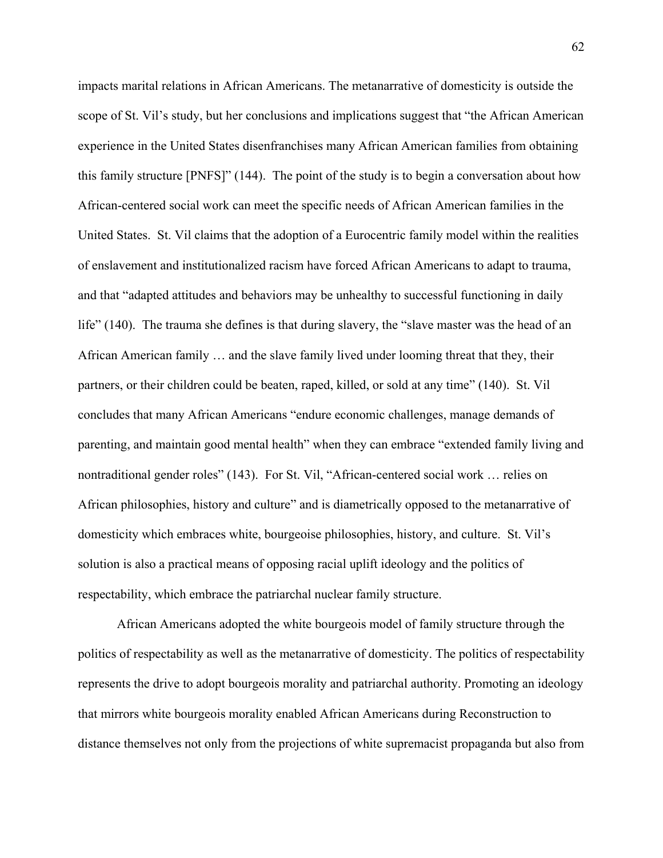impacts marital relations in African Americans. The metanarrative of domesticity is outside the scope of St. Vil's study, but her conclusions and implications suggest that "the African American experience in the United States disenfranchises many African American families from obtaining this family structure [PNFS]" (144). The point of the study is to begin a conversation about how African-centered social work can meet the specific needs of African American families in the United States. St. Vil claims that the adoption of a Eurocentric family model within the realities of enslavement and institutionalized racism have forced African Americans to adapt to trauma, and that "adapted attitudes and behaviors may be unhealthy to successful functioning in daily life" (140). The trauma she defines is that during slavery, the "slave master was the head of an African American family … and the slave family lived under looming threat that they, their partners, or their children could be beaten, raped, killed, or sold at any time" (140). St. Vil concludes that many African Americans "endure economic challenges, manage demands of parenting, and maintain good mental health" when they can embrace "extended family living and nontraditional gender roles" (143). For St. Vil, "African-centered social work … relies on African philosophies, history and culture" and is diametrically opposed to the metanarrative of domesticity which embraces white, bourgeoise philosophies, history, and culture. St. Vil's solution is also a practical means of opposing racial uplift ideology and the politics of respectability, which embrace the patriarchal nuclear family structure.

African Americans adopted the white bourgeois model of family structure through the politics of respectability as well as the metanarrative of domesticity. The politics of respectability represents the drive to adopt bourgeois morality and patriarchal authority. Promoting an ideology that mirrors white bourgeois morality enabled African Americans during Reconstruction to distance themselves not only from the projections of white supremacist propaganda but also from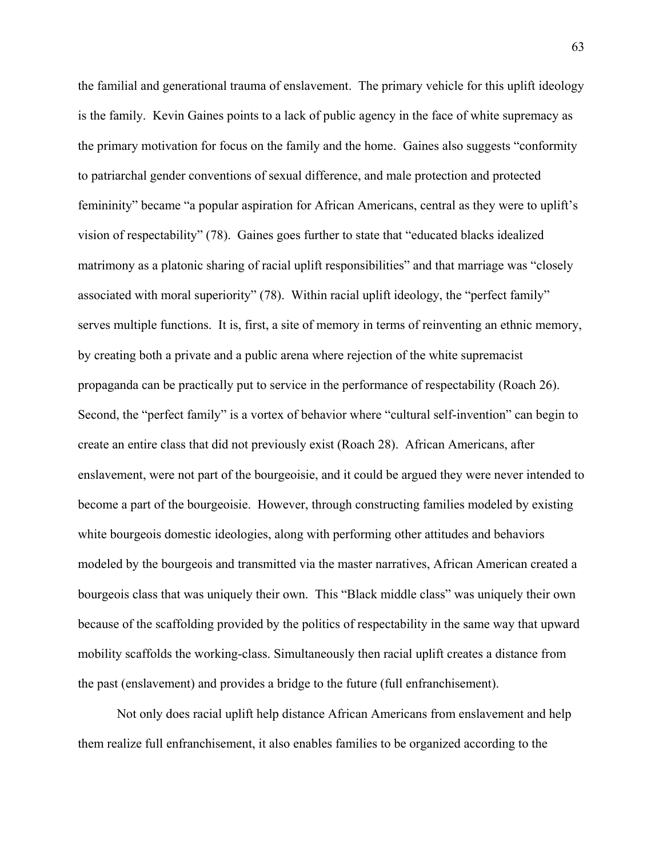the familial and generational trauma of enslavement. The primary vehicle for this uplift ideology is the family. Kevin Gaines points to a lack of public agency in the face of white supremacy as the primary motivation for focus on the family and the home. Gaines also suggests "conformity to patriarchal gender conventions of sexual difference, and male protection and protected femininity" became "a popular aspiration for African Americans, central as they were to uplift's vision of respectability" (78). Gaines goes further to state that "educated blacks idealized matrimony as a platonic sharing of racial uplift responsibilities" and that marriage was "closely associated with moral superiority" (78). Within racial uplift ideology, the "perfect family" serves multiple functions. It is, first, a site of memory in terms of reinventing an ethnic memory, by creating both a private and a public arena where rejection of the white supremacist propaganda can be practically put to service in the performance of respectability (Roach 26). Second, the "perfect family" is a vortex of behavior where "cultural self-invention" can begin to create an entire class that did not previously exist (Roach 28). African Americans, after enslavement, were not part of the bourgeoisie, and it could be argued they were never intended to become a part of the bourgeoisie. However, through constructing families modeled by existing white bourgeois domestic ideologies, along with performing other attitudes and behaviors modeled by the bourgeois and transmitted via the master narratives, African American created a bourgeois class that was uniquely their own. This "Black middle class" was uniquely their own because of the scaffolding provided by the politics of respectability in the same way that upward mobility scaffolds the working-class. Simultaneously then racial uplift creates a distance from the past (enslavement) and provides a bridge to the future (full enfranchisement).

Not only does racial uplift help distance African Americans from enslavement and help them realize full enfranchisement, it also enables families to be organized according to the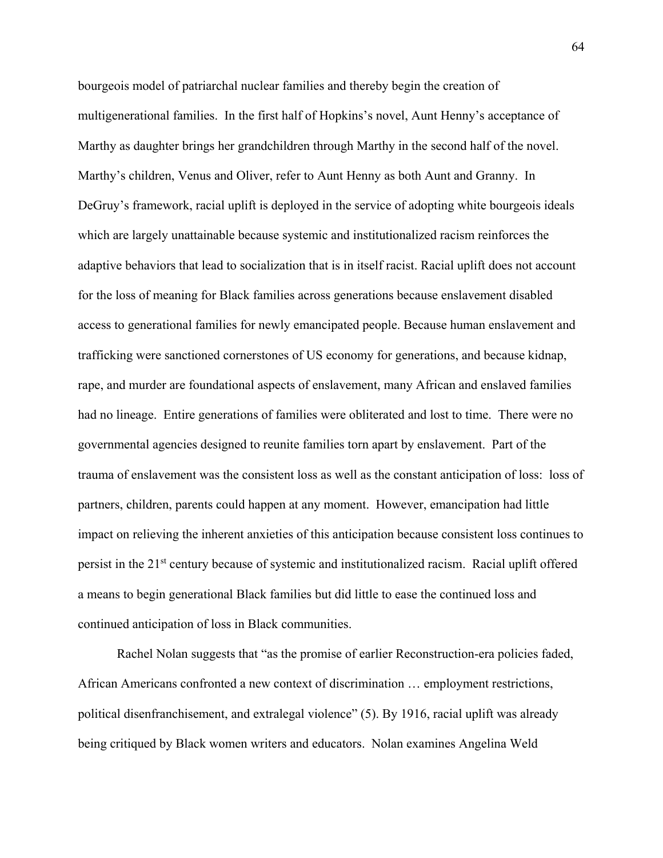bourgeois model of patriarchal nuclear families and thereby begin the creation of multigenerational families. In the first half of Hopkins's novel, Aunt Henny's acceptance of Marthy as daughter brings her grandchildren through Marthy in the second half of the novel. Marthy's children, Venus and Oliver, refer to Aunt Henny as both Aunt and Granny. In DeGruy's framework, racial uplift is deployed in the service of adopting white bourgeois ideals which are largely unattainable because systemic and institutionalized racism reinforces the adaptive behaviors that lead to socialization that is in itself racist. Racial uplift does not account for the loss of meaning for Black families across generations because enslavement disabled access to generational families for newly emancipated people. Because human enslavement and trafficking were sanctioned cornerstones of US economy for generations, and because kidnap, rape, and murder are foundational aspects of enslavement, many African and enslaved families had no lineage. Entire generations of families were obliterated and lost to time. There were no governmental agencies designed to reunite families torn apart by enslavement. Part of the trauma of enslavement was the consistent loss as well as the constant anticipation of loss: loss of partners, children, parents could happen at any moment. However, emancipation had little impact on relieving the inherent anxieties of this anticipation because consistent loss continues to persist in the 21st century because of systemic and institutionalized racism. Racial uplift offered a means to begin generational Black families but did little to ease the continued loss and continued anticipation of loss in Black communities.

Rachel Nolan suggests that "as the promise of earlier Reconstruction-era policies faded, African Americans confronted a new context of discrimination … employment restrictions, political disenfranchisement, and extralegal violence" (5). By 1916, racial uplift was already being critiqued by Black women writers and educators. Nolan examines Angelina Weld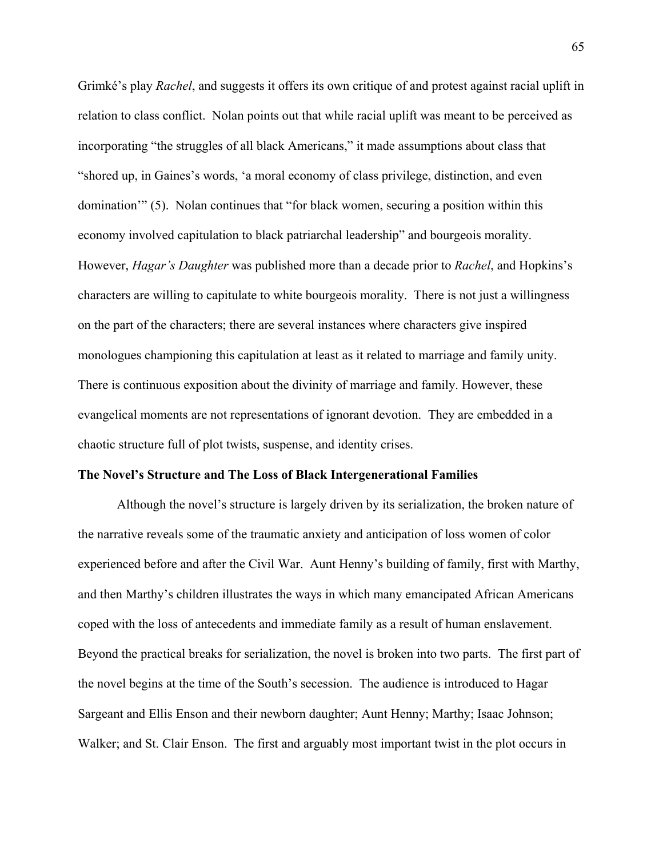Grimké's play *Rachel*, and suggests it offers its own critique of and protest against racial uplift in relation to class conflict. Nolan points out that while racial uplift was meant to be perceived as incorporating "the struggles of all black Americans," it made assumptions about class that "shored up, in Gaines's words, 'a moral economy of class privilege, distinction, and even domination'" (5). Nolan continues that "for black women, securing a position within this economy involved capitulation to black patriarchal leadership" and bourgeois morality. However, *Hagar's Daughter* was published more than a decade prior to *Rachel*, and Hopkins's characters are willing to capitulate to white bourgeois morality. There is not just a willingness on the part of the characters; there are several instances where characters give inspired monologues championing this capitulation at least as it related to marriage and family unity. There is continuous exposition about the divinity of marriage and family. However, these evangelical moments are not representations of ignorant devotion. They are embedded in a chaotic structure full of plot twists, suspense, and identity crises.

#### **The Novel's Structure and The Loss of Black Intergenerational Families**

Although the novel's structure is largely driven by its serialization, the broken nature of the narrative reveals some of the traumatic anxiety and anticipation of loss women of color experienced before and after the Civil War. Aunt Henny's building of family, first with Marthy, and then Marthy's children illustrates the ways in which many emancipated African Americans coped with the loss of antecedents and immediate family as a result of human enslavement. Beyond the practical breaks for serialization, the novel is broken into two parts. The first part of the novel begins at the time of the South's secession. The audience is introduced to Hagar Sargeant and Ellis Enson and their newborn daughter; Aunt Henny; Marthy; Isaac Johnson; Walker; and St. Clair Enson. The first and arguably most important twist in the plot occurs in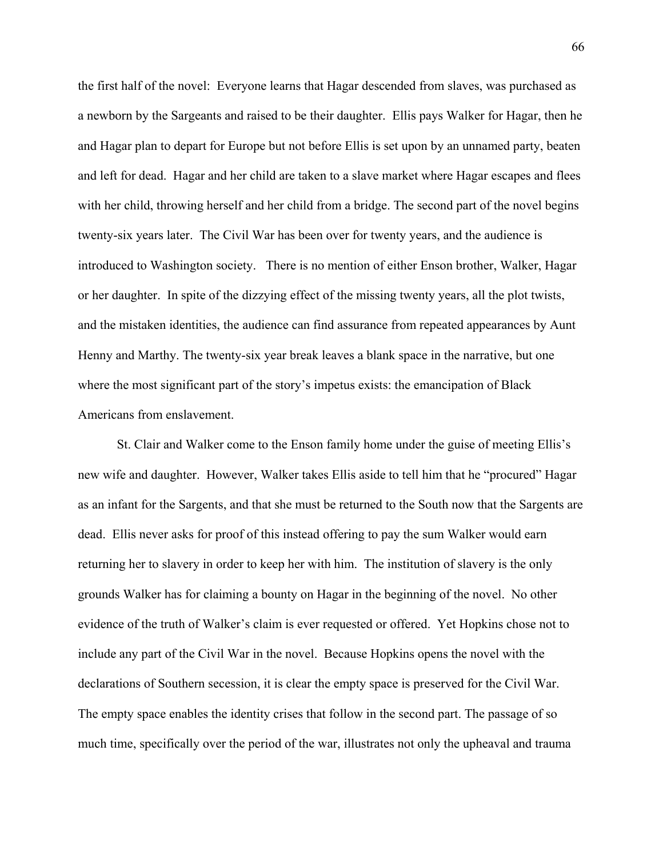the first half of the novel: Everyone learns that Hagar descended from slaves, was purchased as a newborn by the Sargeants and raised to be their daughter. Ellis pays Walker for Hagar, then he and Hagar plan to depart for Europe but not before Ellis is set upon by an unnamed party, beaten and left for dead. Hagar and her child are taken to a slave market where Hagar escapes and flees with her child, throwing herself and her child from a bridge. The second part of the novel begins twenty-six years later. The Civil War has been over for twenty years, and the audience is introduced to Washington society. There is no mention of either Enson brother, Walker, Hagar or her daughter. In spite of the dizzying effect of the missing twenty years, all the plot twists, and the mistaken identities, the audience can find assurance from repeated appearances by Aunt Henny and Marthy. The twenty-six year break leaves a blank space in the narrative, but one where the most significant part of the story's impetus exists: the emancipation of Black Americans from enslavement.

 St. Clair and Walker come to the Enson family home under the guise of meeting Ellis's new wife and daughter. However, Walker takes Ellis aside to tell him that he "procured" Hagar as an infant for the Sargents, and that she must be returned to the South now that the Sargents are dead. Ellis never asks for proof of this instead offering to pay the sum Walker would earn returning her to slavery in order to keep her with him. The institution of slavery is the only grounds Walker has for claiming a bounty on Hagar in the beginning of the novel. No other evidence of the truth of Walker's claim is ever requested or offered. Yet Hopkins chose not to include any part of the Civil War in the novel. Because Hopkins opens the novel with the declarations of Southern secession, it is clear the empty space is preserved for the Civil War. The empty space enables the identity crises that follow in the second part. The passage of so much time, specifically over the period of the war, illustrates not only the upheaval and trauma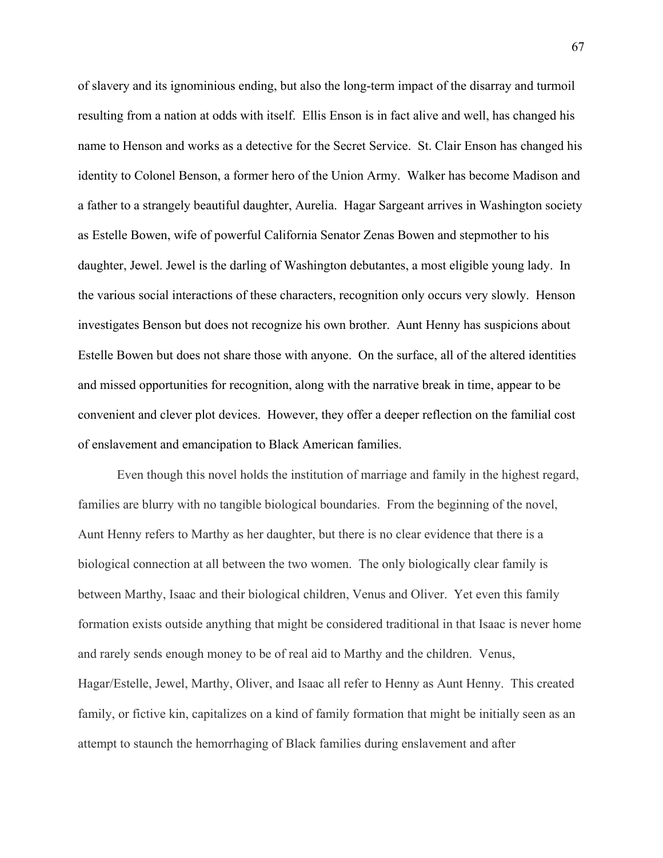of slavery and its ignominious ending, but also the long-term impact of the disarray and turmoil resulting from a nation at odds with itself. Ellis Enson is in fact alive and well, has changed his name to Henson and works as a detective for the Secret Service. St. Clair Enson has changed his identity to Colonel Benson, a former hero of the Union Army. Walker has become Madison and a father to a strangely beautiful daughter, Aurelia. Hagar Sargeant arrives in Washington society as Estelle Bowen, wife of powerful California Senator Zenas Bowen and stepmother to his daughter, Jewel. Jewel is the darling of Washington debutantes, a most eligible young lady. In the various social interactions of these characters, recognition only occurs very slowly. Henson investigates Benson but does not recognize his own brother. Aunt Henny has suspicions about Estelle Bowen but does not share those with anyone. On the surface, all of the altered identities and missed opportunities for recognition, along with the narrative break in time, appear to be convenient and clever plot devices. However, they offer a deeper reflection on the familial cost of enslavement and emancipation to Black American families.

Even though this novel holds the institution of marriage and family in the highest regard, families are blurry with no tangible biological boundaries. From the beginning of the novel, Aunt Henny refers to Marthy as her daughter, but there is no clear evidence that there is a biological connection at all between the two women. The only biologically clear family is between Marthy, Isaac and their biological children, Venus and Oliver. Yet even this family formation exists outside anything that might be considered traditional in that Isaac is never home and rarely sends enough money to be of real aid to Marthy and the children. Venus, Hagar/Estelle, Jewel, Marthy, Oliver, and Isaac all refer to Henny as Aunt Henny. This created family, or fictive kin, capitalizes on a kind of family formation that might be initially seen as an attempt to staunch the hemorrhaging of Black families during enslavement and after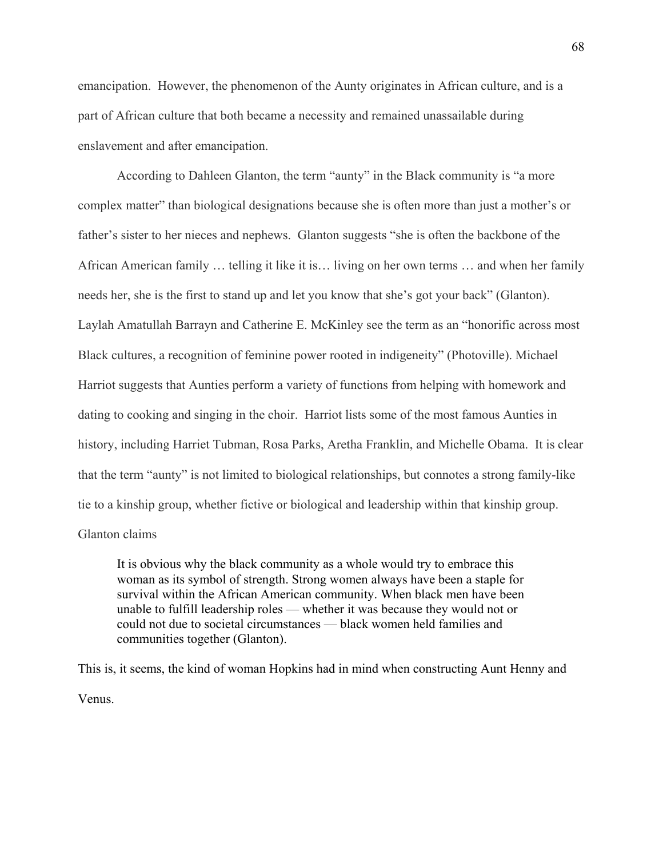emancipation. However, the phenomenon of the Aunty originates in African culture, and is a part of African culture that both became a necessity and remained unassailable during enslavement and after emancipation.

According to Dahleen Glanton, the term "aunty" in the Black community is "a more complex matter" than biological designations because she is often more than just a mother's or father's sister to her nieces and nephews. Glanton suggests "she is often the backbone of the African American family … telling it like it is… living on her own terms … and when her family needs her, she is the first to stand up and let you know that she's got your back" (Glanton). Laylah Amatullah Barrayn and Catherine E. McKinley see the term as an "honorific across most Black cultures, a recognition of feminine power rooted in indigeneity" (Photoville). Michael Harriot suggests that Aunties perform a variety of functions from helping with homework and dating to cooking and singing in the choir. Harriot lists some of the most famous Aunties in history, including Harriet Tubman, Rosa Parks, Aretha Franklin, and Michelle Obama. It is clear that the term "aunty" is not limited to biological relationships, but connotes a strong family-like tie to a kinship group, whether fictive or biological and leadership within that kinship group. Glanton claims

It is obvious why the black community as a whole would try to embrace this woman as its symbol of strength. Strong women always have been a staple for survival within the African American community. When black men have been unable to fulfill leadership roles — whether it was because they would not or could not due to societal circumstances — black women held families and communities together (Glanton).

This is, it seems, the kind of woman Hopkins had in mind when constructing Aunt Henny and Venus.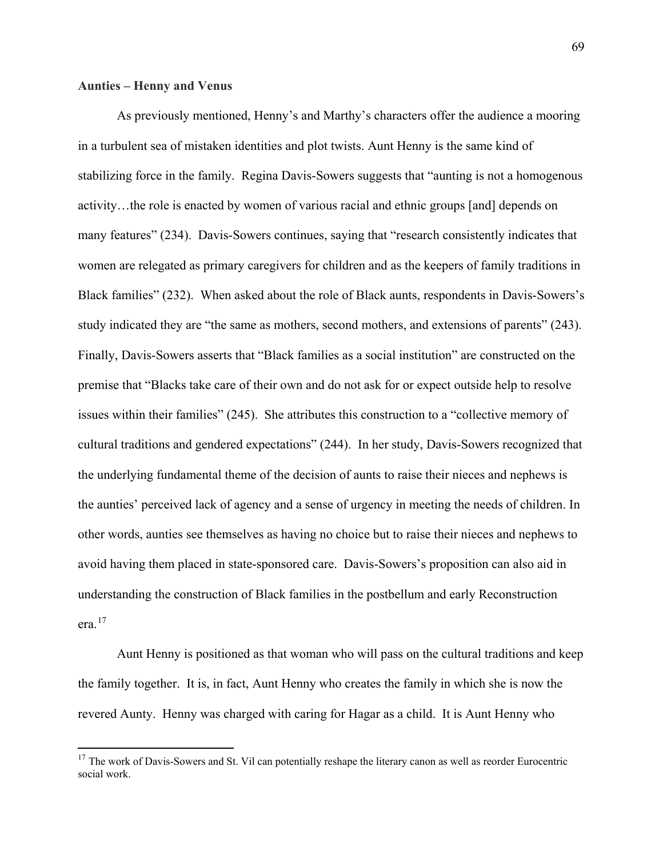# **Aunties – Henny and Venus**

 $\overline{\phantom{a}}$ 

As previously mentioned, Henny's and Marthy's characters offer the audience a mooring in a turbulent sea of mistaken identities and plot twists. Aunt Henny is the same kind of stabilizing force in the family. Regina Davis-Sowers suggests that "aunting is not a homogenous activity…the role is enacted by women of various racial and ethnic groups [and] depends on many features" (234). Davis-Sowers continues, saying that "research consistently indicates that women are relegated as primary caregivers for children and as the keepers of family traditions in Black families" (232). When asked about the role of Black aunts, respondents in Davis-Sowers's study indicated they are "the same as mothers, second mothers, and extensions of parents" (243). Finally, Davis-Sowers asserts that "Black families as a social institution" are constructed on the premise that "Blacks take care of their own and do not ask for or expect outside help to resolve issues within their families" (245). She attributes this construction to a "collective memory of cultural traditions and gendered expectations" (244). In her study, Davis-Sowers recognized that the underlying fundamental theme of the decision of aunts to raise their nieces and nephews is the aunties' perceived lack of agency and a sense of urgency in meeting the needs of children. In other words, aunties see themselves as having no choice but to raise their nieces and nephews to avoid having them placed in state-sponsored care. Davis-Sowers's proposition can also aid in understanding the construction of Black families in the postbellum and early Reconstruction era.[17](#page-74-0)

Aunt Henny is positioned as that woman who will pass on the cultural traditions and keep the family together. It is, in fact, Aunt Henny who creates the family in which she is now the revered Aunty. Henny was charged with caring for Hagar as a child. It is Aunt Henny who

<span id="page-74-0"></span> $17$  The work of Davis-Sowers and St. Vil can potentially reshape the literary canon as well as reorder Eurocentric social work.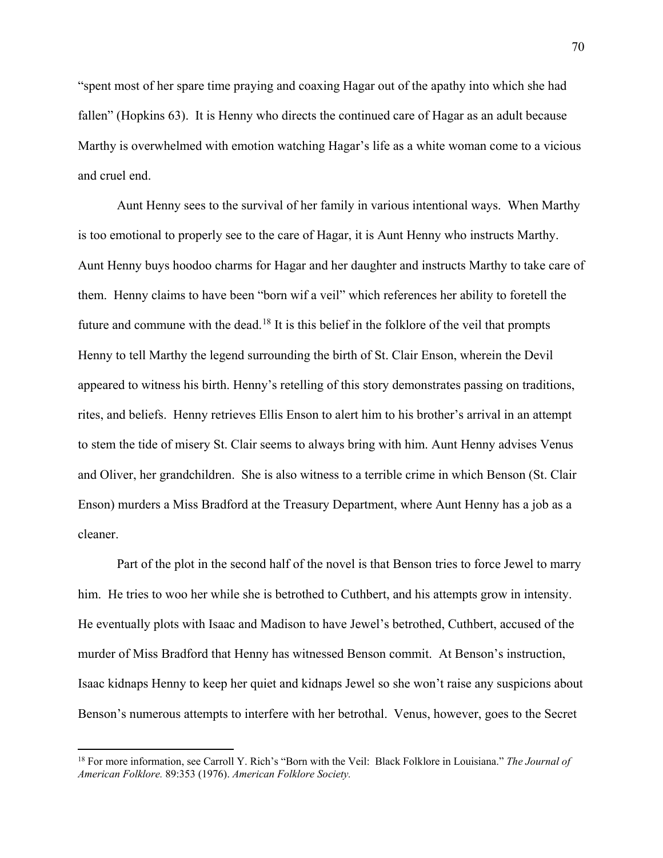"spent most of her spare time praying and coaxing Hagar out of the apathy into which she had fallen" (Hopkins 63). It is Henny who directs the continued care of Hagar as an adult because Marthy is overwhelmed with emotion watching Hagar's life as a white woman come to a vicious and cruel end.

Aunt Henny sees to the survival of her family in various intentional ways. When Marthy is too emotional to properly see to the care of Hagar, it is Aunt Henny who instructs Marthy. Aunt Henny buys hoodoo charms for Hagar and her daughter and instructs Marthy to take care of them. Henny claims to have been "born wif a veil" which references her ability to foretell the future and commune with the dead.<sup>[18](#page-75-0)</sup> It is this belief in the folklore of the veil that prompts Henny to tell Marthy the legend surrounding the birth of St. Clair Enson, wherein the Devil appeared to witness his birth. Henny's retelling of this story demonstrates passing on traditions, rites, and beliefs. Henny retrieves Ellis Enson to alert him to his brother's arrival in an attempt to stem the tide of misery St. Clair seems to always bring with him. Aunt Henny advises Venus and Oliver, her grandchildren. She is also witness to a terrible crime in which Benson (St. Clair Enson) murders a Miss Bradford at the Treasury Department, where Aunt Henny has a job as a cleaner.

Part of the plot in the second half of the novel is that Benson tries to force Jewel to marry him. He tries to woo her while she is betrothed to Cuthbert, and his attempts grow in intensity. He eventually plots with Isaac and Madison to have Jewel's betrothed, Cuthbert, accused of the murder of Miss Bradford that Henny has witnessed Benson commit. At Benson's instruction, Isaac kidnaps Henny to keep her quiet and kidnaps Jewel so she won't raise any suspicions about Benson's numerous attempts to interfere with her betrothal. Venus, however, goes to the Secret

 $\overline{\phantom{a}}$ 

<span id="page-75-0"></span><sup>18</sup> For more information, see Carroll Y. Rich's "Born with the Veil: Black Folklore in Louisiana." *The Journal of American Folklore.* 89:353 (1976). *American Folklore Society.*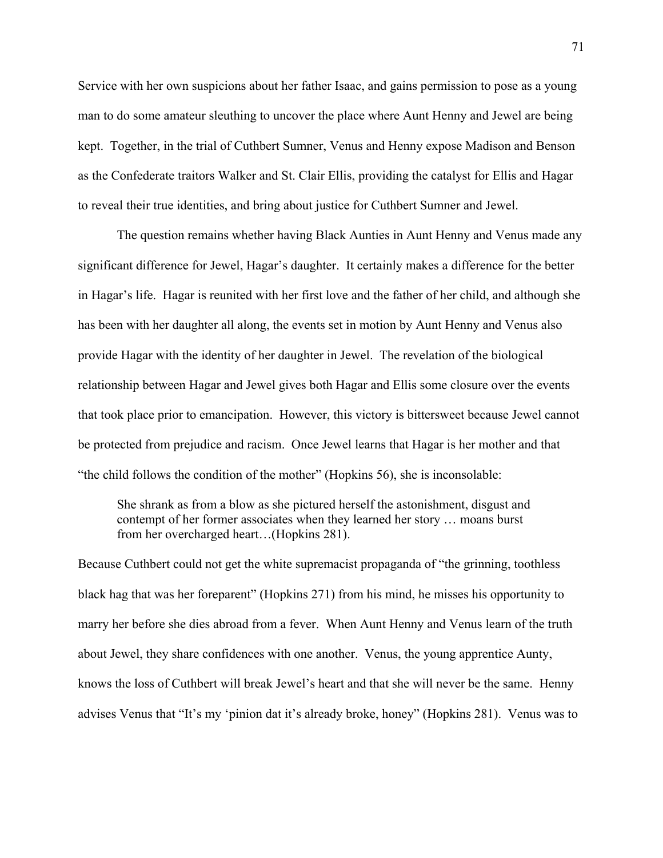Service with her own suspicions about her father Isaac, and gains permission to pose as a young man to do some amateur sleuthing to uncover the place where Aunt Henny and Jewel are being kept. Together, in the trial of Cuthbert Sumner, Venus and Henny expose Madison and Benson as the Confederate traitors Walker and St. Clair Ellis, providing the catalyst for Ellis and Hagar to reveal their true identities, and bring about justice for Cuthbert Sumner and Jewel.

The question remains whether having Black Aunties in Aunt Henny and Venus made any significant difference for Jewel, Hagar's daughter. It certainly makes a difference for the better in Hagar's life. Hagar is reunited with her first love and the father of her child, and although she has been with her daughter all along, the events set in motion by Aunt Henny and Venus also provide Hagar with the identity of her daughter in Jewel. The revelation of the biological relationship between Hagar and Jewel gives both Hagar and Ellis some closure over the events that took place prior to emancipation. However, this victory is bittersweet because Jewel cannot be protected from prejudice and racism. Once Jewel learns that Hagar is her mother and that "the child follows the condition of the mother" (Hopkins 56), she is inconsolable:

She shrank as from a blow as she pictured herself the astonishment, disgust and contempt of her former associates when they learned her story … moans burst from her overcharged heart…(Hopkins 281).

Because Cuthbert could not get the white supremacist propaganda of "the grinning, toothless black hag that was her foreparent" (Hopkins 271) from his mind, he misses his opportunity to marry her before she dies abroad from a fever. When Aunt Henny and Venus learn of the truth about Jewel, they share confidences with one another. Venus, the young apprentice Aunty, knows the loss of Cuthbert will break Jewel's heart and that she will never be the same. Henny advises Venus that "It's my 'pinion dat it's already broke, honey" (Hopkins 281). Venus was to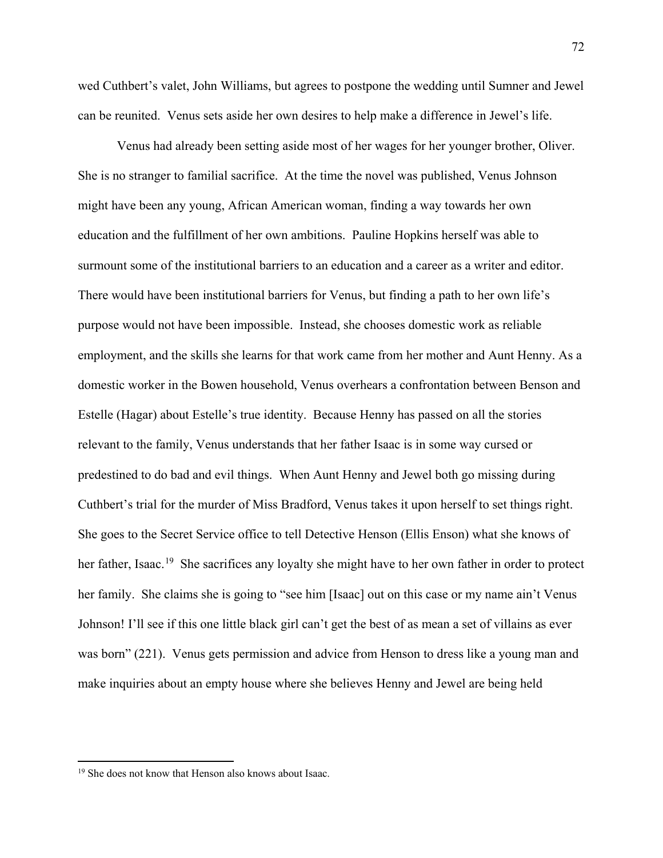wed Cuthbert's valet, John Williams, but agrees to postpone the wedding until Sumner and Jewel can be reunited. Venus sets aside her own desires to help make a difference in Jewel's life.

 Venus had already been setting aside most of her wages for her younger brother, Oliver. She is no stranger to familial sacrifice. At the time the novel was published, Venus Johnson might have been any young, African American woman, finding a way towards her own education and the fulfillment of her own ambitions. Pauline Hopkins herself was able to surmount some of the institutional barriers to an education and a career as a writer and editor. There would have been institutional barriers for Venus, but finding a path to her own life's purpose would not have been impossible. Instead, she chooses domestic work as reliable employment, and the skills she learns for that work came from her mother and Aunt Henny. As a domestic worker in the Bowen household, Venus overhears a confrontation between Benson and Estelle (Hagar) about Estelle's true identity. Because Henny has passed on all the stories relevant to the family, Venus understands that her father Isaac is in some way cursed or predestined to do bad and evil things. When Aunt Henny and Jewel both go missing during Cuthbert's trial for the murder of Miss Bradford, Venus takes it upon herself to set things right. She goes to the Secret Service office to tell Detective Henson (Ellis Enson) what she knows of her father, Isaac.<sup>19</sup> She sacrifices any loyalty she might have to her own father in order to protect her family. She claims she is going to "see him [Isaac] out on this case or my name ain't Venus Johnson! I'll see if this one little black girl can't get the best of as mean a set of villains as ever was born" (221). Venus gets permission and advice from Henson to dress like a young man and make inquiries about an empty house where she believes Henny and Jewel are being held

l

<span id="page-77-0"></span><sup>&</sup>lt;sup>19</sup> She does not know that Henson also knows about Isaac.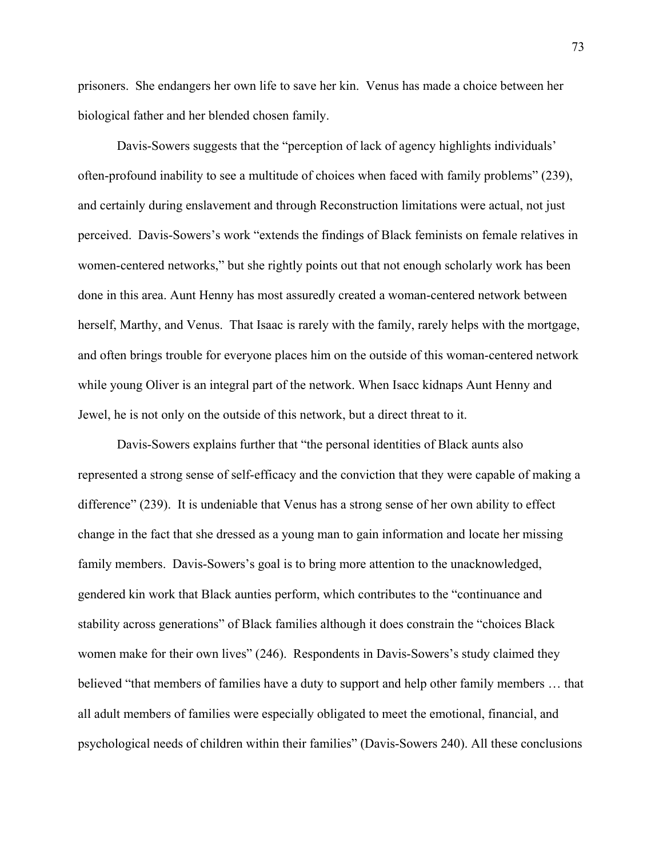prisoners. She endangers her own life to save her kin. Venus has made a choice between her biological father and her blended chosen family.

Davis-Sowers suggests that the "perception of lack of agency highlights individuals' often-profound inability to see a multitude of choices when faced with family problems" (239), and certainly during enslavement and through Reconstruction limitations were actual, not just perceived. Davis-Sowers's work "extends the findings of Black feminists on female relatives in women-centered networks," but she rightly points out that not enough scholarly work has been done in this area. Aunt Henny has most assuredly created a woman-centered network between herself, Marthy, and Venus. That Isaac is rarely with the family, rarely helps with the mortgage, and often brings trouble for everyone places him on the outside of this woman-centered network while young Oliver is an integral part of the network. When Isacc kidnaps Aunt Henny and Jewel, he is not only on the outside of this network, but a direct threat to it.

Davis-Sowers explains further that "the personal identities of Black aunts also represented a strong sense of self-efficacy and the conviction that they were capable of making a difference" (239). It is undeniable that Venus has a strong sense of her own ability to effect change in the fact that she dressed as a young man to gain information and locate her missing family members. Davis-Sowers's goal is to bring more attention to the unacknowledged, gendered kin work that Black aunties perform, which contributes to the "continuance and stability across generations" of Black families although it does constrain the "choices Black women make for their own lives" (246). Respondents in Davis-Sowers's study claimed they believed "that members of families have a duty to support and help other family members … that all adult members of families were especially obligated to meet the emotional, financial, and psychological needs of children within their families" (Davis-Sowers 240). All these conclusions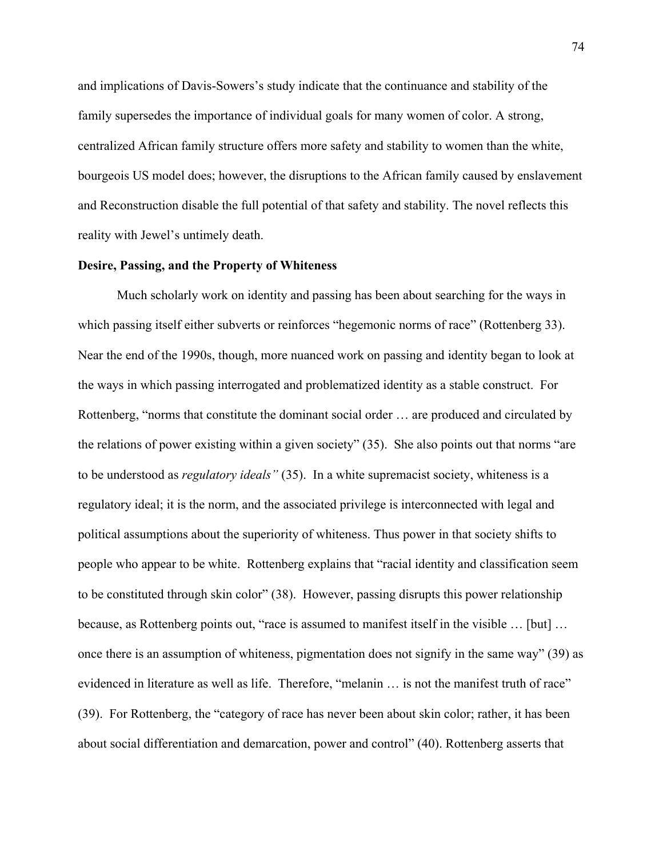and implications of Davis-Sowers's study indicate that the continuance and stability of the family supersedes the importance of individual goals for many women of color. A strong, centralized African family structure offers more safety and stability to women than the white, bourgeois US model does; however, the disruptions to the African family caused by enslavement and Reconstruction disable the full potential of that safety and stability. The novel reflects this reality with Jewel's untimely death.

## **Desire, Passing, and the Property of Whiteness**

Much scholarly work on identity and passing has been about searching for the ways in which passing itself either subverts or reinforces "hegemonic norms of race" (Rottenberg 33). Near the end of the 1990s, though, more nuanced work on passing and identity began to look at the ways in which passing interrogated and problematized identity as a stable construct. For Rottenberg, "norms that constitute the dominant social order … are produced and circulated by the relations of power existing within a given society" (35). She also points out that norms "are to be understood as *regulatory ideals"* (35). In a white supremacist society, whiteness is a regulatory ideal; it is the norm, and the associated privilege is interconnected with legal and political assumptions about the superiority of whiteness. Thus power in that society shifts to people who appear to be white. Rottenberg explains that "racial identity and classification seem to be constituted through skin color" (38). However, passing disrupts this power relationship because, as Rottenberg points out, "race is assumed to manifest itself in the visible … [but] … once there is an assumption of whiteness, pigmentation does not signify in the same way" (39) as evidenced in literature as well as life. Therefore, "melanin … is not the manifest truth of race" (39). For Rottenberg, the "category of race has never been about skin color; rather, it has been about social differentiation and demarcation, power and control" (40). Rottenberg asserts that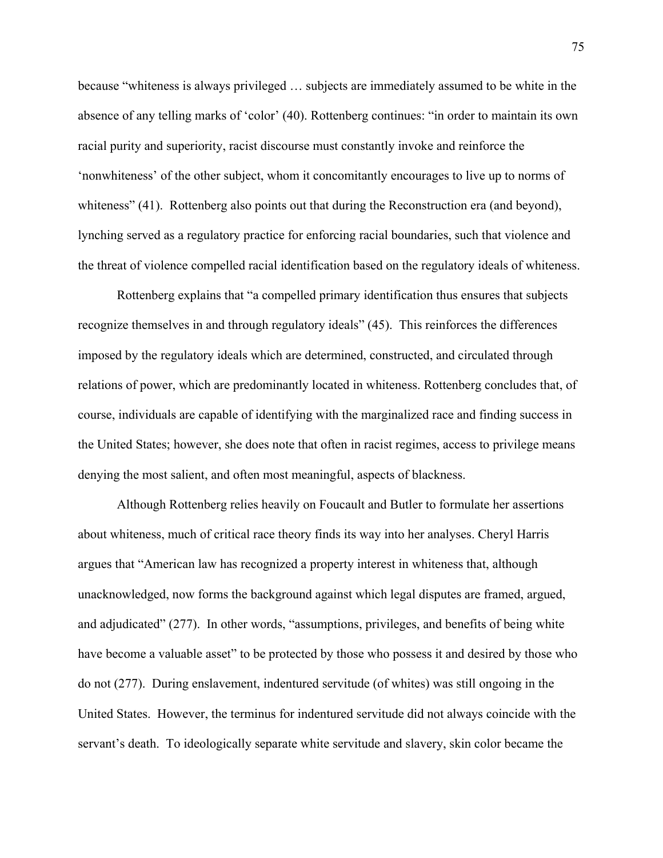because "whiteness is always privileged … subjects are immediately assumed to be white in the absence of any telling marks of 'color' (40). Rottenberg continues: "in order to maintain its own racial purity and superiority, racist discourse must constantly invoke and reinforce the 'nonwhiteness' of the other subject, whom it concomitantly encourages to live up to norms of whiteness" (41). Rottenberg also points out that during the Reconstruction era (and beyond), lynching served as a regulatory practice for enforcing racial boundaries, such that violence and the threat of violence compelled racial identification based on the regulatory ideals of whiteness.

 Rottenberg explains that "a compelled primary identification thus ensures that subjects recognize themselves in and through regulatory ideals" (45). This reinforces the differences imposed by the regulatory ideals which are determined, constructed, and circulated through relations of power, which are predominantly located in whiteness. Rottenberg concludes that, of course, individuals are capable of identifying with the marginalized race and finding success in the United States; however, she does note that often in racist regimes, access to privilege means denying the most salient, and often most meaningful, aspects of blackness.

 Although Rottenberg relies heavily on Foucault and Butler to formulate her assertions about whiteness, much of critical race theory finds its way into her analyses. Cheryl Harris argues that "American law has recognized a property interest in whiteness that, although unacknowledged, now forms the background against which legal disputes are framed, argued, and adjudicated" (277). In other words, "assumptions, privileges, and benefits of being white have become a valuable asset" to be protected by those who possess it and desired by those who do not (277). During enslavement, indentured servitude (of whites) was still ongoing in the United States. However, the terminus for indentured servitude did not always coincide with the servant's death. To ideologically separate white servitude and slavery, skin color became the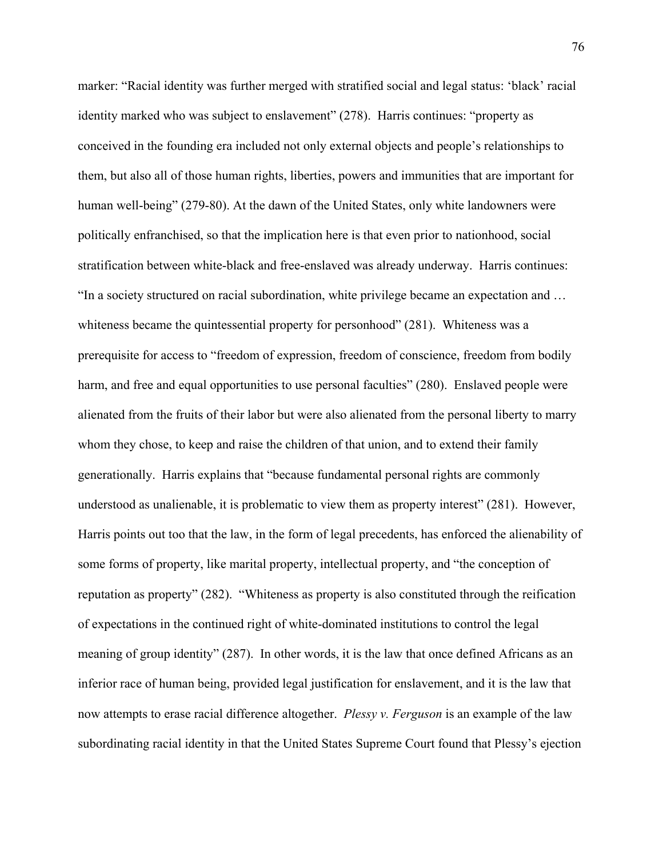marker: "Racial identity was further merged with stratified social and legal status: 'black' racial identity marked who was subject to enslavement" (278). Harris continues: "property as conceived in the founding era included not only external objects and people's relationships to them, but also all of those human rights, liberties, powers and immunities that are important for human well-being" (279-80). At the dawn of the United States, only white landowners were politically enfranchised, so that the implication here is that even prior to nationhood, social stratification between white-black and free-enslaved was already underway. Harris continues: "In a society structured on racial subordination, white privilege became an expectation and … whiteness became the quintessential property for personhood" (281). Whiteness was a prerequisite for access to "freedom of expression, freedom of conscience, freedom from bodily harm, and free and equal opportunities to use personal faculties" (280). Enslaved people were alienated from the fruits of their labor but were also alienated from the personal liberty to marry whom they chose, to keep and raise the children of that union, and to extend their family generationally. Harris explains that "because fundamental personal rights are commonly understood as unalienable, it is problematic to view them as property interest" (281). However, Harris points out too that the law, in the form of legal precedents, has enforced the alienability of some forms of property, like marital property, intellectual property, and "the conception of reputation as property" (282). "Whiteness as property is also constituted through the reification of expectations in the continued right of white-dominated institutions to control the legal meaning of group identity" (287). In other words, it is the law that once defined Africans as an inferior race of human being, provided legal justification for enslavement, and it is the law that now attempts to erase racial difference altogether. *Plessy v. Ferguson* is an example of the law subordinating racial identity in that the United States Supreme Court found that Plessy's ejection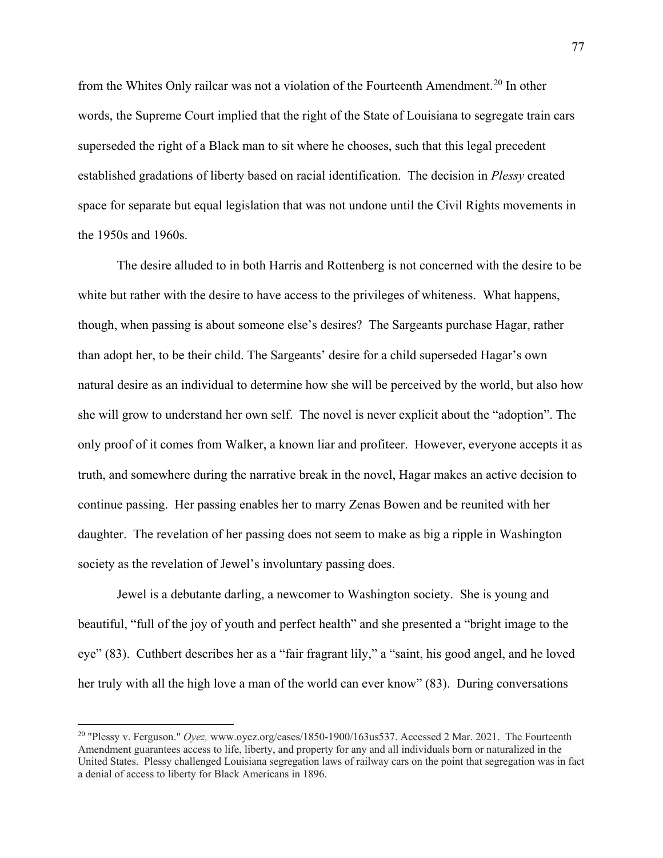from the Whites Only railcar was not a violation of the Fourteenth Amendment.<sup>[20](#page-82-0)</sup> In other words, the Supreme Court implied that the right of the State of Louisiana to segregate train cars superseded the right of a Black man to sit where he chooses, such that this legal precedent established gradations of liberty based on racial identification. The decision in *Plessy* created space for separate but equal legislation that was not undone until the Civil Rights movements in the 1950s and 1960s.

 The desire alluded to in both Harris and Rottenberg is not concerned with the desire to be white but rather with the desire to have access to the privileges of whiteness. What happens, though, when passing is about someone else's desires? The Sargeants purchase Hagar, rather than adopt her, to be their child. The Sargeants' desire for a child superseded Hagar's own natural desire as an individual to determine how she will be perceived by the world, but also how she will grow to understand her own self. The novel is never explicit about the "adoption". The only proof of it comes from Walker, a known liar and profiteer. However, everyone accepts it as truth, and somewhere during the narrative break in the novel, Hagar makes an active decision to continue passing. Her passing enables her to marry Zenas Bowen and be reunited with her daughter. The revelation of her passing does not seem to make as big a ripple in Washington society as the revelation of Jewel's involuntary passing does.

 Jewel is a debutante darling, a newcomer to Washington society. She is young and beautiful, "full of the joy of youth and perfect health" and she presented a "bright image to the eye" (83). Cuthbert describes her as a "fair fragrant lily," a "saint, his good angel, and he loved her truly with all the high love a man of the world can ever know" (83). During conversations

l

<span id="page-82-0"></span><sup>20</sup> "Plessy v. Ferguson." *Oyez,* www.oyez.org/cases/1850-1900/163us537. Accessed 2 Mar. 2021. The Fourteenth Amendment guarantees access to life, liberty, and property for any and all individuals born or naturalized in the United States. Plessy challenged Louisiana segregation laws of railway cars on the point that segregation was in fact a denial of access to liberty for Black Americans in 1896.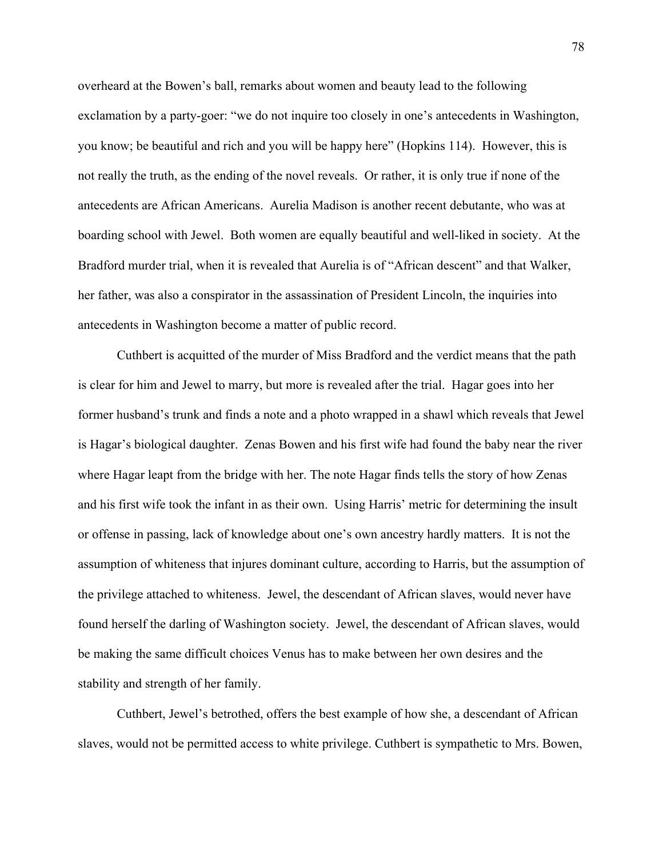overheard at the Bowen's ball, remarks about women and beauty lead to the following exclamation by a party-goer: "we do not inquire too closely in one's antecedents in Washington, you know; be beautiful and rich and you will be happy here" (Hopkins 114). However, this is not really the truth, as the ending of the novel reveals. Or rather, it is only true if none of the antecedents are African Americans. Aurelia Madison is another recent debutante, who was at boarding school with Jewel. Both women are equally beautiful and well-liked in society. At the Bradford murder trial, when it is revealed that Aurelia is of "African descent" and that Walker, her father, was also a conspirator in the assassination of President Lincoln, the inquiries into antecedents in Washington become a matter of public record.

 Cuthbert is acquitted of the murder of Miss Bradford and the verdict means that the path is clear for him and Jewel to marry, but more is revealed after the trial. Hagar goes into her former husband's trunk and finds a note and a photo wrapped in a shawl which reveals that Jewel is Hagar's biological daughter. Zenas Bowen and his first wife had found the baby near the river where Hagar leapt from the bridge with her. The note Hagar finds tells the story of how Zenas and his first wife took the infant in as their own. Using Harris' metric for determining the insult or offense in passing, lack of knowledge about one's own ancestry hardly matters. It is not the assumption of whiteness that injures dominant culture, according to Harris, but the assumption of the privilege attached to whiteness. Jewel, the descendant of African slaves, would never have found herself the darling of Washington society. Jewel, the descendant of African slaves, would be making the same difficult choices Venus has to make between her own desires and the stability and strength of her family.

Cuthbert, Jewel's betrothed, offers the best example of how she, a descendant of African slaves, would not be permitted access to white privilege. Cuthbert is sympathetic to Mrs. Bowen,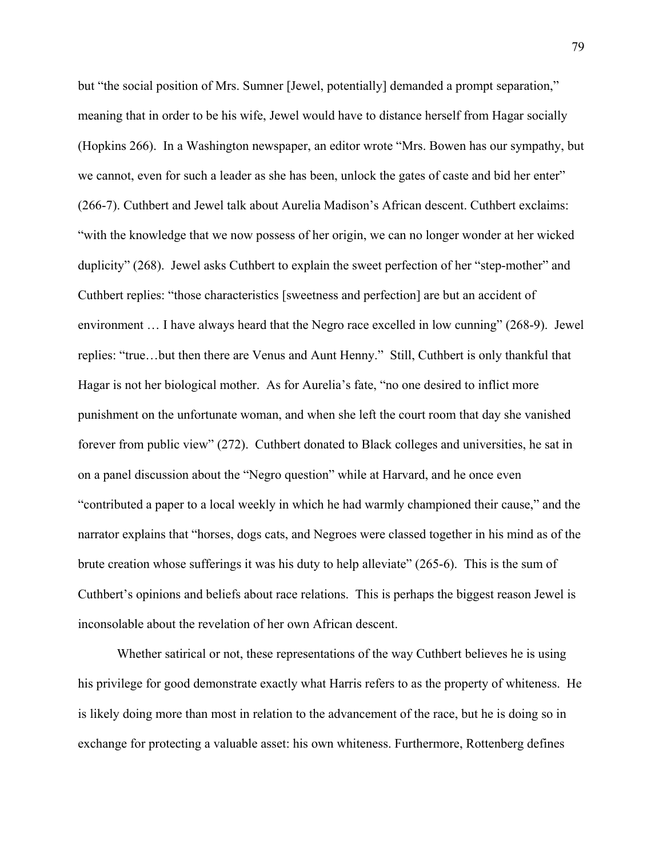but "the social position of Mrs. Sumner [Jewel, potentially] demanded a prompt separation," meaning that in order to be his wife, Jewel would have to distance herself from Hagar socially (Hopkins 266). In a Washington newspaper, an editor wrote "Mrs. Bowen has our sympathy, but we cannot, even for such a leader as she has been, unlock the gates of caste and bid her enter" (266-7). Cuthbert and Jewel talk about Aurelia Madison's African descent. Cuthbert exclaims: "with the knowledge that we now possess of her origin, we can no longer wonder at her wicked duplicity" (268). Jewel asks Cuthbert to explain the sweet perfection of her "step-mother" and Cuthbert replies: "those characteristics [sweetness and perfection] are but an accident of environment … I have always heard that the Negro race excelled in low cunning" (268-9). Jewel replies: "true…but then there are Venus and Aunt Henny." Still, Cuthbert is only thankful that Hagar is not her biological mother. As for Aurelia's fate, "no one desired to inflict more punishment on the unfortunate woman, and when she left the court room that day she vanished forever from public view" (272). Cuthbert donated to Black colleges and universities, he sat in on a panel discussion about the "Negro question" while at Harvard, and he once even "contributed a paper to a local weekly in which he had warmly championed their cause," and the narrator explains that "horses, dogs cats, and Negroes were classed together in his mind as of the brute creation whose sufferings it was his duty to help alleviate" (265-6). This is the sum of Cuthbert's opinions and beliefs about race relations. This is perhaps the biggest reason Jewel is inconsolable about the revelation of her own African descent.

 Whether satirical or not, these representations of the way Cuthbert believes he is using his privilege for good demonstrate exactly what Harris refers to as the property of whiteness. He is likely doing more than most in relation to the advancement of the race, but he is doing so in exchange for protecting a valuable asset: his own whiteness. Furthermore, Rottenberg defines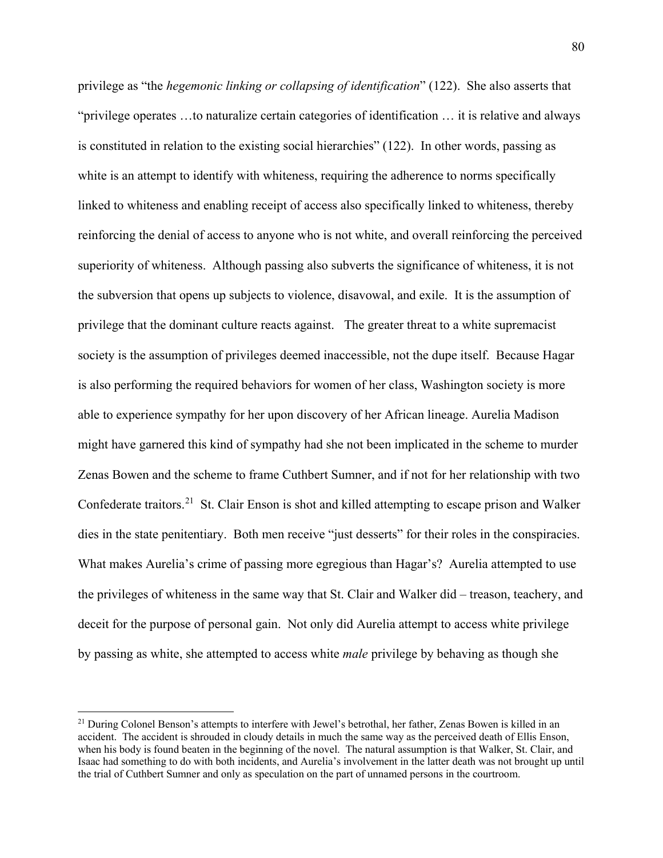privilege as "the *hegemonic linking or collapsing of identification*" (122). She also asserts that "privilege operates …to naturalize certain categories of identification … it is relative and always is constituted in relation to the existing social hierarchies" (122). In other words, passing as white is an attempt to identify with whiteness, requiring the adherence to norms specifically linked to whiteness and enabling receipt of access also specifically linked to whiteness, thereby reinforcing the denial of access to anyone who is not white, and overall reinforcing the perceived superiority of whiteness. Although passing also subverts the significance of whiteness, it is not the subversion that opens up subjects to violence, disavowal, and exile. It is the assumption of privilege that the dominant culture reacts against. The greater threat to a white supremacist society is the assumption of privileges deemed inaccessible, not the dupe itself. Because Hagar is also performing the required behaviors for women of her class, Washington society is more able to experience sympathy for her upon discovery of her African lineage. Aurelia Madison might have garnered this kind of sympathy had she not been implicated in the scheme to murder Zenas Bowen and the scheme to frame Cuthbert Sumner, and if not for her relationship with two Confederate traitors.<sup>[21](#page-85-0)</sup> St. Clair Enson is shot and killed attempting to escape prison and Walker dies in the state penitentiary. Both men receive "just desserts" for their roles in the conspiracies. What makes Aurelia's crime of passing more egregious than Hagar's? Aurelia attempted to use the privileges of whiteness in the same way that St. Clair and Walker did – treason, teachery, and deceit for the purpose of personal gain. Not only did Aurelia attempt to access white privilege by passing as white, she attempted to access white *male* privilege by behaving as though she

 $\overline{\phantom{a}}$ 

<span id="page-85-0"></span><sup>&</sup>lt;sup>21</sup> During Colonel Benson's attempts to interfere with Jewel's betrothal, her father, Zenas Bowen is killed in an accident. The accident is shrouded in cloudy details in much the same way as the perceived death of Ellis Enson, when his body is found beaten in the beginning of the novel. The natural assumption is that Walker, St. Clair, and Isaac had something to do with both incidents, and Aurelia's involvement in the latter death was not brought up until the trial of Cuthbert Sumner and only as speculation on the part of unnamed persons in the courtroom.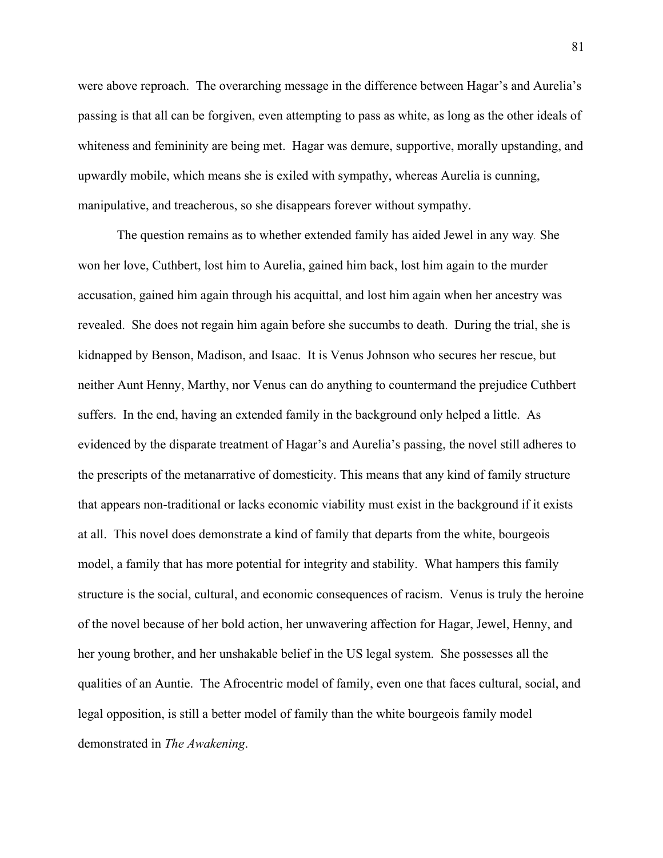were above reproach. The overarching message in the difference between Hagar's and Aurelia's passing is that all can be forgiven, even attempting to pass as white, as long as the other ideals of whiteness and femininity are being met. Hagar was demure, supportive, morally upstanding, and upwardly mobile, which means she is exiled with sympathy, whereas Aurelia is cunning, manipulative, and treacherous, so she disappears forever without sympathy.

The question remains as to whether extended family has aided Jewel in any way. She won her love, Cuthbert, lost him to Aurelia, gained him back, lost him again to the murder accusation, gained him again through his acquittal, and lost him again when her ancestry was revealed. She does not regain him again before she succumbs to death. During the trial, she is kidnapped by Benson, Madison, and Isaac. It is Venus Johnson who secures her rescue, but neither Aunt Henny, Marthy, nor Venus can do anything to countermand the prejudice Cuthbert suffers. In the end, having an extended family in the background only helped a little. As evidenced by the disparate treatment of Hagar's and Aurelia's passing, the novel still adheres to the prescripts of the metanarrative of domesticity. This means that any kind of family structure that appears non-traditional or lacks economic viability must exist in the background if it exists at all. This novel does demonstrate a kind of family that departs from the white, bourgeois model, a family that has more potential for integrity and stability. What hampers this family structure is the social, cultural, and economic consequences of racism. Venus is truly the heroine of the novel because of her bold action, her unwavering affection for Hagar, Jewel, Henny, and her young brother, and her unshakable belief in the US legal system. She possesses all the qualities of an Auntie. The Afrocentric model of family, even one that faces cultural, social, and legal opposition, is still a better model of family than the white bourgeois family model demonstrated in *The Awakening*.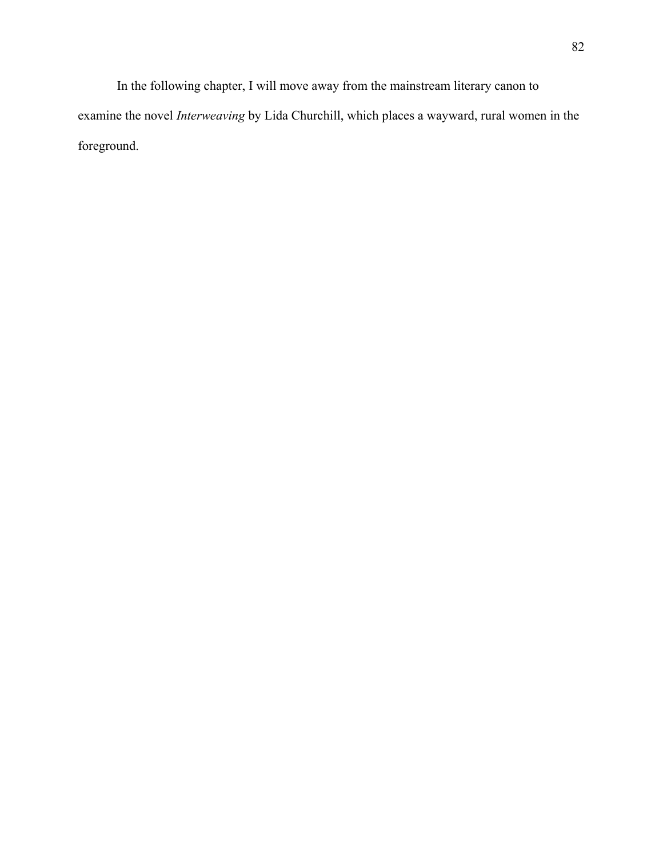In the following chapter, I will move away from the mainstream literary canon to examine the novel *Interweaving* by Lida Churchill, which places a wayward, rural women in the foreground.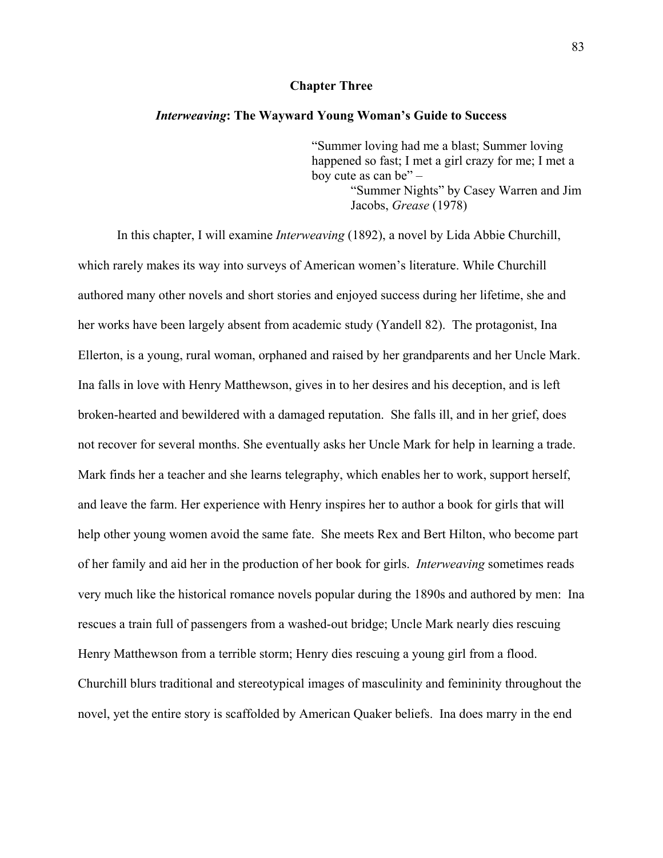## **Chapter Three**

### *Interweaving***: The Wayward Young Woman's Guide to Success**

"Summer loving had me a blast; Summer loving happened so fast; I met a girl crazy for me; I met a boy cute as can be" – "Summer Nights" by Casey Warren and Jim Jacobs, *Grease* (1978)

In this chapter, I will examine *Interweaving* (1892), a novel by Lida Abbie Churchill, which rarely makes its way into surveys of American women's literature. While Churchill authored many other novels and short stories and enjoyed success during her lifetime, she and her works have been largely absent from academic study (Yandell 82). The protagonist, Ina Ellerton, is a young, rural woman, orphaned and raised by her grandparents and her Uncle Mark. Ina falls in love with Henry Matthewson, gives in to her desires and his deception, and is left broken-hearted and bewildered with a damaged reputation. She falls ill, and in her grief, does not recover for several months. She eventually asks her Uncle Mark for help in learning a trade. Mark finds her a teacher and she learns telegraphy, which enables her to work, support herself, and leave the farm. Her experience with Henry inspires her to author a book for girls that will help other young women avoid the same fate. She meets Rex and Bert Hilton, who become part of her family and aid her in the production of her book for girls. *Interweaving* sometimes reads very much like the historical romance novels popular during the 1890s and authored by men: Ina rescues a train full of passengers from a washed-out bridge; Uncle Mark nearly dies rescuing Henry Matthewson from a terrible storm; Henry dies rescuing a young girl from a flood. Churchill blurs traditional and stereotypical images of masculinity and femininity throughout the novel, yet the entire story is scaffolded by American Quaker beliefs. Ina does marry in the end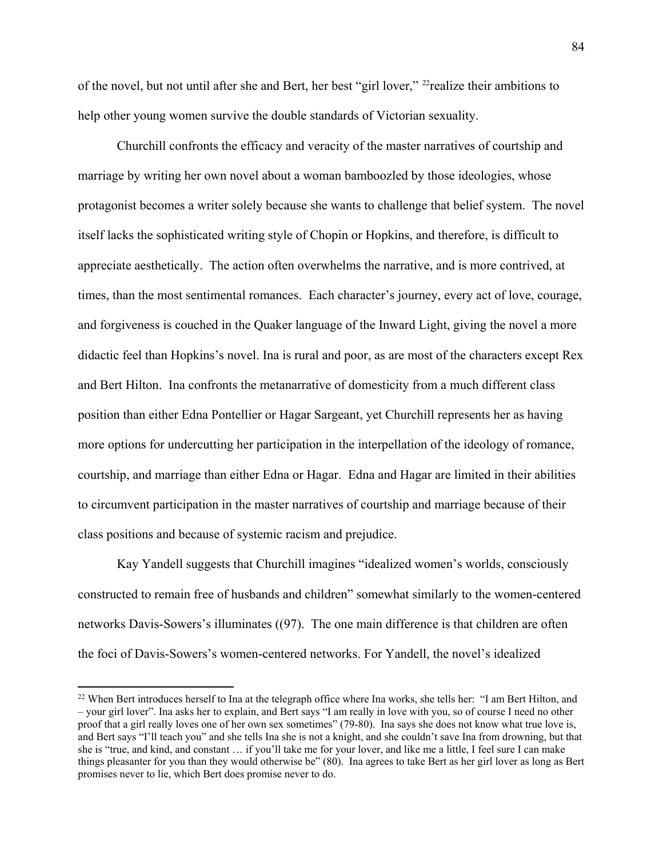of the novel, but not until after she and Bert, her best "girl lover," [22](#page-89-0)realize their ambitions to help other young women survive the double standards of Victorian sexuality.

Churchill confronts the efficacy and veracity of the master narratives of courtship and marriage by writing her own novel about a woman bamboozled by those ideologies, whose protagonist becomes a writer solely because she wants to challenge that belief system. The novel itself lacks the sophisticated writing style of Chopin or Hopkins, and therefore, is difficult to appreciate aesthetically. The action often overwhelms the narrative, and is more contrived, at times, than the most sentimental romances. Each character's journey, every act of love, courage, and forgiveness is couched in the Quaker language of the Inward Light, giving the novel a more didactic feel than Hopkins's novel. Ina is rural and poor, as are most of the characters except Rex and Bert Hilton. Ina confronts the metanarrative of domesticity from a much different class position than either Edna Pontellier or Hagar Sargeant, yet Churchill represents her as having more options for undercutting her participation in the interpellation of the ideology of romance, courtship, and marriage than either Edna or Hagar. Edna and Hagar are limited in their abilities to circumvent participation in the master narratives of courtship and marriage because of their class positions and because of systemic racism and prejudice.

Kay Yandell suggests that Churchill imagines "idealized women's worlds, consciously constructed to remain free of husbands and children" somewhat similarly to the women-centered networks Davis-Sowers's illuminates ((97). The one main difference is that children are often the foci of Davis-Sowers's women-centered networks. For Yandell, the novel's idealized

l

<span id="page-89-0"></span><sup>&</sup>lt;sup>22</sup> When Bert introduces herself to Ina at the telegraph office where Ina works, she tells her: "I am Bert Hilton, and – your girl lover". Ina asks her to explain, and Bert says "I am really in love with you, so of course I need no other proof that a girl really loves one of her own sex sometimes" (79-80). Ina says she does not know what true love is, and Bert says "I'll teach you" and she tells Ina she is not a knight, and she couldn't save Ina from drowning, but that she is "true, and kind, and constant … if you'll take me for your lover, and like me a little, I feel sure I can make things pleasanter for you than they would otherwise be" (80). Ina agrees to take Bert as her girl lover as long as Bert promises never to lie, which Bert does promise never to do.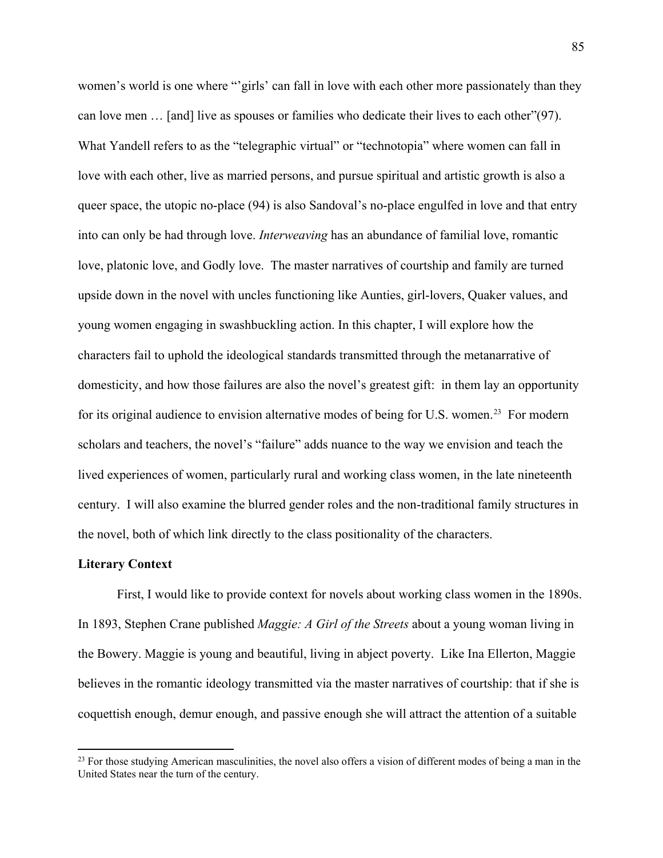women's world is one where "'girls' can fall in love with each other more passionately than they can love men … [and] live as spouses or families who dedicate their lives to each other"(97). What Yandell refers to as the "telegraphic virtual" or "technotopia" where women can fall in love with each other, live as married persons, and pursue spiritual and artistic growth is also a queer space, the utopic no-place (94) is also Sandoval's no-place engulfed in love and that entry into can only be had through love. *Interweaving* has an abundance of familial love, romantic love, platonic love, and Godly love. The master narratives of courtship and family are turned upside down in the novel with uncles functioning like Aunties, girl-lovers, Quaker values, and young women engaging in swashbuckling action. In this chapter, I will explore how the characters fail to uphold the ideological standards transmitted through the metanarrative of domesticity, and how those failures are also the novel's greatest gift: in them lay an opportunity for its original audience to envision alternative modes of being for U.S. women.<sup>[23](#page-90-0)</sup> For modern scholars and teachers, the novel's "failure" adds nuance to the way we envision and teach the lived experiences of women, particularly rural and working class women, in the late nineteenth century. I will also examine the blurred gender roles and the non-traditional family structures in the novel, both of which link directly to the class positionality of the characters.

## **Literary Context**

 $\overline{\phantom{a}}$ 

First, I would like to provide context for novels about working class women in the 1890s. In 1893, Stephen Crane published *Maggie: A Girl of the Streets* about a young woman living in the Bowery. Maggie is young and beautiful, living in abject poverty. Like Ina Ellerton, Maggie believes in the romantic ideology transmitted via the master narratives of courtship: that if she is coquettish enough, demur enough, and passive enough she will attract the attention of a suitable

<span id="page-90-0"></span><sup>&</sup>lt;sup>23</sup> For those studying American masculinities, the novel also offers a vision of different modes of being a man in the United States near the turn of the century.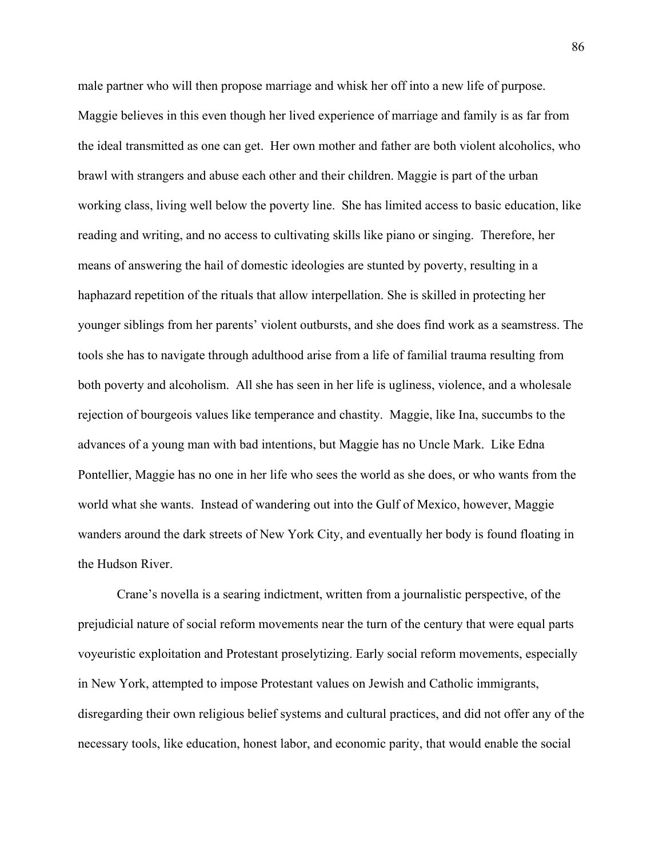male partner who will then propose marriage and whisk her off into a new life of purpose. Maggie believes in this even though her lived experience of marriage and family is as far from the ideal transmitted as one can get. Her own mother and father are both violent alcoholics, who brawl with strangers and abuse each other and their children. Maggie is part of the urban working class, living well below the poverty line. She has limited access to basic education, like reading and writing, and no access to cultivating skills like piano or singing. Therefore, her means of answering the hail of domestic ideologies are stunted by poverty, resulting in a haphazard repetition of the rituals that allow interpellation. She is skilled in protecting her younger siblings from her parents' violent outbursts, and she does find work as a seamstress. The tools she has to navigate through adulthood arise from a life of familial trauma resulting from both poverty and alcoholism. All she has seen in her life is ugliness, violence, and a wholesale rejection of bourgeois values like temperance and chastity. Maggie, like Ina, succumbs to the advances of a young man with bad intentions, but Maggie has no Uncle Mark. Like Edna Pontellier, Maggie has no one in her life who sees the world as she does, or who wants from the world what she wants. Instead of wandering out into the Gulf of Mexico, however, Maggie wanders around the dark streets of New York City, and eventually her body is found floating in the Hudson River.

Crane's novella is a searing indictment, written from a journalistic perspective, of the prejudicial nature of social reform movements near the turn of the century that were equal parts voyeuristic exploitation and Protestant proselytizing. Early social reform movements, especially in New York, attempted to impose Protestant values on Jewish and Catholic immigrants, disregarding their own religious belief systems and cultural practices, and did not offer any of the necessary tools, like education, honest labor, and economic parity, that would enable the social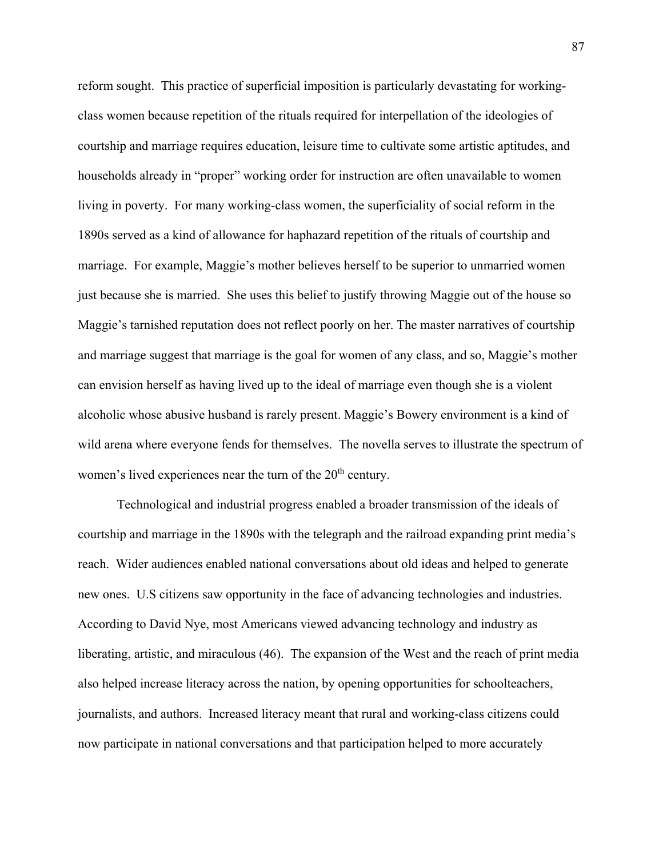reform sought. This practice of superficial imposition is particularly devastating for workingclass women because repetition of the rituals required for interpellation of the ideologies of courtship and marriage requires education, leisure time to cultivate some artistic aptitudes, and households already in "proper" working order for instruction are often unavailable to women living in poverty. For many working-class women, the superficiality of social reform in the 1890s served as a kind of allowance for haphazard repetition of the rituals of courtship and marriage. For example, Maggie's mother believes herself to be superior to unmarried women just because she is married. She uses this belief to justify throwing Maggie out of the house so Maggie's tarnished reputation does not reflect poorly on her. The master narratives of courtship and marriage suggest that marriage is the goal for women of any class, and so, Maggie's mother can envision herself as having lived up to the ideal of marriage even though she is a violent alcoholic whose abusive husband is rarely present. Maggie's Bowery environment is a kind of wild arena where everyone fends for themselves. The novella serves to illustrate the spectrum of women's lived experiences near the turn of the  $20<sup>th</sup>$  century.

Technological and industrial progress enabled a broader transmission of the ideals of courtship and marriage in the 1890s with the telegraph and the railroad expanding print media's reach. Wider audiences enabled national conversations about old ideas and helped to generate new ones. U.S citizens saw opportunity in the face of advancing technologies and industries. According to David Nye, most Americans viewed advancing technology and industry as liberating, artistic, and miraculous (46). The expansion of the West and the reach of print media also helped increase literacy across the nation, by opening opportunities for schoolteachers, journalists, and authors. Increased literacy meant that rural and working-class citizens could now participate in national conversations and that participation helped to more accurately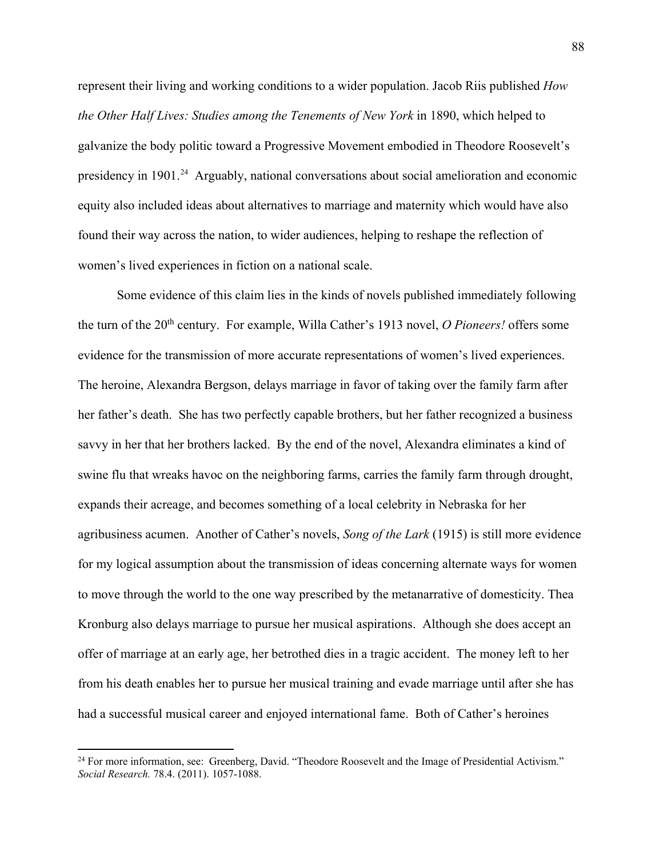represent their living and working conditions to a wider population. Jacob Riis published *How the Other Half Lives: Studies among the Tenements of New York* in 1890, which helped to galvanize the body politic toward a Progressive Movement embodied in Theodore Roosevelt's presidency in 1901.<sup>24</sup> Arguably, national conversations about social amelioration and economic equity also included ideas about alternatives to marriage and maternity which would have also found their way across the nation, to wider audiences, helping to reshape the reflection of women's lived experiences in fiction on a national scale.

Some evidence of this claim lies in the kinds of novels published immediately following the turn of the 20<sup>th</sup> century. For example, Willa Cather's 1913 novel, *O Pioneers!* offers some evidence for the transmission of more accurate representations of women's lived experiences. The heroine, Alexandra Bergson, delays marriage in favor of taking over the family farm after her father's death. She has two perfectly capable brothers, but her father recognized a business savvy in her that her brothers lacked. By the end of the novel, Alexandra eliminates a kind of swine flu that wreaks havoc on the neighboring farms, carries the family farm through drought, expands their acreage, and becomes something of a local celebrity in Nebraska for her agribusiness acumen. Another of Cather's novels, *Song of the Lark* (1915) is still more evidence for my logical assumption about the transmission of ideas concerning alternate ways for women to move through the world to the one way prescribed by the metanarrative of domesticity. Thea Kronburg also delays marriage to pursue her musical aspirations. Although she does accept an offer of marriage at an early age, her betrothed dies in a tragic accident. The money left to her from his death enables her to pursue her musical training and evade marriage until after she has had a successful musical career and enjoyed international fame. Both of Cather's heroines

 $\overline{\phantom{a}}$ 

<span id="page-93-0"></span><sup>&</sup>lt;sup>24</sup> For more information, see: Greenberg, David. "Theodore Roosevelt and the Image of Presidential Activism." *Social Research.* 78.4. (2011). 1057-1088.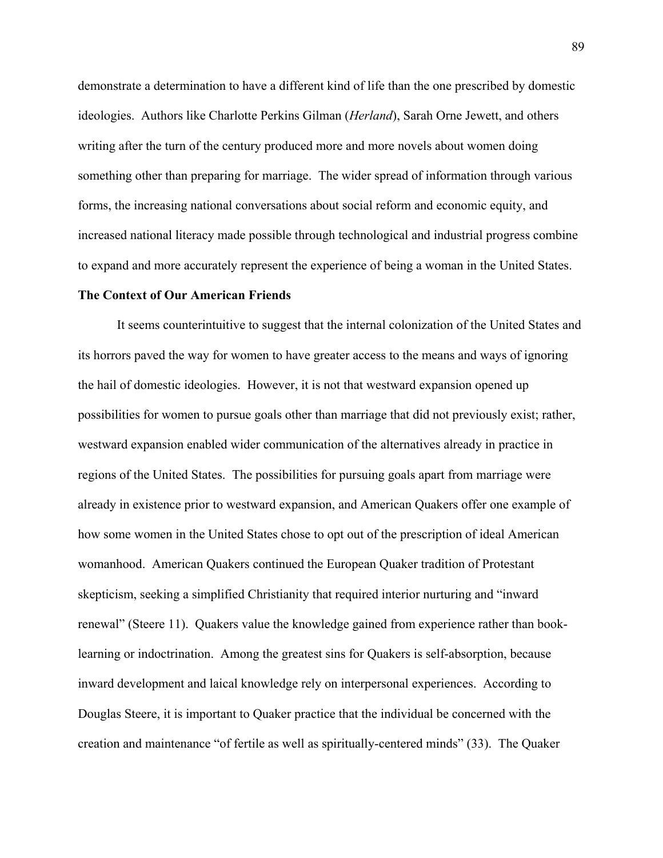demonstrate a determination to have a different kind of life than the one prescribed by domestic ideologies. Authors like Charlotte Perkins Gilman (*Herland*), Sarah Orne Jewett, and others writing after the turn of the century produced more and more novels about women doing something other than preparing for marriage. The wider spread of information through various forms, the increasing national conversations about social reform and economic equity, and increased national literacy made possible through technological and industrial progress combine to expand and more accurately represent the experience of being a woman in the United States.

### **The Context of Our American Friends**

 It seems counterintuitive to suggest that the internal colonization of the United States and its horrors paved the way for women to have greater access to the means and ways of ignoring the hail of domestic ideologies. However, it is not that westward expansion opened up possibilities for women to pursue goals other than marriage that did not previously exist; rather, westward expansion enabled wider communication of the alternatives already in practice in regions of the United States. The possibilities for pursuing goals apart from marriage were already in existence prior to westward expansion, and American Quakers offer one example of how some women in the United States chose to opt out of the prescription of ideal American womanhood. American Quakers continued the European Quaker tradition of Protestant skepticism, seeking a simplified Christianity that required interior nurturing and "inward renewal" (Steere 11). Quakers value the knowledge gained from experience rather than booklearning or indoctrination. Among the greatest sins for Quakers is self-absorption, because inward development and laical knowledge rely on interpersonal experiences. According to Douglas Steere, it is important to Quaker practice that the individual be concerned with the creation and maintenance "of fertile as well as spiritually-centered minds" (33). The Quaker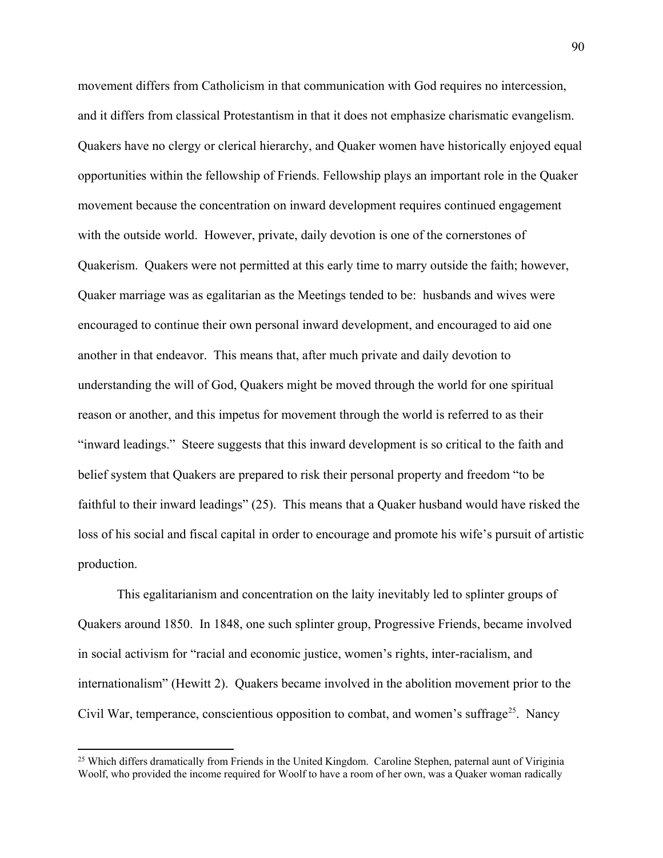movement differs from Catholicism in that communication with God requires no intercession, and it differs from classical Protestantism in that it does not emphasize charismatic evangelism. Quakers have no clergy or clerical hierarchy, and Quaker women have historically enjoyed equal opportunities within the fellowship of Friends. Fellowship plays an important role in the Quaker movement because the concentration on inward development requires continued engagement with the outside world. However, private, daily devotion is one of the cornerstones of Quakerism. Quakers were not permitted at this early time to marry outside the faith; however, Quaker marriage was as egalitarian as the Meetings tended to be: husbands and wives were encouraged to continue their own personal inward development, and encouraged to aid one another in that endeavor. This means that, after much private and daily devotion to understanding the will of God, Quakers might be moved through the world for one spiritual reason or another, and this impetus for movement through the world is referred to as their "inward leadings." Steere suggests that this inward development is so critical to the faith and belief system that Quakers are prepared to risk their personal property and freedom "to be faithful to their inward leadings" (25). This means that a Quaker husband would have risked the loss of his social and fiscal capital in order to encourage and promote his wife's pursuit of artistic production.

 This egalitarianism and concentration on the laity inevitably led to splinter groups of Quakers around 1850. In 1848, one such splinter group, Progressive Friends, became involved in social activism for "racial and economic justice, women's rights, inter-racialism, and internationalism" (Hewitt 2). Quakers became involved in the abolition movement prior to the Civil War, temperance, conscientious opposition to combat, and women's suffrage<sup>25</sup>. Nancy

 $\overline{\phantom{a}}$ 

<span id="page-95-0"></span><sup>&</sup>lt;sup>25</sup> Which differs dramatically from Friends in the United Kingdom. Caroline Stephen, paternal aunt of Viriginia Woolf, who provided the income required for Woolf to have a room of her own, was a Quaker woman radically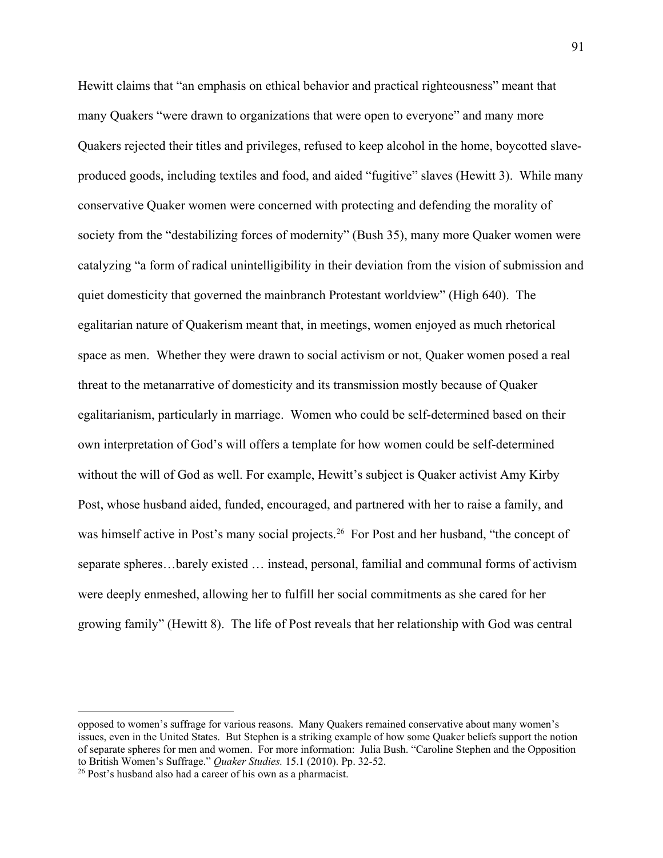Hewitt claims that "an emphasis on ethical behavior and practical righteousness" meant that many Quakers "were drawn to organizations that were open to everyone" and many more Quakers rejected their titles and privileges, refused to keep alcohol in the home, boycotted slaveproduced goods, including textiles and food, and aided "fugitive" slaves (Hewitt 3). While many conservative Quaker women were concerned with protecting and defending the morality of society from the "destabilizing forces of modernity" (Bush 35), many more Quaker women were catalyzing "a form of radical unintelligibility in their deviation from the vision of submission and quiet domesticity that governed the mainbranch Protestant worldview" (High 640). The egalitarian nature of Quakerism meant that, in meetings, women enjoyed as much rhetorical space as men. Whether they were drawn to social activism or not, Quaker women posed a real threat to the metanarrative of domesticity and its transmission mostly because of Quaker egalitarianism, particularly in marriage. Women who could be self-determined based on their own interpretation of God's will offers a template for how women could be self-determined without the will of God as well. For example, Hewitt's subject is Quaker activist Amy Kirby Post, whose husband aided, funded, encouraged, and partnered with her to raise a family, and was himself active in Post's many social projects.<sup>[26](#page-96-0)</sup> For Post and her husband, "the concept of separate spheres…barely existed … instead, personal, familial and communal forms of activism were deeply enmeshed, allowing her to fulfill her social commitments as she cared for her growing family" (Hewitt 8). The life of Post reveals that her relationship with God was central

 $\overline{\phantom{a}}$ 

opposed to women's suffrage for various reasons. Many Quakers remained conservative about many women's issues, even in the United States. But Stephen is a striking example of how some Quaker beliefs support the notion of separate spheres for men and women. For more information: Julia Bush. "Caroline Stephen and the Opposition to British Women's Suffrage." *Quaker Studies.* 15.1 (2010). Pp. 32-52. 26 Post's husband also had a career of his own as a pharmacist.

<span id="page-96-0"></span>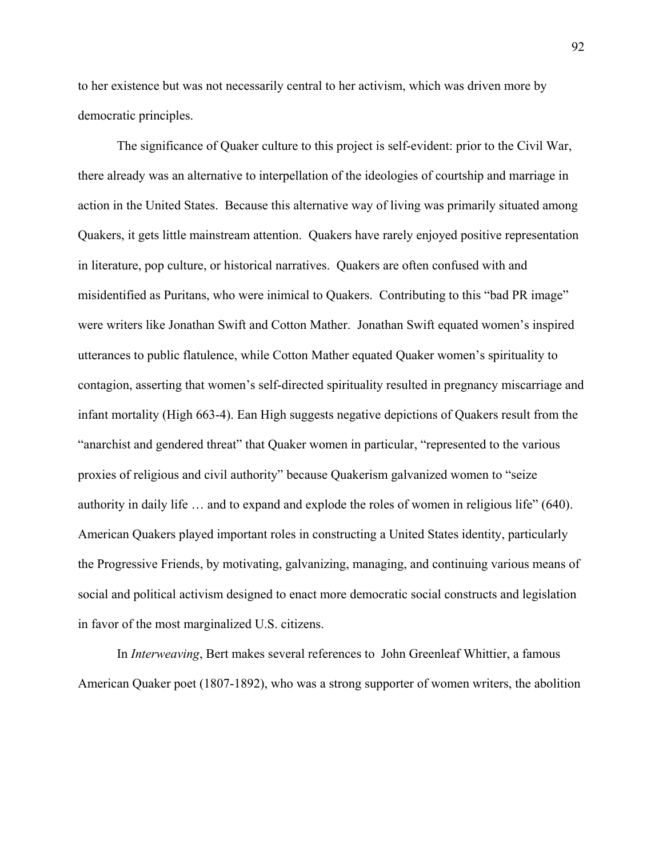to her existence but was not necessarily central to her activism, which was driven more by democratic principles.

The significance of Quaker culture to this project is self-evident: prior to the Civil War, there already was an alternative to interpellation of the ideologies of courtship and marriage in action in the United States. Because this alternative way of living was primarily situated among Quakers, it gets little mainstream attention. Quakers have rarely enjoyed positive representation in literature, pop culture, or historical narratives. Quakers are often confused with and misidentified as Puritans, who were inimical to Quakers. Contributing to this "bad PR image" were writers like Jonathan Swift and Cotton Mather. Jonathan Swift equated women's inspired utterances to public flatulence, while Cotton Mather equated Quaker women's spirituality to contagion, asserting that women's self-directed spirituality resulted in pregnancy miscarriage and infant mortality (High 663-4). Ean High suggests negative depictions of Quakers result from the "anarchist and gendered threat" that Quaker women in particular, "represented to the various proxies of religious and civil authority" because Quakerism galvanized women to "seize authority in daily life … and to expand and explode the roles of women in religious life" (640). American Quakers played important roles in constructing a United States identity, particularly the Progressive Friends, by motivating, galvanizing, managing, and continuing various means of social and political activism designed to enact more democratic social constructs and legislation in favor of the most marginalized U.S. citizens.

In *Interweaving*, Bert makes several references to John Greenleaf Whittier, a famous American Quaker poet (1807-1892), who was a strong supporter of women writers, the abolition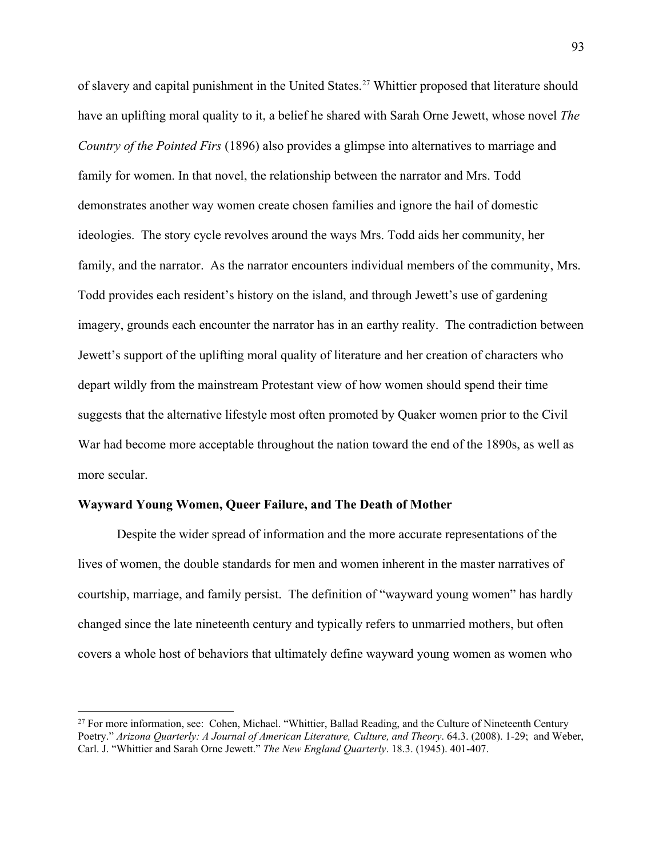of slavery and capital punishment in the United States.<sup>27</sup> Whittier proposed that literature should have an uplifting moral quality to it, a belief he shared with Sarah Orne Jewett, whose novel *The Country of the Pointed Firs* (1896) also provides a glimpse into alternatives to marriage and family for women. In that novel, the relationship between the narrator and Mrs. Todd demonstrates another way women create chosen families and ignore the hail of domestic ideologies. The story cycle revolves around the ways Mrs. Todd aids her community, her family, and the narrator. As the narrator encounters individual members of the community, Mrs. Todd provides each resident's history on the island, and through Jewett's use of gardening imagery, grounds each encounter the narrator has in an earthy reality. The contradiction between Jewett's support of the uplifting moral quality of literature and her creation of characters who depart wildly from the mainstream Protestant view of how women should spend their time suggests that the alternative lifestyle most often promoted by Quaker women prior to the Civil War had become more acceptable throughout the nation toward the end of the 1890s, as well as more secular.

# **Wayward Young Women, Queer Failure, and The Death of Mother**

 $\overline{\phantom{a}}$ 

Despite the wider spread of information and the more accurate representations of the lives of women, the double standards for men and women inherent in the master narratives of courtship, marriage, and family persist. The definition of "wayward young women" has hardly changed since the late nineteenth century and typically refers to unmarried mothers, but often covers a whole host of behaviors that ultimately define wayward young women as women who

<span id="page-98-0"></span><sup>&</sup>lt;sup>27</sup> For more information, see: Cohen, Michael. "Whittier, Ballad Reading, and the Culture of Nineteenth Century Poetry." *Arizona Quarterly: A Journal of American Literature, Culture, and Theory*. 64.3. (2008). 1-29; and Weber, Carl. J. "Whittier and Sarah Orne Jewett." *The New England Quarterly*. 18.3. (1945). 401-407.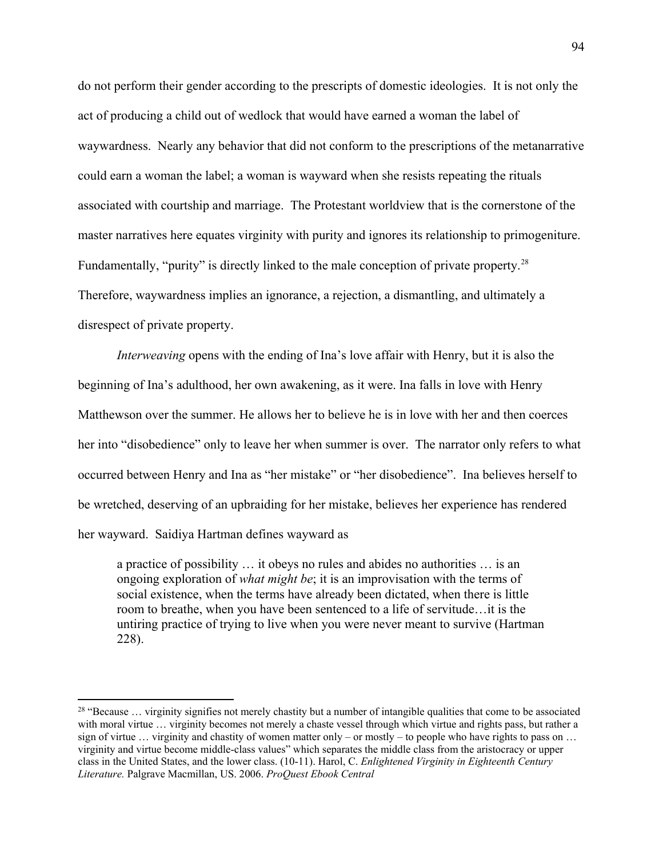do not perform their gender according to the prescripts of domestic ideologies. It is not only the act of producing a child out of wedlock that would have earned a woman the label of waywardness. Nearly any behavior that did not conform to the prescriptions of the metanarrative could earn a woman the label; a woman is wayward when she resists repeating the rituals associated with courtship and marriage. The Protestant worldview that is the cornerstone of the master narratives here equates virginity with purity and ignores its relationship to primogeniture. Fundamentally, "purity" is directly linked to the male conception of private property.<sup>[28](#page-99-0)</sup> Therefore, waywardness implies an ignorance, a rejection, a dismantling, and ultimately a disrespect of private property.

*Interweaving* opens with the ending of Ina's love affair with Henry, but it is also the beginning of Ina's adulthood, her own awakening, as it were. Ina falls in love with Henry Matthewson over the summer. He allows her to believe he is in love with her and then coerces her into "disobedience" only to leave her when summer is over. The narrator only refers to what occurred between Henry and Ina as "her mistake" or "her disobedience". Ina believes herself to be wretched, deserving of an upbraiding for her mistake, believes her experience has rendered her wayward. Saidiya Hartman defines wayward as

a practice of possibility … it obeys no rules and abides no authorities … is an ongoing exploration of *what might be*; it is an improvisation with the terms of social existence, when the terms have already been dictated, when there is little room to breathe, when you have been sentenced to a life of servitude…it is the untiring practice of trying to live when you were never meant to survive (Hartman 228).

 $\overline{a}$ 

<span id="page-99-0"></span><sup>&</sup>lt;sup>28</sup> "Because  $\ldots$  virginity signifies not merely chastity but a number of intangible qualities that come to be associated with moral virtue ... virginity becomes not merely a chaste vessel through which virtue and rights pass, but rather a sign of virtue ... virginity and chastity of women matter only – or mostly – to people who have rights to pass on ... virginity and virtue become middle-class values" which separates the middle class from the aristocracy or upper class in the United States, and the lower class. (10-11). Harol, C. *Enlightened Virginity in Eighteenth Century Literature.* Palgrave Macmillan, US. 2006. *ProQuest Ebook Central*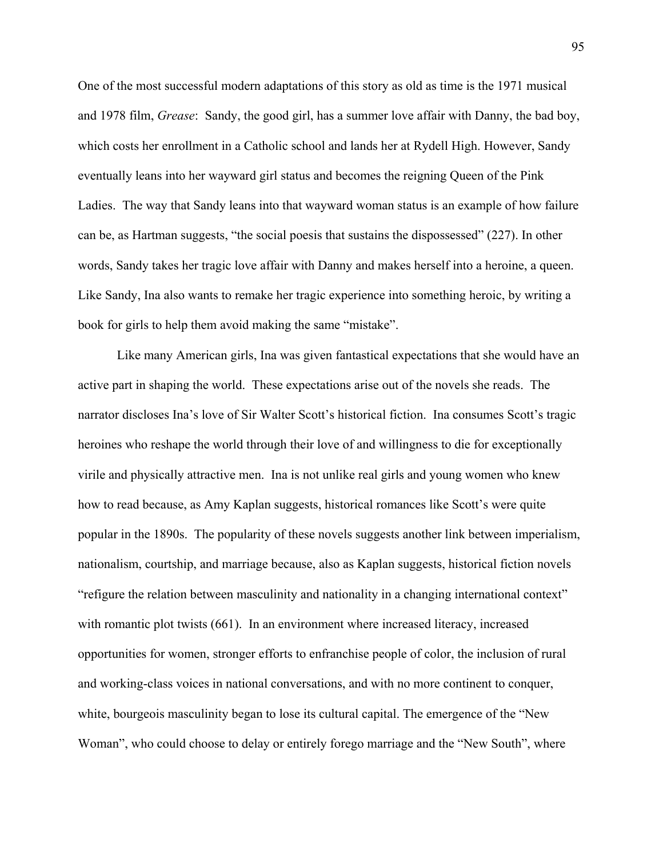One of the most successful modern adaptations of this story as old as time is the 1971 musical and 1978 film, *Grease*: Sandy, the good girl, has a summer love affair with Danny, the bad boy, which costs her enrollment in a Catholic school and lands her at Rydell High. However, Sandy eventually leans into her wayward girl status and becomes the reigning Queen of the Pink Ladies. The way that Sandy leans into that wayward woman status is an example of how failure can be, as Hartman suggests, "the social poesis that sustains the dispossessed" (227). In other words, Sandy takes her tragic love affair with Danny and makes herself into a heroine, a queen. Like Sandy, Ina also wants to remake her tragic experience into something heroic, by writing a book for girls to help them avoid making the same "mistake".

Like many American girls, Ina was given fantastical expectations that she would have an active part in shaping the world. These expectations arise out of the novels she reads. The narrator discloses Ina's love of Sir Walter Scott's historical fiction. Ina consumes Scott's tragic heroines who reshape the world through their love of and willingness to die for exceptionally virile and physically attractive men. Ina is not unlike real girls and young women who knew how to read because, as Amy Kaplan suggests, historical romances like Scott's were quite popular in the 1890s. The popularity of these novels suggests another link between imperialism, nationalism, courtship, and marriage because, also as Kaplan suggests, historical fiction novels "refigure the relation between masculinity and nationality in a changing international context" with romantic plot twists (661). In an environment where increased literacy, increased opportunities for women, stronger efforts to enfranchise people of color, the inclusion of rural and working-class voices in national conversations, and with no more continent to conquer, white, bourgeois masculinity began to lose its cultural capital. The emergence of the "New Woman", who could choose to delay or entirely forego marriage and the "New South", where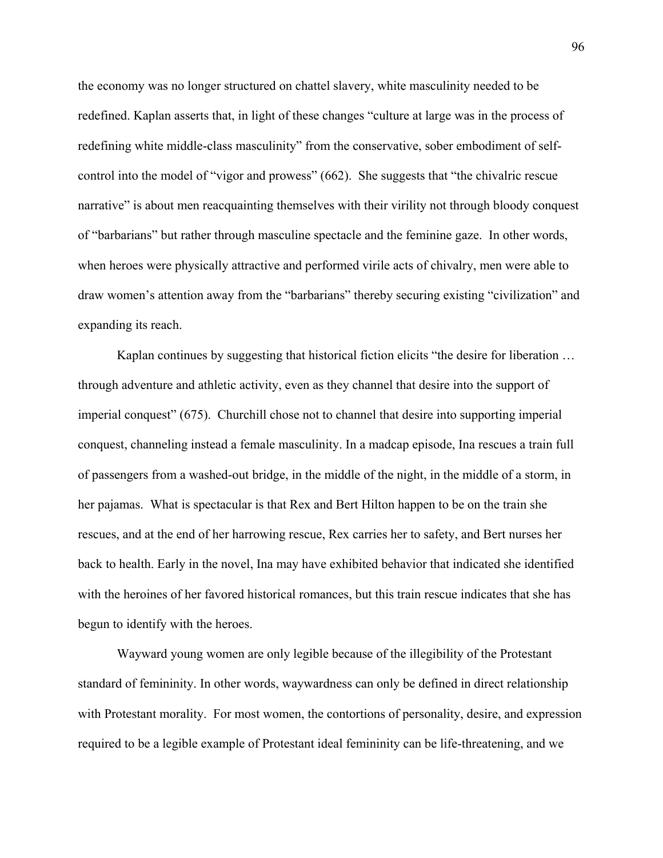the economy was no longer structured on chattel slavery, white masculinity needed to be redefined. Kaplan asserts that, in light of these changes "culture at large was in the process of redefining white middle-class masculinity" from the conservative, sober embodiment of selfcontrol into the model of "vigor and prowess" (662). She suggests that "the chivalric rescue narrative" is about men reacquainting themselves with their virility not through bloody conquest of "barbarians" but rather through masculine spectacle and the feminine gaze. In other words, when heroes were physically attractive and performed virile acts of chivalry, men were able to draw women's attention away from the "barbarians" thereby securing existing "civilization" and expanding its reach.

Kaplan continues by suggesting that historical fiction elicits "the desire for liberation … through adventure and athletic activity, even as they channel that desire into the support of imperial conquest" (675). Churchill chose not to channel that desire into supporting imperial conquest, channeling instead a female masculinity. In a madcap episode, Ina rescues a train full of passengers from a washed-out bridge, in the middle of the night, in the middle of a storm, in her pajamas. What is spectacular is that Rex and Bert Hilton happen to be on the train she rescues, and at the end of her harrowing rescue, Rex carries her to safety, and Bert nurses her back to health. Early in the novel, Ina may have exhibited behavior that indicated she identified with the heroines of her favored historical romances, but this train rescue indicates that she has begun to identify with the heroes.

Wayward young women are only legible because of the illegibility of the Protestant standard of femininity. In other words, waywardness can only be defined in direct relationship with Protestant morality. For most women, the contortions of personality, desire, and expression required to be a legible example of Protestant ideal femininity can be life-threatening, and we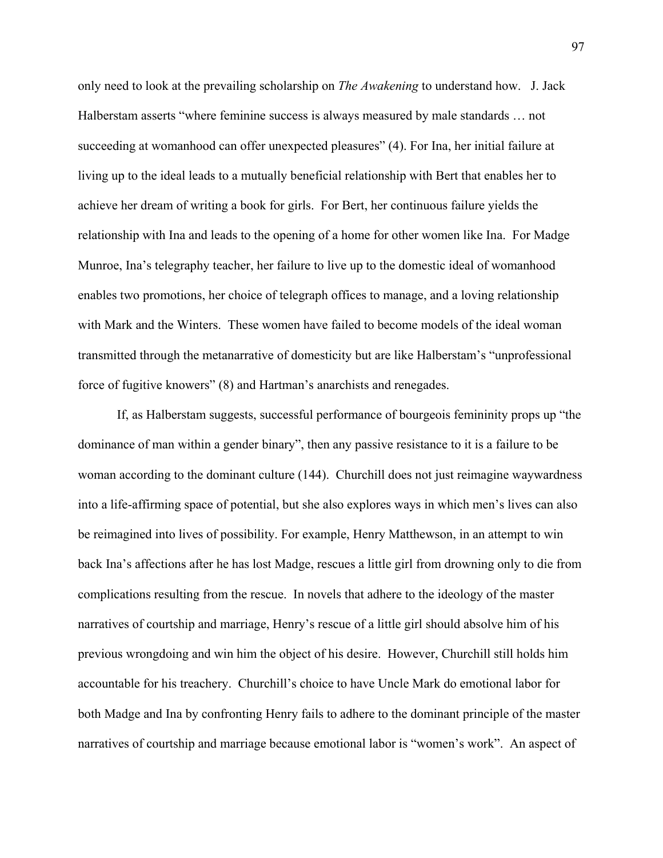only need to look at the prevailing scholarship on *The Awakening* to understand how. J. Jack Halberstam asserts "where feminine success is always measured by male standards … not succeeding at womanhood can offer unexpected pleasures" (4). For Ina, her initial failure at living up to the ideal leads to a mutually beneficial relationship with Bert that enables her to achieve her dream of writing a book for girls. For Bert, her continuous failure yields the relationship with Ina and leads to the opening of a home for other women like Ina. For Madge Munroe, Ina's telegraphy teacher, her failure to live up to the domestic ideal of womanhood enables two promotions, her choice of telegraph offices to manage, and a loving relationship with Mark and the Winters. These women have failed to become models of the ideal woman transmitted through the metanarrative of domesticity but are like Halberstam's "unprofessional force of fugitive knowers" (8) and Hartman's anarchists and renegades.

If, as Halberstam suggests, successful performance of bourgeois femininity props up "the dominance of man within a gender binary", then any passive resistance to it is a failure to be woman according to the dominant culture (144). Churchill does not just reimagine waywardness into a life-affirming space of potential, but she also explores ways in which men's lives can also be reimagined into lives of possibility. For example, Henry Matthewson, in an attempt to win back Ina's affections after he has lost Madge, rescues a little girl from drowning only to die from complications resulting from the rescue. In novels that adhere to the ideology of the master narratives of courtship and marriage, Henry's rescue of a little girl should absolve him of his previous wrongdoing and win him the object of his desire. However, Churchill still holds him accountable for his treachery. Churchill's choice to have Uncle Mark do emotional labor for both Madge and Ina by confronting Henry fails to adhere to the dominant principle of the master narratives of courtship and marriage because emotional labor is "women's work". An aspect of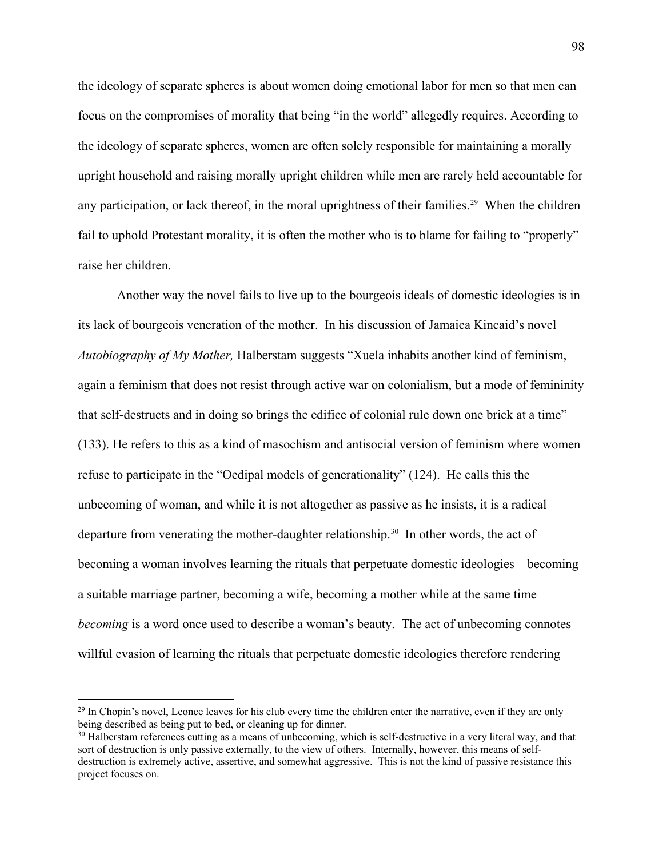the ideology of separate spheres is about women doing emotional labor for men so that men can focus on the compromises of morality that being "in the world" allegedly requires. According to the ideology of separate spheres, women are often solely responsible for maintaining a morally upright household and raising morally upright children while men are rarely held accountable for any participation, or lack thereof, in the moral uprightness of their families.<sup>29</sup> When the children fail to uphold Protestant morality, it is often the mother who is to blame for failing to "properly" raise her children.

Another way the novel fails to live up to the bourgeois ideals of domestic ideologies is in its lack of bourgeois veneration of the mother. In his discussion of Jamaica Kincaid's novel *Autobiography of My Mother,* Halberstam suggests "Xuela inhabits another kind of feminism, again a feminism that does not resist through active war on colonialism, but a mode of femininity that self-destructs and in doing so brings the edifice of colonial rule down one brick at a time" (133). He refers to this as a kind of masochism and antisocial version of feminism where women refuse to participate in the "Oedipal models of generationality" (124). He calls this the unbecoming of woman, and while it is not altogether as passive as he insists, it is a radical departure from venerating the mother-daughter relationship.<sup>[30](#page-103-1)</sup> In other words, the act of becoming a woman involves learning the rituals that perpetuate domestic ideologies – becoming a suitable marriage partner, becoming a wife, becoming a mother while at the same time *becoming* is a word once used to describe a woman's beauty. The act of unbecoming connotes willful evasion of learning the rituals that perpetuate domestic ideologies therefore rendering

 $\overline{a}$ 

<span id="page-103-0"></span> $^{29}$  In Chopin's novel, Leonce leaves for his club every time the children enter the narrative, even if they are only being described as being put to bed, or cleaning up for dinner.

<span id="page-103-1"></span> $30$  Halberstam references cutting as a means of unbecoming, which is self-destructive in a very literal way, and that sort of destruction is only passive externally, to the view of others. Internally, however, this means of selfdestruction is extremely active, assertive, and somewhat aggressive. This is not the kind of passive resistance this project focuses on.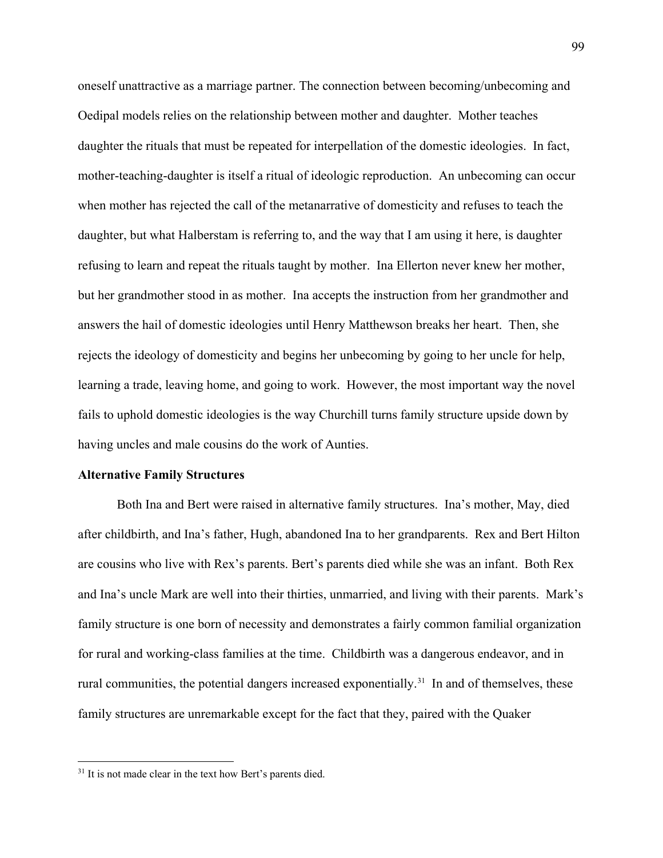oneself unattractive as a marriage partner. The connection between becoming/unbecoming and Oedipal models relies on the relationship between mother and daughter. Mother teaches daughter the rituals that must be repeated for interpellation of the domestic ideologies. In fact, mother-teaching-daughter is itself a ritual of ideologic reproduction. An unbecoming can occur when mother has rejected the call of the metanarrative of domesticity and refuses to teach the daughter, but what Halberstam is referring to, and the way that I am using it here, is daughter refusing to learn and repeat the rituals taught by mother. Ina Ellerton never knew her mother, but her grandmother stood in as mother. Ina accepts the instruction from her grandmother and answers the hail of domestic ideologies until Henry Matthewson breaks her heart. Then, she rejects the ideology of domesticity and begins her unbecoming by going to her uncle for help, learning a trade, leaving home, and going to work. However, the most important way the novel fails to uphold domestic ideologies is the way Churchill turns family structure upside down by having uncles and male cousins do the work of Aunties.

#### **Alternative Family Structures**

Both Ina and Bert were raised in alternative family structures. Ina's mother, May, died after childbirth, and Ina's father, Hugh, abandoned Ina to her grandparents. Rex and Bert Hilton are cousins who live with Rex's parents. Bert's parents died while she was an infant. Both Rex and Ina's uncle Mark are well into their thirties, unmarried, and living with their parents. Mark's family structure is one born of necessity and demonstrates a fairly common familial organization for rural and working-class families at the time. Childbirth was a dangerous endeavor, and in rural communities, the potential dangers increased exponentially.<sup>31</sup> In and of themselves, these family structures are unremarkable except for the fact that they, paired with the Quaker

l

<span id="page-104-0"></span><sup>&</sup>lt;sup>31</sup> It is not made clear in the text how Bert's parents died.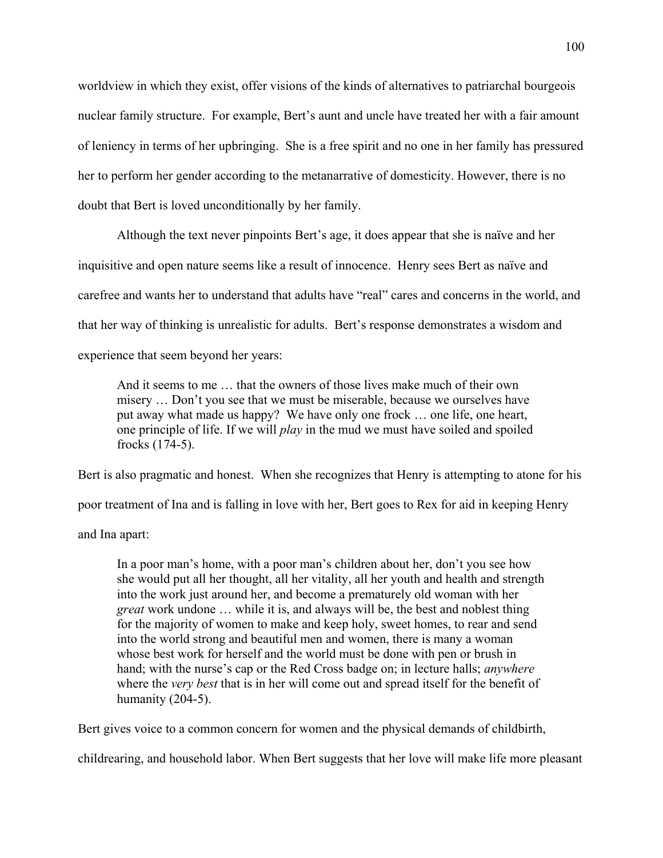worldview in which they exist, offer visions of the kinds of alternatives to patriarchal bourgeois nuclear family structure. For example, Bert's aunt and uncle have treated her with a fair amount of leniency in terms of her upbringing. She is a free spirit and no one in her family has pressured her to perform her gender according to the metanarrative of domesticity. However, there is no doubt that Bert is loved unconditionally by her family.

Although the text never pinpoints Bert's age, it does appear that she is naïve and her inquisitive and open nature seems like a result of innocence. Henry sees Bert as naïve and carefree and wants her to understand that adults have "real" cares and concerns in the world, and that her way of thinking is unrealistic for adults. Bert's response demonstrates a wisdom and experience that seem beyond her years:

And it seems to me … that the owners of those lives make much of their own misery … Don't you see that we must be miserable, because we ourselves have put away what made us happy? We have only one frock … one life, one heart, one principle of life. If we will *play* in the mud we must have soiled and spoiled frocks (174-5).

Bert is also pragmatic and honest. When she recognizes that Henry is attempting to atone for his poor treatment of Ina and is falling in love with her, Bert goes to Rex for aid in keeping Henry

and Ina apart:

In a poor man's home, with a poor man's children about her, don't you see how she would put all her thought, all her vitality, all her youth and health and strength into the work just around her, and become a prematurely old woman with her *great* work undone … while it is, and always will be, the best and noblest thing for the majority of women to make and keep holy, sweet homes, to rear and send into the world strong and beautiful men and women, there is many a woman whose best work for herself and the world must be done with pen or brush in hand; with the nurse's cap or the Red Cross badge on; in lecture halls; *anywhere* where the *very best* that is in her will come out and spread itself for the benefit of humanity (204-5).

Bert gives voice to a common concern for women and the physical demands of childbirth,

childrearing, and household labor. When Bert suggests that her love will make life more pleasant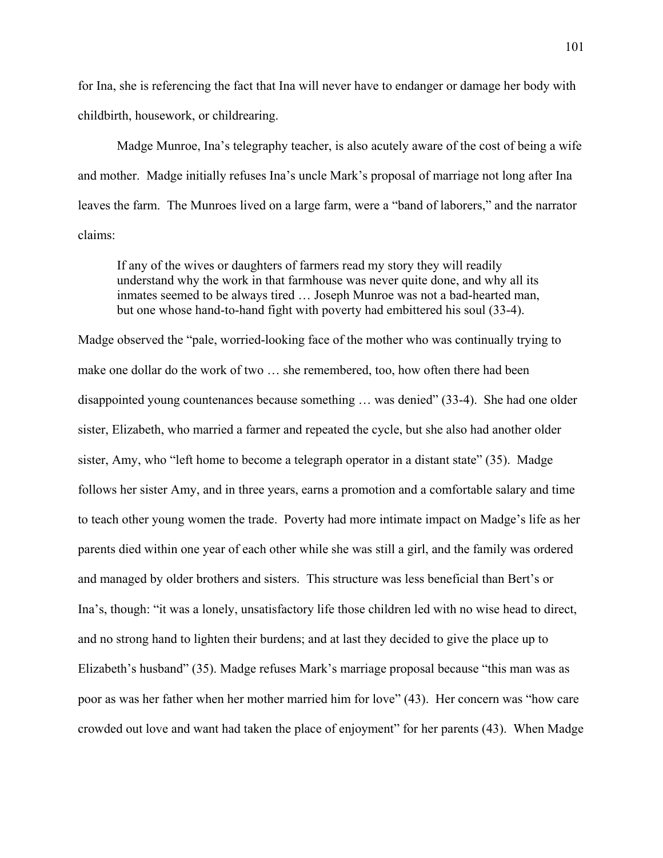for Ina, she is referencing the fact that Ina will never have to endanger or damage her body with childbirth, housework, or childrearing.

Madge Munroe, Ina's telegraphy teacher, is also acutely aware of the cost of being a wife and mother. Madge initially refuses Ina's uncle Mark's proposal of marriage not long after Ina leaves the farm. The Munroes lived on a large farm, were a "band of laborers," and the narrator claims:

If any of the wives or daughters of farmers read my story they will readily understand why the work in that farmhouse was never quite done, and why all its inmates seemed to be always tired … Joseph Munroe was not a bad-hearted man, but one whose hand-to-hand fight with poverty had embittered his soul (33-4).

Madge observed the "pale, worried-looking face of the mother who was continually trying to make one dollar do the work of two … she remembered, too, how often there had been disappointed young countenances because something … was denied" (33-4). She had one older sister, Elizabeth, who married a farmer and repeated the cycle, but she also had another older sister, Amy, who "left home to become a telegraph operator in a distant state" (35). Madge follows her sister Amy, and in three years, earns a promotion and a comfortable salary and time to teach other young women the trade. Poverty had more intimate impact on Madge's life as her parents died within one year of each other while she was still a girl, and the family was ordered and managed by older brothers and sisters. This structure was less beneficial than Bert's or Ina's, though: "it was a lonely, unsatisfactory life those children led with no wise head to direct, and no strong hand to lighten their burdens; and at last they decided to give the place up to Elizabeth's husband" (35). Madge refuses Mark's marriage proposal because "this man was as poor as was her father when her mother married him for love" (43). Her concern was "how care crowded out love and want had taken the place of enjoyment" for her parents (43). When Madge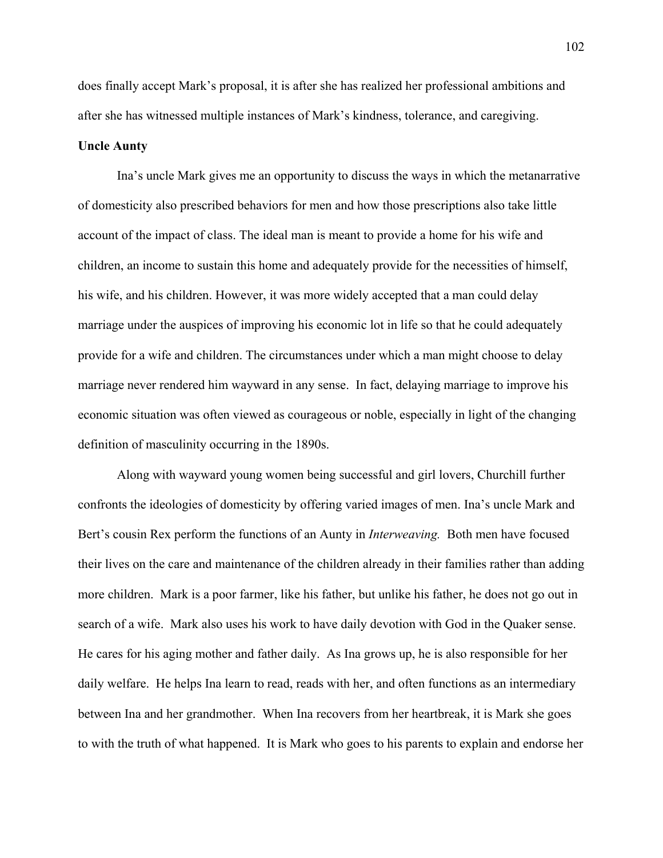does finally accept Mark's proposal, it is after she has realized her professional ambitions and after she has witnessed multiple instances of Mark's kindness, tolerance, and caregiving.

#### **Uncle Aunty**

Ina's uncle Mark gives me an opportunity to discuss the ways in which the metanarrative of domesticity also prescribed behaviors for men and how those prescriptions also take little account of the impact of class. The ideal man is meant to provide a home for his wife and children, an income to sustain this home and adequately provide for the necessities of himself, his wife, and his children. However, it was more widely accepted that a man could delay marriage under the auspices of improving his economic lot in life so that he could adequately provide for a wife and children. The circumstances under which a man might choose to delay marriage never rendered him wayward in any sense. In fact, delaying marriage to improve his economic situation was often viewed as courageous or noble, especially in light of the changing definition of masculinity occurring in the 1890s.

Along with wayward young women being successful and girl lovers, Churchill further confronts the ideologies of domesticity by offering varied images of men. Ina's uncle Mark and Bert's cousin Rex perform the functions of an Aunty in *Interweaving.* Both men have focused their lives on the care and maintenance of the children already in their families rather than adding more children. Mark is a poor farmer, like his father, but unlike his father, he does not go out in search of a wife. Mark also uses his work to have daily devotion with God in the Quaker sense. He cares for his aging mother and father daily. As Ina grows up, he is also responsible for her daily welfare. He helps Ina learn to read, reads with her, and often functions as an intermediary between Ina and her grandmother. When Ina recovers from her heartbreak, it is Mark she goes to with the truth of what happened. It is Mark who goes to his parents to explain and endorse her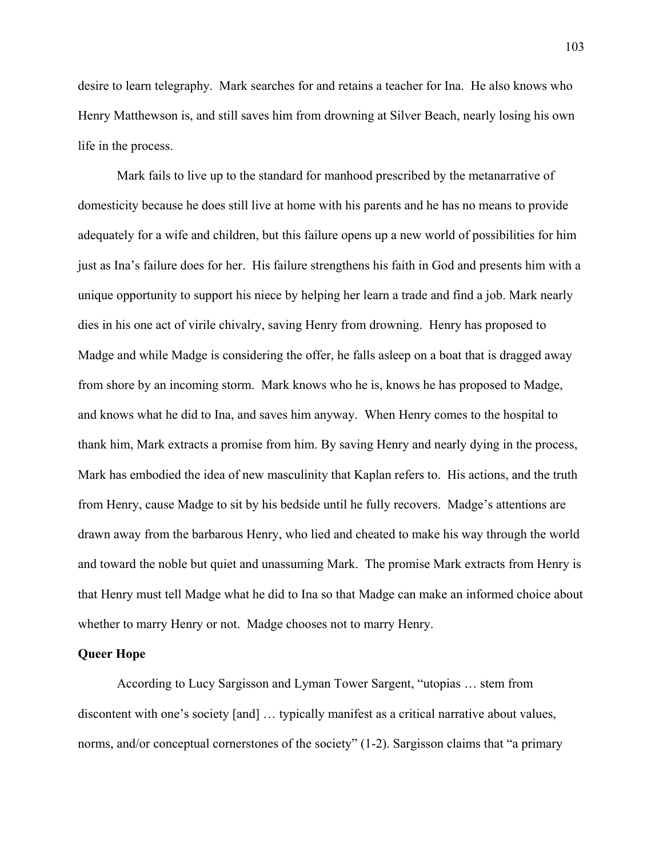desire to learn telegraphy. Mark searches for and retains a teacher for Ina. He also knows who Henry Matthewson is, and still saves him from drowning at Silver Beach, nearly losing his own life in the process.

Mark fails to live up to the standard for manhood prescribed by the metanarrative of domesticity because he does still live at home with his parents and he has no means to provide adequately for a wife and children, but this failure opens up a new world of possibilities for him just as Ina's failure does for her. His failure strengthens his faith in God and presents him with a unique opportunity to support his niece by helping her learn a trade and find a job. Mark nearly dies in his one act of virile chivalry, saving Henry from drowning. Henry has proposed to Madge and while Madge is considering the offer, he falls asleep on a boat that is dragged away from shore by an incoming storm. Mark knows who he is, knows he has proposed to Madge, and knows what he did to Ina, and saves him anyway. When Henry comes to the hospital to thank him, Mark extracts a promise from him. By saving Henry and nearly dying in the process, Mark has embodied the idea of new masculinity that Kaplan refers to. His actions, and the truth from Henry, cause Madge to sit by his bedside until he fully recovers. Madge's attentions are drawn away from the barbarous Henry, who lied and cheated to make his way through the world and toward the noble but quiet and unassuming Mark. The promise Mark extracts from Henry is that Henry must tell Madge what he did to Ina so that Madge can make an informed choice about whether to marry Henry or not. Madge chooses not to marry Henry.

#### **Queer Hope**

According to Lucy Sargisson and Lyman Tower Sargent, "utopias … stem from discontent with one's society [and] … typically manifest as a critical narrative about values, norms, and/or conceptual cornerstones of the society" (1-2). Sargisson claims that "a primary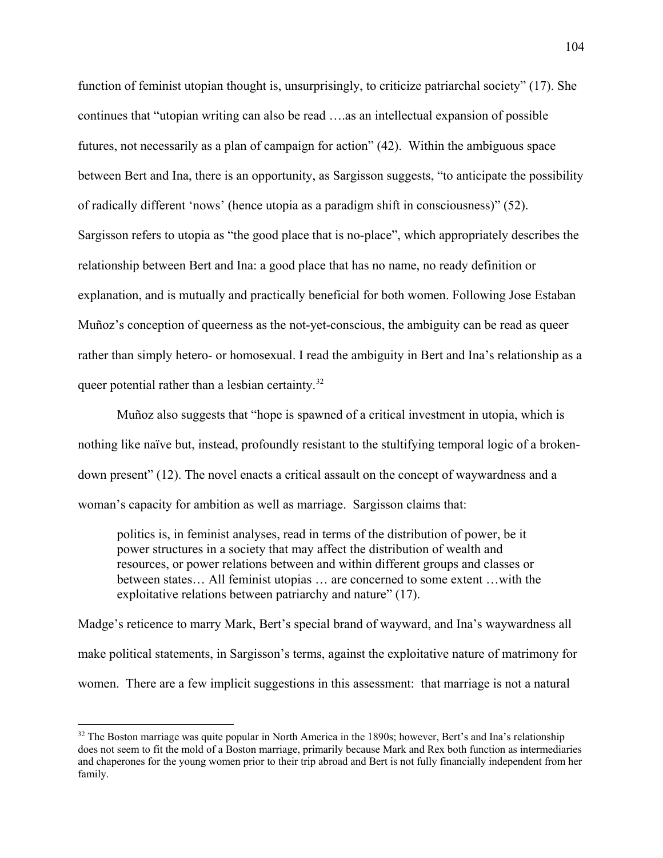function of feminist utopian thought is, unsurprisingly, to criticize patriarchal society" (17). She continues that "utopian writing can also be read ….as an intellectual expansion of possible futures, not necessarily as a plan of campaign for action" (42). Within the ambiguous space between Bert and Ina, there is an opportunity, as Sargisson suggests, "to anticipate the possibility of radically different 'nows' (hence utopia as a paradigm shift in consciousness)" (52). Sargisson refers to utopia as "the good place that is no-place", which appropriately describes the relationship between Bert and Ina: a good place that has no name, no ready definition or explanation, and is mutually and practically beneficial for both women. Following Jose Estaban Muñoz's conception of queerness as the not-yet-conscious, the ambiguity can be read as queer rather than simply hetero- or homosexual. I read the ambiguity in Bert and Ina's relationship as a queer potential rather than a lesbian certainty.<sup>[32](#page-109-0)</sup>

Muñoz also suggests that "hope is spawned of a critical investment in utopia, which is nothing like naïve but, instead, profoundly resistant to the stultifying temporal logic of a brokendown present" (12). The novel enacts a critical assault on the concept of waywardness and a woman's capacity for ambition as well as marriage. Sargisson claims that:

politics is, in feminist analyses, read in terms of the distribution of power, be it power structures in a society that may affect the distribution of wealth and resources, or power relations between and within different groups and classes or between states… All feminist utopias … are concerned to some extent …with the exploitative relations between patriarchy and nature" (17).

Madge's reticence to marry Mark, Bert's special brand of wayward, and Ina's waywardness all make political statements, in Sargisson's terms, against the exploitative nature of matrimony for women. There are a few implicit suggestions in this assessment: that marriage is not a natural

l

<span id="page-109-0"></span><sup>&</sup>lt;sup>32</sup> The Boston marriage was quite popular in North America in the 1890s; however, Bert's and Ina's relationship does not seem to fit the mold of a Boston marriage, primarily because Mark and Rex both function as intermediaries and chaperones for the young women prior to their trip abroad and Bert is not fully financially independent from her family.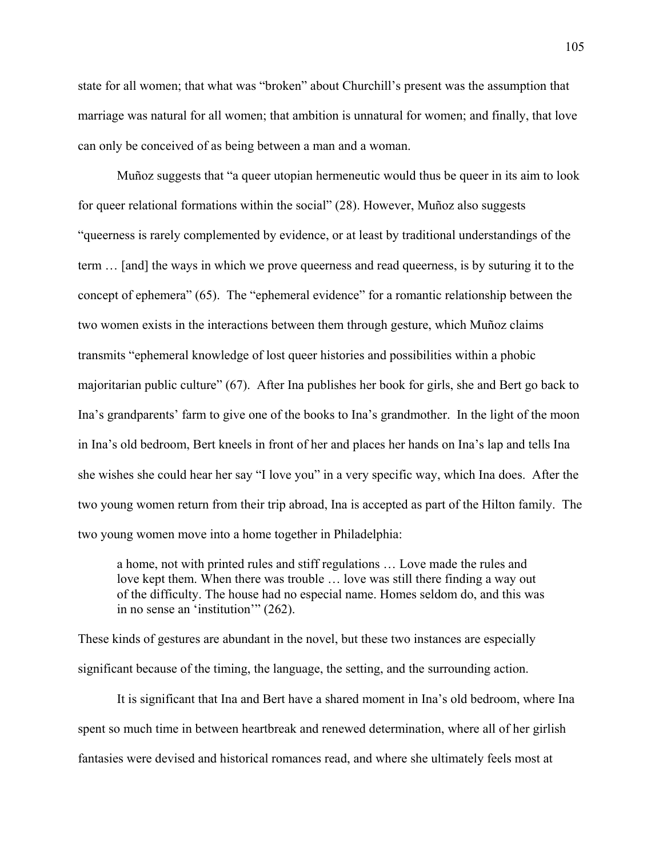state for all women; that what was "broken" about Churchill's present was the assumption that marriage was natural for all women; that ambition is unnatural for women; and finally, that love can only be conceived of as being between a man and a woman.

Muñoz suggests that "a queer utopian hermeneutic would thus be queer in its aim to look for queer relational formations within the social" (28). However, Muñoz also suggests "queerness is rarely complemented by evidence, or at least by traditional understandings of the term … [and] the ways in which we prove queerness and read queerness, is by suturing it to the concept of ephemera" (65). The "ephemeral evidence" for a romantic relationship between the two women exists in the interactions between them through gesture, which Muñoz claims transmits "ephemeral knowledge of lost queer histories and possibilities within a phobic majoritarian public culture" (67). After Ina publishes her book for girls, she and Bert go back to Ina's grandparents' farm to give one of the books to Ina's grandmother. In the light of the moon in Ina's old bedroom, Bert kneels in front of her and places her hands on Ina's lap and tells Ina she wishes she could hear her say "I love you" in a very specific way, which Ina does. After the two young women return from their trip abroad, Ina is accepted as part of the Hilton family. The two young women move into a home together in Philadelphia:

a home, not with printed rules and stiff regulations … Love made the rules and love kept them. When there was trouble … love was still there finding a way out of the difficulty. The house had no especial name. Homes seldom do, and this was in no sense an 'institution'" (262).

These kinds of gestures are abundant in the novel, but these two instances are especially significant because of the timing, the language, the setting, and the surrounding action.

It is significant that Ina and Bert have a shared moment in Ina's old bedroom, where Ina spent so much time in between heartbreak and renewed determination, where all of her girlish fantasies were devised and historical romances read, and where she ultimately feels most at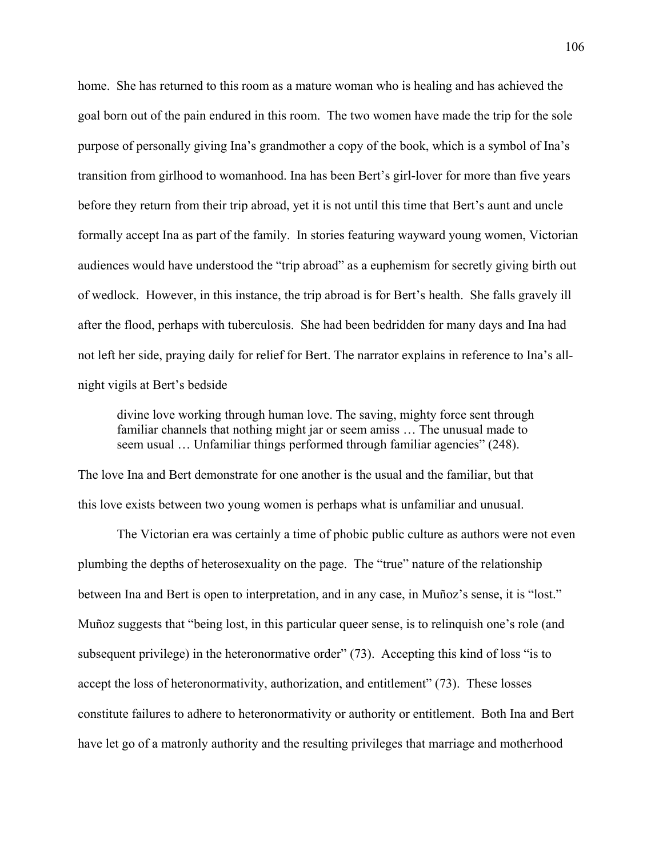home. She has returned to this room as a mature woman who is healing and has achieved the goal born out of the pain endured in this room. The two women have made the trip for the sole purpose of personally giving Ina's grandmother a copy of the book, which is a symbol of Ina's transition from girlhood to womanhood. Ina has been Bert's girl-lover for more than five years before they return from their trip abroad, yet it is not until this time that Bert's aunt and uncle formally accept Ina as part of the family. In stories featuring wayward young women, Victorian audiences would have understood the "trip abroad" as a euphemism for secretly giving birth out of wedlock. However, in this instance, the trip abroad is for Bert's health. She falls gravely ill after the flood, perhaps with tuberculosis. She had been bedridden for many days and Ina had not left her side, praying daily for relief for Bert. The narrator explains in reference to Ina's allnight vigils at Bert's bedside

divine love working through human love. The saving, mighty force sent through familiar channels that nothing might jar or seem amiss … The unusual made to seem usual ... Unfamiliar things performed through familiar agencies" (248).

The love Ina and Bert demonstrate for one another is the usual and the familiar, but that this love exists between two young women is perhaps what is unfamiliar and unusual.

The Victorian era was certainly a time of phobic public culture as authors were not even plumbing the depths of heterosexuality on the page. The "true" nature of the relationship between Ina and Bert is open to interpretation, and in any case, in Muñoz's sense, it is "lost." Muñoz suggests that "being lost, in this particular queer sense, is to relinquish one's role (and subsequent privilege) in the heteronormative order" (73). Accepting this kind of loss "is to accept the loss of heteronormativity, authorization, and entitlement" (73). These losses constitute failures to adhere to heteronormativity or authority or entitlement. Both Ina and Bert have let go of a matronly authority and the resulting privileges that marriage and motherhood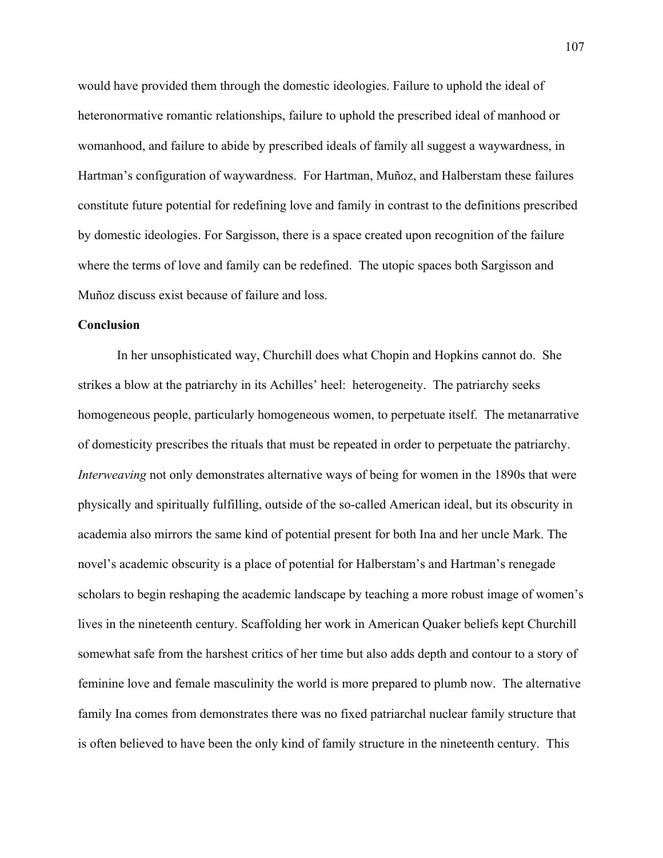would have provided them through the domestic ideologies. Failure to uphold the ideal of heteronormative romantic relationships, failure to uphold the prescribed ideal of manhood or womanhood, and failure to abide by prescribed ideals of family all suggest a waywardness, in Hartman's configuration of waywardness. For Hartman, Muñoz, and Halberstam these failures constitute future potential for redefining love and family in contrast to the definitions prescribed by domestic ideologies. For Sargisson, there is a space created upon recognition of the failure where the terms of love and family can be redefined. The utopic spaces both Sargisson and Muñoz discuss exist because of failure and loss.

## **Conclusion**

 In her unsophisticated way, Churchill does what Chopin and Hopkins cannot do. She strikes a blow at the patriarchy in its Achilles' heel: heterogeneity. The patriarchy seeks homogeneous people, particularly homogeneous women, to perpetuate itself. The metanarrative of domesticity prescribes the rituals that must be repeated in order to perpetuate the patriarchy. *Interweaving* not only demonstrates alternative ways of being for women in the 1890s that were physically and spiritually fulfilling, outside of the so-called American ideal, but its obscurity in academia also mirrors the same kind of potential present for both Ina and her uncle Mark. The novel's academic obscurity is a place of potential for Halberstam's and Hartman's renegade scholars to begin reshaping the academic landscape by teaching a more robust image of women's lives in the nineteenth century. Scaffolding her work in American Quaker beliefs kept Churchill somewhat safe from the harshest critics of her time but also adds depth and contour to a story of feminine love and female masculinity the world is more prepared to plumb now. The alternative family Ina comes from demonstrates there was no fixed patriarchal nuclear family structure that is often believed to have been the only kind of family structure in the nineteenth century. This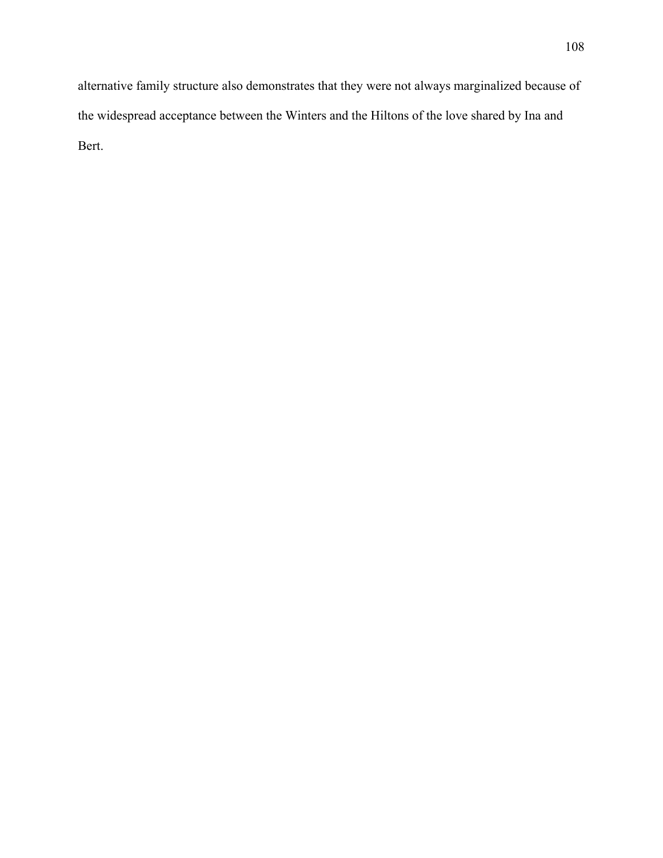alternative family structure also demonstrates that they were not always marginalized because of the widespread acceptance between the Winters and the Hiltons of the love shared by Ina and Bert.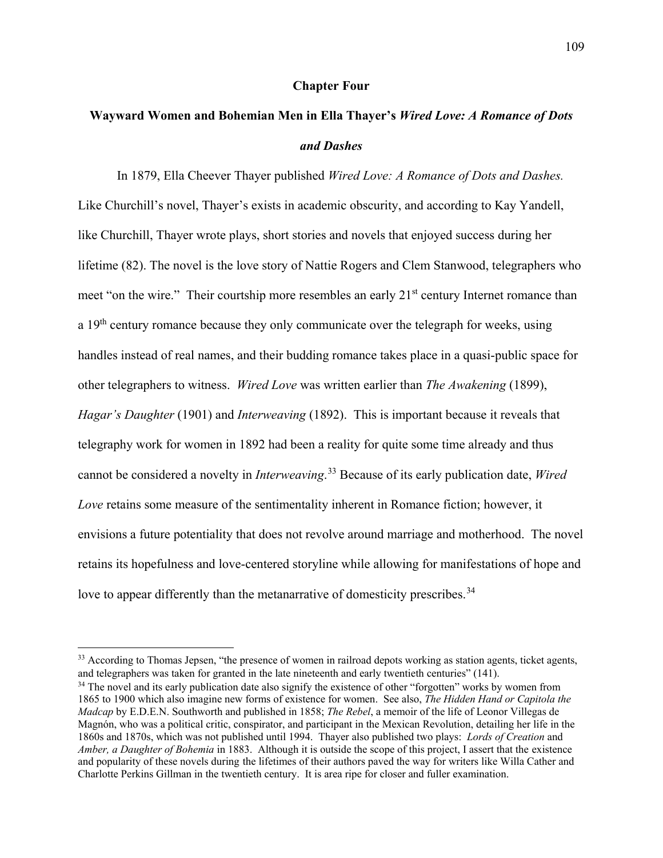### **Chapter Four**

# **Wayward Women and Bohemian Men in Ella Thayer's** *Wired Love: A Romance of Dots and Dashes*

 In 1879, Ella Cheever Thayer published *Wired Love: A Romance of Dots and Dashes.* Like Churchill's novel, Thayer's exists in academic obscurity, and according to Kay Yandell, like Churchill, Thayer wrote plays, short stories and novels that enjoyed success during her lifetime (82). The novel is the love story of Nattie Rogers and Clem Stanwood, telegraphers who meet "on the wire." Their courtship more resembles an early  $21<sup>st</sup>$  century Internet romance than a  $19<sup>th</sup>$  century romance because they only communicate over the telegraph for weeks, using handles instead of real names, and their budding romance takes place in a quasi-public space for other telegraphers to witness. *Wired Love* was written earlier than *The Awakening* (1899), *Hagar's Daughter* (1901) and *Interweaving* (1892). This is important because it reveals that telegraphy work for women in 1892 had been a reality for quite some time already and thus cannot be considered a novelty in *Interweaving*. [33](#page-114-0) Because of its early publication date, *Wired Love* retains some measure of the sentimentality inherent in Romance fiction; however, it envisions a future potentiality that does not revolve around marriage and motherhood. The novel retains its hopefulness and love-centered storyline while allowing for manifestations of hope and love to appear differently than the metanarrative of domesticity prescribes.<sup>[34](#page-114-1)</sup>

 $\overline{\phantom{a}}$ 

<span id="page-114-0"></span><sup>&</sup>lt;sup>33</sup> According to Thomas Jepsen, "the presence of women in railroad depots working as station agents, ticket agents, and telegraphers was taken for granted in the late nineteenth and early twentieth centuries" (141).

<span id="page-114-1"></span><sup>&</sup>lt;sup>34</sup> The novel and its early publication date also signify the existence of other "forgotten" works by women from 1865 to 1900 which also imagine new forms of existence for women. See also, *The Hidden Hand or Capitola the Madcap* by E.D.E.N. Southworth and published in 1858; *The Rebel*, a memoir of the life of Leonor Villegas de Magnón, who was a political critic, conspirator, and participant in the Mexican Revolution, detailing her life in the 1860s and 1870s, which was not published until 1994. Thayer also published two plays: *Lords of Creation* and *Amber, a Daughter of Bohemia* in 1883. Although it is outside the scope of this project, I assert that the existence and popularity of these novels during the lifetimes of their authors paved the way for writers like Willa Cather and Charlotte Perkins Gillman in the twentieth century. It is area ripe for closer and fuller examination.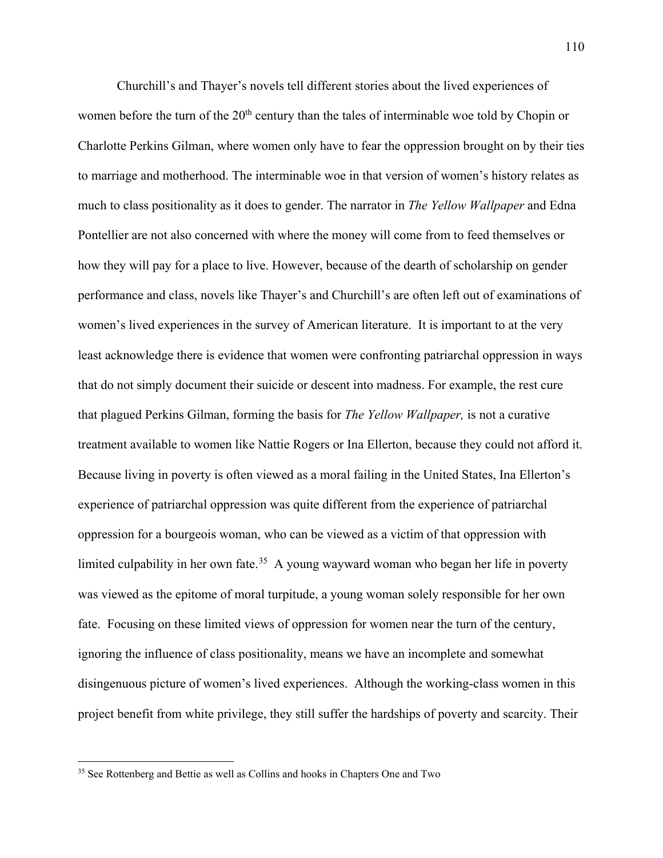Churchill's and Thayer's novels tell different stories about the lived experiences of women before the turn of the 20<sup>th</sup> century than the tales of interminable woe told by Chopin or Charlotte Perkins Gilman, where women only have to fear the oppression brought on by their ties to marriage and motherhood. The interminable woe in that version of women's history relates as much to class positionality as it does to gender. The narrator in *The Yellow Wallpaper* and Edna Pontellier are not also concerned with where the money will come from to feed themselves or how they will pay for a place to live. However, because of the dearth of scholarship on gender performance and class, novels like Thayer's and Churchill's are often left out of examinations of women's lived experiences in the survey of American literature. It is important to at the very least acknowledge there is evidence that women were confronting patriarchal oppression in ways that do not simply document their suicide or descent into madness. For example, the rest cure that plagued Perkins Gilman, forming the basis for *The Yellow Wallpaper,* is not a curative treatment available to women like Nattie Rogers or Ina Ellerton, because they could not afford it. Because living in poverty is often viewed as a moral failing in the United States, Ina Ellerton's experience of patriarchal oppression was quite different from the experience of patriarchal oppression for a bourgeois woman, who can be viewed as a victim of that oppression with limited culpability in her own fate.<sup>[35](#page-115-0)</sup> A young wayward woman who began her life in poverty was viewed as the epitome of moral turpitude, a young woman solely responsible for her own fate. Focusing on these limited views of oppression for women near the turn of the century, ignoring the influence of class positionality, means we have an incomplete and somewhat disingenuous picture of women's lived experiences. Although the working-class women in this project benefit from white privilege, they still suffer the hardships of poverty and scarcity. Their

l

<span id="page-115-0"></span><sup>&</sup>lt;sup>35</sup> See Rottenberg and Bettie as well as Collins and hooks in Chapters One and Two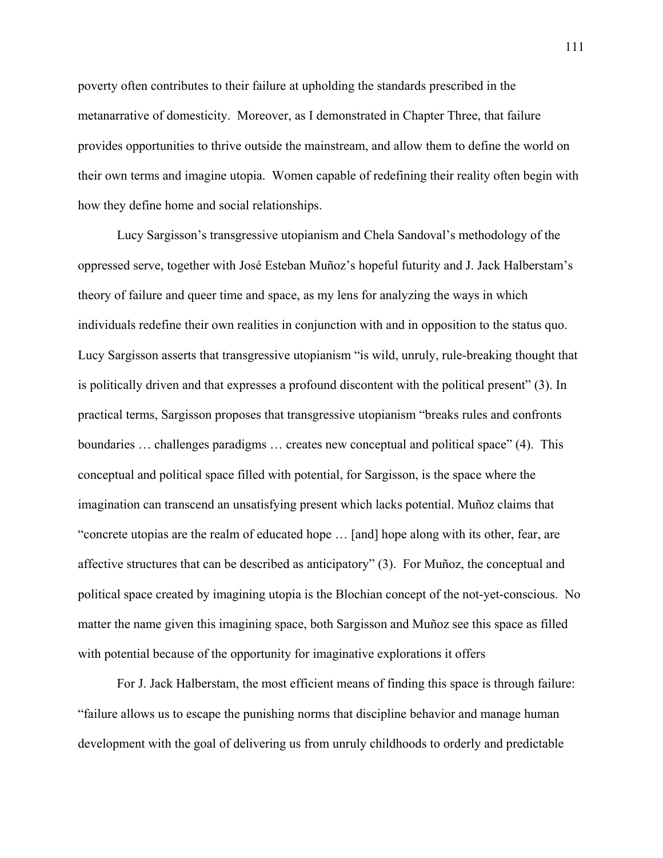poverty often contributes to their failure at upholding the standards prescribed in the metanarrative of domesticity. Moreover, as I demonstrated in Chapter Three, that failure provides opportunities to thrive outside the mainstream, and allow them to define the world on their own terms and imagine utopia. Women capable of redefining their reality often begin with how they define home and social relationships.

Lucy Sargisson's transgressive utopianism and Chela Sandoval's methodology of the oppressed serve, together with José Esteban Muñoz's hopeful futurity and J. Jack Halberstam's theory of failure and queer time and space, as my lens for analyzing the ways in which individuals redefine their own realities in conjunction with and in opposition to the status quo. Lucy Sargisson asserts that transgressive utopianism "is wild, unruly, rule-breaking thought that is politically driven and that expresses a profound discontent with the political present" (3). In practical terms, Sargisson proposes that transgressive utopianism "breaks rules and confronts boundaries … challenges paradigms … creates new conceptual and political space" (4). This conceptual and political space filled with potential, for Sargisson, is the space where the imagination can transcend an unsatisfying present which lacks potential. Muñoz claims that "concrete utopias are the realm of educated hope … [and] hope along with its other, fear, are affective structures that can be described as anticipatory" (3). For Muñoz, the conceptual and political space created by imagining utopia is the Blochian concept of the not-yet-conscious. No matter the name given this imagining space, both Sargisson and Muñoz see this space as filled with potential because of the opportunity for imaginative explorations it offers

For J. Jack Halberstam, the most efficient means of finding this space is through failure: "failure allows us to escape the punishing norms that discipline behavior and manage human development with the goal of delivering us from unruly childhoods to orderly and predictable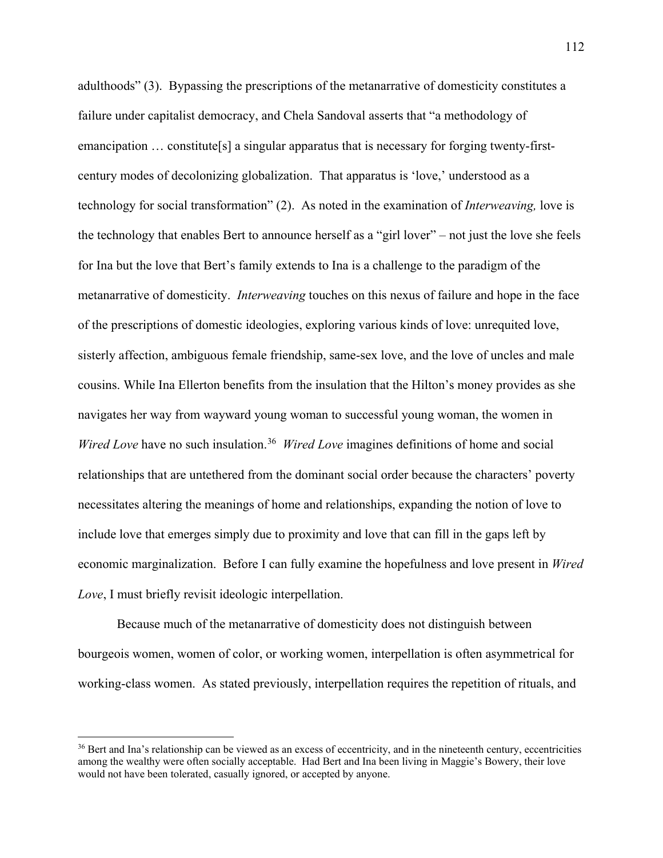adulthoods" (3). Bypassing the prescriptions of the metanarrative of domesticity constitutes a failure under capitalist democracy, and Chela Sandoval asserts that "a methodology of emancipation ... constitute [s] a singular apparatus that is necessary for forging twenty-firstcentury modes of decolonizing globalization. That apparatus is 'love,' understood as a technology for social transformation" (2). As noted in the examination of *Interweaving,* love is the technology that enables Bert to announce herself as a "girl lover" – not just the love she feels for Ina but the love that Bert's family extends to Ina is a challenge to the paradigm of the metanarrative of domesticity. *Interweaving* touches on this nexus of failure and hope in the face of the prescriptions of domestic ideologies, exploring various kinds of love: unrequited love, sisterly affection, ambiguous female friendship, same-sex love, and the love of uncles and male cousins. While Ina Ellerton benefits from the insulation that the Hilton's money provides as she navigates her way from wayward young woman to successful young woman, the women in *Wired Love* have no such insulation.<sup>[36](#page-117-0)</sup> *Wired Love* imagines definitions of home and social relationships that are untethered from the dominant social order because the characters' poverty necessitates altering the meanings of home and relationships, expanding the notion of love to include love that emerges simply due to proximity and love that can fill in the gaps left by economic marginalization. Before I can fully examine the hopefulness and love present in *Wired Love*, I must briefly revisit ideologic interpellation.

Because much of the metanarrative of domesticity does not distinguish between bourgeois women, women of color, or working women, interpellation is often asymmetrical for working-class women. As stated previously, interpellation requires the repetition of rituals, and

 $\overline{a}$ 

<span id="page-117-0"></span><sup>&</sup>lt;sup>36</sup> Bert and Ina's relationship can be viewed as an excess of eccentricity, and in the nineteenth century, eccentricities among the wealthy were often socially acceptable. Had Bert and Ina been living in Maggie's Bowery, their love would not have been tolerated, casually ignored, or accepted by anyone.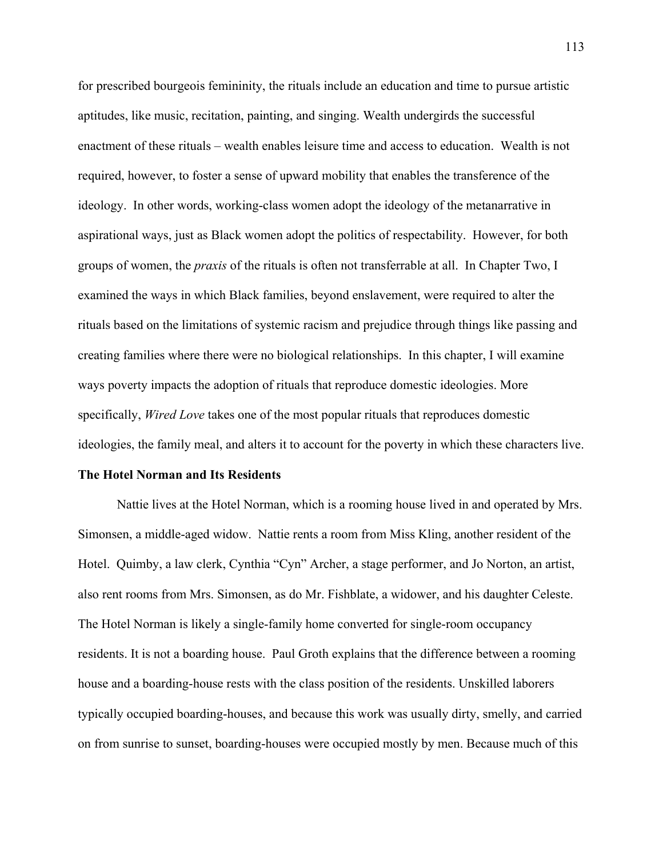for prescribed bourgeois femininity, the rituals include an education and time to pursue artistic aptitudes, like music, recitation, painting, and singing. Wealth undergirds the successful enactment of these rituals – wealth enables leisure time and access to education. Wealth is not required, however, to foster a sense of upward mobility that enables the transference of the ideology. In other words, working-class women adopt the ideology of the metanarrative in aspirational ways, just as Black women adopt the politics of respectability. However, for both groups of women, the *praxis* of the rituals is often not transferrable at all. In Chapter Two, I examined the ways in which Black families, beyond enslavement, were required to alter the rituals based on the limitations of systemic racism and prejudice through things like passing and creating families where there were no biological relationships. In this chapter, I will examine ways poverty impacts the adoption of rituals that reproduce domestic ideologies. More specifically, *Wired Love* takes one of the most popular rituals that reproduces domestic ideologies, the family meal, and alters it to account for the poverty in which these characters live.

#### **The Hotel Norman and Its Residents**

Nattie lives at the Hotel Norman, which is a rooming house lived in and operated by Mrs. Simonsen, a middle-aged widow. Nattie rents a room from Miss Kling, another resident of the Hotel. Quimby, a law clerk, Cynthia "Cyn" Archer, a stage performer, and Jo Norton, an artist, also rent rooms from Mrs. Simonsen, as do Mr. Fishblate, a widower, and his daughter Celeste. The Hotel Norman is likely a single-family home converted for single-room occupancy residents. It is not a boarding house. Paul Groth explains that the difference between a rooming house and a boarding-house rests with the class position of the residents. Unskilled laborers typically occupied boarding-houses, and because this work was usually dirty, smelly, and carried on from sunrise to sunset, boarding-houses were occupied mostly by men. Because much of this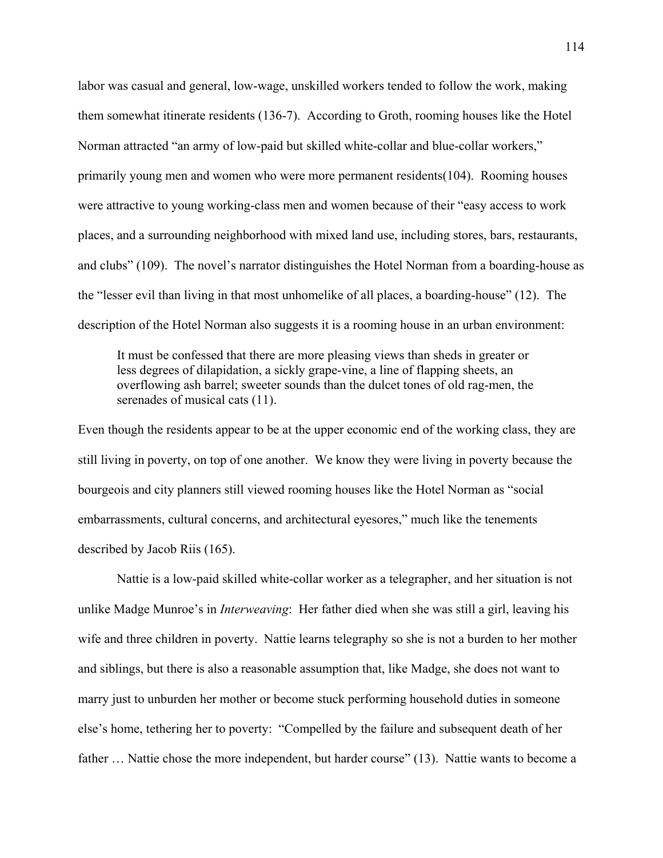labor was casual and general, low-wage, unskilled workers tended to follow the work, making them somewhat itinerate residents (136-7). According to Groth, rooming houses like the Hotel Norman attracted "an army of low-paid but skilled white-collar and blue-collar workers," primarily young men and women who were more permanent residents(104). Rooming houses were attractive to young working-class men and women because of their "easy access to work places, and a surrounding neighborhood with mixed land use, including stores, bars, restaurants, and clubs" (109). The novel's narrator distinguishes the Hotel Norman from a boarding-house as the "lesser evil than living in that most unhomelike of all places, a boarding-house" (12). The description of the Hotel Norman also suggests it is a rooming house in an urban environment:

It must be confessed that there are more pleasing views than sheds in greater or less degrees of dilapidation, a sickly grape-vine, a line of flapping sheets, an overflowing ash barrel; sweeter sounds than the dulcet tones of old rag-men, the serenades of musical cats (11).

Even though the residents appear to be at the upper economic end of the working class, they are still living in poverty, on top of one another. We know they were living in poverty because the bourgeois and city planners still viewed rooming houses like the Hotel Norman as "social embarrassments, cultural concerns, and architectural eyesores," much like the tenements described by Jacob Riis (165).

Nattie is a low-paid skilled white-collar worker as a telegrapher, and her situation is not unlike Madge Munroe's in *Interweaving*: Her father died when she was still a girl, leaving his wife and three children in poverty. Nattie learns telegraphy so she is not a burden to her mother and siblings, but there is also a reasonable assumption that, like Madge, she does not want to marry just to unburden her mother or become stuck performing household duties in someone else's home, tethering her to poverty: "Compelled by the failure and subsequent death of her father … Nattie chose the more independent, but harder course" (13). Nattie wants to become a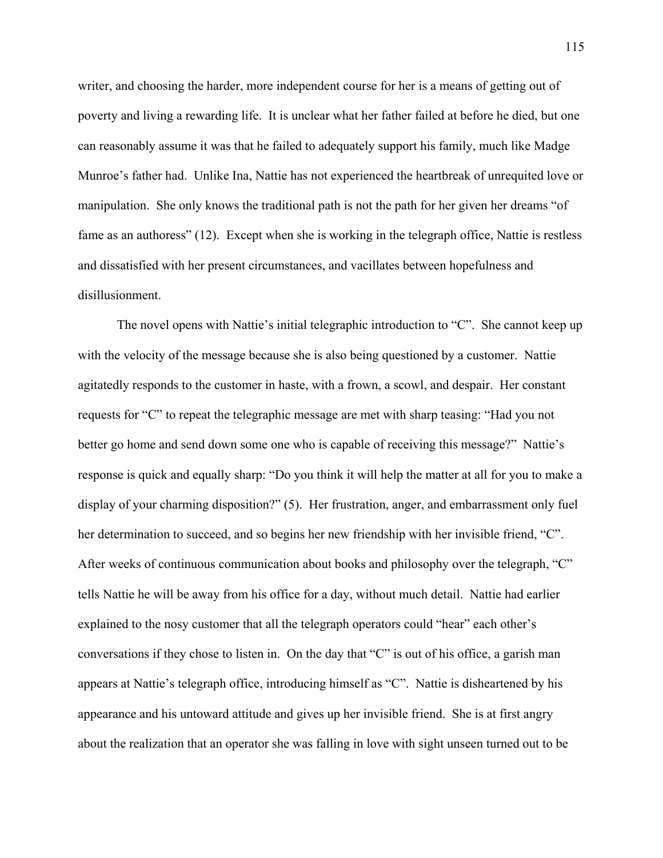writer, and choosing the harder, more independent course for her is a means of getting out of poverty and living a rewarding life. It is unclear what her father failed at before he died, but one can reasonably assume it was that he failed to adequately support his family, much like Madge Munroe's father had. Unlike Ina, Nattie has not experienced the heartbreak of unrequited love or manipulation. She only knows the traditional path is not the path for her given her dreams "of fame as an authoress" (12). Except when she is working in the telegraph office, Nattie is restless and dissatisfied with her present circumstances, and vacillates between hopefulness and disillusionment.

The novel opens with Nattie's initial telegraphic introduction to "C". She cannot keep up with the velocity of the message because she is also being questioned by a customer. Nattie agitatedly responds to the customer in haste, with a frown, a scowl, and despair. Her constant requests for "C" to repeat the telegraphic message are met with sharp teasing: "Had you not better go home and send down some one who is capable of receiving this message?" Nattie's response is quick and equally sharp: "Do you think it will help the matter at all for you to make a display of your charming disposition?" (5). Her frustration, anger, and embarrassment only fuel her determination to succeed, and so begins her new friendship with her invisible friend, "C". After weeks of continuous communication about books and philosophy over the telegraph, "C" tells Nattie he will be away from his office for a day, without much detail. Nattie had earlier explained to the nosy customer that all the telegraph operators could "hear" each other's conversations if they chose to listen in. On the day that "C" is out of his office, a garish man appears at Nattie's telegraph office, introducing himself as "C". Nattie is disheartened by his appearance and his untoward attitude and gives up her invisible friend. She is at first angry about the realization that an operator she was falling in love with sight unseen turned out to be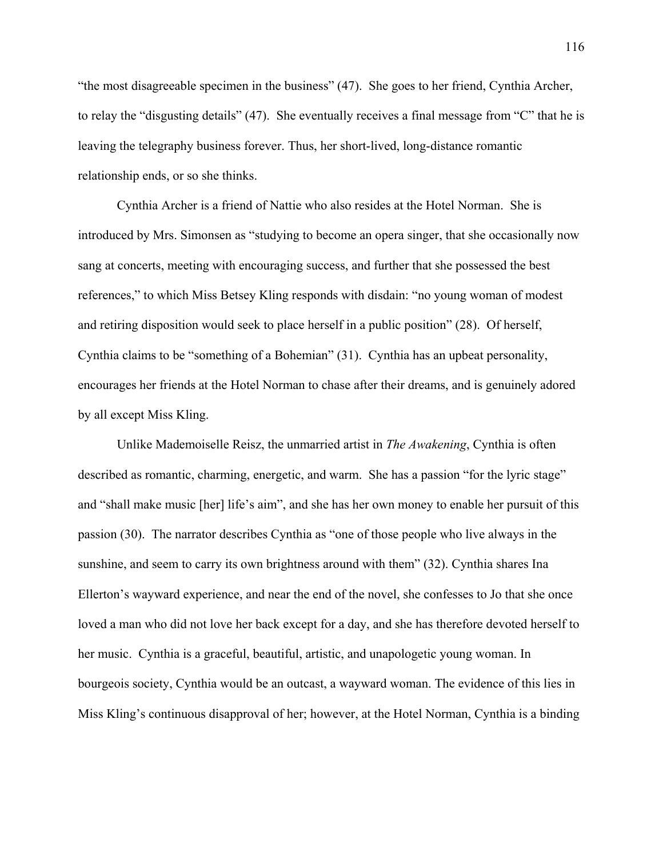"the most disagreeable specimen in the business" (47). She goes to her friend, Cynthia Archer, to relay the "disgusting details" (47). She eventually receives a final message from "C" that he is leaving the telegraphy business forever. Thus, her short-lived, long-distance romantic relationship ends, or so she thinks.

Cynthia Archer is a friend of Nattie who also resides at the Hotel Norman. She is introduced by Mrs. Simonsen as "studying to become an opera singer, that she occasionally now sang at concerts, meeting with encouraging success, and further that she possessed the best references," to which Miss Betsey Kling responds with disdain: "no young woman of modest and retiring disposition would seek to place herself in a public position" (28). Of herself, Cynthia claims to be "something of a Bohemian" (31). Cynthia has an upbeat personality, encourages her friends at the Hotel Norman to chase after their dreams, and is genuinely adored by all except Miss Kling.

Unlike Mademoiselle Reisz, the unmarried artist in *The Awakening*, Cynthia is often described as romantic, charming, energetic, and warm. She has a passion "for the lyric stage" and "shall make music [her] life's aim", and she has her own money to enable her pursuit of this passion (30). The narrator describes Cynthia as "one of those people who live always in the sunshine, and seem to carry its own brightness around with them" (32). Cynthia shares Ina Ellerton's wayward experience, and near the end of the novel, she confesses to Jo that she once loved a man who did not love her back except for a day, and she has therefore devoted herself to her music. Cynthia is a graceful, beautiful, artistic, and unapologetic young woman. In bourgeois society, Cynthia would be an outcast, a wayward woman. The evidence of this lies in Miss Kling's continuous disapproval of her; however, at the Hotel Norman, Cynthia is a binding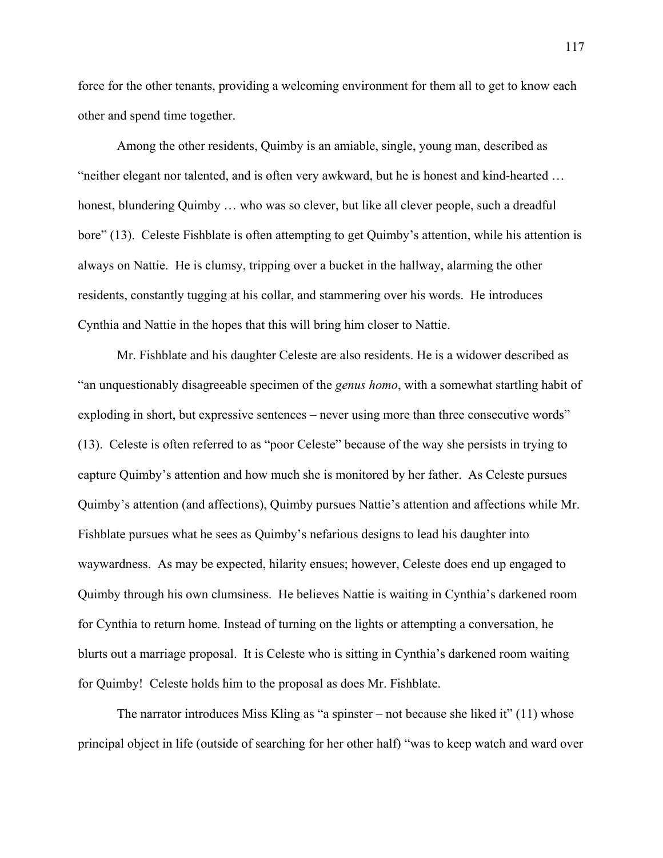force for the other tenants, providing a welcoming environment for them all to get to know each other and spend time together.

Among the other residents, Quimby is an amiable, single, young man, described as "neither elegant nor talented, and is often very awkward, but he is honest and kind-hearted … honest, blundering Quimby … who was so clever, but like all clever people, such a dreadful bore" (13). Celeste Fishblate is often attempting to get Quimby's attention, while his attention is always on Nattie. He is clumsy, tripping over a bucket in the hallway, alarming the other residents, constantly tugging at his collar, and stammering over his words. He introduces Cynthia and Nattie in the hopes that this will bring him closer to Nattie.

Mr. Fishblate and his daughter Celeste are also residents. He is a widower described as "an unquestionably disagreeable specimen of the *genus homo*, with a somewhat startling habit of exploding in short, but expressive sentences – never using more than three consecutive words" (13). Celeste is often referred to as "poor Celeste" because of the way she persists in trying to capture Quimby's attention and how much she is monitored by her father. As Celeste pursues Quimby's attention (and affections), Quimby pursues Nattie's attention and affections while Mr. Fishblate pursues what he sees as Quimby's nefarious designs to lead his daughter into waywardness. As may be expected, hilarity ensues; however, Celeste does end up engaged to Quimby through his own clumsiness. He believes Nattie is waiting in Cynthia's darkened room for Cynthia to return home. Instead of turning on the lights or attempting a conversation, he blurts out a marriage proposal. It is Celeste who is sitting in Cynthia's darkened room waiting for Quimby! Celeste holds him to the proposal as does Mr. Fishblate.

The narrator introduces Miss Kling as "a spinster – not because she liked it"  $(11)$  whose principal object in life (outside of searching for her other half) "was to keep watch and ward over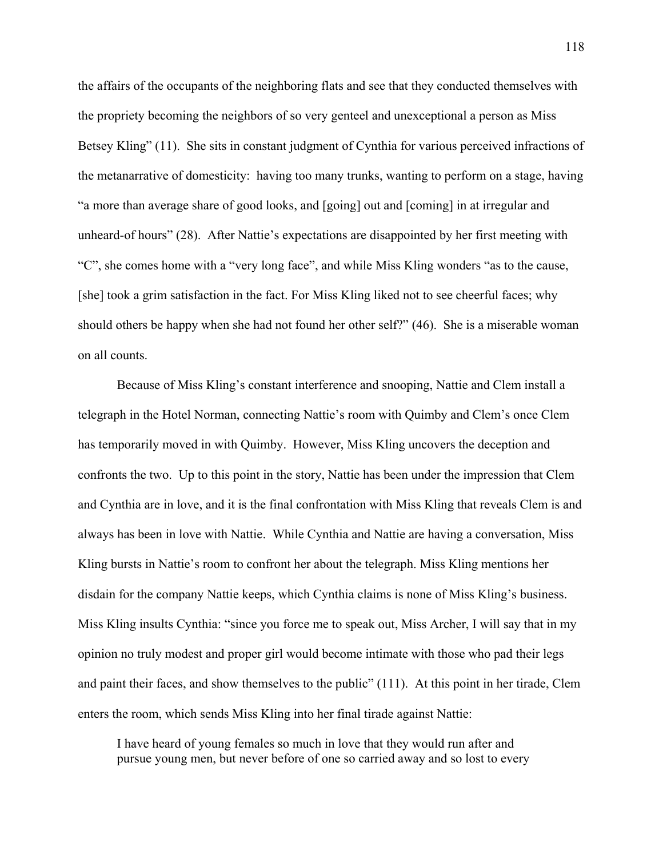the affairs of the occupants of the neighboring flats and see that they conducted themselves with the propriety becoming the neighbors of so very genteel and unexceptional a person as Miss Betsey Kling" (11). She sits in constant judgment of Cynthia for various perceived infractions of the metanarrative of domesticity: having too many trunks, wanting to perform on a stage, having "a more than average share of good looks, and [going] out and [coming] in at irregular and unheard-of hours" (28). After Nattie's expectations are disappointed by her first meeting with "C", she comes home with a "very long face", and while Miss Kling wonders "as to the cause, [she] took a grim satisfaction in the fact. For Miss Kling liked not to see cheerful faces; why should others be happy when she had not found her other self?" (46). She is a miserable woman on all counts.

Because of Miss Kling's constant interference and snooping, Nattie and Clem install a telegraph in the Hotel Norman, connecting Nattie's room with Quimby and Clem's once Clem has temporarily moved in with Quimby. However, Miss Kling uncovers the deception and confronts the two. Up to this point in the story, Nattie has been under the impression that Clem and Cynthia are in love, and it is the final confrontation with Miss Kling that reveals Clem is and always has been in love with Nattie. While Cynthia and Nattie are having a conversation, Miss Kling bursts in Nattie's room to confront her about the telegraph. Miss Kling mentions her disdain for the company Nattie keeps, which Cynthia claims is none of Miss Kling's business. Miss Kling insults Cynthia: "since you force me to speak out, Miss Archer, I will say that in my opinion no truly modest and proper girl would become intimate with those who pad their legs and paint their faces, and show themselves to the public" (111). At this point in her tirade, Clem enters the room, which sends Miss Kling into her final tirade against Nattie:

I have heard of young females so much in love that they would run after and pursue young men, but never before of one so carried away and so lost to every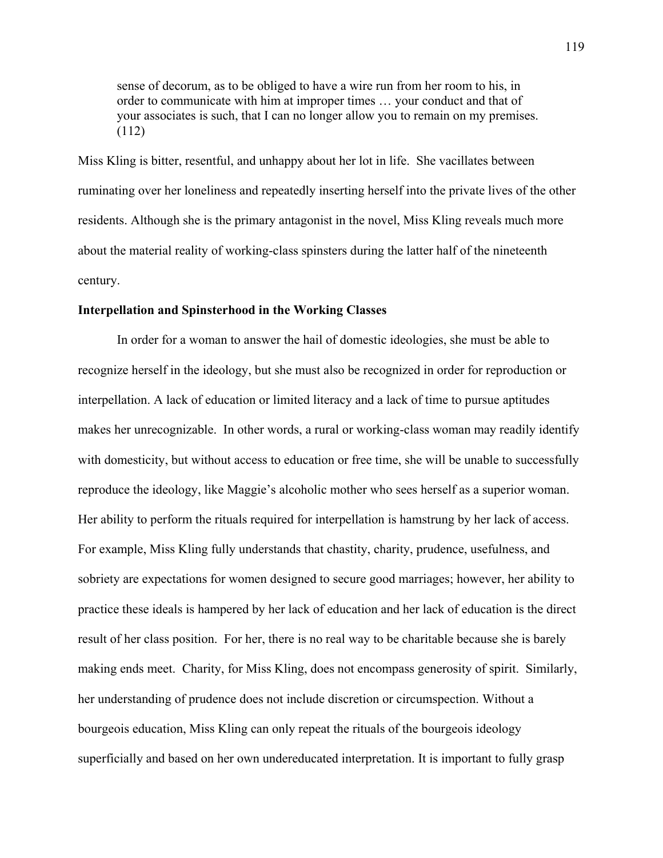sense of decorum, as to be obliged to have a wire run from her room to his, in order to communicate with him at improper times … your conduct and that of your associates is such, that I can no longer allow you to remain on my premises. (112)

Miss Kling is bitter, resentful, and unhappy about her lot in life. She vacillates between ruminating over her loneliness and repeatedly inserting herself into the private lives of the other residents. Although she is the primary antagonist in the novel, Miss Kling reveals much more about the material reality of working-class spinsters during the latter half of the nineteenth century.

## **Interpellation and Spinsterhood in the Working Classes**

In order for a woman to answer the hail of domestic ideologies, she must be able to recognize herself in the ideology, but she must also be recognized in order for reproduction or interpellation. A lack of education or limited literacy and a lack of time to pursue aptitudes makes her unrecognizable. In other words, a rural or working-class woman may readily identify with domesticity, but without access to education or free time, she will be unable to successfully reproduce the ideology, like Maggie's alcoholic mother who sees herself as a superior woman. Her ability to perform the rituals required for interpellation is hamstrung by her lack of access. For example, Miss Kling fully understands that chastity, charity, prudence, usefulness, and sobriety are expectations for women designed to secure good marriages; however, her ability to practice these ideals is hampered by her lack of education and her lack of education is the direct result of her class position. For her, there is no real way to be charitable because she is barely making ends meet. Charity, for Miss Kling, does not encompass generosity of spirit. Similarly, her understanding of prudence does not include discretion or circumspection. Without a bourgeois education, Miss Kling can only repeat the rituals of the bourgeois ideology superficially and based on her own undereducated interpretation. It is important to fully grasp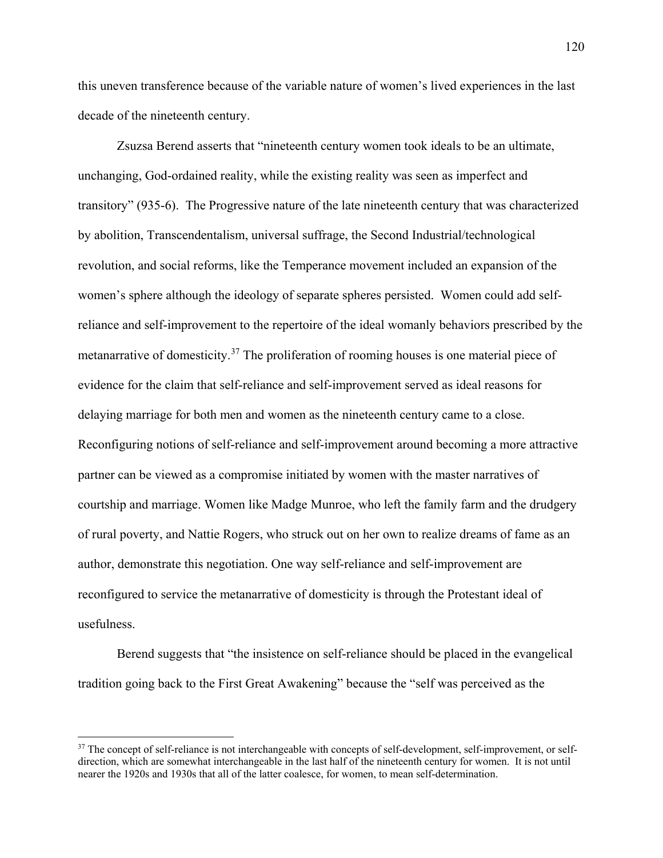this uneven transference because of the variable nature of women's lived experiences in the last decade of the nineteenth century.

Zsuzsa Berend asserts that "nineteenth century women took ideals to be an ultimate, unchanging, God-ordained reality, while the existing reality was seen as imperfect and transitory" (935-6). The Progressive nature of the late nineteenth century that was characterized by abolition, Transcendentalism, universal suffrage, the Second Industrial/technological revolution, and social reforms, like the Temperance movement included an expansion of the women's sphere although the ideology of separate spheres persisted. Women could add selfreliance and self-improvement to the repertoire of the ideal womanly behaviors prescribed by the metanarrative of domesticity.<sup>37</sup> The proliferation of rooming houses is one material piece of evidence for the claim that self-reliance and self-improvement served as ideal reasons for delaying marriage for both men and women as the nineteenth century came to a close. Reconfiguring notions of self-reliance and self-improvement around becoming a more attractive partner can be viewed as a compromise initiated by women with the master narratives of courtship and marriage. Women like Madge Munroe, who left the family farm and the drudgery of rural poverty, and Nattie Rogers, who struck out on her own to realize dreams of fame as an author, demonstrate this negotiation. One way self-reliance and self-improvement are reconfigured to service the metanarrative of domesticity is through the Protestant ideal of usefulness.

Berend suggests that "the insistence on self-reliance should be placed in the evangelical tradition going back to the First Great Awakening" because the "self was perceived as the

 $\overline{a}$ 

<span id="page-125-0"></span><sup>&</sup>lt;sup>37</sup> The concept of self-reliance is not interchangeable with concepts of self-development, self-improvement, or selfdirection, which are somewhat interchangeable in the last half of the nineteenth century for women. It is not until nearer the 1920s and 1930s that all of the latter coalesce, for women, to mean self-determination.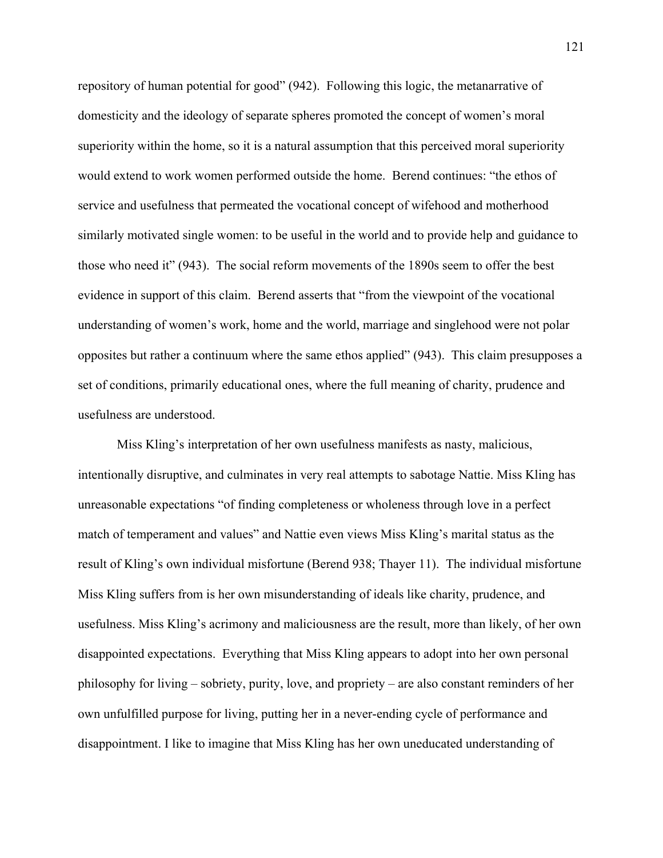repository of human potential for good" (942). Following this logic, the metanarrative of domesticity and the ideology of separate spheres promoted the concept of women's moral superiority within the home, so it is a natural assumption that this perceived moral superiority would extend to work women performed outside the home. Berend continues: "the ethos of service and usefulness that permeated the vocational concept of wifehood and motherhood similarly motivated single women: to be useful in the world and to provide help and guidance to those who need it" (943). The social reform movements of the 1890s seem to offer the best evidence in support of this claim. Berend asserts that "from the viewpoint of the vocational understanding of women's work, home and the world, marriage and singlehood were not polar opposites but rather a continuum where the same ethos applied" (943). This claim presupposes a set of conditions, primarily educational ones, where the full meaning of charity, prudence and usefulness are understood.

Miss Kling's interpretation of her own usefulness manifests as nasty, malicious, intentionally disruptive, and culminates in very real attempts to sabotage Nattie. Miss Kling has unreasonable expectations "of finding completeness or wholeness through love in a perfect match of temperament and values" and Nattie even views Miss Kling's marital status as the result of Kling's own individual misfortune (Berend 938; Thayer 11). The individual misfortune Miss Kling suffers from is her own misunderstanding of ideals like charity, prudence, and usefulness. Miss Kling's acrimony and maliciousness are the result, more than likely, of her own disappointed expectations. Everything that Miss Kling appears to adopt into her own personal philosophy for living – sobriety, purity, love, and propriety – are also constant reminders of her own unfulfilled purpose for living, putting her in a never-ending cycle of performance and disappointment. I like to imagine that Miss Kling has her own uneducated understanding of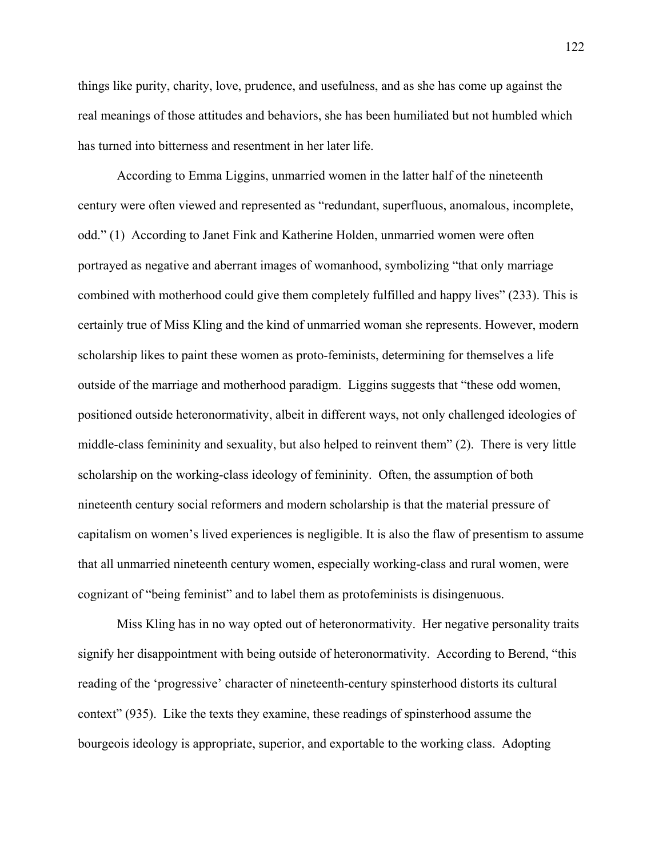things like purity, charity, love, prudence, and usefulness, and as she has come up against the real meanings of those attitudes and behaviors, she has been humiliated but not humbled which has turned into bitterness and resentment in her later life.

According to Emma Liggins, unmarried women in the latter half of the nineteenth century were often viewed and represented as "redundant, superfluous, anomalous, incomplete, odd." (1) According to Janet Fink and Katherine Holden, unmarried women were often portrayed as negative and aberrant images of womanhood, symbolizing "that only marriage combined with motherhood could give them completely fulfilled and happy lives" (233). This is certainly true of Miss Kling and the kind of unmarried woman she represents. However, modern scholarship likes to paint these women as proto-feminists, determining for themselves a life outside of the marriage and motherhood paradigm. Liggins suggests that "these odd women, positioned outside heteronormativity, albeit in different ways, not only challenged ideologies of middle-class femininity and sexuality, but also helped to reinvent them" (2). There is very little scholarship on the working-class ideology of femininity. Often, the assumption of both nineteenth century social reformers and modern scholarship is that the material pressure of capitalism on women's lived experiences is negligible. It is also the flaw of presentism to assume that all unmarried nineteenth century women, especially working-class and rural women, were cognizant of "being feminist" and to label them as protofeminists is disingenuous.

Miss Kling has in no way opted out of heteronormativity. Her negative personality traits signify her disappointment with being outside of heteronormativity. According to Berend, "this reading of the 'progressive' character of nineteenth-century spinsterhood distorts its cultural context" (935). Like the texts they examine, these readings of spinsterhood assume the bourgeois ideology is appropriate, superior, and exportable to the working class. Adopting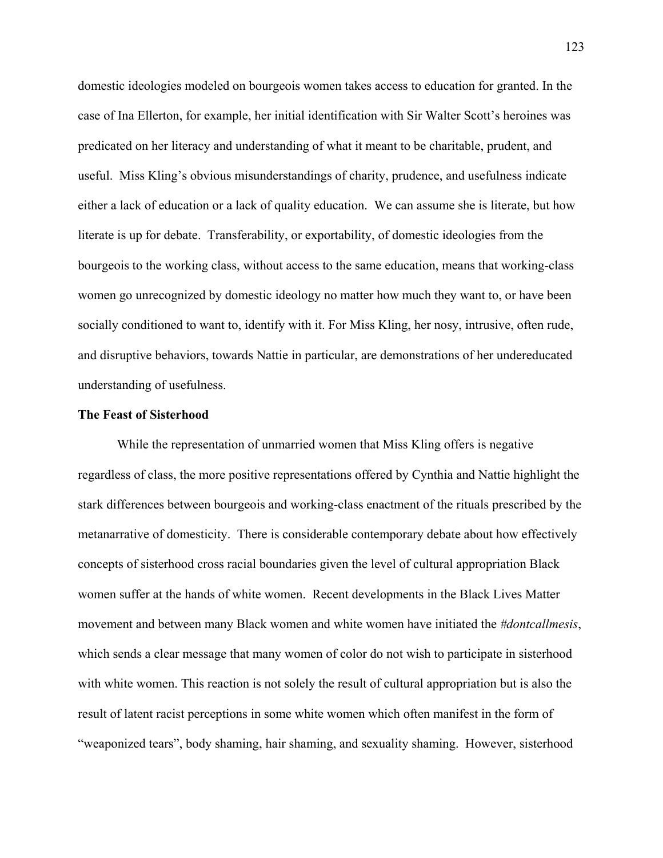domestic ideologies modeled on bourgeois women takes access to education for granted. In the case of Ina Ellerton, for example, her initial identification with Sir Walter Scott's heroines was predicated on her literacy and understanding of what it meant to be charitable, prudent, and useful. Miss Kling's obvious misunderstandings of charity, prudence, and usefulness indicate either a lack of education or a lack of quality education. We can assume she is literate, but how literate is up for debate. Transferability, or exportability, of domestic ideologies from the bourgeois to the working class, without access to the same education, means that working-class women go unrecognized by domestic ideology no matter how much they want to, or have been socially conditioned to want to, identify with it. For Miss Kling, her nosy, intrusive, often rude, and disruptive behaviors, towards Nattie in particular, are demonstrations of her undereducated understanding of usefulness.

## **The Feast of Sisterhood**

While the representation of unmarried women that Miss Kling offers is negative regardless of class, the more positive representations offered by Cynthia and Nattie highlight the stark differences between bourgeois and working-class enactment of the rituals prescribed by the metanarrative of domesticity. There is considerable contemporary debate about how effectively concepts of sisterhood cross racial boundaries given the level of cultural appropriation Black women suffer at the hands of white women. Recent developments in the Black Lives Matter movement and between many Black women and white women have initiated the *#dontcallmesis*, which sends a clear message that many women of color do not wish to participate in sisterhood with white women. This reaction is not solely the result of cultural appropriation but is also the result of latent racist perceptions in some white women which often manifest in the form of "weaponized tears", body shaming, hair shaming, and sexuality shaming. However, sisterhood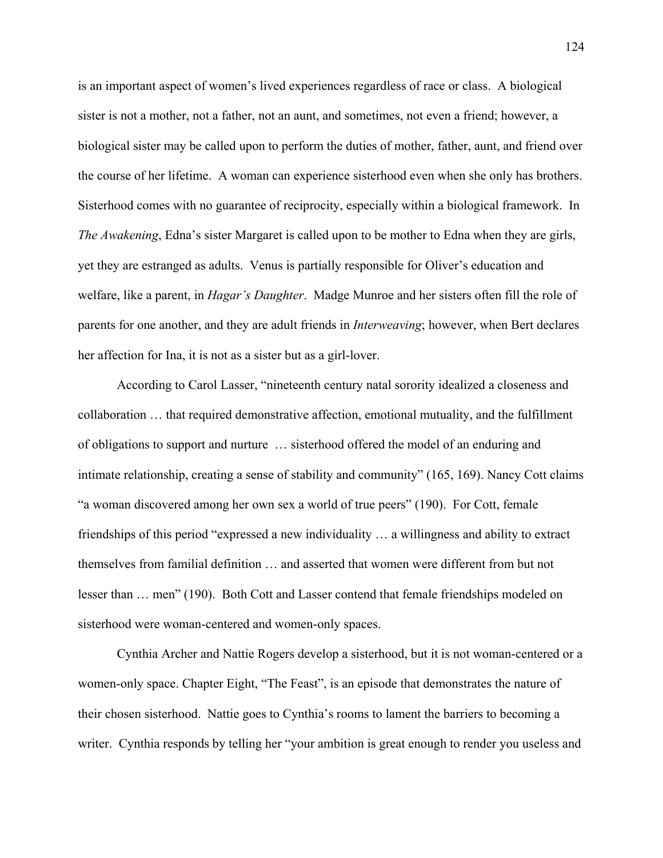is an important aspect of women's lived experiences regardless of race or class. A biological sister is not a mother, not a father, not an aunt, and sometimes, not even a friend; however, a biological sister may be called upon to perform the duties of mother, father, aunt, and friend over the course of her lifetime. A woman can experience sisterhood even when she only has brothers. Sisterhood comes with no guarantee of reciprocity, especially within a biological framework. In *The Awakening*, Edna's sister Margaret is called upon to be mother to Edna when they are girls, yet they are estranged as adults. Venus is partially responsible for Oliver's education and welfare, like a parent, in *Hagar's Daughter*. Madge Munroe and her sisters often fill the role of parents for one another, and they are adult friends in *Interweaving*; however, when Bert declares her affection for Ina, it is not as a sister but as a girl-lover.

According to Carol Lasser, "nineteenth century natal sorority idealized a closeness and collaboration … that required demonstrative affection, emotional mutuality, and the fulfillment of obligations to support and nurture … sisterhood offered the model of an enduring and intimate relationship, creating a sense of stability and community" (165, 169). Nancy Cott claims "a woman discovered among her own sex a world of true peers" (190). For Cott, female friendships of this period "expressed a new individuality … a willingness and ability to extract themselves from familial definition … and asserted that women were different from but not lesser than … men" (190). Both Cott and Lasser contend that female friendships modeled on sisterhood were woman-centered and women-only spaces.

Cynthia Archer and Nattie Rogers develop a sisterhood, but it is not woman-centered or a women-only space. Chapter Eight, "The Feast", is an episode that demonstrates the nature of their chosen sisterhood. Nattie goes to Cynthia's rooms to lament the barriers to becoming a writer. Cynthia responds by telling her "your ambition is great enough to render you useless and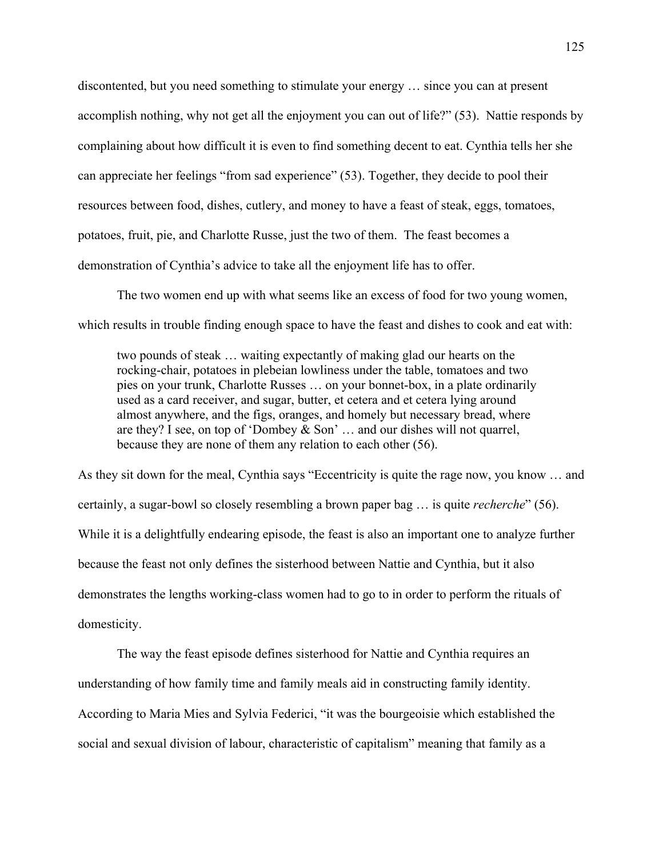discontented, but you need something to stimulate your energy … since you can at present accomplish nothing, why not get all the enjoyment you can out of life?" (53). Nattie responds by complaining about how difficult it is even to find something decent to eat. Cynthia tells her she can appreciate her feelings "from sad experience" (53). Together, they decide to pool their resources between food, dishes, cutlery, and money to have a feast of steak, eggs, tomatoes, potatoes, fruit, pie, and Charlotte Russe, just the two of them. The feast becomes a demonstration of Cynthia's advice to take all the enjoyment life has to offer.

The two women end up with what seems like an excess of food for two young women, which results in trouble finding enough space to have the feast and dishes to cook and eat with:

two pounds of steak … waiting expectantly of making glad our hearts on the rocking-chair, potatoes in plebeian lowliness under the table, tomatoes and two pies on your trunk, Charlotte Russes … on your bonnet-box, in a plate ordinarily used as a card receiver, and sugar, butter, et cetera and et cetera lying around almost anywhere, and the figs, oranges, and homely but necessary bread, where are they? I see, on top of 'Dombey & Son' … and our dishes will not quarrel, because they are none of them any relation to each other (56).

As they sit down for the meal, Cynthia says "Eccentricity is quite the rage now, you know … and certainly, a sugar-bowl so closely resembling a brown paper bag … is quite *recherche*" (56). While it is a delightfully endearing episode, the feast is also an important one to analyze further because the feast not only defines the sisterhood between Nattie and Cynthia, but it also demonstrates the lengths working-class women had to go to in order to perform the rituals of domesticity.

The way the feast episode defines sisterhood for Nattie and Cynthia requires an understanding of how family time and family meals aid in constructing family identity. According to Maria Mies and Sylvia Federici, "it was the bourgeoisie which established the social and sexual division of labour, characteristic of capitalism" meaning that family as a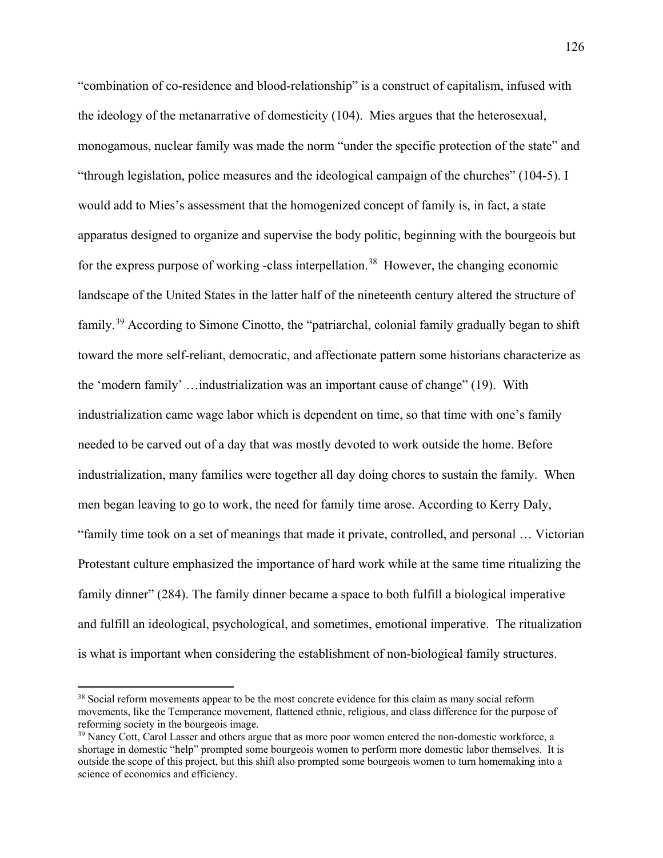"combination of co-residence and blood-relationship" is a construct of capitalism, infused with the ideology of the metanarrative of domesticity (104). Mies argues that the heterosexual, monogamous, nuclear family was made the norm "under the specific protection of the state" and "through legislation, police measures and the ideological campaign of the churches" (104-5). I would add to Mies's assessment that the homogenized concept of family is, in fact, a state apparatus designed to organize and supervise the body politic, beginning with the bourgeois but for the express purpose of working -class interpellation.<sup>[38](#page-131-0)</sup> However, the changing economic landscape of the United States in the latter half of the nineteenth century altered the structure of family.[39](#page-131-1) According to Simone Cinotto, the "patriarchal, colonial family gradually began to shift toward the more self-reliant, democratic, and affectionate pattern some historians characterize as the 'modern family' …industrialization was an important cause of change" (19). With industrialization came wage labor which is dependent on time, so that time with one's family needed to be carved out of a day that was mostly devoted to work outside the home. Before industrialization, many families were together all day doing chores to sustain the family. When men began leaving to go to work, the need for family time arose. According to Kerry Daly, "family time took on a set of meanings that made it private, controlled, and personal … Victorian Protestant culture emphasized the importance of hard work while at the same time ritualizing the family dinner" (284). The family dinner became a space to both fulfill a biological imperative and fulfill an ideological, psychological, and sometimes, emotional imperative. The ritualization is what is important when considering the establishment of non-biological family structures.

l

<span id="page-131-0"></span><sup>&</sup>lt;sup>38</sup> Social reform movements appear to be the most concrete evidence for this claim as many social reform movements, like the Temperance movement, flattened ethnic, religious, and class difference for the purpose of reforming society in the bourgeois image.

<span id="page-131-1"></span><sup>&</sup>lt;sup>39</sup> Nancy Cott, Carol Lasser and others argue that as more poor women entered the non-domestic workforce, a shortage in domestic "help" prompted some bourgeois women to perform more domestic labor themselves. It is outside the scope of this project, but this shift also prompted some bourgeois women to turn homemaking into a science of economics and efficiency.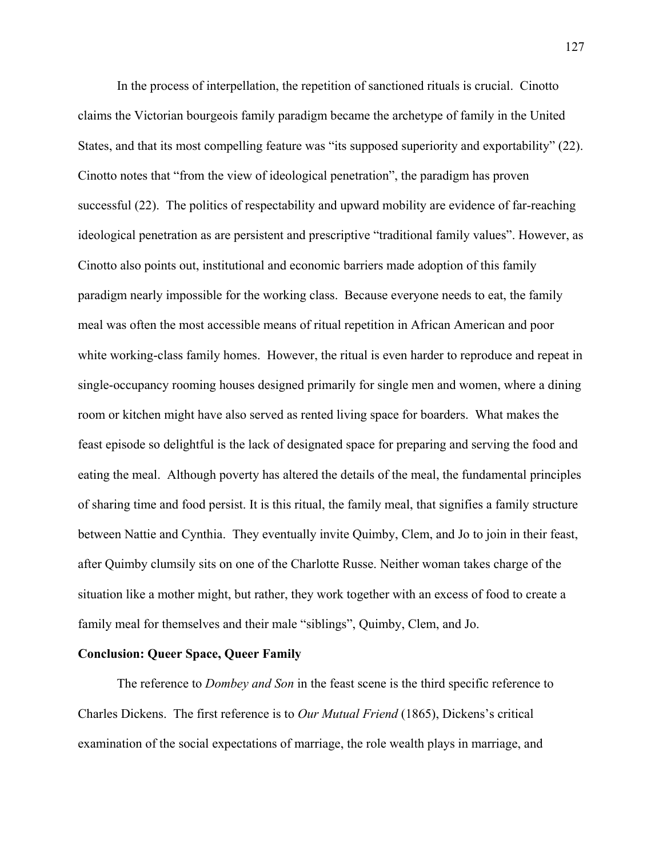In the process of interpellation, the repetition of sanctioned rituals is crucial. Cinotto claims the Victorian bourgeois family paradigm became the archetype of family in the United States, and that its most compelling feature was "its supposed superiority and exportability" (22). Cinotto notes that "from the view of ideological penetration", the paradigm has proven successful (22). The politics of respectability and upward mobility are evidence of far-reaching ideological penetration as are persistent and prescriptive "traditional family values". However, as Cinotto also points out, institutional and economic barriers made adoption of this family paradigm nearly impossible for the working class. Because everyone needs to eat, the family meal was often the most accessible means of ritual repetition in African American and poor white working-class family homes. However, the ritual is even harder to reproduce and repeat in single-occupancy rooming houses designed primarily for single men and women, where a dining room or kitchen might have also served as rented living space for boarders. What makes the feast episode so delightful is the lack of designated space for preparing and serving the food and eating the meal. Although poverty has altered the details of the meal, the fundamental principles of sharing time and food persist. It is this ritual, the family meal, that signifies a family structure between Nattie and Cynthia. They eventually invite Quimby, Clem, and Jo to join in their feast, after Quimby clumsily sits on one of the Charlotte Russe. Neither woman takes charge of the situation like a mother might, but rather, they work together with an excess of food to create a family meal for themselves and their male "siblings", Quimby, Clem, and Jo.

## **Conclusion: Queer Space, Queer Family**

The reference to *Dombey and Son* in the feast scene is the third specific reference to Charles Dickens. The first reference is to *Our Mutual Friend* (1865), Dickens's critical examination of the social expectations of marriage, the role wealth plays in marriage, and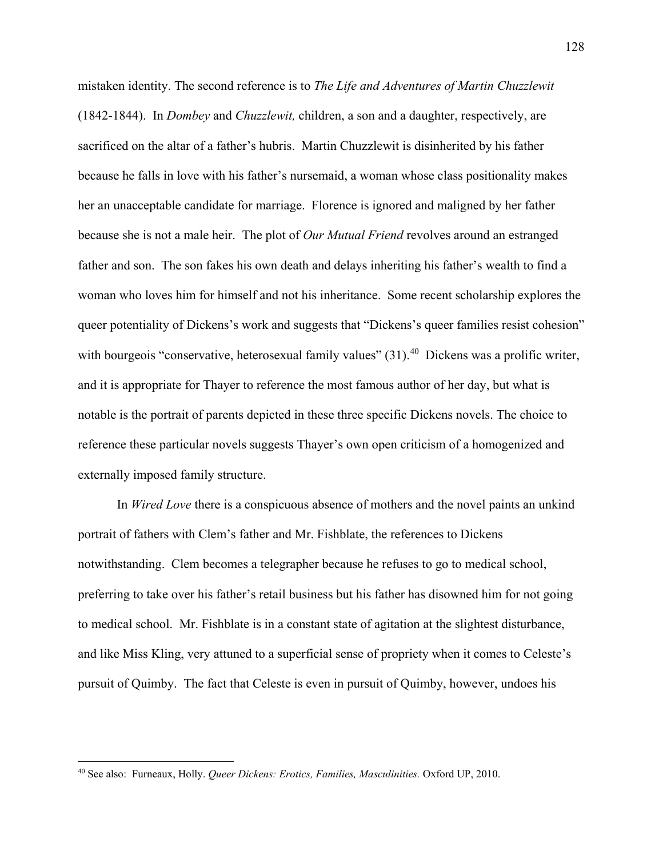mistaken identity. The second reference is to *The Life and Adventures of Martin Chuzzlewit* (1842-1844). In *Dombey* and *Chuzzlewit,* children, a son and a daughter, respectively, are sacrificed on the altar of a father's hubris. Martin Chuzzlewit is disinherited by his father because he falls in love with his father's nursemaid, a woman whose class positionality makes her an unacceptable candidate for marriage. Florence is ignored and maligned by her father because she is not a male heir. The plot of *Our Mutual Friend* revolves around an estranged father and son. The son fakes his own death and delays inheriting his father's wealth to find a woman who loves him for himself and not his inheritance. Some recent scholarship explores the queer potentiality of Dickens's work and suggests that "Dickens's queer families resist cohesion" with bourgeois "conservative, heterosexual family values" (31).<sup>[40](#page-133-0)</sup> Dickens was a prolific writer, and it is appropriate for Thayer to reference the most famous author of her day, but what is notable is the portrait of parents depicted in these three specific Dickens novels. The choice to reference these particular novels suggests Thayer's own open criticism of a homogenized and externally imposed family structure.

In *Wired Love* there is a conspicuous absence of mothers and the novel paints an unkind portrait of fathers with Clem's father and Mr. Fishblate, the references to Dickens notwithstanding. Clem becomes a telegrapher because he refuses to go to medical school, preferring to take over his father's retail business but his father has disowned him for not going to medical school. Mr. Fishblate is in a constant state of agitation at the slightest disturbance, and like Miss Kling, very attuned to a superficial sense of propriety when it comes to Celeste's pursuit of Quimby. The fact that Celeste is even in pursuit of Quimby, however, undoes his

l

<span id="page-133-0"></span><sup>40</sup> See also: Furneaux, Holly. *Queer Dickens: Erotics, Families, Masculinities.* Oxford UP, 2010.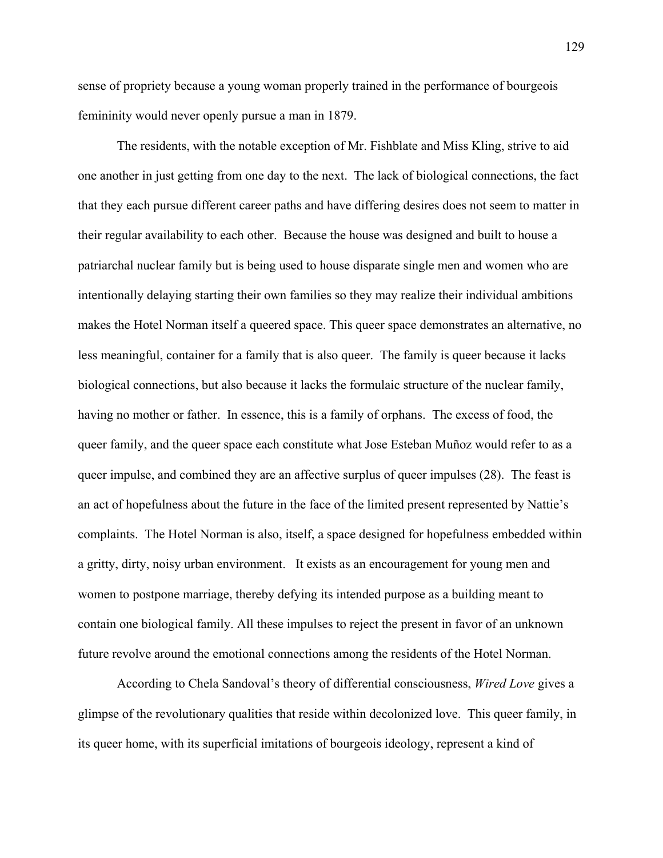sense of propriety because a young woman properly trained in the performance of bourgeois femininity would never openly pursue a man in 1879.

The residents, with the notable exception of Mr. Fishblate and Miss Kling, strive to aid one another in just getting from one day to the next. The lack of biological connections, the fact that they each pursue different career paths and have differing desires does not seem to matter in their regular availability to each other. Because the house was designed and built to house a patriarchal nuclear family but is being used to house disparate single men and women who are intentionally delaying starting their own families so they may realize their individual ambitions makes the Hotel Norman itself a queered space. This queer space demonstrates an alternative, no less meaningful, container for a family that is also queer. The family is queer because it lacks biological connections, but also because it lacks the formulaic structure of the nuclear family, having no mother or father. In essence, this is a family of orphans. The excess of food, the queer family, and the queer space each constitute what Jose Esteban Muñoz would refer to as a queer impulse, and combined they are an affective surplus of queer impulses (28). The feast is an act of hopefulness about the future in the face of the limited present represented by Nattie's complaints. The Hotel Norman is also, itself, a space designed for hopefulness embedded within a gritty, dirty, noisy urban environment. It exists as an encouragement for young men and women to postpone marriage, thereby defying its intended purpose as a building meant to contain one biological family. All these impulses to reject the present in favor of an unknown future revolve around the emotional connections among the residents of the Hotel Norman.

According to Chela Sandoval's theory of differential consciousness, *Wired Love* gives a glimpse of the revolutionary qualities that reside within decolonized love. This queer family, in its queer home, with its superficial imitations of bourgeois ideology, represent a kind of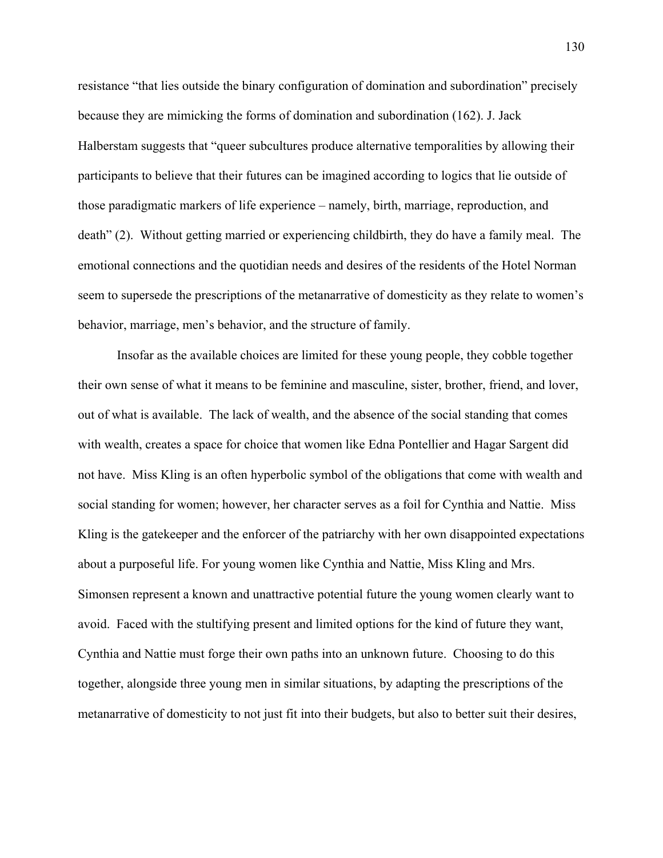resistance "that lies outside the binary configuration of domination and subordination" precisely because they are mimicking the forms of domination and subordination (162). J. Jack Halberstam suggests that "queer subcultures produce alternative temporalities by allowing their participants to believe that their futures can be imagined according to logics that lie outside of those paradigmatic markers of life experience – namely, birth, marriage, reproduction, and death" (2). Without getting married or experiencing childbirth, they do have a family meal. The emotional connections and the quotidian needs and desires of the residents of the Hotel Norman seem to supersede the prescriptions of the metanarrative of domesticity as they relate to women's behavior, marriage, men's behavior, and the structure of family.

Insofar as the available choices are limited for these young people, they cobble together their own sense of what it means to be feminine and masculine, sister, brother, friend, and lover, out of what is available. The lack of wealth, and the absence of the social standing that comes with wealth, creates a space for choice that women like Edna Pontellier and Hagar Sargent did not have. Miss Kling is an often hyperbolic symbol of the obligations that come with wealth and social standing for women; however, her character serves as a foil for Cynthia and Nattie. Miss Kling is the gatekeeper and the enforcer of the patriarchy with her own disappointed expectations about a purposeful life. For young women like Cynthia and Nattie, Miss Kling and Mrs. Simonsen represent a known and unattractive potential future the young women clearly want to avoid. Faced with the stultifying present and limited options for the kind of future they want, Cynthia and Nattie must forge their own paths into an unknown future. Choosing to do this together, alongside three young men in similar situations, by adapting the prescriptions of the metanarrative of domesticity to not just fit into their budgets, but also to better suit their desires,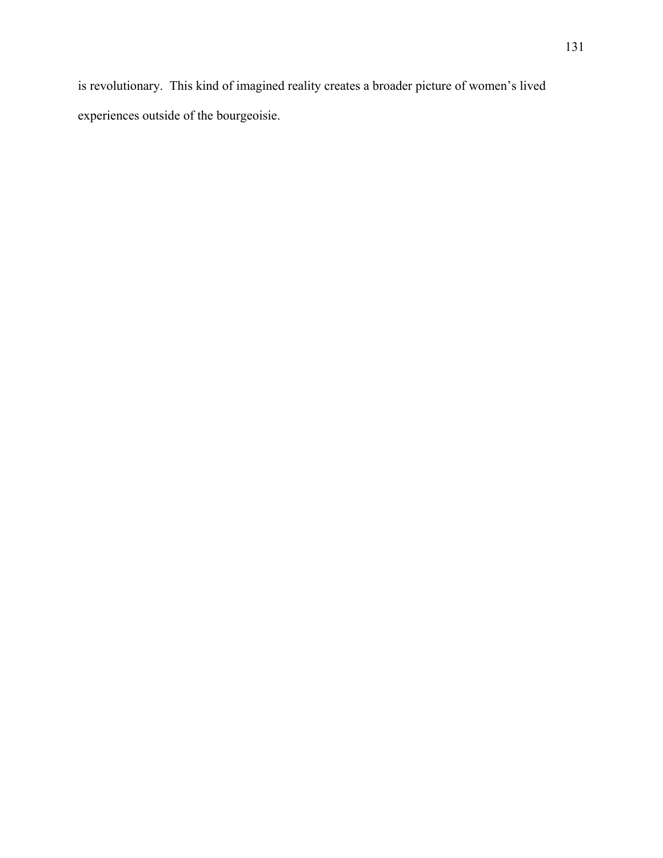is revolutionary. This kind of imagined reality creates a broader picture of women's lived experiences outside of the bourgeoisie.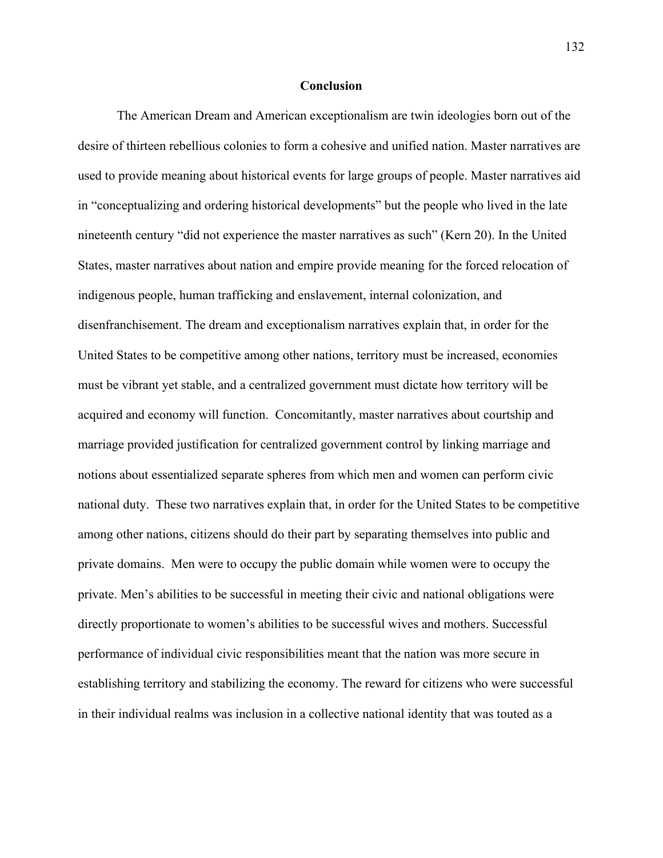## **Conclusion**

The American Dream and American exceptionalism are twin ideologies born out of the desire of thirteen rebellious colonies to form a cohesive and unified nation. Master narratives are used to provide meaning about historical events for large groups of people. Master narratives aid in "conceptualizing and ordering historical developments" but the people who lived in the late nineteenth century "did not experience the master narratives as such" (Kern 20). In the United States, master narratives about nation and empire provide meaning for the forced relocation of indigenous people, human trafficking and enslavement, internal colonization, and disenfranchisement. The dream and exceptionalism narratives explain that, in order for the United States to be competitive among other nations, territory must be increased, economies must be vibrant yet stable, and a centralized government must dictate how territory will be acquired and economy will function. Concomitantly, master narratives about courtship and marriage provided justification for centralized government control by linking marriage and notions about essentialized separate spheres from which men and women can perform civic national duty. These two narratives explain that, in order for the United States to be competitive among other nations, citizens should do their part by separating themselves into public and private domains. Men were to occupy the public domain while women were to occupy the private. Men's abilities to be successful in meeting their civic and national obligations were directly proportionate to women's abilities to be successful wives and mothers. Successful performance of individual civic responsibilities meant that the nation was more secure in establishing territory and stabilizing the economy. The reward for citizens who were successful in their individual realms was inclusion in a collective national identity that was touted as a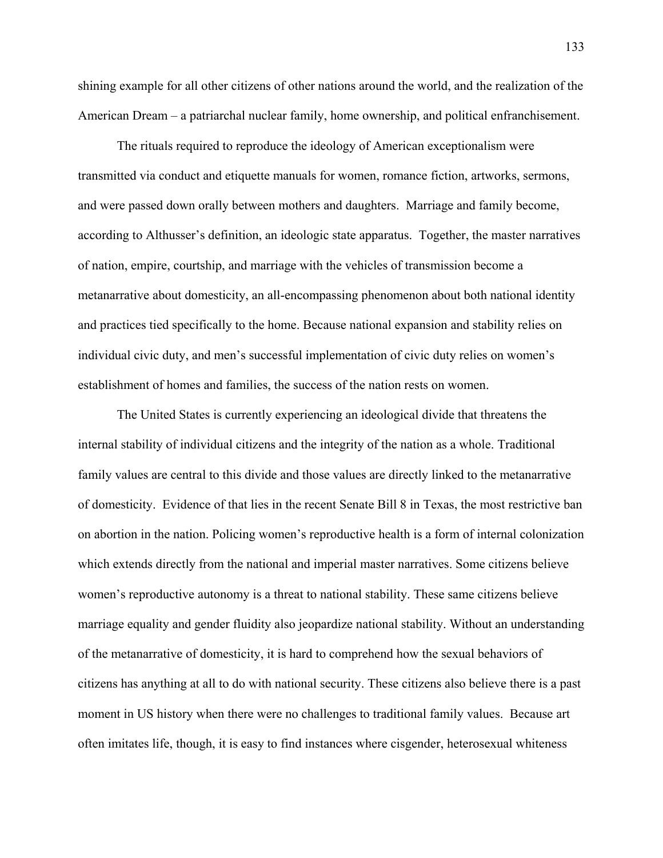shining example for all other citizens of other nations around the world, and the realization of the American Dream – a patriarchal nuclear family, home ownership, and political enfranchisement.

 The rituals required to reproduce the ideology of American exceptionalism were transmitted via conduct and etiquette manuals for women, romance fiction, artworks, sermons, and were passed down orally between mothers and daughters. Marriage and family become, according to Althusser's definition, an ideologic state apparatus. Together, the master narratives of nation, empire, courtship, and marriage with the vehicles of transmission become a metanarrative about domesticity, an all-encompassing phenomenon about both national identity and practices tied specifically to the home. Because national expansion and stability relies on individual civic duty, and men's successful implementation of civic duty relies on women's establishment of homes and families, the success of the nation rests on women.

The United States is currently experiencing an ideological divide that threatens the internal stability of individual citizens and the integrity of the nation as a whole. Traditional family values are central to this divide and those values are directly linked to the metanarrative of domesticity. Evidence of that lies in the recent Senate Bill 8 in Texas, the most restrictive ban on abortion in the nation. Policing women's reproductive health is a form of internal colonization which extends directly from the national and imperial master narratives. Some citizens believe women's reproductive autonomy is a threat to national stability. These same citizens believe marriage equality and gender fluidity also jeopardize national stability. Without an understanding of the metanarrative of domesticity, it is hard to comprehend how the sexual behaviors of citizens has anything at all to do with national security. These citizens also believe there is a past moment in US history when there were no challenges to traditional family values. Because art often imitates life, though, it is easy to find instances where cisgender, heterosexual whiteness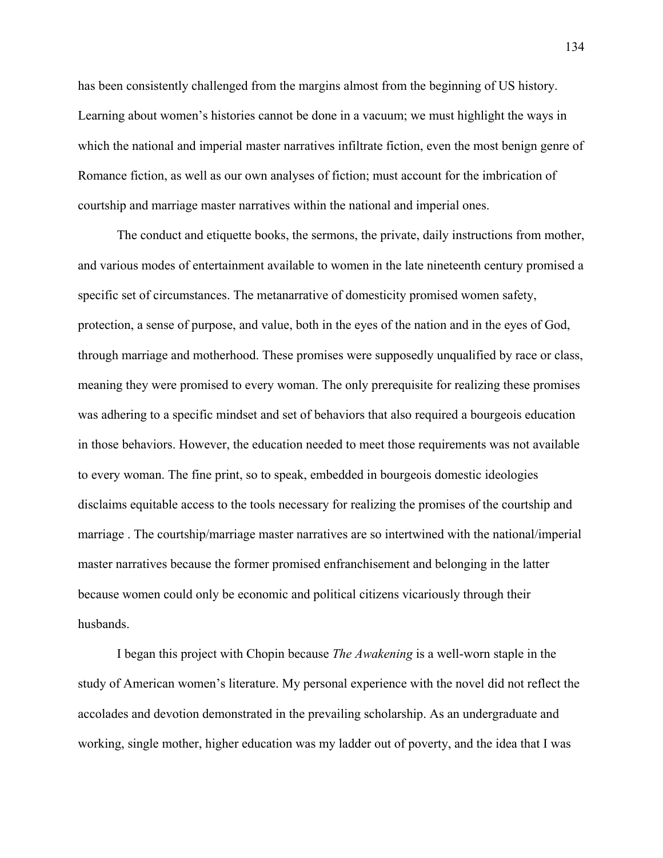has been consistently challenged from the margins almost from the beginning of US history. Learning about women's histories cannot be done in a vacuum; we must highlight the ways in which the national and imperial master narratives infiltrate fiction, even the most benign genre of Romance fiction, as well as our own analyses of fiction; must account for the imbrication of courtship and marriage master narratives within the national and imperial ones.

The conduct and etiquette books, the sermons, the private, daily instructions from mother, and various modes of entertainment available to women in the late nineteenth century promised a specific set of circumstances. The metanarrative of domesticity promised women safety, protection, a sense of purpose, and value, both in the eyes of the nation and in the eyes of God, through marriage and motherhood. These promises were supposedly unqualified by race or class, meaning they were promised to every woman. The only prerequisite for realizing these promises was adhering to a specific mindset and set of behaviors that also required a bourgeois education in those behaviors. However, the education needed to meet those requirements was not available to every woman. The fine print, so to speak, embedded in bourgeois domestic ideologies disclaims equitable access to the tools necessary for realizing the promises of the courtship and marriage . The courtship/marriage master narratives are so intertwined with the national/imperial master narratives because the former promised enfranchisement and belonging in the latter because women could only be economic and political citizens vicariously through their husbands.

I began this project with Chopin because *The Awakening* is a well-worn staple in the study of American women's literature. My personal experience with the novel did not reflect the accolades and devotion demonstrated in the prevailing scholarship. As an undergraduate and working, single mother, higher education was my ladder out of poverty, and the idea that I was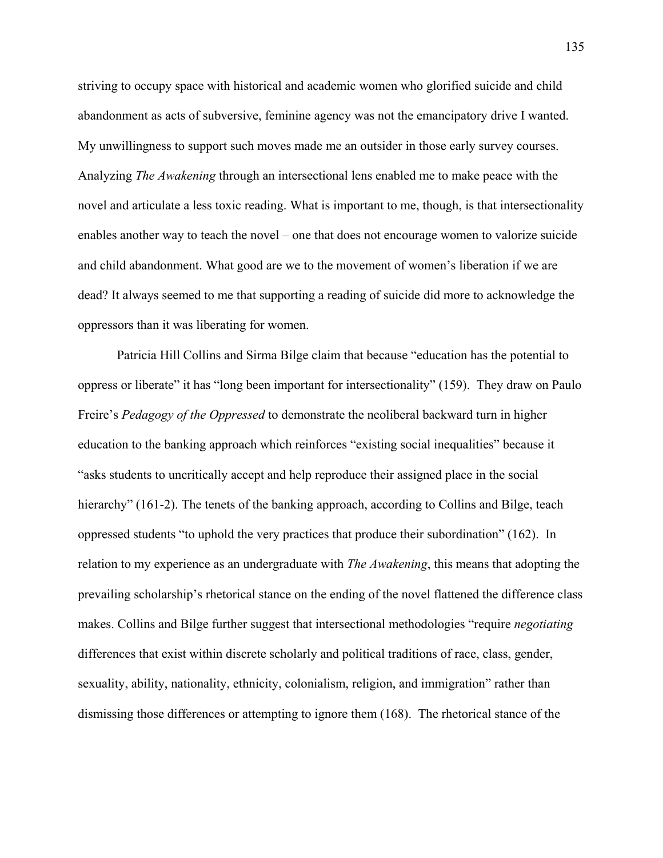striving to occupy space with historical and academic women who glorified suicide and child abandonment as acts of subversive, feminine agency was not the emancipatory drive I wanted. My unwillingness to support such moves made me an outsider in those early survey courses. Analyzing *The Awakening* through an intersectional lens enabled me to make peace with the novel and articulate a less toxic reading. What is important to me, though, is that intersectionality enables another way to teach the novel – one that does not encourage women to valorize suicide and child abandonment. What good are we to the movement of women's liberation if we are dead? It always seemed to me that supporting a reading of suicide did more to acknowledge the oppressors than it was liberating for women.

Patricia Hill Collins and Sirma Bilge claim that because "education has the potential to oppress or liberate" it has "long been important for intersectionality" (159). They draw on Paulo Freire's *Pedagogy of the Oppressed* to demonstrate the neoliberal backward turn in higher education to the banking approach which reinforces "existing social inequalities" because it "asks students to uncritically accept and help reproduce their assigned place in the social hierarchy" (161-2). The tenets of the banking approach, according to Collins and Bilge, teach oppressed students "to uphold the very practices that produce their subordination" (162). In relation to my experience as an undergraduate with *The Awakening*, this means that adopting the prevailing scholarship's rhetorical stance on the ending of the novel flattened the difference class makes. Collins and Bilge further suggest that intersectional methodologies "require *negotiating* differences that exist within discrete scholarly and political traditions of race, class, gender, sexuality, ability, nationality, ethnicity, colonialism, religion, and immigration" rather than dismissing those differences or attempting to ignore them (168). The rhetorical stance of the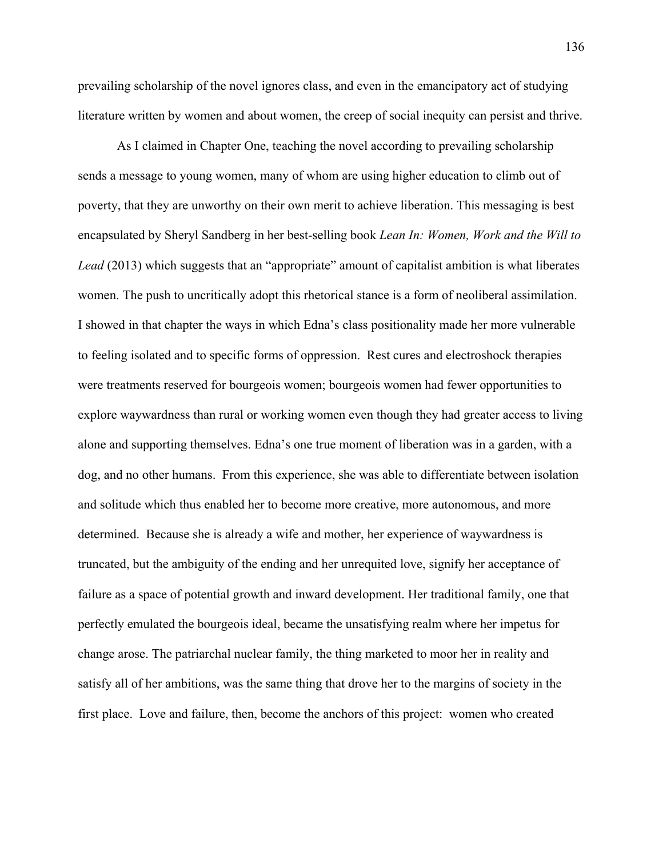prevailing scholarship of the novel ignores class, and even in the emancipatory act of studying literature written by women and about women, the creep of social inequity can persist and thrive.

As I claimed in Chapter One, teaching the novel according to prevailing scholarship sends a message to young women, many of whom are using higher education to climb out of poverty, that they are unworthy on their own merit to achieve liberation. This messaging is best encapsulated by Sheryl Sandberg in her best-selling book *Lean In: Women, Work and the Will to Lead* (2013) which suggests that an "appropriate" amount of capitalist ambition is what liberates women. The push to uncritically adopt this rhetorical stance is a form of neoliberal assimilation. I showed in that chapter the ways in which Edna's class positionality made her more vulnerable to feeling isolated and to specific forms of oppression. Rest cures and electroshock therapies were treatments reserved for bourgeois women; bourgeois women had fewer opportunities to explore waywardness than rural or working women even though they had greater access to living alone and supporting themselves. Edna's one true moment of liberation was in a garden, with a dog, and no other humans. From this experience, she was able to differentiate between isolation and solitude which thus enabled her to become more creative, more autonomous, and more determined. Because she is already a wife and mother, her experience of waywardness is truncated, but the ambiguity of the ending and her unrequited love, signify her acceptance of failure as a space of potential growth and inward development. Her traditional family, one that perfectly emulated the bourgeois ideal, became the unsatisfying realm where her impetus for change arose. The patriarchal nuclear family, the thing marketed to moor her in reality and satisfy all of her ambitions, was the same thing that drove her to the margins of society in the first place. Love and failure, then, become the anchors of this project: women who created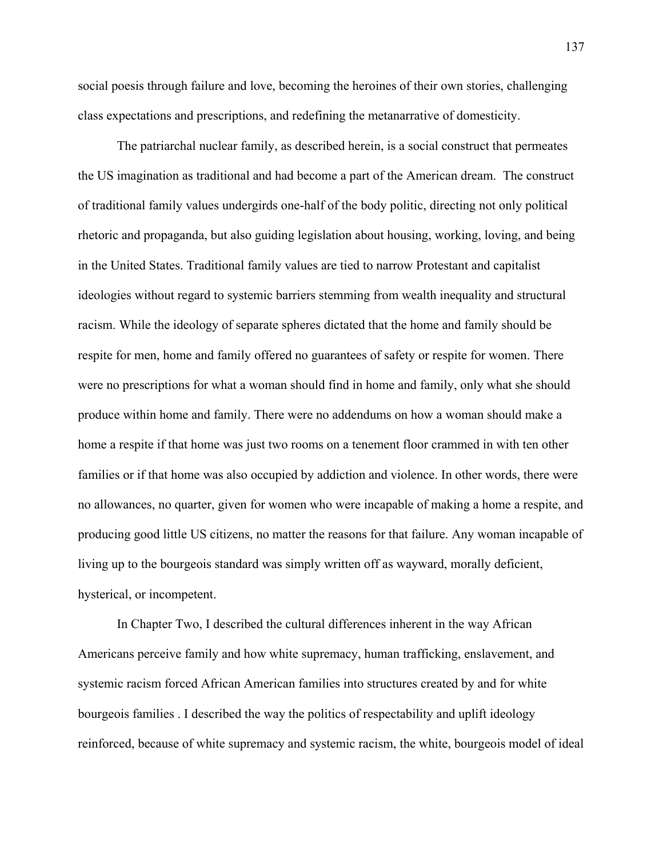social poesis through failure and love, becoming the heroines of their own stories, challenging class expectations and prescriptions, and redefining the metanarrative of domesticity.

The patriarchal nuclear family, as described herein, is a social construct that permeates the US imagination as traditional and had become a part of the American dream. The construct of traditional family values undergirds one-half of the body politic, directing not only political rhetoric and propaganda, but also guiding legislation about housing, working, loving, and being in the United States. Traditional family values are tied to narrow Protestant and capitalist ideologies without regard to systemic barriers stemming from wealth inequality and structural racism. While the ideology of separate spheres dictated that the home and family should be respite for men, home and family offered no guarantees of safety or respite for women. There were no prescriptions for what a woman should find in home and family, only what she should produce within home and family. There were no addendums on how a woman should make a home a respite if that home was just two rooms on a tenement floor crammed in with ten other families or if that home was also occupied by addiction and violence. In other words, there were no allowances, no quarter, given for women who were incapable of making a home a respite, and producing good little US citizens, no matter the reasons for that failure. Any woman incapable of living up to the bourgeois standard was simply written off as wayward, morally deficient, hysterical, or incompetent.

In Chapter Two, I described the cultural differences inherent in the way African Americans perceive family and how white supremacy, human trafficking, enslavement, and systemic racism forced African American families into structures created by and for white bourgeois families . I described the way the politics of respectability and uplift ideology reinforced, because of white supremacy and systemic racism, the white, bourgeois model of ideal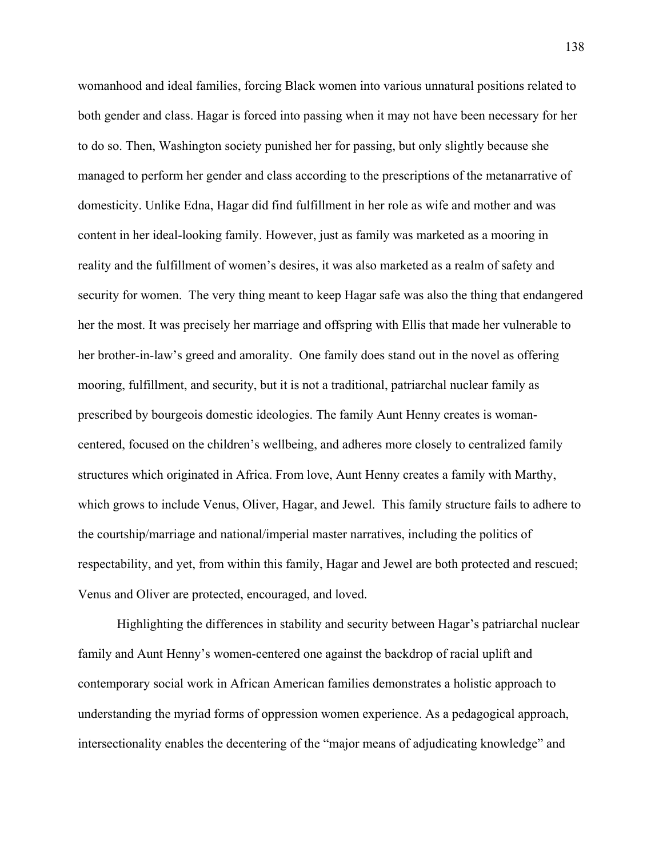womanhood and ideal families, forcing Black women into various unnatural positions related to both gender and class. Hagar is forced into passing when it may not have been necessary for her to do so. Then, Washington society punished her for passing, but only slightly because she managed to perform her gender and class according to the prescriptions of the metanarrative of domesticity. Unlike Edna, Hagar did find fulfillment in her role as wife and mother and was content in her ideal-looking family. However, just as family was marketed as a mooring in reality and the fulfillment of women's desires, it was also marketed as a realm of safety and security for women. The very thing meant to keep Hagar safe was also the thing that endangered her the most. It was precisely her marriage and offspring with Ellis that made her vulnerable to her brother-in-law's greed and amorality. One family does stand out in the novel as offering mooring, fulfillment, and security, but it is not a traditional, patriarchal nuclear family as prescribed by bourgeois domestic ideologies. The family Aunt Henny creates is womancentered, focused on the children's wellbeing, and adheres more closely to centralized family structures which originated in Africa. From love, Aunt Henny creates a family with Marthy, which grows to include Venus, Oliver, Hagar, and Jewel. This family structure fails to adhere to the courtship/marriage and national/imperial master narratives, including the politics of respectability, and yet, from within this family, Hagar and Jewel are both protected and rescued; Venus and Oliver are protected, encouraged, and loved.

Highlighting the differences in stability and security between Hagar's patriarchal nuclear family and Aunt Henny's women-centered one against the backdrop of racial uplift and contemporary social work in African American families demonstrates a holistic approach to understanding the myriad forms of oppression women experience. As a pedagogical approach, intersectionality enables the decentering of the "major means of adjudicating knowledge" and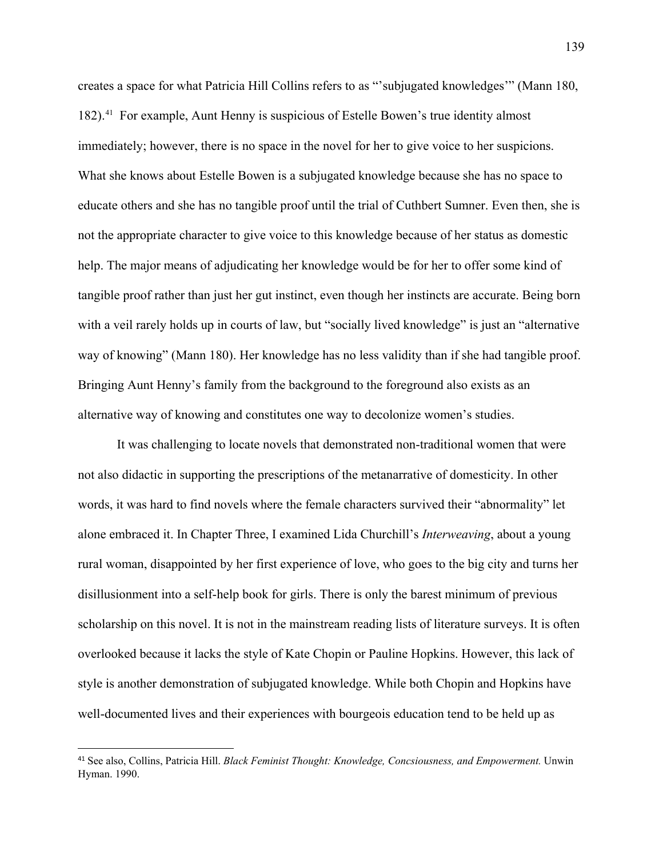creates a space for what Patricia Hill Collins refers to as "'subjugated knowledges'" (Mann 180, 182).[41](#page-144-0) For example, Aunt Henny is suspicious of Estelle Bowen's true identity almost immediately; however, there is no space in the novel for her to give voice to her suspicions. What she knows about Estelle Bowen is a subjugated knowledge because she has no space to educate others and she has no tangible proof until the trial of Cuthbert Sumner. Even then, she is not the appropriate character to give voice to this knowledge because of her status as domestic help. The major means of adjudicating her knowledge would be for her to offer some kind of tangible proof rather than just her gut instinct, even though her instincts are accurate. Being born with a veil rarely holds up in courts of law, but "socially lived knowledge" is just an "alternative way of knowing" (Mann 180). Her knowledge has no less validity than if she had tangible proof. Bringing Aunt Henny's family from the background to the foreground also exists as an alternative way of knowing and constitutes one way to decolonize women's studies.

It was challenging to locate novels that demonstrated non-traditional women that were not also didactic in supporting the prescriptions of the metanarrative of domesticity. In other words, it was hard to find novels where the female characters survived their "abnormality" let alone embraced it. In Chapter Three, I examined Lida Churchill's *Interweaving*, about a young rural woman, disappointed by her first experience of love, who goes to the big city and turns her disillusionment into a self-help book for girls. There is only the barest minimum of previous scholarship on this novel. It is not in the mainstream reading lists of literature surveys. It is often overlooked because it lacks the style of Kate Chopin or Pauline Hopkins. However, this lack of style is another demonstration of subjugated knowledge. While both Chopin and Hopkins have well-documented lives and their experiences with bourgeois education tend to be held up as

 $\overline{a}$ 

<span id="page-144-0"></span><sup>41</sup> See also, Collins, Patricia Hill. *Black Feminist Thought: Knowledge, Concsiousness, and Empowerment.* Unwin Hyman. 1990.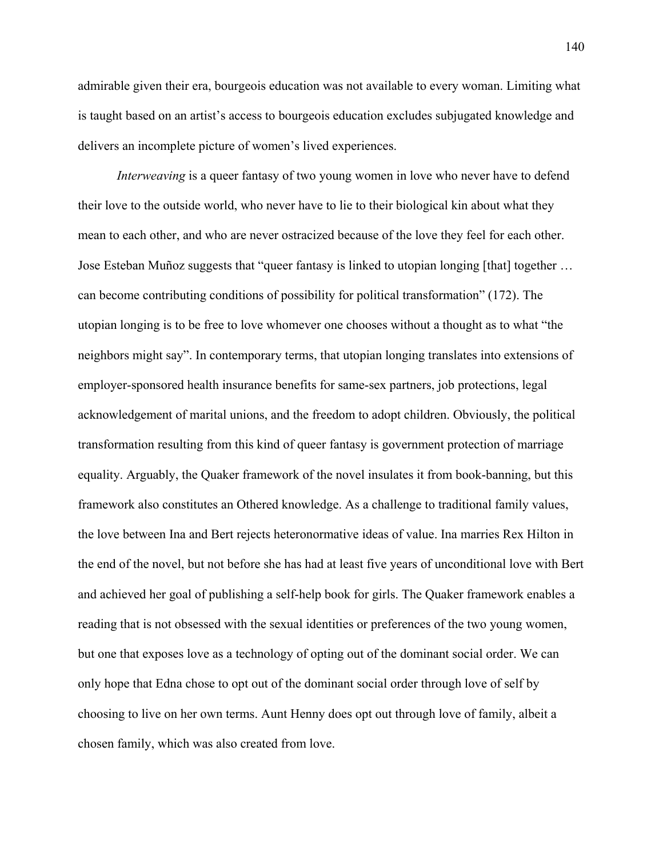admirable given their era, bourgeois education was not available to every woman. Limiting what is taught based on an artist's access to bourgeois education excludes subjugated knowledge and delivers an incomplete picture of women's lived experiences.

*Interweaving* is a queer fantasy of two young women in love who never have to defend their love to the outside world, who never have to lie to their biological kin about what they mean to each other, and who are never ostracized because of the love they feel for each other. Jose Esteban Muñoz suggests that "queer fantasy is linked to utopian longing [that] together … can become contributing conditions of possibility for political transformation" (172). The utopian longing is to be free to love whomever one chooses without a thought as to what "the neighbors might say". In contemporary terms, that utopian longing translates into extensions of employer-sponsored health insurance benefits for same-sex partners, job protections, legal acknowledgement of marital unions, and the freedom to adopt children. Obviously, the political transformation resulting from this kind of queer fantasy is government protection of marriage equality. Arguably, the Quaker framework of the novel insulates it from book-banning, but this framework also constitutes an Othered knowledge. As a challenge to traditional family values, the love between Ina and Bert rejects heteronormative ideas of value. Ina marries Rex Hilton in the end of the novel, but not before she has had at least five years of unconditional love with Bert and achieved her goal of publishing a self-help book for girls. The Quaker framework enables a reading that is not obsessed with the sexual identities or preferences of the two young women, but one that exposes love as a technology of opting out of the dominant social order. We can only hope that Edna chose to opt out of the dominant social order through love of self by choosing to live on her own terms. Aunt Henny does opt out through love of family, albeit a chosen family, which was also created from love.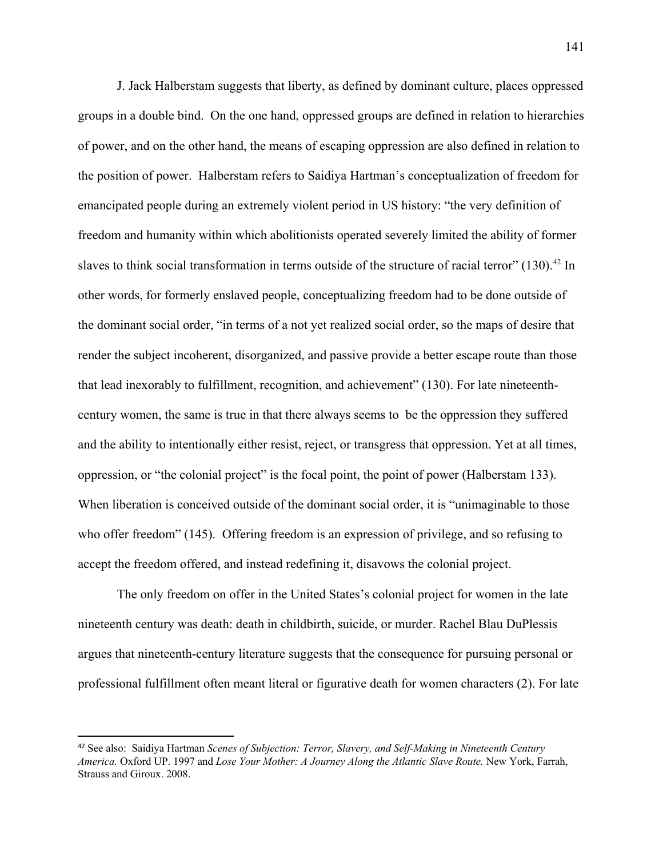J. Jack Halberstam suggests that liberty, as defined by dominant culture, places oppressed groups in a double bind. On the one hand, oppressed groups are defined in relation to hierarchies of power, and on the other hand, the means of escaping oppression are also defined in relation to the position of power. Halberstam refers to Saidiya Hartman's conceptualization of freedom for emancipated people during an extremely violent period in US history: "the very definition of freedom and humanity within which abolitionists operated severely limited the ability of former slaves to think social transformation in terms outside of the structure of racial terror" (130).<sup>[42](#page-146-0)</sup> In other words, for formerly enslaved people, conceptualizing freedom had to be done outside of the dominant social order, "in terms of a not yet realized social order, so the maps of desire that render the subject incoherent, disorganized, and passive provide a better escape route than those that lead inexorably to fulfillment, recognition, and achievement" (130). For late nineteenthcentury women, the same is true in that there always seems to be the oppression they suffered and the ability to intentionally either resist, reject, or transgress that oppression. Yet at all times, oppression, or "the colonial project" is the focal point, the point of power (Halberstam 133). When liberation is conceived outside of the dominant social order, it is "unimaginable to those who offer freedom" (145). Offering freedom is an expression of privilege, and so refusing to accept the freedom offered, and instead redefining it, disavows the colonial project.

The only freedom on offer in the United States's colonial project for women in the late nineteenth century was death: death in childbirth, suicide, or murder. Rachel Blau DuPlessis argues that nineteenth-century literature suggests that the consequence for pursuing personal or professional fulfillment often meant literal or figurative death for women characters (2). For late

l

<span id="page-146-0"></span><sup>42</sup> See also: Saidiya Hartman *Scenes of Subjection: Terror, Slavery, and Self-Making in Nineteenth Century America.* Oxford UP. 1997 and *Lose Your Mother: A Journey Along the Atlantic Slave Route.* New York, Farrah, Strauss and Giroux. 2008.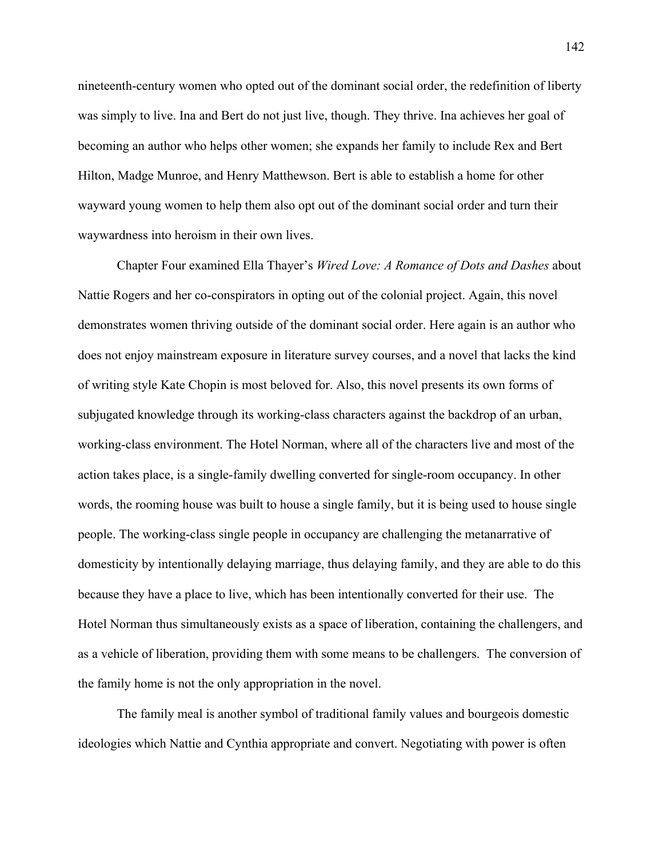nineteenth-century women who opted out of the dominant social order, the redefinition of liberty was simply to live. Ina and Bert do not just live, though. They thrive. Ina achieves her goal of becoming an author who helps other women; she expands her family to include Rex and Bert Hilton, Madge Munroe, and Henry Matthewson. Bert is able to establish a home for other wayward young women to help them also opt out of the dominant social order and turn their waywardness into heroism in their own lives.

Chapter Four examined Ella Thayer's *Wired Love: A Romance of Dots and Dashes* about Nattie Rogers and her co-conspirators in opting out of the colonial project. Again, this novel demonstrates women thriving outside of the dominant social order. Here again is an author who does not enjoy mainstream exposure in literature survey courses, and a novel that lacks the kind of writing style Kate Chopin is most beloved for. Also, this novel presents its own forms of subjugated knowledge through its working-class characters against the backdrop of an urban, working-class environment. The Hotel Norman, where all of the characters live and most of the action takes place, is a single-family dwelling converted for single-room occupancy. In other words, the rooming house was built to house a single family, but it is being used to house single people. The working-class single people in occupancy are challenging the metanarrative of domesticity by intentionally delaying marriage, thus delaying family, and they are able to do this because they have a place to live, which has been intentionally converted for their use. The Hotel Norman thus simultaneously exists as a space of liberation, containing the challengers, and as a vehicle of liberation, providing them with some means to be challengers. The conversion of the family home is not the only appropriation in the novel.

The family meal is another symbol of traditional family values and bourgeois domestic ideologies which Nattie and Cynthia appropriate and convert. Negotiating with power is often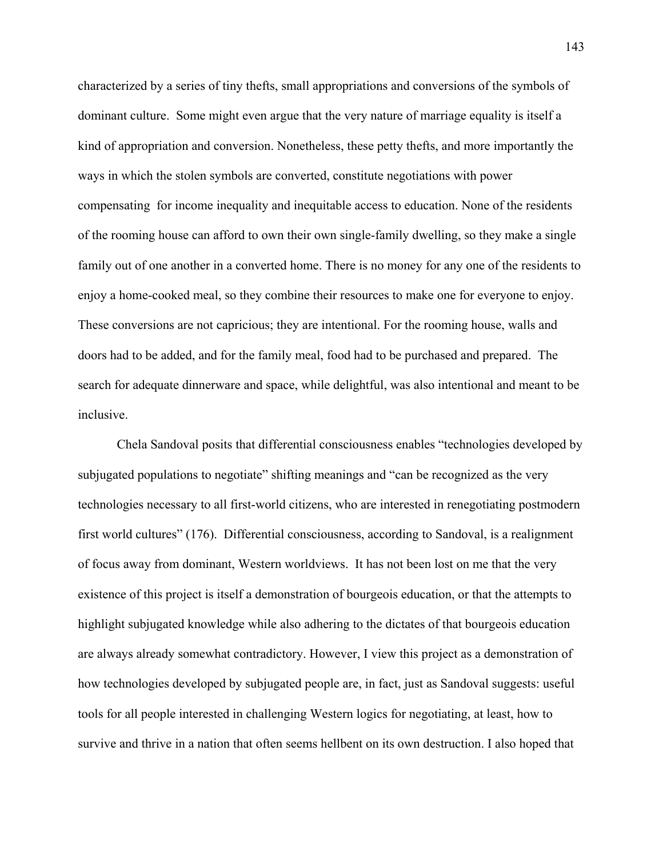characterized by a series of tiny thefts, small appropriations and conversions of the symbols of dominant culture. Some might even argue that the very nature of marriage equality is itself a kind of appropriation and conversion. Nonetheless, these petty thefts, and more importantly the ways in which the stolen symbols are converted, constitute negotiations with power compensating for income inequality and inequitable access to education. None of the residents of the rooming house can afford to own their own single-family dwelling, so they make a single family out of one another in a converted home. There is no money for any one of the residents to enjoy a home-cooked meal, so they combine their resources to make one for everyone to enjoy. These conversions are not capricious; they are intentional. For the rooming house, walls and doors had to be added, and for the family meal, food had to be purchased and prepared. The search for adequate dinnerware and space, while delightful, was also intentional and meant to be inclusive.

 Chela Sandoval posits that differential consciousness enables "technologies developed by subjugated populations to negotiate" shifting meanings and "can be recognized as the very technologies necessary to all first-world citizens, who are interested in renegotiating postmodern first world cultures" (176). Differential consciousness, according to Sandoval, is a realignment of focus away from dominant, Western worldviews. It has not been lost on me that the very existence of this project is itself a demonstration of bourgeois education, or that the attempts to highlight subjugated knowledge while also adhering to the dictates of that bourgeois education are always already somewhat contradictory. However, I view this project as a demonstration of how technologies developed by subjugated people are, in fact, just as Sandoval suggests: useful tools for all people interested in challenging Western logics for negotiating, at least, how to survive and thrive in a nation that often seems hellbent on its own destruction. I also hoped that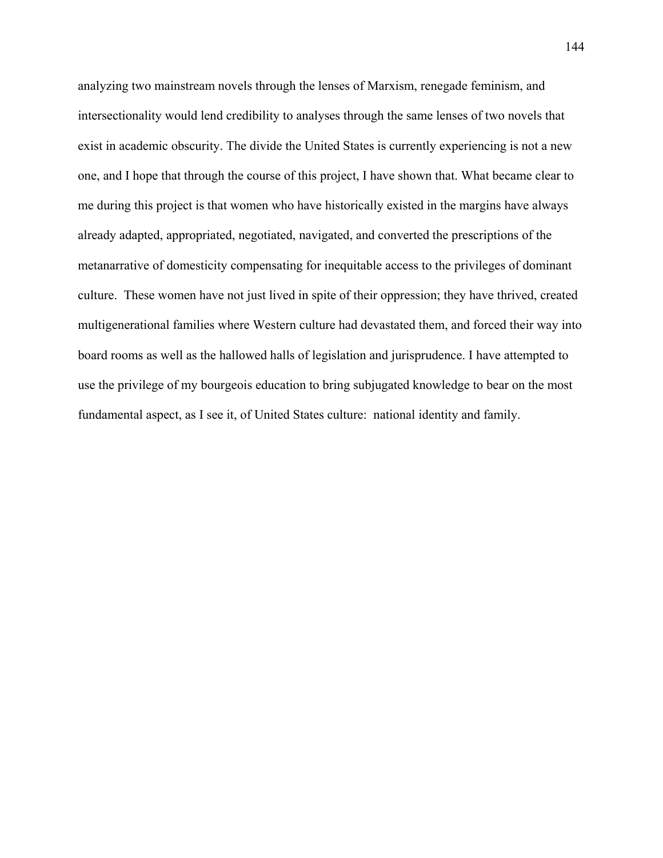analyzing two mainstream novels through the lenses of Marxism, renegade feminism, and intersectionality would lend credibility to analyses through the same lenses of two novels that exist in academic obscurity. The divide the United States is currently experiencing is not a new one, and I hope that through the course of this project, I have shown that. What became clear to me during this project is that women who have historically existed in the margins have always already adapted, appropriated, negotiated, navigated, and converted the prescriptions of the metanarrative of domesticity compensating for inequitable access to the privileges of dominant culture. These women have not just lived in spite of their oppression; they have thrived, created multigenerational families where Western culture had devastated them, and forced their way into board rooms as well as the hallowed halls of legislation and jurisprudence. I have attempted to use the privilege of my bourgeois education to bring subjugated knowledge to bear on the most fundamental aspect, as I see it, of United States culture: national identity and family.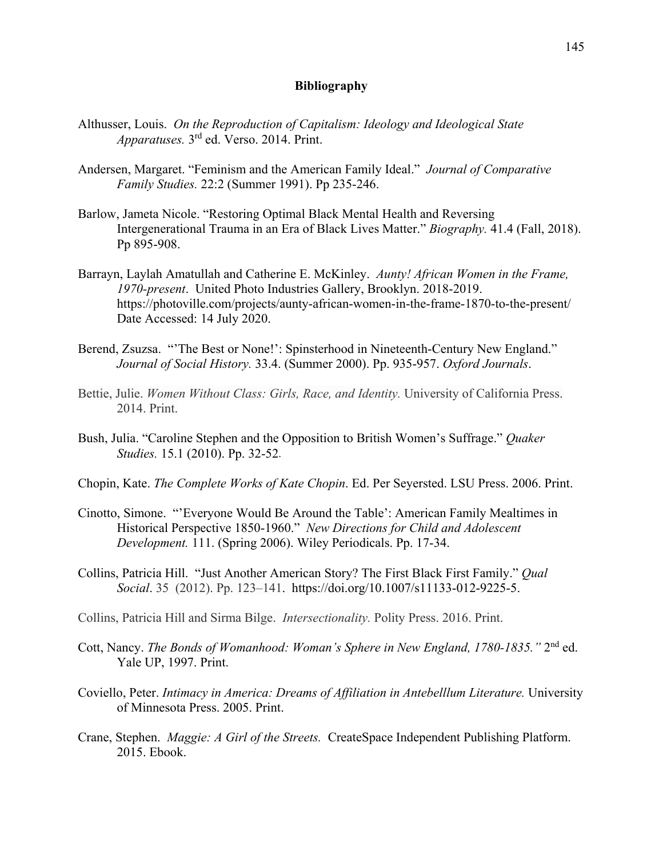## **Bibliography**

- Althusser, Louis. *On the Reproduction of Capitalism: Ideology and Ideological State Apparatuses.* 3rd ed. Verso. 2014. Print.
- Andersen, Margaret. "Feminism and the American Family Ideal." *Journal of Comparative Family Studies.* 22:2 (Summer 1991). Pp 235-246.
- Barlow, Jameta Nicole. "Restoring Optimal Black Mental Health and Reversing Intergenerational Trauma in an Era of Black Lives Matter." *Biography.* 41.4 (Fall, 2018). Pp 895-908.
- Barrayn, Laylah Amatullah and Catherine E. McKinley. *Aunty! African Women in the Frame, 1970-present*. United Photo Industries Gallery, Brooklyn. 2018-2019. https://photoville.com/projects/aunty-african-women-in-the-frame-1870-to-the-present/ Date Accessed: 14 July 2020.
- Berend, Zsuzsa. "'The Best or None!': Spinsterhood in Nineteenth-Century New England." *Journal of Social History.* 33.4. (Summer 2000). Pp. 935-957. *Oxford Journals*.
- Bettie, Julie. *Women Without Class: Girls, Race, and Identity.* University of California Press. 2014. Print.
- Bush, Julia. "Caroline Stephen and the Opposition to British Women's Suffrage." *Quaker Studies.* 15.1 (2010). Pp. 32-52.
- Chopin, Kate. *The Complete Works of Kate Chopin*. Ed. Per Seyersted. LSU Press. 2006. Print.
- Cinotto, Simone. "'Everyone Would Be Around the Table': American Family Mealtimes in Historical Perspective 1850-1960." *New Directions for Child and Adolescent Development.* 111. (Spring 2006). Wiley Periodicals. Pp. 17-34.
- Collins, Patricia Hill. "Just Another American Story? The First Black First Family." *Qual Social*. 35 (2012). Pp. 123–141. https://doi.org/10.1007/s11133-012-9225-5.
- Collins, Patricia Hill and Sirma Bilge. *Intersectionality.* Polity Press. 2016. Print.
- Cott, Nancy. *The Bonds of Womanhood: Woman's Sphere in New England, 1780-1835."* 2nd ed. Yale UP, 1997. Print.
- Coviello, Peter. *Intimacy in America: Dreams of Affiliation in Antebelllum Literature.* University of Minnesota Press. 2005. Print.
- Crane, Stephen. *Maggie: A Girl of the Streets.* CreateSpace Independent Publishing Platform. 2015. Ebook.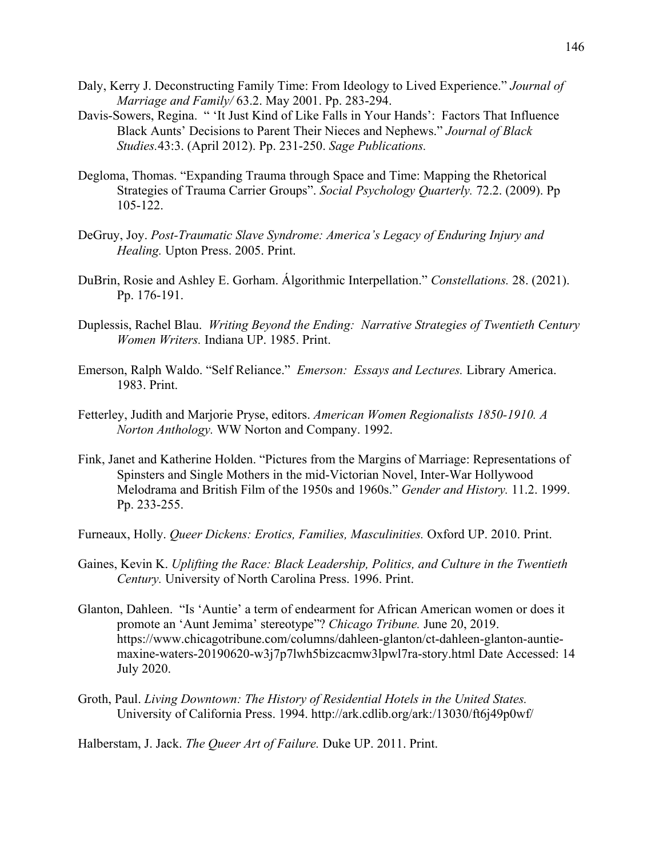- Daly, Kerry J. Deconstructing Family Time: From Ideology to Lived Experience." *Journal of Marriage and Family/* 63.2. May 2001. Pp. 283-294.
- Davis-Sowers, Regina. " 'It Just Kind of Like Falls in Your Hands': Factors That Influence Black Aunts' Decisions to Parent Their Nieces and Nephews." *Journal of Black Studies.*43:3. (April 2012). Pp. 231-250. *Sage Publications.*
- Degloma, Thomas. "Expanding Trauma through Space and Time: Mapping the Rhetorical Strategies of Trauma Carrier Groups". *Social Psychology Quarterly.* 72.2. (2009). Pp 105-122.
- DeGruy, Joy. *Post-Traumatic Slave Syndrome: America's Legacy of Enduring Injury and Healing.* Upton Press. 2005. Print.
- DuBrin, Rosie and Ashley E. Gorham. Álgorithmic Interpellation." *Constellations.* 28. (2021). Pp. 176-191.
- Duplessis, Rachel Blau. *Writing Beyond the Ending: Narrative Strategies of Twentieth Century Women Writers.* Indiana UP. 1985. Print.
- Emerson, Ralph Waldo. "Self Reliance." *Emerson: Essays and Lectures.* Library America. 1983. Print.
- Fetterley, Judith and Marjorie Pryse, editors. *American Women Regionalists 1850-1910. A Norton Anthology.* WW Norton and Company. 1992.
- Fink, Janet and Katherine Holden. "Pictures from the Margins of Marriage: Representations of Spinsters and Single Mothers in the mid-Victorian Novel, Inter-War Hollywood Melodrama and British Film of the 1950s and 1960s." *Gender and History.* 11.2. 1999. Pp. 233-255.
- Furneaux, Holly. *Queer Dickens: Erotics, Families, Masculinities.* Oxford UP. 2010. Print.
- Gaines, Kevin K. *Uplifting the Race: Black Leadership, Politics, and Culture in the Twentieth Century.* University of North Carolina Press. 1996. Print.
- Glanton, Dahleen. "Is 'Auntie' a term of endearment for African American women or does it promote an 'Aunt Jemima' stereotype"? *Chicago Tribune.* June 20, 2019. https://www.chicagotribune.com/columns/dahleen-glanton/ct-dahleen-glanton-auntiemaxine-waters-20190620-w3j7p7lwh5bizcacmw3lpwl7ra-story.html Date Accessed: 14 July 2020.
- Groth, Paul. *Living Downtown: The History of Residential Hotels in the United States.*  University of California Press. 1994. http://ark.cdlib.org/ark:/13030/ft6j49p0wf/

Halberstam, J. Jack. *The Queer Art of Failure.* Duke UP. 2011. Print.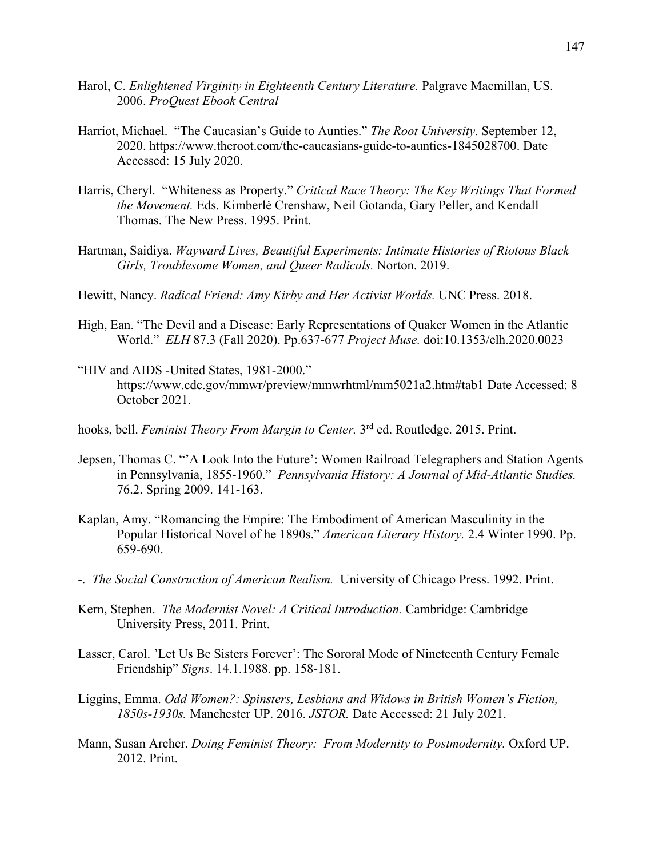- Harol, C. *Enlightened Virginity in Eighteenth Century Literature.* Palgrave Macmillan, US. 2006. *ProQuest Ebook Central*
- Harriot, Michael. "The Caucasian's Guide to Aunties." *The Root University.* September 12, 2020. https://www.theroot.com/the-caucasians-guide-to-aunties-1845028700. Date Accessed: 15 July 2020.
- Harris, Cheryl. "Whiteness as Property." *Critical Race Theory: The Key Writings That Formed the Movement.* Eds. Kimberlė Crenshaw, Neil Gotanda, Gary Peller, and Kendall Thomas. The New Press. 1995. Print.
- Hartman, Saidiya. *Wayward Lives, Beautiful Experiments: Intimate Histories of Riotous Black Girls, Troublesome Women, and Queer Radicals.* Norton. 2019.
- Hewitt, Nancy. *Radical Friend: Amy Kirby and Her Activist Worlds.* UNC Press. 2018.
- High, Ean. "The Devil and a Disease: Early Representations of Quaker Women in the Atlantic World." *ELH* 87.3 (Fall 2020). Pp.637-677 *Project Muse.* doi:10.1353/elh.2020.0023
- "HIV and AIDS -United States, 1981-2000." https://www.cdc.gov/mmwr/preview/mmwrhtml/mm5021a2.htm#tab1 Date Accessed: 8 October 2021.
- hooks, bell. *Feminist Theory From Margin to Center.* 3rd ed. Routledge. 2015. Print.
- Jepsen, Thomas C. "'A Look Into the Future': Women Railroad Telegraphers and Station Agents in Pennsylvania, 1855-1960." *Pennsylvania History: A Journal of Mid-Atlantic Studies.* 76.2. Spring 2009. 141-163.
- Kaplan, Amy. "Romancing the Empire: The Embodiment of American Masculinity in the Popular Historical Novel of he 1890s." *American Literary History.* 2.4 Winter 1990. Pp. 659-690.
- -. *The Social Construction of American Realism.* University of Chicago Press. 1992. Print.
- Kern, Stephen. *The Modernist Novel: A Critical Introduction.* Cambridge: Cambridge University Press, 2011. Print.
- Lasser, Carol. 'Let Us Be Sisters Forever': The Sororal Mode of Nineteenth Century Female Friendship" *Signs*. 14.1.1988. pp. 158-181.
- Liggins, Emma. *Odd Women?: Spinsters, Lesbians and Widows in British Women's Fiction, 1850s-1930s.* Manchester UP. 2016. *JSTOR.* Date Accessed: 21 July 2021.
- Mann, Susan Archer. *Doing Feminist Theory: From Modernity to Postmodernity*. Oxford UP. 2012. Print.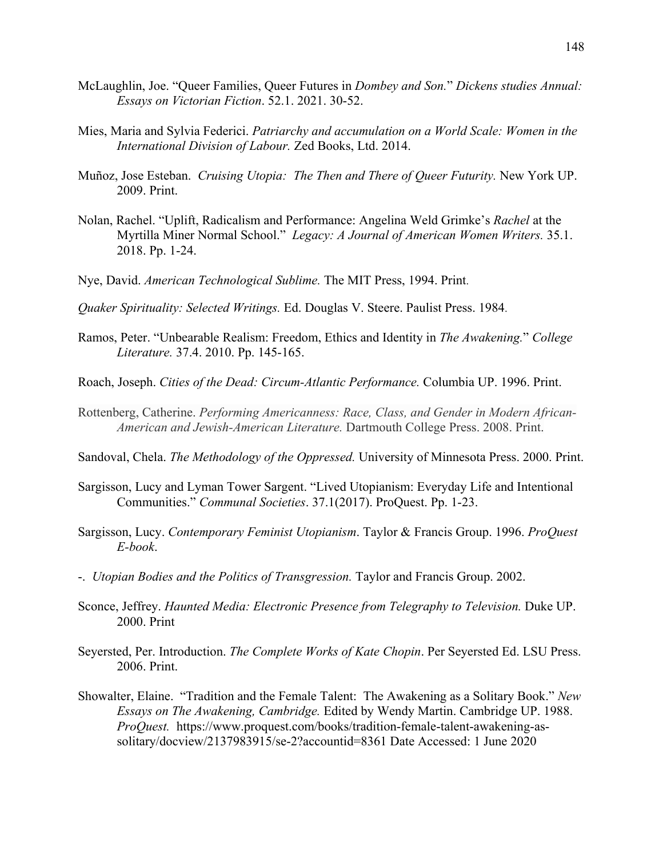- McLaughlin, Joe. "Queer Families, Queer Futures in *Dombey and Son.*" *Dickens studies Annual: Essays on Victorian Fiction*. 52.1. 2021. 30-52.
- Mies, Maria and Sylvia Federici. *Patriarchy and accumulation on a World Scale: Women in the International Division of Labour.* Zed Books, Ltd. 2014.
- Muñoz, Jose Esteban. *Cruising Utopia: The Then and There of Queer Futurity.* New York UP. 2009. Print.
- Nolan, Rachel. "Uplift, Radicalism and Performance: Angelina Weld Grimke's *Rachel* at the Myrtilla Miner Normal School." *Legacy: A Journal of American Women Writers.* 35.1. 2018. Pp. 1-24.
- Nye, David. *American Technological Sublime.* The MIT Press, 1994. Print.
- *Quaker Spirituality: Selected Writings.* Ed. Douglas V. Steere. Paulist Press. 1984.
- Ramos, Peter. "Unbearable Realism: Freedom, Ethics and Identity in *The Awakening.*" *College Literature.* 37.4. 2010. Pp. 145-165.
- Roach, Joseph. *Cities of the Dead: Circum-Atlantic Performance.* Columbia UP. 1996. Print.
- Rottenberg, Catherine. *Performing Americanness: Race, Class, and Gender in Modern African-American and Jewish-American Literature.* Dartmouth College Press. 2008. Print.
- Sandoval, Chela. *The Methodology of the Oppressed.* University of Minnesota Press. 2000. Print.
- Sargisson, Lucy and Lyman Tower Sargent. "Lived Utopianism: Everyday Life and Intentional Communities." *Communal Societies*. 37.1(2017). ProQuest. Pp. 1-23.
- Sargisson, Lucy. *Contemporary Feminist Utopianism*. Taylor & Francis Group. 1996. *ProQuest E-book*.
- -. *Utopian Bodies and the Politics of Transgression.* Taylor and Francis Group. 2002.
- Sconce, Jeffrey. *Haunted Media: Electronic Presence from Telegraphy to Television*. Duke UP. 2000. Print
- Seyersted, Per. Introduction. *The Complete Works of Kate Chopin*. Per Seyersted Ed. LSU Press. 2006. Print.
- Showalter, Elaine. "Tradition and the Female Talent: The Awakening as a Solitary Book." *New Essays on The Awakening, Cambridge.* Edited by Wendy Martin. Cambridge UP. 1988. *ProQuest.* https://www.proquest.com/books/tradition-female-talent-awakening-assolitary/docview/2137983915/se-2?accountid=8361 Date Accessed: 1 June 2020